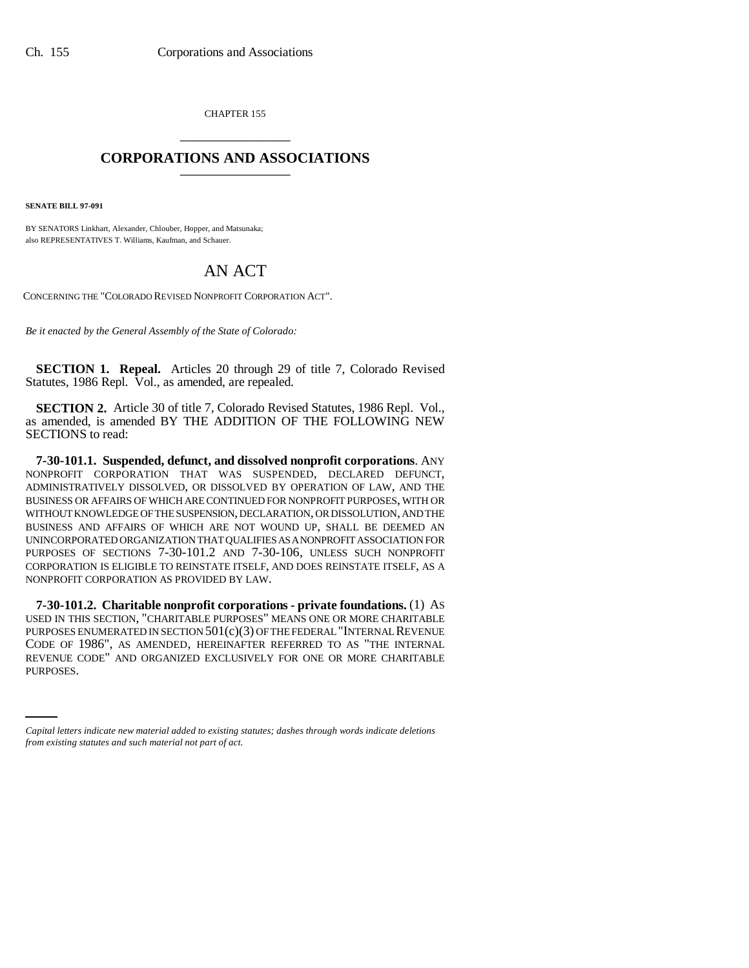CHAPTER 155 \_\_\_\_\_\_\_\_\_\_\_\_\_\_\_

# **CORPORATIONS AND ASSOCIATIONS** \_\_\_\_\_\_\_\_\_\_\_\_\_\_\_

**SENATE BILL 97-091**

BY SENATORS Linkhart, Alexander, Chlouber, Hopper, and Matsunaka; also REPRESENTATIVES T. Williams, Kaufman, and Schauer.

# AN ACT

CONCERNING THE "COLORADO REVISED NONPROFIT CORPORATION ACT".

*Be it enacted by the General Assembly of the State of Colorado:*

**SECTION 1. Repeal.** Articles 20 through 29 of title 7, Colorado Revised Statutes, 1986 Repl. Vol., as amended, are repealed.

**SECTION 2.** Article 30 of title 7, Colorado Revised Statutes, 1986 Repl. Vol., as amended, is amended BY THE ADDITION OF THE FOLLOWING NEW SECTIONS to read:

**7-30-101.1. Suspended, defunct, and dissolved nonprofit corporations**. ANY NONPROFIT CORPORATION THAT WAS SUSPENDED, DECLARED DEFUNCT, ADMINISTRATIVELY DISSOLVED, OR DISSOLVED BY OPERATION OF LAW, AND THE BUSINESS OR AFFAIRS OF WHICH ARE CONTINUED FOR NONPROFIT PURPOSES, WITH OR WITHOUT KNOWLEDGE OF THE SUSPENSION, DECLARATION, OR DISSOLUTION, AND THE BUSINESS AND AFFAIRS OF WHICH ARE NOT WOUND UP, SHALL BE DEEMED AN UNINCORPORATED ORGANIZATION THAT QUALIFIES AS A NONPROFIT ASSOCIATION FOR PURPOSES OF SECTIONS 7-30-101.2 AND 7-30-106, UNLESS SUCH NONPROFIT CORPORATION IS ELIGIBLE TO REINSTATE ITSELF, AND DOES REINSTATE ITSELF, AS A NONPROFIT CORPORATION AS PROVIDED BY LAW.

REVENUE CODE" AND ORGANIZED EXCLUSIVELY FOR ONE OR MORE CHARITABLE **7-30-101.2. Charitable nonprofit corporations - private foundations.** (1) AS USED IN THIS SECTION, "CHARITABLE PURPOSES" MEANS ONE OR MORE CHARITABLE PURPOSES ENUMERATED IN SECTION 501(c)(3) OF THE FEDERAL "INTERNAL REVENUE CODE OF 1986", AS AMENDED, HEREINAFTER REFERRED TO AS "THE INTERNAL PURPOSES.

*Capital letters indicate new material added to existing statutes; dashes through words indicate deletions from existing statutes and such material not part of act.*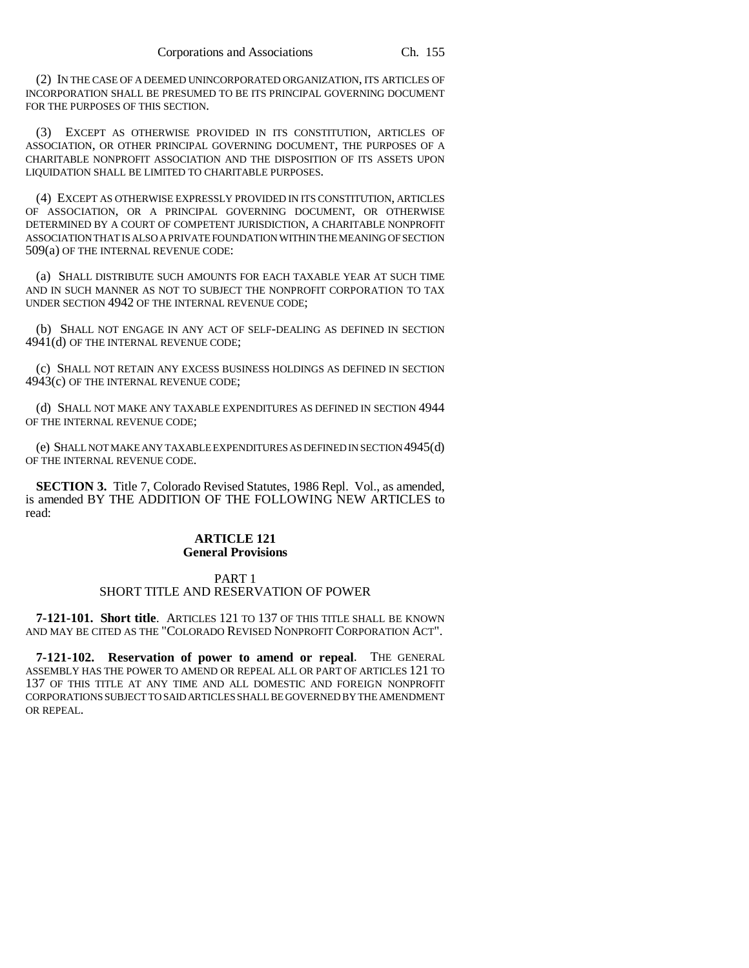(2) IN THE CASE OF A DEEMED UNINCORPORATED ORGANIZATION, ITS ARTICLES OF INCORPORATION SHALL BE PRESUMED TO BE ITS PRINCIPAL GOVERNING DOCUMENT FOR THE PURPOSES OF THIS SECTION.

(3) EXCEPT AS OTHERWISE PROVIDED IN ITS CONSTITUTION, ARTICLES OF ASSOCIATION, OR OTHER PRINCIPAL GOVERNING DOCUMENT, THE PURPOSES OF A CHARITABLE NONPROFIT ASSOCIATION AND THE DISPOSITION OF ITS ASSETS UPON LIQUIDATION SHALL BE LIMITED TO CHARITABLE PURPOSES.

(4) EXCEPT AS OTHERWISE EXPRESSLY PROVIDED IN ITS CONSTITUTION, ARTICLES OF ASSOCIATION, OR A PRINCIPAL GOVERNING DOCUMENT, OR OTHERWISE DETERMINED BY A COURT OF COMPETENT JURISDICTION, A CHARITABLE NONPROFIT ASSOCIATION THAT IS ALSO A PRIVATE FOUNDATION WITHIN THE MEANING OF SECTION 509(a) OF THE INTERNAL REVENUE CODE:

(a) SHALL DISTRIBUTE SUCH AMOUNTS FOR EACH TAXABLE YEAR AT SUCH TIME AND IN SUCH MANNER AS NOT TO SUBJECT THE NONPROFIT CORPORATION TO TAX UNDER SECTION 4942 OF THE INTERNAL REVENUE CODE;

(b) SHALL NOT ENGAGE IN ANY ACT OF SELF-DEALING AS DEFINED IN SECTION 4941(d) OF THE INTERNAL REVENUE CODE;

(c) SHALL NOT RETAIN ANY EXCESS BUSINESS HOLDINGS AS DEFINED IN SECTION 4943(c) OF THE INTERNAL REVENUE CODE;

(d) SHALL NOT MAKE ANY TAXABLE EXPENDITURES AS DEFINED IN SECTION 4944 OF THE INTERNAL REVENUE CODE;

(e) SHALL NOT MAKE ANY TAXABLE EXPENDITURES AS DEFINED IN SECTION 4945(d) OF THE INTERNAL REVENUE CODE.

**SECTION 3.** Title 7, Colorado Revised Statutes, 1986 Repl. Vol., as amended, is amended BY THE ADDITION OF THE FOLLOWING NEW ARTICLES to read:

#### **ARTICLE 121 General Provisions**

## PART 1

# SHORT TITLE AND RESERVATION OF POWER

**7-121-101. Short title**. ARTICLES 121 TO 137 OF THIS TITLE SHALL BE KNOWN AND MAY BE CITED AS THE "COLORADO REVISED NONPROFIT CORPORATION ACT".

**7-121-102. Reservation of power to amend or repeal**. THE GENERAL ASSEMBLY HAS THE POWER TO AMEND OR REPEAL ALL OR PART OF ARTICLES 121 TO 137 OF THIS TITLE AT ANY TIME AND ALL DOMESTIC AND FOREIGN NONPROFIT CORPORATIONS SUBJECT TO SAID ARTICLES SHALL BE GOVERNED BY THE AMENDMENT OR REPEAL.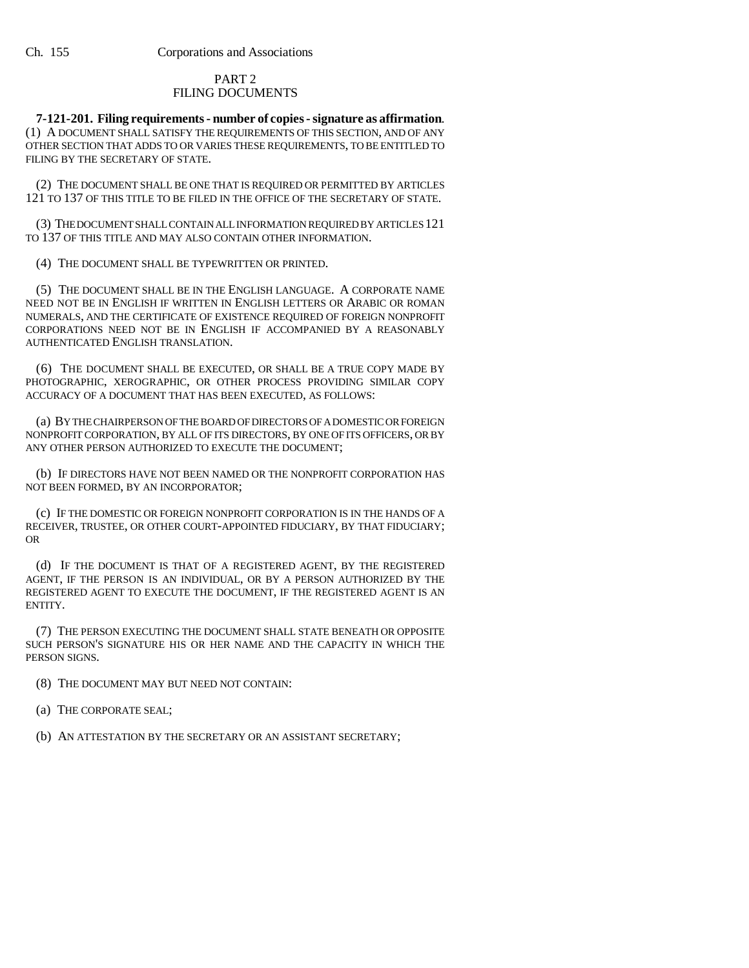## PART 2 FILING DOCUMENTS

**7-121-201. Filing requirements - number of copies - signature as affirmation**. (1) A DOCUMENT SHALL SATISFY THE REQUIREMENTS OF THIS SECTION, AND OF ANY OTHER SECTION THAT ADDS TO OR VARIES THESE REQUIREMENTS, TO BE ENTITLED TO FILING BY THE SECRETARY OF STATE.

(2) THE DOCUMENT SHALL BE ONE THAT IS REQUIRED OR PERMITTED BY ARTICLES 121 TO 137 OF THIS TITLE TO BE FILED IN THE OFFICE OF THE SECRETARY OF STATE.

(3) THE DOCUMENT SHALL CONTAIN ALL INFORMATION REQUIRED BY ARTICLES 121 TO 137 OF THIS TITLE AND MAY ALSO CONTAIN OTHER INFORMATION.

(4) THE DOCUMENT SHALL BE TYPEWRITTEN OR PRINTED.

(5) THE DOCUMENT SHALL BE IN THE ENGLISH LANGUAGE. A CORPORATE NAME NEED NOT BE IN ENGLISH IF WRITTEN IN ENGLISH LETTERS OR ARABIC OR ROMAN NUMERALS, AND THE CERTIFICATE OF EXISTENCE REQUIRED OF FOREIGN NONPROFIT CORPORATIONS NEED NOT BE IN ENGLISH IF ACCOMPANIED BY A REASONABLY AUTHENTICATED ENGLISH TRANSLATION.

(6) THE DOCUMENT SHALL BE EXECUTED, OR SHALL BE A TRUE COPY MADE BY PHOTOGRAPHIC, XEROGRAPHIC, OR OTHER PROCESS PROVIDING SIMILAR COPY ACCURACY OF A DOCUMENT THAT HAS BEEN EXECUTED, AS FOLLOWS:

(a) BY THE CHAIRPERSON OF THE BOARD OF DIRECTORS OF A DOMESTIC OR FOREIGN NONPROFIT CORPORATION, BY ALL OF ITS DIRECTORS, BY ONE OF ITS OFFICERS, OR BY ANY OTHER PERSON AUTHORIZED TO EXECUTE THE DOCUMENT;

(b) IF DIRECTORS HAVE NOT BEEN NAMED OR THE NONPROFIT CORPORATION HAS NOT BEEN FORMED, BY AN INCORPORATOR;

(c) IF THE DOMESTIC OR FOREIGN NONPROFIT CORPORATION IS IN THE HANDS OF A RECEIVER, TRUSTEE, OR OTHER COURT-APPOINTED FIDUCIARY, BY THAT FIDUCIARY; OR

(d) IF THE DOCUMENT IS THAT OF A REGISTERED AGENT, BY THE REGISTERED AGENT, IF THE PERSON IS AN INDIVIDUAL, OR BY A PERSON AUTHORIZED BY THE REGISTERED AGENT TO EXECUTE THE DOCUMENT, IF THE REGISTERED AGENT IS AN ENTITY.

(7) THE PERSON EXECUTING THE DOCUMENT SHALL STATE BENEATH OR OPPOSITE SUCH PERSON'S SIGNATURE HIS OR HER NAME AND THE CAPACITY IN WHICH THE PERSON SIGNS.

(8) THE DOCUMENT MAY BUT NEED NOT CONTAIN:

(a) THE CORPORATE SEAL;

(b) AN ATTESTATION BY THE SECRETARY OR AN ASSISTANT SECRETARY;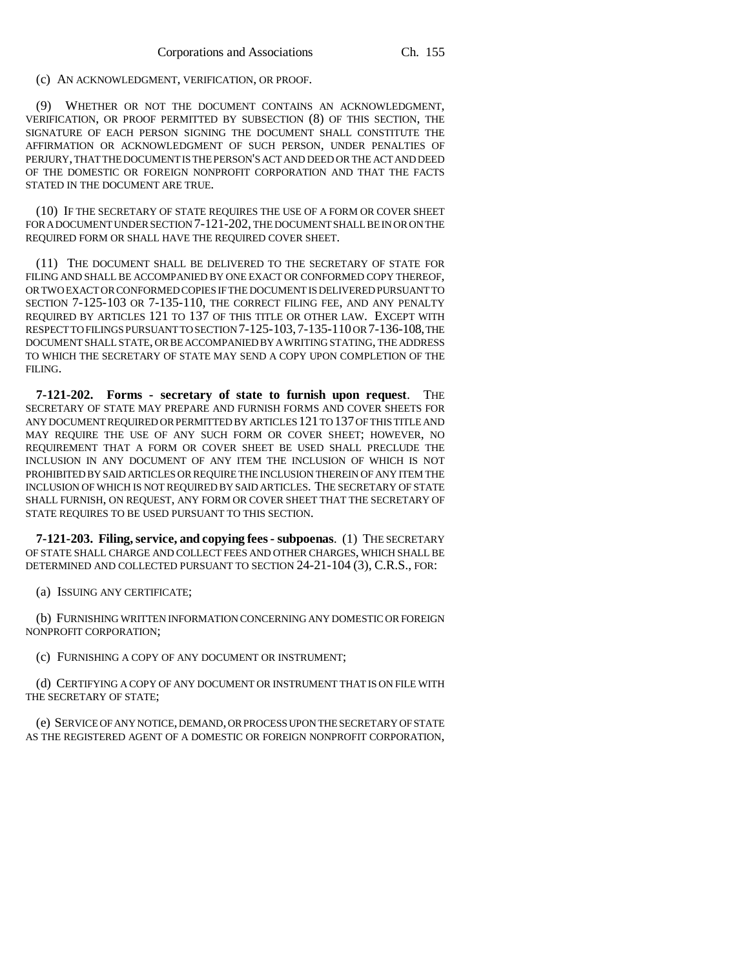(c) AN ACKNOWLEDGMENT, VERIFICATION, OR PROOF.

(9) WHETHER OR NOT THE DOCUMENT CONTAINS AN ACKNOWLEDGMENT, VERIFICATION, OR PROOF PERMITTED BY SUBSECTION (8) OF THIS SECTION, THE SIGNATURE OF EACH PERSON SIGNING THE DOCUMENT SHALL CONSTITUTE THE AFFIRMATION OR ACKNOWLEDGMENT OF SUCH PERSON, UNDER PENALTIES OF PERJURY, THAT THE DOCUMENT IS THE PERSON'S ACT AND DEED OR THE ACT AND DEED OF THE DOMESTIC OR FOREIGN NONPROFIT CORPORATION AND THAT THE FACTS STATED IN THE DOCUMENT ARE TRUE.

(10) IF THE SECRETARY OF STATE REQUIRES THE USE OF A FORM OR COVER SHEET FOR A DOCUMENT UNDER SECTION 7-121-202, THE DOCUMENT SHALL BE IN OR ON THE REQUIRED FORM OR SHALL HAVE THE REQUIRED COVER SHEET.

(11) THE DOCUMENT SHALL BE DELIVERED TO THE SECRETARY OF STATE FOR FILING AND SHALL BE ACCOMPANIED BY ONE EXACT OR CONFORMED COPY THEREOF, OR TWO EXACT OR CONFORMED COPIES IF THE DOCUMENT IS DELIVERED PURSUANT TO SECTION 7-125-103 OR 7-135-110, THE CORRECT FILING FEE, AND ANY PENALTY REQUIRED BY ARTICLES 121 TO 137 OF THIS TITLE OR OTHER LAW. EXCEPT WITH RESPECT TO FILINGS PURSUANT TO SECTION 7-125-103,7-135-110 OR 7-136-108, THE DOCUMENT SHALL STATE, OR BE ACCOMPANIED BY A WRITING STATING, THE ADDRESS TO WHICH THE SECRETARY OF STATE MAY SEND A COPY UPON COMPLETION OF THE FILING.

**7-121-202. Forms - secretary of state to furnish upon request**. THE SECRETARY OF STATE MAY PREPARE AND FURNISH FORMS AND COVER SHEETS FOR ANY DOCUMENT REQUIRED OR PERMITTED BY ARTICLES 121 TO 137 OF THIS TITLE AND MAY REQUIRE THE USE OF ANY SUCH FORM OR COVER SHEET; HOWEVER, NO REQUIREMENT THAT A FORM OR COVER SHEET BE USED SHALL PRECLUDE THE INCLUSION IN ANY DOCUMENT OF ANY ITEM THE INCLUSION OF WHICH IS NOT PROHIBITED BY SAID ARTICLES OR REQUIRE THE INCLUSION THEREIN OF ANY ITEM THE INCLUSION OF WHICH IS NOT REQUIRED BY SAID ARTICLES. THE SECRETARY OF STATE SHALL FURNISH, ON REQUEST, ANY FORM OR COVER SHEET THAT THE SECRETARY OF STATE REQUIRES TO BE USED PURSUANT TO THIS SECTION.

**7-121-203. Filing, service, and copying fees - subpoenas**. (1) THE SECRETARY OF STATE SHALL CHARGE AND COLLECT FEES AND OTHER CHARGES, WHICH SHALL BE DETERMINED AND COLLECTED PURSUANT TO SECTION 24-21-104 (3), C.R.S., FOR:

(a) ISSUING ANY CERTIFICATE;

(b) FURNISHING WRITTEN INFORMATION CONCERNING ANY DOMESTIC OR FOREIGN NONPROFIT CORPORATION;

(c) FURNISHING A COPY OF ANY DOCUMENT OR INSTRUMENT;

(d) CERTIFYING A COPY OF ANY DOCUMENT OR INSTRUMENT THAT IS ON FILE WITH THE SECRETARY OF STATE;

(e) SERVICE OF ANY NOTICE, DEMAND, OR PROCESS UPON THE SECRETARY OF STATE AS THE REGISTERED AGENT OF A DOMESTIC OR FOREIGN NONPROFIT CORPORATION,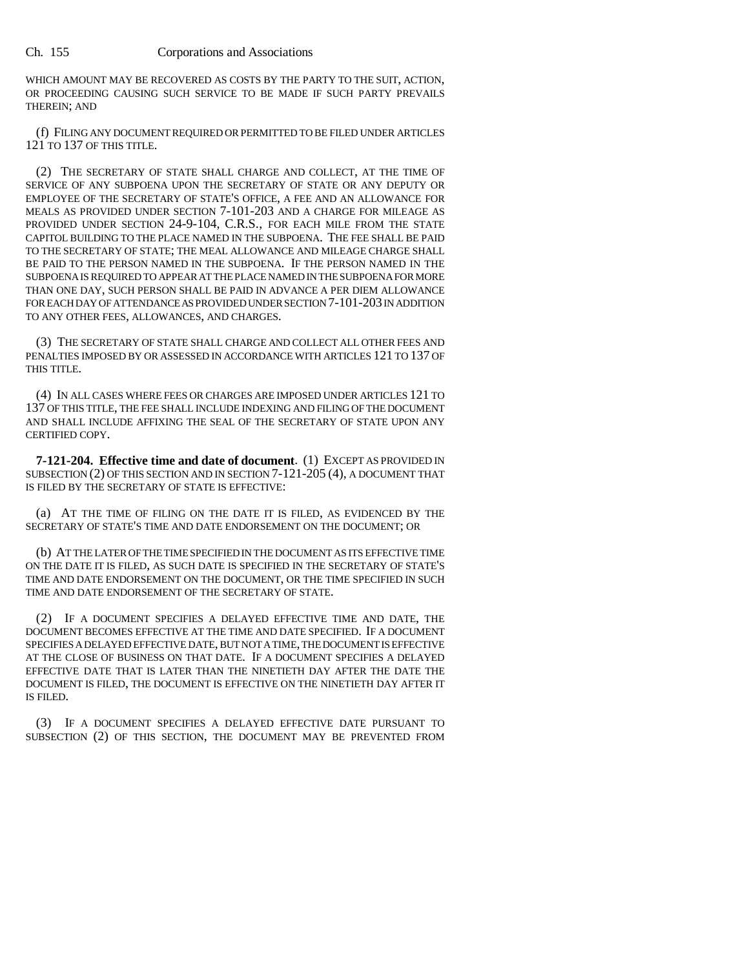WHICH AMOUNT MAY BE RECOVERED AS COSTS BY THE PARTY TO THE SUIT, ACTION, OR PROCEEDING CAUSING SUCH SERVICE TO BE MADE IF SUCH PARTY PREVAILS THEREIN; AND

(f) FILING ANY DOCUMENT REQUIRED OR PERMITTED TO BE FILED UNDER ARTICLES 121 TO 137 OF THIS TITLE.

(2) THE SECRETARY OF STATE SHALL CHARGE AND COLLECT, AT THE TIME OF SERVICE OF ANY SUBPOENA UPON THE SECRETARY OF STATE OR ANY DEPUTY OR EMPLOYEE OF THE SECRETARY OF STATE'S OFFICE, A FEE AND AN ALLOWANCE FOR MEALS AS PROVIDED UNDER SECTION 7-101-203 AND A CHARGE FOR MILEAGE AS PROVIDED UNDER SECTION 24-9-104, C.R.S., FOR EACH MILE FROM THE STATE CAPITOL BUILDING TO THE PLACE NAMED IN THE SUBPOENA. THE FEE SHALL BE PAID TO THE SECRETARY OF STATE; THE MEAL ALLOWANCE AND MILEAGE CHARGE SHALL BE PAID TO THE PERSON NAMED IN THE SUBPOENA. IF THE PERSON NAMED IN THE SUBPOENA IS REQUIRED TO APPEAR AT THE PLACE NAMED IN THE SUBPOENA FOR MORE THAN ONE DAY, SUCH PERSON SHALL BE PAID IN ADVANCE A PER DIEM ALLOWANCE FOR EACH DAY OF ATTENDANCE AS PROVIDED UNDER SECTION 7-101-203 IN ADDITION TO ANY OTHER FEES, ALLOWANCES, AND CHARGES.

(3) THE SECRETARY OF STATE SHALL CHARGE AND COLLECT ALL OTHER FEES AND PENALTIES IMPOSED BY OR ASSESSED IN ACCORDANCE WITH ARTICLES 121 TO 137 OF THIS TITLE.

(4) IN ALL CASES WHERE FEES OR CHARGES ARE IMPOSED UNDER ARTICLES 121 TO 137 OF THIS TITLE, THE FEE SHALL INCLUDE INDEXING AND FILING OF THE DOCUMENT AND SHALL INCLUDE AFFIXING THE SEAL OF THE SECRETARY OF STATE UPON ANY CERTIFIED COPY.

**7-121-204. Effective time and date of document**. (1) EXCEPT AS PROVIDED IN SUBSECTION (2) OF THIS SECTION AND IN SECTION 7-121-205 (4), A DOCUMENT THAT IS FILED BY THE SECRETARY OF STATE IS EFFECTIVE:

(a) AT THE TIME OF FILING ON THE DATE IT IS FILED, AS EVIDENCED BY THE SECRETARY OF STATE'S TIME AND DATE ENDORSEMENT ON THE DOCUMENT; OR

(b) AT THE LATER OF THE TIME SPECIFIED IN THE DOCUMENT AS ITS EFFECTIVE TIME ON THE DATE IT IS FILED, AS SUCH DATE IS SPECIFIED IN THE SECRETARY OF STATE'S TIME AND DATE ENDORSEMENT ON THE DOCUMENT, OR THE TIME SPECIFIED IN SUCH TIME AND DATE ENDORSEMENT OF THE SECRETARY OF STATE.

(2) IF A DOCUMENT SPECIFIES A DELAYED EFFECTIVE TIME AND DATE, THE DOCUMENT BECOMES EFFECTIVE AT THE TIME AND DATE SPECIFIED. IF A DOCUMENT SPECIFIES A DELAYED EFFECTIVE DATE, BUT NOT A TIME, THE DOCUMENT IS EFFECTIVE AT THE CLOSE OF BUSINESS ON THAT DATE. IF A DOCUMENT SPECIFIES A DELAYED EFFECTIVE DATE THAT IS LATER THAN THE NINETIETH DAY AFTER THE DATE THE DOCUMENT IS FILED, THE DOCUMENT IS EFFECTIVE ON THE NINETIETH DAY AFTER IT IS FILED.

(3) IF A DOCUMENT SPECIFIES A DELAYED EFFECTIVE DATE PURSUANT TO SUBSECTION (2) OF THIS SECTION, THE DOCUMENT MAY BE PREVENTED FROM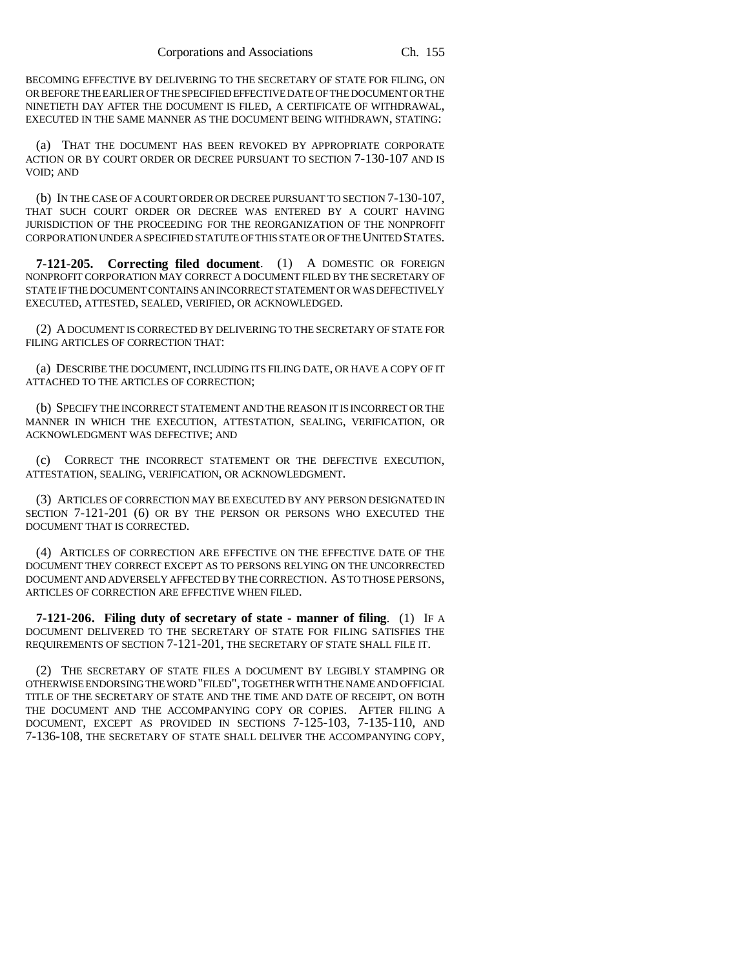BECOMING EFFECTIVE BY DELIVERING TO THE SECRETARY OF STATE FOR FILING, ON OR BEFORE THE EARLIER OF THE SPECIFIED EFFECTIVE DATE OF THE DOCUMENT OR THE NINETIETH DAY AFTER THE DOCUMENT IS FILED, A CERTIFICATE OF WITHDRAWAL, EXECUTED IN THE SAME MANNER AS THE DOCUMENT BEING WITHDRAWN, STATING:

(a) THAT THE DOCUMENT HAS BEEN REVOKED BY APPROPRIATE CORPORATE ACTION OR BY COURT ORDER OR DECREE PURSUANT TO SECTION 7-130-107 AND IS VOID; AND

(b) IN THE CASE OF A COURT ORDER OR DECREE PURSUANT TO SECTION 7-130-107, THAT SUCH COURT ORDER OR DECREE WAS ENTERED BY A COURT HAVING JURISDICTION OF THE PROCEEDING FOR THE REORGANIZATION OF THE NONPROFIT CORPORATION UNDER A SPECIFIED STATUTE OF THIS STATE OR OF THE UNITED STATES.

**7-121-205. Correcting filed document**. (1) A DOMESTIC OR FOREIGN NONPROFIT CORPORATION MAY CORRECT A DOCUMENT FILED BY THE SECRETARY OF STATE IF THE DOCUMENT CONTAINS AN INCORRECT STATEMENT OR WAS DEFECTIVELY EXECUTED, ATTESTED, SEALED, VERIFIED, OR ACKNOWLEDGED.

(2) A DOCUMENT IS CORRECTED BY DELIVERING TO THE SECRETARY OF STATE FOR FILING ARTICLES OF CORRECTION THAT:

(a) DESCRIBE THE DOCUMENT, INCLUDING ITS FILING DATE, OR HAVE A COPY OF IT ATTACHED TO THE ARTICLES OF CORRECTION;

(b) SPECIFY THE INCORRECT STATEMENT AND THE REASON IT IS INCORRECT OR THE MANNER IN WHICH THE EXECUTION, ATTESTATION, SEALING, VERIFICATION, OR ACKNOWLEDGMENT WAS DEFECTIVE; AND

CORRECT THE INCORRECT STATEMENT OR THE DEFECTIVE EXECUTION, ATTESTATION, SEALING, VERIFICATION, OR ACKNOWLEDGMENT.

(3) ARTICLES OF CORRECTION MAY BE EXECUTED BY ANY PERSON DESIGNATED IN SECTION 7-121-201 (6) OR BY THE PERSON OR PERSONS WHO EXECUTED THE DOCUMENT THAT IS CORRECTED.

(4) ARTICLES OF CORRECTION ARE EFFECTIVE ON THE EFFECTIVE DATE OF THE DOCUMENT THEY CORRECT EXCEPT AS TO PERSONS RELYING ON THE UNCORRECTED DOCUMENT AND ADVERSELY AFFECTED BY THE CORRECTION. AS TO THOSE PERSONS, ARTICLES OF CORRECTION ARE EFFECTIVE WHEN FILED.

**7-121-206. Filing duty of secretary of state - manner of filing**. (1) IF A DOCUMENT DELIVERED TO THE SECRETARY OF STATE FOR FILING SATISFIES THE REQUIREMENTS OF SECTION 7-121-201, THE SECRETARY OF STATE SHALL FILE IT.

(2) THE SECRETARY OF STATE FILES A DOCUMENT BY LEGIBLY STAMPING OR OTHERWISE ENDORSING THE WORD "FILED", TOGETHER WITH THE NAME AND OFFICIAL TITLE OF THE SECRETARY OF STATE AND THE TIME AND DATE OF RECEIPT, ON BOTH THE DOCUMENT AND THE ACCOMPANYING COPY OR COPIES. AFTER FILING A DOCUMENT, EXCEPT AS PROVIDED IN SECTIONS 7-125-103, 7-135-110, AND 7-136-108, THE SECRETARY OF STATE SHALL DELIVER THE ACCOMPANYING COPY,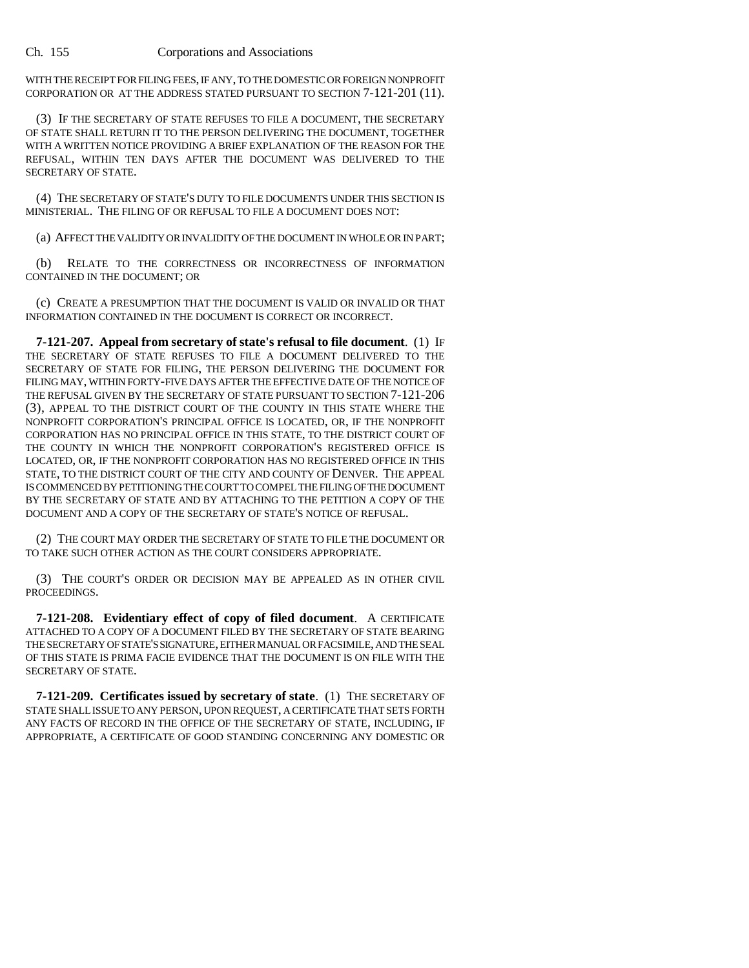WITH THE RECEIPT FOR FILING FEES, IF ANY, TO THE DOMESTIC OR FOREIGN NONPROFIT CORPORATION OR AT THE ADDRESS STATED PURSUANT TO SECTION 7-121-201 (11).

(3) IF THE SECRETARY OF STATE REFUSES TO FILE A DOCUMENT, THE SECRETARY OF STATE SHALL RETURN IT TO THE PERSON DELIVERING THE DOCUMENT, TOGETHER WITH A WRITTEN NOTICE PROVIDING A BRIEF EXPLANATION OF THE REASON FOR THE REFUSAL, WITHIN TEN DAYS AFTER THE DOCUMENT WAS DELIVERED TO THE SECRETARY OF STATE.

(4) THE SECRETARY OF STATE'S DUTY TO FILE DOCUMENTS UNDER THIS SECTION IS MINISTERIAL. THE FILING OF OR REFUSAL TO FILE A DOCUMENT DOES NOT:

(a) AFFECT THE VALIDITY OR INVALIDITY OF THE DOCUMENT IN WHOLE OR IN PART;

(b) RELATE TO THE CORRECTNESS OR INCORRECTNESS OF INFORMATION CONTAINED IN THE DOCUMENT; OR

(c) CREATE A PRESUMPTION THAT THE DOCUMENT IS VALID OR INVALID OR THAT INFORMATION CONTAINED IN THE DOCUMENT IS CORRECT OR INCORRECT.

**7-121-207. Appeal from secretary of state's refusal to file document**. (1) IF THE SECRETARY OF STATE REFUSES TO FILE A DOCUMENT DELIVERED TO THE SECRETARY OF STATE FOR FILING, THE PERSON DELIVERING THE DOCUMENT FOR FILING MAY, WITHIN FORTY-FIVE DAYS AFTER THE EFFECTIVE DATE OF THE NOTICE OF THE REFUSAL GIVEN BY THE SECRETARY OF STATE PURSUANT TO SECTION 7-121-206 (3), APPEAL TO THE DISTRICT COURT OF THE COUNTY IN THIS STATE WHERE THE NONPROFIT CORPORATION'S PRINCIPAL OFFICE IS LOCATED, OR, IF THE NONPROFIT CORPORATION HAS NO PRINCIPAL OFFICE IN THIS STATE, TO THE DISTRICT COURT OF THE COUNTY IN WHICH THE NONPROFIT CORPORATION'S REGISTERED OFFICE IS LOCATED, OR, IF THE NONPROFIT CORPORATION HAS NO REGISTERED OFFICE IN THIS STATE, TO THE DISTRICT COURT OF THE CITY AND COUNTY OF DENVER. THE APPEAL IS COMMENCED BY PETITIONING THE COURT TO COMPEL THE FILING OF THE DOCUMENT BY THE SECRETARY OF STATE AND BY ATTACHING TO THE PETITION A COPY OF THE DOCUMENT AND A COPY OF THE SECRETARY OF STATE'S NOTICE OF REFUSAL.

(2) THE COURT MAY ORDER THE SECRETARY OF STATE TO FILE THE DOCUMENT OR TO TAKE SUCH OTHER ACTION AS THE COURT CONSIDERS APPROPRIATE.

(3) THE COURT'S ORDER OR DECISION MAY BE APPEALED AS IN OTHER CIVIL PROCEEDINGS.

**7-121-208. Evidentiary effect of copy of filed document**. A CERTIFICATE ATTACHED TO A COPY OF A DOCUMENT FILED BY THE SECRETARY OF STATE BEARING THE SECRETARY OF STATE'S SIGNATURE, EITHER MANUAL OR FACSIMILE, AND THE SEAL OF THIS STATE IS PRIMA FACIE EVIDENCE THAT THE DOCUMENT IS ON FILE WITH THE SECRETARY OF STATE.

**7-121-209. Certificates issued by secretary of state**. (1) THE SECRETARY OF STATE SHALL ISSUE TO ANY PERSON, UPON REQUEST, A CERTIFICATE THAT SETS FORTH ANY FACTS OF RECORD IN THE OFFICE OF THE SECRETARY OF STATE, INCLUDING, IF APPROPRIATE, A CERTIFICATE OF GOOD STANDING CONCERNING ANY DOMESTIC OR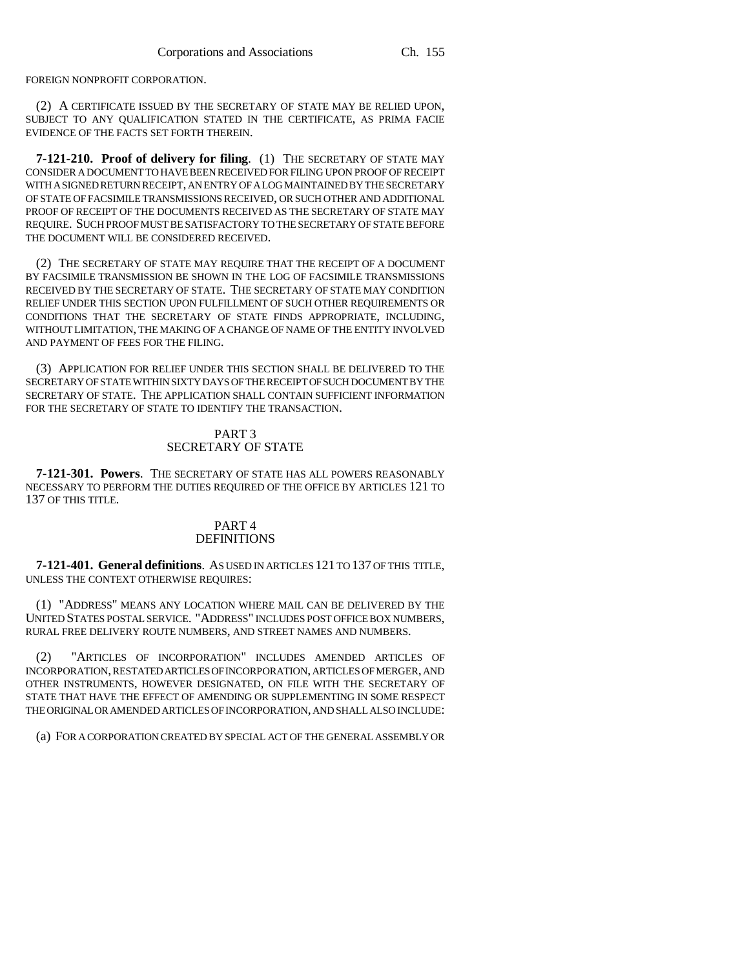FOREIGN NONPROFIT CORPORATION.

(2) A CERTIFICATE ISSUED BY THE SECRETARY OF STATE MAY BE RELIED UPON, SUBJECT TO ANY QUALIFICATION STATED IN THE CERTIFICATE, AS PRIMA FACIE EVIDENCE OF THE FACTS SET FORTH THEREIN.

**7-121-210. Proof of delivery for filing**. (1) THE SECRETARY OF STATE MAY CONSIDER A DOCUMENT TO HAVE BEEN RECEIVED FOR FILING UPON PROOF OF RECEIPT WITH A SIGNED RETURN RECEIPT, AN ENTRY OF A LOG MAINTAINED BY THE SECRETARY OF STATE OF FACSIMILE TRANSMISSIONS RECEIVED, OR SUCH OTHER AND ADDITIONAL PROOF OF RECEIPT OF THE DOCUMENTS RECEIVED AS THE SECRETARY OF STATE MAY REQUIRE. SUCH PROOF MUST BE SATISFACTORY TO THE SECRETARY OF STATE BEFORE THE DOCUMENT WILL BE CONSIDERED RECEIVED.

(2) THE SECRETARY OF STATE MAY REQUIRE THAT THE RECEIPT OF A DOCUMENT BY FACSIMILE TRANSMISSION BE SHOWN IN THE LOG OF FACSIMILE TRANSMISSIONS RECEIVED BY THE SECRETARY OF STATE. THE SECRETARY OF STATE MAY CONDITION RELIEF UNDER THIS SECTION UPON FULFILLMENT OF SUCH OTHER REQUIREMENTS OR CONDITIONS THAT THE SECRETARY OF STATE FINDS APPROPRIATE, INCLUDING, WITHOUT LIMITATION, THE MAKING OF A CHANGE OF NAME OF THE ENTITY INVOLVED AND PAYMENT OF FEES FOR THE FILING.

(3) APPLICATION FOR RELIEF UNDER THIS SECTION SHALL BE DELIVERED TO THE SECRETARY OF STATE WITHIN SIXTY DAYS OF THE RECEIPT OF SUCH DOCUMENT BY THE SECRETARY OF STATE. THE APPLICATION SHALL CONTAIN SUFFICIENT INFORMATION FOR THE SECRETARY OF STATE TO IDENTIFY THE TRANSACTION.

# PART 3 SECRETARY OF STATE

**7-121-301. Powers**. THE SECRETARY OF STATE HAS ALL POWERS REASONABLY NECESSARY TO PERFORM THE DUTIES REQUIRED OF THE OFFICE BY ARTICLES 121 TO 137 OF THIS TITLE.

#### PART 4 DEFINITIONS

**7-121-401. General definitions**. AS USED IN ARTICLES 121 TO 137 OF THIS TITLE, UNLESS THE CONTEXT OTHERWISE REQUIRES:

(1) "ADDRESS" MEANS ANY LOCATION WHERE MAIL CAN BE DELIVERED BY THE UNITED STATES POSTAL SERVICE. "ADDRESS" INCLUDES POST OFFICE BOX NUMBERS, RURAL FREE DELIVERY ROUTE NUMBERS, AND STREET NAMES AND NUMBERS.

(2) "ARTICLES OF INCORPORATION" INCLUDES AMENDED ARTICLES OF INCORPORATION, RESTATED ARTICLES OF INCORPORATION, ARTICLES OF MERGER, AND OTHER INSTRUMENTS, HOWEVER DESIGNATED, ON FILE WITH THE SECRETARY OF STATE THAT HAVE THE EFFECT OF AMENDING OR SUPPLEMENTING IN SOME RESPECT THE ORIGINAL OR AMENDED ARTICLES OF INCORPORATION, AND SHALL ALSO INCLUDE:

(a) FOR A CORPORATION CREATED BY SPECIAL ACT OF THE GENERAL ASSEMBLY OR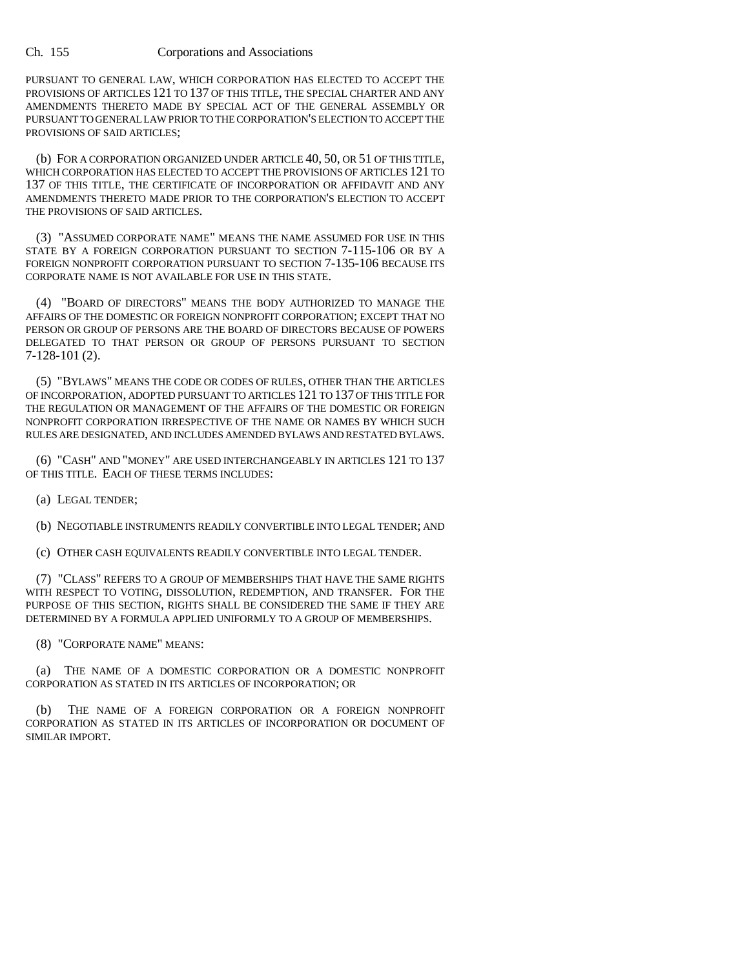PURSUANT TO GENERAL LAW, WHICH CORPORATION HAS ELECTED TO ACCEPT THE PROVISIONS OF ARTICLES 121 TO 137 OF THIS TITLE, THE SPECIAL CHARTER AND ANY AMENDMENTS THERETO MADE BY SPECIAL ACT OF THE GENERAL ASSEMBLY OR PURSUANT TO GENERAL LAW PRIOR TO THE CORPORATION'S ELECTION TO ACCEPT THE PROVISIONS OF SAID ARTICLES;

(b) FOR A CORPORATION ORGANIZED UNDER ARTICLE 40, 50, OR 51 OF THIS TITLE, WHICH CORPORATION HAS ELECTED TO ACCEPT THE PROVISIONS OF ARTICLES 121 TO 137 OF THIS TITLE, THE CERTIFICATE OF INCORPORATION OR AFFIDAVIT AND ANY AMENDMENTS THERETO MADE PRIOR TO THE CORPORATION'S ELECTION TO ACCEPT THE PROVISIONS OF SAID ARTICLES.

(3) "ASSUMED CORPORATE NAME" MEANS THE NAME ASSUMED FOR USE IN THIS STATE BY A FOREIGN CORPORATION PURSUANT TO SECTION 7-115-106 OR BY A FOREIGN NONPROFIT CORPORATION PURSUANT TO SECTION 7-135-106 BECAUSE ITS CORPORATE NAME IS NOT AVAILABLE FOR USE IN THIS STATE.

(4) "BOARD OF DIRECTORS" MEANS THE BODY AUTHORIZED TO MANAGE THE AFFAIRS OF THE DOMESTIC OR FOREIGN NONPROFIT CORPORATION; EXCEPT THAT NO PERSON OR GROUP OF PERSONS ARE THE BOARD OF DIRECTORS BECAUSE OF POWERS DELEGATED TO THAT PERSON OR GROUP OF PERSONS PURSUANT TO SECTION 7-128-101 (2).

(5) "BYLAWS" MEANS THE CODE OR CODES OF RULES, OTHER THAN THE ARTICLES OF INCORPORATION, ADOPTED PURSUANT TO ARTICLES 121 TO 137 OF THIS TITLE FOR THE REGULATION OR MANAGEMENT OF THE AFFAIRS OF THE DOMESTIC OR FOREIGN NONPROFIT CORPORATION IRRESPECTIVE OF THE NAME OR NAMES BY WHICH SUCH RULES ARE DESIGNATED, AND INCLUDES AMENDED BYLAWS AND RESTATED BYLAWS.

(6) "CASH" AND "MONEY" ARE USED INTERCHANGEABLY IN ARTICLES 121 TO 137 OF THIS TITLE. EACH OF THESE TERMS INCLUDES:

(a) LEGAL TENDER;

(b) NEGOTIABLE INSTRUMENTS READILY CONVERTIBLE INTO LEGAL TENDER; AND

(c) OTHER CASH EQUIVALENTS READILY CONVERTIBLE INTO LEGAL TENDER.

(7) "CLASS" REFERS TO A GROUP OF MEMBERSHIPS THAT HAVE THE SAME RIGHTS WITH RESPECT TO VOTING, DISSOLUTION, REDEMPTION, AND TRANSFER. FOR THE PURPOSE OF THIS SECTION, RIGHTS SHALL BE CONSIDERED THE SAME IF THEY ARE DETERMINED BY A FORMULA APPLIED UNIFORMLY TO A GROUP OF MEMBERSHIPS.

(8) "CORPORATE NAME" MEANS:

(a) THE NAME OF A DOMESTIC CORPORATION OR A DOMESTIC NONPROFIT CORPORATION AS STATED IN ITS ARTICLES OF INCORPORATION; OR

THE NAME OF A FOREIGN CORPORATION OR A FOREIGN NONPROFIT CORPORATION AS STATED IN ITS ARTICLES OF INCORPORATION OR DOCUMENT OF SIMILAR IMPORT.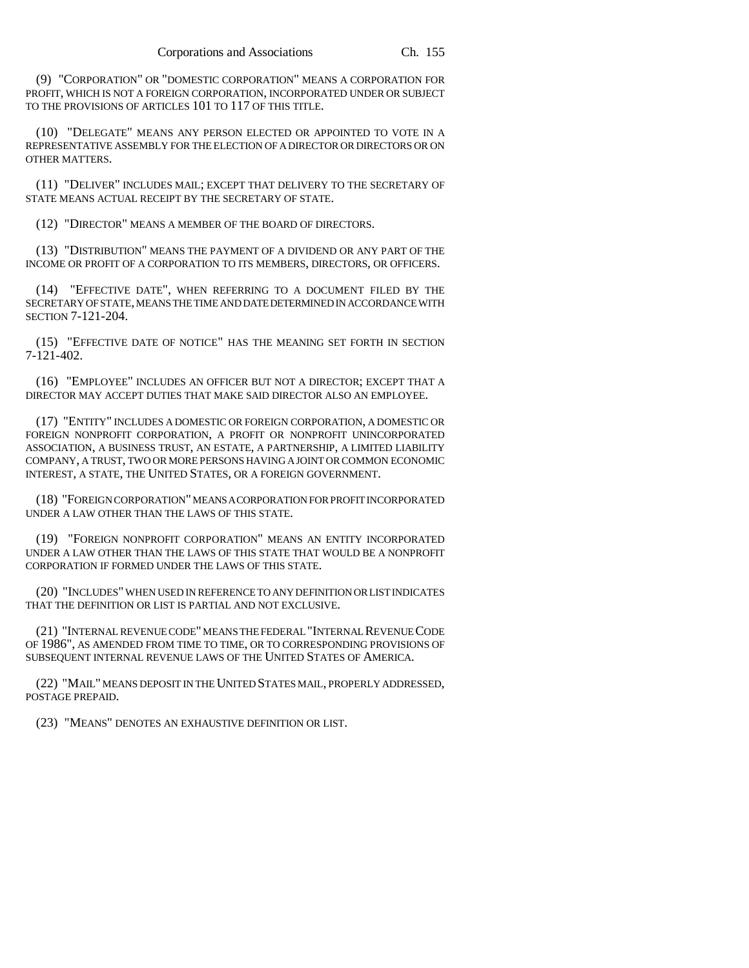(9) "CORPORATION" OR "DOMESTIC CORPORATION" MEANS A CORPORATION FOR PROFIT, WHICH IS NOT A FOREIGN CORPORATION, INCORPORATED UNDER OR SUBJECT TO THE PROVISIONS OF ARTICLES 101 TO 117 OF THIS TITLE.

(10) "DELEGATE" MEANS ANY PERSON ELECTED OR APPOINTED TO VOTE IN A REPRESENTATIVE ASSEMBLY FOR THE ELECTION OF A DIRECTOR OR DIRECTORS OR ON OTHER MATTERS.

(11) "DELIVER" INCLUDES MAIL; EXCEPT THAT DELIVERY TO THE SECRETARY OF STATE MEANS ACTUAL RECEIPT BY THE SECRETARY OF STATE.

(12) "DIRECTOR" MEANS A MEMBER OF THE BOARD OF DIRECTORS.

(13) "DISTRIBUTION" MEANS THE PAYMENT OF A DIVIDEND OR ANY PART OF THE INCOME OR PROFIT OF A CORPORATION TO ITS MEMBERS, DIRECTORS, OR OFFICERS.

(14) "EFFECTIVE DATE", WHEN REFERRING TO A DOCUMENT FILED BY THE SECRETARY OF STATE, MEANS THE TIME AND DATE DETERMINED IN ACCORDANCE WITH SECTION 7-121-204.

(15) "EFFECTIVE DATE OF NOTICE" HAS THE MEANING SET FORTH IN SECTION 7-121-402.

(16) "EMPLOYEE" INCLUDES AN OFFICER BUT NOT A DIRECTOR; EXCEPT THAT A DIRECTOR MAY ACCEPT DUTIES THAT MAKE SAID DIRECTOR ALSO AN EMPLOYEE.

(17) "ENTITY" INCLUDES A DOMESTIC OR FOREIGN CORPORATION, A DOMESTIC OR FOREIGN NONPROFIT CORPORATION, A PROFIT OR NONPROFIT UNINCORPORATED ASSOCIATION, A BUSINESS TRUST, AN ESTATE, A PARTNERSHIP, A LIMITED LIABILITY COMPANY, A TRUST, TWO OR MORE PERSONS HAVING A JOINT OR COMMON ECONOMIC INTEREST, A STATE, THE UNITED STATES, OR A FOREIGN GOVERNMENT.

(18) "FOREIGN CORPORATION" MEANS A CORPORATION FOR PROFIT INCORPORATED UNDER A LAW OTHER THAN THE LAWS OF THIS STATE.

(19) "FOREIGN NONPROFIT CORPORATION" MEANS AN ENTITY INCORPORATED UNDER A LAW OTHER THAN THE LAWS OF THIS STATE THAT WOULD BE A NONPROFIT CORPORATION IF FORMED UNDER THE LAWS OF THIS STATE.

(20) "INCLUDES" WHEN USED IN REFERENCE TO ANY DEFINITION OR LIST INDICATES THAT THE DEFINITION OR LIST IS PARTIAL AND NOT EXCLUSIVE.

(21) "INTERNAL REVENUE CODE" MEANS THE FEDERAL "INTERNAL REVENUE CODE OF 1986", AS AMENDED FROM TIME TO TIME, OR TO CORRESPONDING PROVISIONS OF SUBSEQUENT INTERNAL REVENUE LAWS OF THE UNITED STATES OF AMERICA.

(22) "MAIL" MEANS DEPOSIT IN THE UNITED STATES MAIL, PROPERLY ADDRESSED, POSTAGE PREPAID.

(23) "MEANS" DENOTES AN EXHAUSTIVE DEFINITION OR LIST.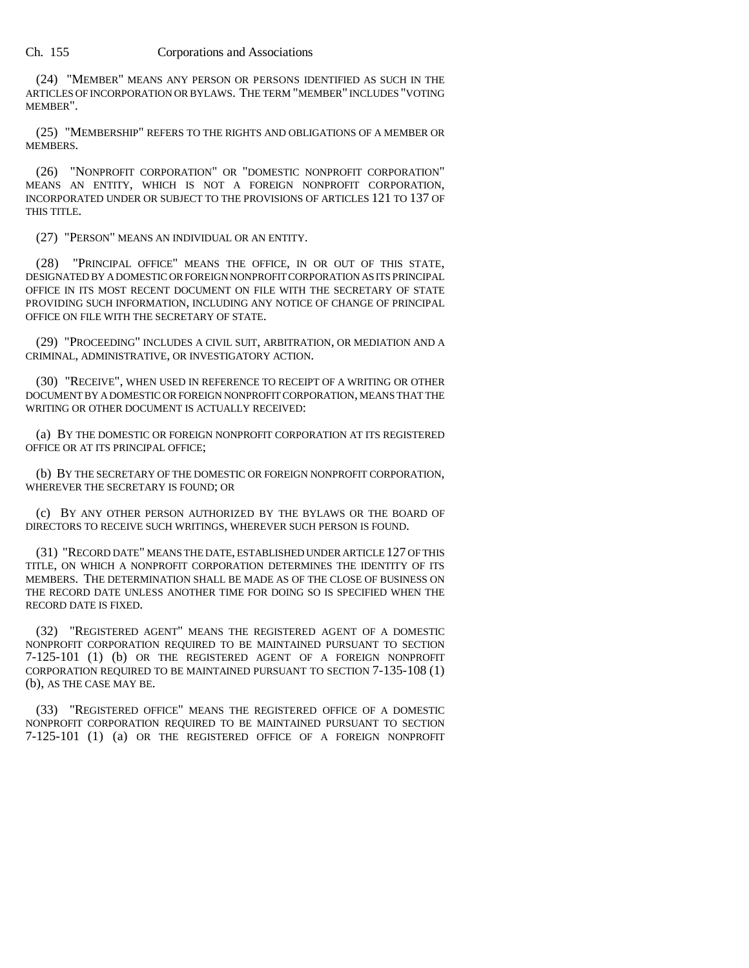(24) "MEMBER" MEANS ANY PERSON OR PERSONS IDENTIFIED AS SUCH IN THE ARTICLES OF INCORPORATION OR BYLAWS. THE TERM "MEMBER" INCLUDES "VOTING MEMBER".

(25) "MEMBERSHIP" REFERS TO THE RIGHTS AND OBLIGATIONS OF A MEMBER OR MEMBERS.

(26) "NONPROFIT CORPORATION" OR "DOMESTIC NONPROFIT CORPORATION" MEANS AN ENTITY, WHICH IS NOT A FOREIGN NONPROFIT CORPORATION, INCORPORATED UNDER OR SUBJECT TO THE PROVISIONS OF ARTICLES 121 TO 137 OF THIS TITLE.

(27) "PERSON" MEANS AN INDIVIDUAL OR AN ENTITY.

(28) "PRINCIPAL OFFICE" MEANS THE OFFICE, IN OR OUT OF THIS STATE, DESIGNATED BY A DOMESTIC OR FOREIGN NONPROFIT CORPORATION AS ITS PRINCIPAL OFFICE IN ITS MOST RECENT DOCUMENT ON FILE WITH THE SECRETARY OF STATE PROVIDING SUCH INFORMATION, INCLUDING ANY NOTICE OF CHANGE OF PRINCIPAL OFFICE ON FILE WITH THE SECRETARY OF STATE.

(29) "PROCEEDING" INCLUDES A CIVIL SUIT, ARBITRATION, OR MEDIATION AND A CRIMINAL, ADMINISTRATIVE, OR INVESTIGATORY ACTION.

(30) "RECEIVE", WHEN USED IN REFERENCE TO RECEIPT OF A WRITING OR OTHER DOCUMENT BY A DOMESTIC OR FOREIGN NONPROFIT CORPORATION, MEANS THAT THE WRITING OR OTHER DOCUMENT IS ACTUALLY RECEIVED:

(a) BY THE DOMESTIC OR FOREIGN NONPROFIT CORPORATION AT ITS REGISTERED OFFICE OR AT ITS PRINCIPAL OFFICE;

(b) BY THE SECRETARY OF THE DOMESTIC OR FOREIGN NONPROFIT CORPORATION, WHEREVER THE SECRETARY IS FOUND; OR

(c) BY ANY OTHER PERSON AUTHORIZED BY THE BYLAWS OR THE BOARD OF DIRECTORS TO RECEIVE SUCH WRITINGS, WHEREVER SUCH PERSON IS FOUND.

(31) "RECORD DATE" MEANS THE DATE, ESTABLISHED UNDER ARTICLE 127 OF THIS TITLE, ON WHICH A NONPROFIT CORPORATION DETERMINES THE IDENTITY OF ITS MEMBERS. THE DETERMINATION SHALL BE MADE AS OF THE CLOSE OF BUSINESS ON THE RECORD DATE UNLESS ANOTHER TIME FOR DOING SO IS SPECIFIED WHEN THE RECORD DATE IS FIXED.

(32) "REGISTERED AGENT" MEANS THE REGISTERED AGENT OF A DOMESTIC NONPROFIT CORPORATION REQUIRED TO BE MAINTAINED PURSUANT TO SECTION 7-125-101 (1) (b) OR THE REGISTERED AGENT OF A FOREIGN NONPROFIT CORPORATION REQUIRED TO BE MAINTAINED PURSUANT TO SECTION 7-135-108 (1) (b), AS THE CASE MAY BE.

(33) "REGISTERED OFFICE" MEANS THE REGISTERED OFFICE OF A DOMESTIC NONPROFIT CORPORATION REQUIRED TO BE MAINTAINED PURSUANT TO SECTION 7-125-101 (1) (a) OR THE REGISTERED OFFICE OF A FOREIGN NONPROFIT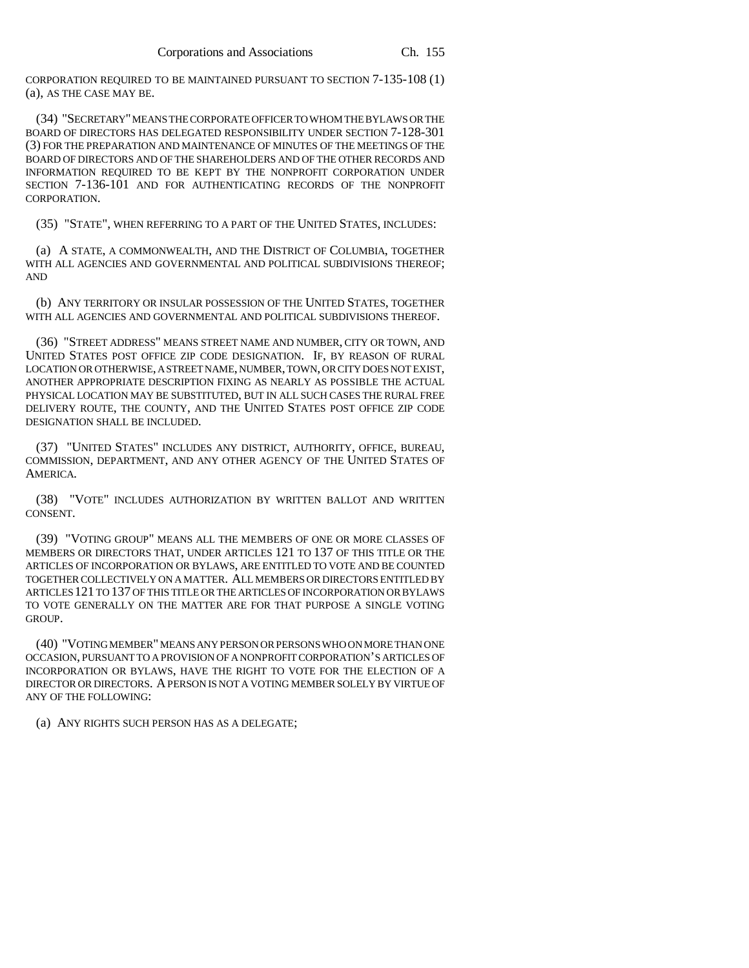CORPORATION REQUIRED TO BE MAINTAINED PURSUANT TO SECTION 7-135-108 (1) (a), AS THE CASE MAY BE.

(34) "SECRETARY" MEANS THE CORPORATE OFFICER TO WHOM THE BYLAWS OR THE BOARD OF DIRECTORS HAS DELEGATED RESPONSIBILITY UNDER SECTION 7-128-301 (3) FOR THE PREPARATION AND MAINTENANCE OF MINUTES OF THE MEETINGS OF THE BOARD OF DIRECTORS AND OF THE SHAREHOLDERS AND OF THE OTHER RECORDS AND INFORMATION REQUIRED TO BE KEPT BY THE NONPROFIT CORPORATION UNDER SECTION 7-136-101 AND FOR AUTHENTICATING RECORDS OF THE NONPROFIT CORPORATION.

(35) "STATE", WHEN REFERRING TO A PART OF THE UNITED STATES, INCLUDES:

(a) A STATE, A COMMONWEALTH, AND THE DISTRICT OF COLUMBIA, TOGETHER WITH ALL AGENCIES AND GOVERNMENTAL AND POLITICAL SUBDIVISIONS THEREOF; AND

(b) ANY TERRITORY OR INSULAR POSSESSION OF THE UNITED STATES, TOGETHER WITH ALL AGENCIES AND GOVERNMENTAL AND POLITICAL SUBDIVISIONS THEREOF.

(36) "STREET ADDRESS" MEANS STREET NAME AND NUMBER, CITY OR TOWN, AND UNITED STATES POST OFFICE ZIP CODE DESIGNATION. IF, BY REASON OF RURAL LOCATION OR OTHERWISE, A STREET NAME, NUMBER, TOWN, OR CITY DOES NOT EXIST, ANOTHER APPROPRIATE DESCRIPTION FIXING AS NEARLY AS POSSIBLE THE ACTUAL PHYSICAL LOCATION MAY BE SUBSTITUTED, BUT IN ALL SUCH CASES THE RURAL FREE DELIVERY ROUTE, THE COUNTY, AND THE UNITED STATES POST OFFICE ZIP CODE DESIGNATION SHALL BE INCLUDED.

(37) "UNITED STATES" INCLUDES ANY DISTRICT, AUTHORITY, OFFICE, BUREAU, COMMISSION, DEPARTMENT, AND ANY OTHER AGENCY OF THE UNITED STATES OF AMERICA.

(38) "VOTE" INCLUDES AUTHORIZATION BY WRITTEN BALLOT AND WRITTEN CONSENT.

(39) "VOTING GROUP" MEANS ALL THE MEMBERS OF ONE OR MORE CLASSES OF MEMBERS OR DIRECTORS THAT, UNDER ARTICLES 121 TO 137 OF THIS TITLE OR THE ARTICLES OF INCORPORATION OR BYLAWS, ARE ENTITLED TO VOTE AND BE COUNTED TOGETHER COLLECTIVELY ON A MATTER. ALL MEMBERS OR DIRECTORS ENTITLED BY ARTICLES 121 TO 137 OF THIS TITLE OR THE ARTICLES OF INCORPORATION OR BYLAWS TO VOTE GENERALLY ON THE MATTER ARE FOR THAT PURPOSE A SINGLE VOTING GROUP.

(40) "VOTING MEMBER" MEANS ANY PERSON OR PERSONS WHO ON MORE THAN ONE OCCASION, PURSUANT TO A PROVISION OF A NONPROFIT CORPORATION'S ARTICLES OF INCORPORATION OR BYLAWS, HAVE THE RIGHT TO VOTE FOR THE ELECTION OF A DIRECTOR OR DIRECTORS. A PERSON IS NOT A VOTING MEMBER SOLELY BY VIRTUE OF ANY OF THE FOLLOWING:

(a) ANY RIGHTS SUCH PERSON HAS AS A DELEGATE;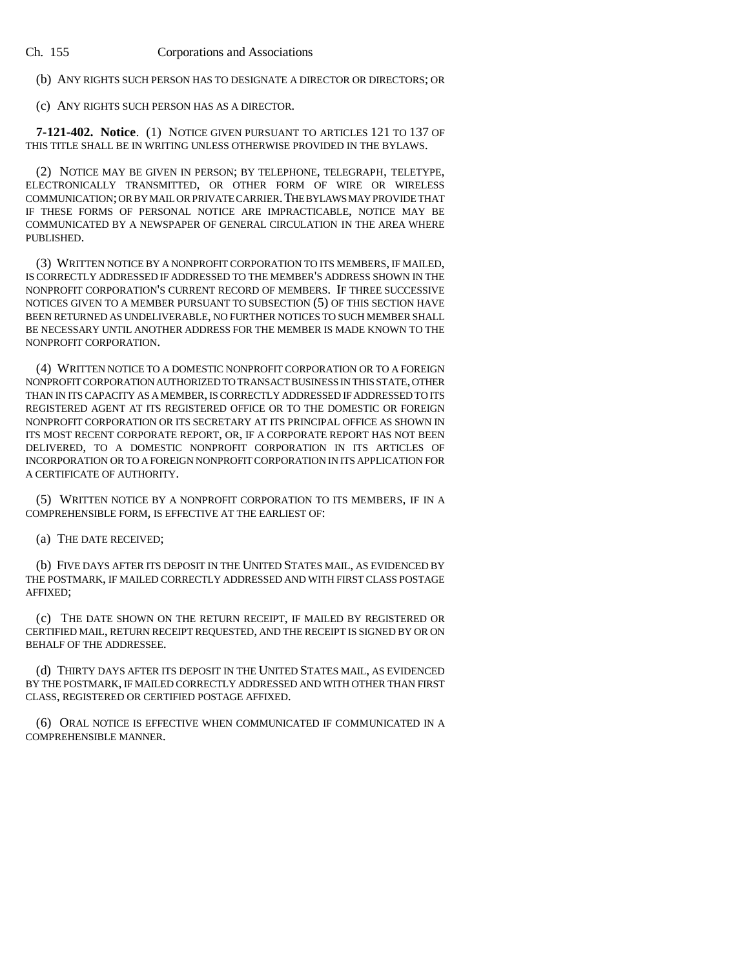(b) ANY RIGHTS SUCH PERSON HAS TO DESIGNATE A DIRECTOR OR DIRECTORS; OR

(c) ANY RIGHTS SUCH PERSON HAS AS A DIRECTOR.

**7-121-402. Notice**. (1) NOTICE GIVEN PURSUANT TO ARTICLES 121 TO 137 OF THIS TITLE SHALL BE IN WRITING UNLESS OTHERWISE PROVIDED IN THE BYLAWS.

(2) NOTICE MAY BE GIVEN IN PERSON; BY TELEPHONE, TELEGRAPH, TELETYPE, ELECTRONICALLY TRANSMITTED, OR OTHER FORM OF WIRE OR WIRELESS COMMUNICATION; OR BY MAIL OR PRIVATE CARRIER.THE BYLAWS MAY PROVIDE THAT IF THESE FORMS OF PERSONAL NOTICE ARE IMPRACTICABLE, NOTICE MAY BE COMMUNICATED BY A NEWSPAPER OF GENERAL CIRCULATION IN THE AREA WHERE PUBLISHED.

(3) WRITTEN NOTICE BY A NONPROFIT CORPORATION TO ITS MEMBERS, IF MAILED, IS CORRECTLY ADDRESSED IF ADDRESSED TO THE MEMBER'S ADDRESS SHOWN IN THE NONPROFIT CORPORATION'S CURRENT RECORD OF MEMBERS. IF THREE SUCCESSIVE NOTICES GIVEN TO A MEMBER PURSUANT TO SUBSECTION (5) OF THIS SECTION HAVE BEEN RETURNED AS UNDELIVERABLE, NO FURTHER NOTICES TO SUCH MEMBER SHALL BE NECESSARY UNTIL ANOTHER ADDRESS FOR THE MEMBER IS MADE KNOWN TO THE NONPROFIT CORPORATION.

(4) WRITTEN NOTICE TO A DOMESTIC NONPROFIT CORPORATION OR TO A FOREIGN NONPROFIT CORPORATION AUTHORIZED TO TRANSACT BUSINESS IN THIS STATE, OTHER THAN IN ITS CAPACITY AS A MEMBER, IS CORRECTLY ADDRESSED IF ADDRESSED TO ITS REGISTERED AGENT AT ITS REGISTERED OFFICE OR TO THE DOMESTIC OR FOREIGN NONPROFIT CORPORATION OR ITS SECRETARY AT ITS PRINCIPAL OFFICE AS SHOWN IN ITS MOST RECENT CORPORATE REPORT, OR, IF A CORPORATE REPORT HAS NOT BEEN DELIVERED, TO A DOMESTIC NONPROFIT CORPORATION IN ITS ARTICLES OF INCORPORATION OR TO A FOREIGN NONPROFIT CORPORATION IN ITS APPLICATION FOR A CERTIFICATE OF AUTHORITY.

(5) WRITTEN NOTICE BY A NONPROFIT CORPORATION TO ITS MEMBERS, IF IN A COMPREHENSIBLE FORM, IS EFFECTIVE AT THE EARLIEST OF:

(a) THE DATE RECEIVED;

(b) FIVE DAYS AFTER ITS DEPOSIT IN THE UNITED STATES MAIL, AS EVIDENCED BY THE POSTMARK, IF MAILED CORRECTLY ADDRESSED AND WITH FIRST CLASS POSTAGE AFFIXED;

(c) THE DATE SHOWN ON THE RETURN RECEIPT, IF MAILED BY REGISTERED OR CERTIFIED MAIL, RETURN RECEIPT REQUESTED, AND THE RECEIPT IS SIGNED BY OR ON BEHALF OF THE ADDRESSEE.

(d) THIRTY DAYS AFTER ITS DEPOSIT IN THE UNITED STATES MAIL, AS EVIDENCED BY THE POSTMARK, IF MAILED CORRECTLY ADDRESSED AND WITH OTHER THAN FIRST CLASS, REGISTERED OR CERTIFIED POSTAGE AFFIXED.

(6) ORAL NOTICE IS EFFECTIVE WHEN COMMUNICATED IF COMMUNICATED IN A COMPREHENSIBLE MANNER.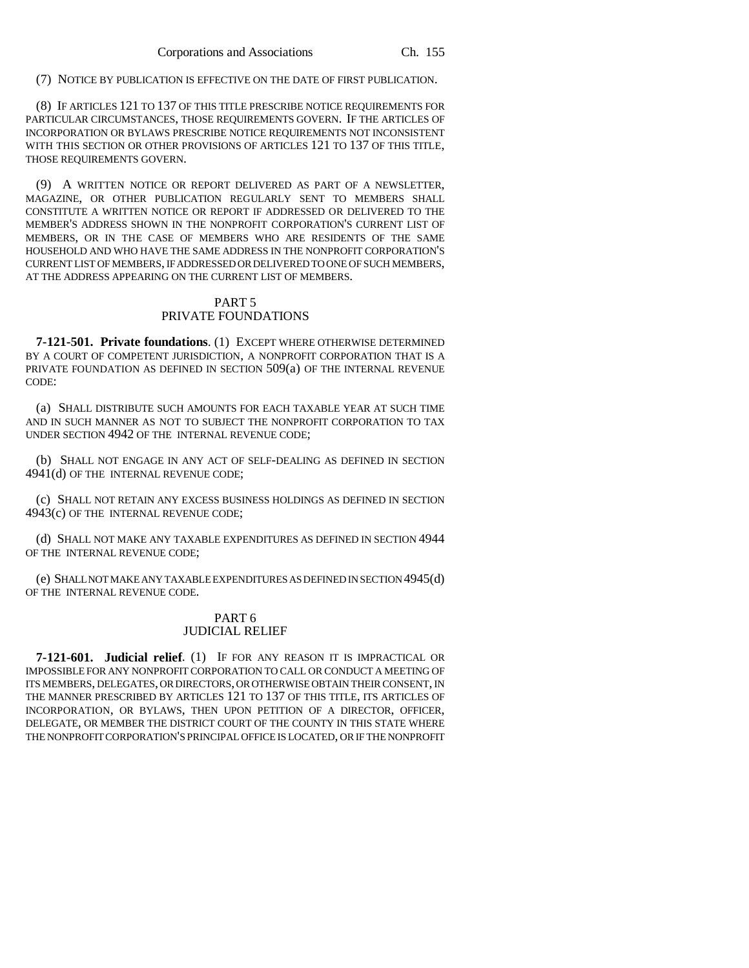(7) NOTICE BY PUBLICATION IS EFFECTIVE ON THE DATE OF FIRST PUBLICATION.

(8) IF ARTICLES 121 TO 137 OF THIS TITLE PRESCRIBE NOTICE REQUIREMENTS FOR PARTICULAR CIRCUMSTANCES, THOSE REQUIREMENTS GOVERN. IF THE ARTICLES OF INCORPORATION OR BYLAWS PRESCRIBE NOTICE REQUIREMENTS NOT INCONSISTENT WITH THIS SECTION OR OTHER PROVISIONS OF ARTICLES 121 TO 137 OF THIS TITLE, THOSE REQUIREMENTS GOVERN.

(9) A WRITTEN NOTICE OR REPORT DELIVERED AS PART OF A NEWSLETTER, MAGAZINE, OR OTHER PUBLICATION REGULARLY SENT TO MEMBERS SHALL CONSTITUTE A WRITTEN NOTICE OR REPORT IF ADDRESSED OR DELIVERED TO THE MEMBER'S ADDRESS SHOWN IN THE NONPROFIT CORPORATION'S CURRENT LIST OF MEMBERS, OR IN THE CASE OF MEMBERS WHO ARE RESIDENTS OF THE SAME HOUSEHOLD AND WHO HAVE THE SAME ADDRESS IN THE NONPROFIT CORPORATION'S CURRENT LIST OF MEMBERS, IF ADDRESSED OR DELIVERED TO ONE OF SUCH MEMBERS, AT THE ADDRESS APPEARING ON THE CURRENT LIST OF MEMBERS.

#### PART 5 PRIVATE FOUNDATIONS

**7-121-501. Private foundations**. (1) EXCEPT WHERE OTHERWISE DETERMINED BY A COURT OF COMPETENT JURISDICTION, A NONPROFIT CORPORATION THAT IS A PRIVATE FOUNDATION AS DEFINED IN SECTION 509(a) OF THE INTERNAL REVENUE CODE:

(a) SHALL DISTRIBUTE SUCH AMOUNTS FOR EACH TAXABLE YEAR AT SUCH TIME AND IN SUCH MANNER AS NOT TO SUBJECT THE NONPROFIT CORPORATION TO TAX UNDER SECTION 4942 OF THE INTERNAL REVENUE CODE;

(b) SHALL NOT ENGAGE IN ANY ACT OF SELF-DEALING AS DEFINED IN SECTION 4941(d) OF THE INTERNAL REVENUE CODE;

(c) SHALL NOT RETAIN ANY EXCESS BUSINESS HOLDINGS AS DEFINED IN SECTION 4943(c) OF THE INTERNAL REVENUE CODE;

(d) SHALL NOT MAKE ANY TAXABLE EXPENDITURES AS DEFINED IN SECTION 4944 OF THE INTERNAL REVENUE CODE;

(e) SHALL NOT MAKE ANY TAXABLE EXPENDITURES AS DEFINED IN SECTION 4945(d) OF THE INTERNAL REVENUE CODE.

#### PART 6 JUDICIAL RELIEF

**7-121-601. Judicial relief**. (1) IF FOR ANY REASON IT IS IMPRACTICAL OR IMPOSSIBLE FOR ANY NONPROFIT CORPORATION TO CALL OR CONDUCT A MEETING OF ITS MEMBERS, DELEGATES, OR DIRECTORS, OR OTHERWISE OBTAIN THEIR CONSENT, IN THE MANNER PRESCRIBED BY ARTICLES 121 TO 137 OF THIS TITLE, ITS ARTICLES OF INCORPORATION, OR BYLAWS, THEN UPON PETITION OF A DIRECTOR, OFFICER, DELEGATE, OR MEMBER THE DISTRICT COURT OF THE COUNTY IN THIS STATE WHERE THE NONPROFIT CORPORATION'S PRINCIPAL OFFICE IS LOCATED, OR IF THE NONPROFIT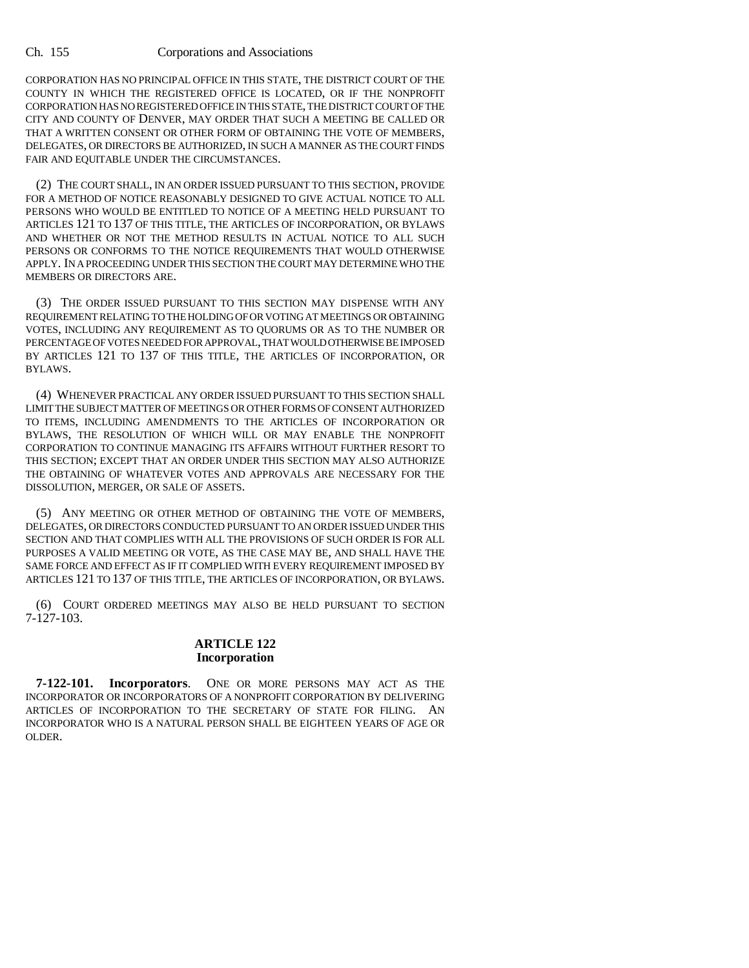CORPORATION HAS NO PRINCIPAL OFFICE IN THIS STATE, THE DISTRICT COURT OF THE COUNTY IN WHICH THE REGISTERED OFFICE IS LOCATED, OR IF THE NONPROFIT CORPORATION HAS NO REGISTERED OFFICE IN THIS STATE, THE DISTRICT COURT OF THE CITY AND COUNTY OF DENVER, MAY ORDER THAT SUCH A MEETING BE CALLED OR THAT A WRITTEN CONSENT OR OTHER FORM OF OBTAINING THE VOTE OF MEMBERS, DELEGATES, OR DIRECTORS BE AUTHORIZED, IN SUCH A MANNER AS THE COURT FINDS FAIR AND EQUITABLE UNDER THE CIRCUMSTANCES.

(2) THE COURT SHALL, IN AN ORDER ISSUED PURSUANT TO THIS SECTION, PROVIDE FOR A METHOD OF NOTICE REASONABLY DESIGNED TO GIVE ACTUAL NOTICE TO ALL PERSONS WHO WOULD BE ENTITLED TO NOTICE OF A MEETING HELD PURSUANT TO ARTICLES 121 TO 137 OF THIS TITLE, THE ARTICLES OF INCORPORATION, OR BYLAWS AND WHETHER OR NOT THE METHOD RESULTS IN ACTUAL NOTICE TO ALL SUCH PERSONS OR CONFORMS TO THE NOTICE REQUIREMENTS THAT WOULD OTHERWISE APPLY. IN A PROCEEDING UNDER THIS SECTION THE COURT MAY DETERMINE WHO THE MEMBERS OR DIRECTORS ARE.

(3) THE ORDER ISSUED PURSUANT TO THIS SECTION MAY DISPENSE WITH ANY REQUIREMENT RELATING TO THE HOLDING OF OR VOTING AT MEETINGS OR OBTAINING VOTES, INCLUDING ANY REQUIREMENT AS TO QUORUMS OR AS TO THE NUMBER OR PERCENTAGE OF VOTES NEEDED FOR APPROVAL, THAT WOULD OTHERWISE BE IMPOSED BY ARTICLES 121 TO 137 OF THIS TITLE, THE ARTICLES OF INCORPORATION, OR BYLAWS.

(4) WHENEVER PRACTICAL ANY ORDER ISSUED PURSUANT TO THIS SECTION SHALL LIMIT THE SUBJECT MATTER OF MEETINGS OR OTHER FORMS OF CONSENT AUTHORIZED TO ITEMS, INCLUDING AMENDMENTS TO THE ARTICLES OF INCORPORATION OR BYLAWS, THE RESOLUTION OF WHICH WILL OR MAY ENABLE THE NONPROFIT CORPORATION TO CONTINUE MANAGING ITS AFFAIRS WITHOUT FURTHER RESORT TO THIS SECTION; EXCEPT THAT AN ORDER UNDER THIS SECTION MAY ALSO AUTHORIZE THE OBTAINING OF WHATEVER VOTES AND APPROVALS ARE NECESSARY FOR THE DISSOLUTION, MERGER, OR SALE OF ASSETS.

(5) ANY MEETING OR OTHER METHOD OF OBTAINING THE VOTE OF MEMBERS, DELEGATES, OR DIRECTORS CONDUCTED PURSUANT TO AN ORDER ISSUED UNDER THIS SECTION AND THAT COMPLIES WITH ALL THE PROVISIONS OF SUCH ORDER IS FOR ALL PURPOSES A VALID MEETING OR VOTE, AS THE CASE MAY BE, AND SHALL HAVE THE SAME FORCE AND EFFECT AS IF IT COMPLIED WITH EVERY REQUIREMENT IMPOSED BY ARTICLES 121 TO 137 OF THIS TITLE, THE ARTICLES OF INCORPORATION, OR BYLAWS.

(6) COURT ORDERED MEETINGS MAY ALSO BE HELD PURSUANT TO SECTION 7-127-103.

#### **ARTICLE 122 Incorporation**

**7-122-101. Incorporators**. ONE OR MORE PERSONS MAY ACT AS THE INCORPORATOR OR INCORPORATORS OF A NONPROFIT CORPORATION BY DELIVERING ARTICLES OF INCORPORATION TO THE SECRETARY OF STATE FOR FILING. AN INCORPORATOR WHO IS A NATURAL PERSON SHALL BE EIGHTEEN YEARS OF AGE OR OLDER.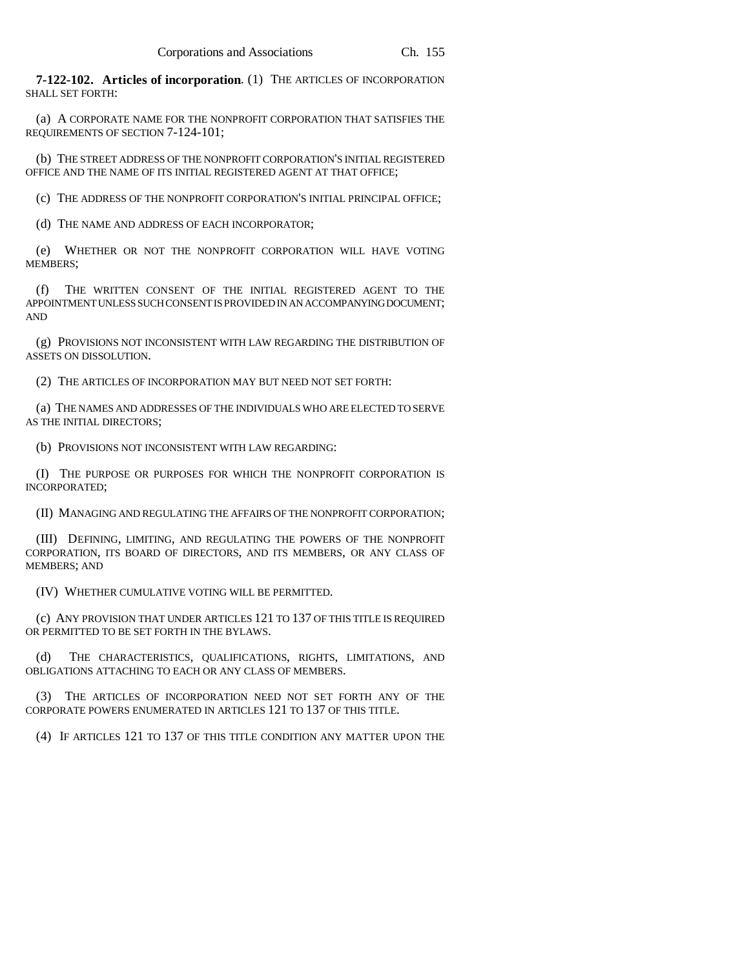**7-122-102. Articles of incorporation**. (1) THE ARTICLES OF INCORPORATION SHALL SET FORTH:

(a) A CORPORATE NAME FOR THE NONPROFIT CORPORATION THAT SATISFIES THE REQUIREMENTS OF SECTION 7-124-101;

(b) THE STREET ADDRESS OF THE NONPROFIT CORPORATION'S INITIAL REGISTERED OFFICE AND THE NAME OF ITS INITIAL REGISTERED AGENT AT THAT OFFICE;

(c) THE ADDRESS OF THE NONPROFIT CORPORATION'S INITIAL PRINCIPAL OFFICE;

(d) THE NAME AND ADDRESS OF EACH INCORPORATOR;

(e) WHETHER OR NOT THE NONPROFIT CORPORATION WILL HAVE VOTING MEMBERS;

(f) THE WRITTEN CONSENT OF THE INITIAL REGISTERED AGENT TO THE APPOINTMENT UNLESS SUCH CONSENT IS PROVIDED IN AN ACCOMPANYING DOCUMENT; AND

(g) PROVISIONS NOT INCONSISTENT WITH LAW REGARDING THE DISTRIBUTION OF ASSETS ON DISSOLUTION.

(2) THE ARTICLES OF INCORPORATION MAY BUT NEED NOT SET FORTH:

(a) THE NAMES AND ADDRESSES OF THE INDIVIDUALS WHO ARE ELECTED TO SERVE AS THE INITIAL DIRECTORS;

(b) PROVISIONS NOT INCONSISTENT WITH LAW REGARDING:

(I) THE PURPOSE OR PURPOSES FOR WHICH THE NONPROFIT CORPORATION IS INCORPORATED;

(II) MANAGING AND REGULATING THE AFFAIRS OF THE NONPROFIT CORPORATION;

(III) DEFINING, LIMITING, AND REGULATING THE POWERS OF THE NONPROFIT CORPORATION, ITS BOARD OF DIRECTORS, AND ITS MEMBERS, OR ANY CLASS OF MEMBERS; AND

(IV) WHETHER CUMULATIVE VOTING WILL BE PERMITTED.

(c) ANY PROVISION THAT UNDER ARTICLES 121 TO 137 OF THIS TITLE IS REQUIRED OR PERMITTED TO BE SET FORTH IN THE BYLAWS.

(d) THE CHARACTERISTICS, QUALIFICATIONS, RIGHTS, LIMITATIONS, AND OBLIGATIONS ATTACHING TO EACH OR ANY CLASS OF MEMBERS.

(3) THE ARTICLES OF INCORPORATION NEED NOT SET FORTH ANY OF THE CORPORATE POWERS ENUMERATED IN ARTICLES 121 TO 137 OF THIS TITLE.

(4) IF ARTICLES 121 TO 137 OF THIS TITLE CONDITION ANY MATTER UPON THE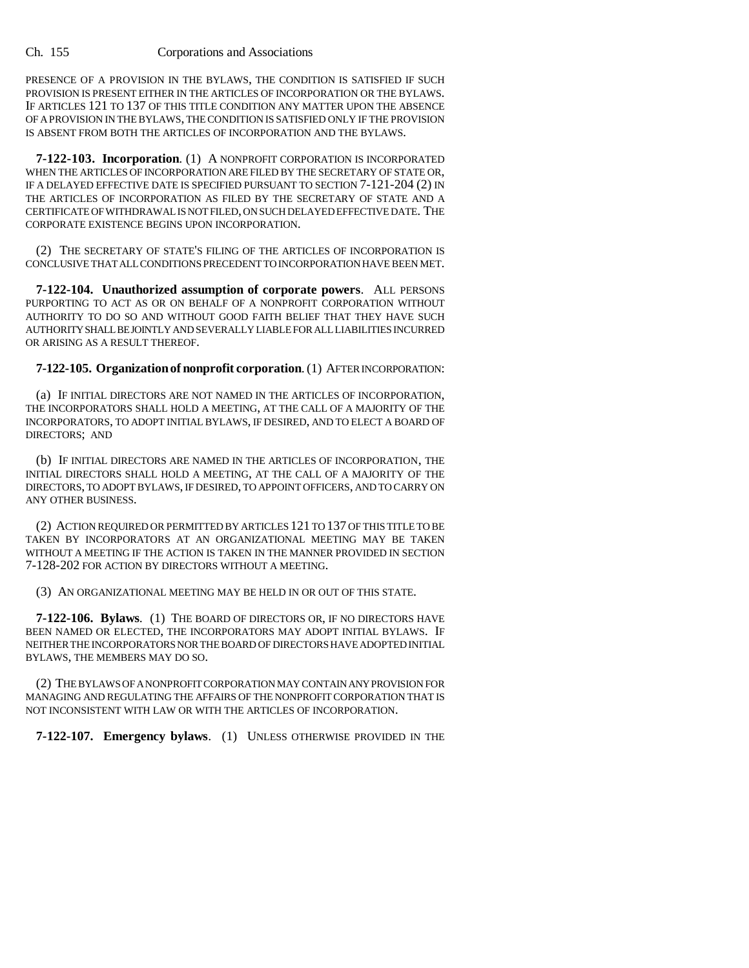PRESENCE OF A PROVISION IN THE BYLAWS, THE CONDITION IS SATISFIED IF SUCH PROVISION IS PRESENT EITHER IN THE ARTICLES OF INCORPORATION OR THE BYLAWS. IF ARTICLES 121 TO 137 OF THIS TITLE CONDITION ANY MATTER UPON THE ABSENCE OF A PROVISION IN THE BYLAWS, THE CONDITION IS SATISFIED ONLY IF THE PROVISION IS ABSENT FROM BOTH THE ARTICLES OF INCORPORATION AND THE BYLAWS.

**7-122-103. Incorporation**. (1) A NONPROFIT CORPORATION IS INCORPORATED WHEN THE ARTICLES OF INCORPORATION ARE FILED BY THE SECRETARY OF STATE OR, IF A DELAYED EFFECTIVE DATE IS SPECIFIED PURSUANT TO SECTION 7-121-204 (2) IN THE ARTICLES OF INCORPORATION AS FILED BY THE SECRETARY OF STATE AND A CERTIFICATE OF WITHDRAWAL IS NOT FILED, ON SUCH DELAYED EFFECTIVE DATE. THE CORPORATE EXISTENCE BEGINS UPON INCORPORATION.

(2) THE SECRETARY OF STATE'S FILING OF THE ARTICLES OF INCORPORATION IS CONCLUSIVE THAT ALL CONDITIONS PRECEDENT TO INCORPORATION HAVE BEEN MET.

**7-122-104. Unauthorized assumption of corporate powers**. ALL PERSONS PURPORTING TO ACT AS OR ON BEHALF OF A NONPROFIT CORPORATION WITHOUT AUTHORITY TO DO SO AND WITHOUT GOOD FAITH BELIEF THAT THEY HAVE SUCH AUTHORITY SHALL BE JOINTLY AND SEVERALLY LIABLE FOR ALL LIABILITIES INCURRED OR ARISING AS A RESULT THEREOF.

## **7-122-105. Organization of nonprofit corporation**. (1) AFTER INCORPORATION:

(a) IF INITIAL DIRECTORS ARE NOT NAMED IN THE ARTICLES OF INCORPORATION, THE INCORPORATORS SHALL HOLD A MEETING, AT THE CALL OF A MAJORITY OF THE INCORPORATORS, TO ADOPT INITIAL BYLAWS, IF DESIRED, AND TO ELECT A BOARD OF DIRECTORS; AND

(b) IF INITIAL DIRECTORS ARE NAMED IN THE ARTICLES OF INCORPORATION, THE INITIAL DIRECTORS SHALL HOLD A MEETING, AT THE CALL OF A MAJORITY OF THE DIRECTORS, TO ADOPT BYLAWS, IF DESIRED, TO APPOINT OFFICERS, AND TO CARRY ON ANY OTHER BUSINESS.

(2) ACTION REQUIRED OR PERMITTED BY ARTICLES 121 TO 137 OF THIS TITLE TO BE TAKEN BY INCORPORATORS AT AN ORGANIZATIONAL MEETING MAY BE TAKEN WITHOUT A MEETING IF THE ACTION IS TAKEN IN THE MANNER PROVIDED IN SECTION 7-128-202 FOR ACTION BY DIRECTORS WITHOUT A MEETING.

(3) AN ORGANIZATIONAL MEETING MAY BE HELD IN OR OUT OF THIS STATE.

**7-122-106. Bylaws**. (1) THE BOARD OF DIRECTORS OR, IF NO DIRECTORS HAVE BEEN NAMED OR ELECTED, THE INCORPORATORS MAY ADOPT INITIAL BYLAWS. IF NEITHER THE INCORPORATORS NOR THE BOARD OF DIRECTORS HAVE ADOPTED INITIAL BYLAWS, THE MEMBERS MAY DO SO.

(2) THE BYLAWS OF A NONPROFIT CORPORATION MAY CONTAIN ANY PROVISION FOR MANAGING AND REGULATING THE AFFAIRS OF THE NONPROFIT CORPORATION THAT IS NOT INCONSISTENT WITH LAW OR WITH THE ARTICLES OF INCORPORATION.

**7-122-107. Emergency bylaws**. (1) UNLESS OTHERWISE PROVIDED IN THE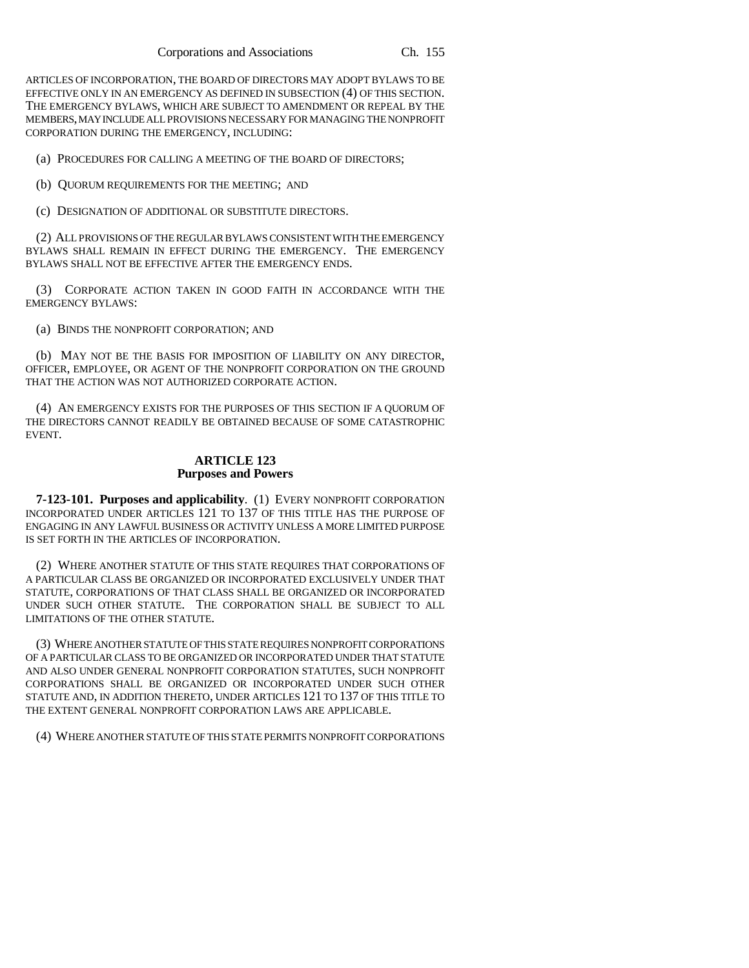ARTICLES OF INCORPORATION, THE BOARD OF DIRECTORS MAY ADOPT BYLAWS TO BE EFFECTIVE ONLY IN AN EMERGENCY AS DEFINED IN SUBSECTION (4) OF THIS SECTION. THE EMERGENCY BYLAWS, WHICH ARE SUBJECT TO AMENDMENT OR REPEAL BY THE MEMBERS, MAY INCLUDE ALL PROVISIONS NECESSARY FOR MANAGING THE NONPROFIT CORPORATION DURING THE EMERGENCY, INCLUDING:

(a) PROCEDURES FOR CALLING A MEETING OF THE BOARD OF DIRECTORS;

(b) QUORUM REQUIREMENTS FOR THE MEETING; AND

(c) DESIGNATION OF ADDITIONAL OR SUBSTITUTE DIRECTORS.

(2) ALL PROVISIONS OF THE REGULAR BYLAWS CONSISTENT WITH THE EMERGENCY BYLAWS SHALL REMAIN IN EFFECT DURING THE EMERGENCY. THE EMERGENCY BYLAWS SHALL NOT BE EFFECTIVE AFTER THE EMERGENCY ENDS.

(3) CORPORATE ACTION TAKEN IN GOOD FAITH IN ACCORDANCE WITH THE EMERGENCY BYLAWS:

(a) BINDS THE NONPROFIT CORPORATION; AND

(b) MAY NOT BE THE BASIS FOR IMPOSITION OF LIABILITY ON ANY DIRECTOR, OFFICER, EMPLOYEE, OR AGENT OF THE NONPROFIT CORPORATION ON THE GROUND THAT THE ACTION WAS NOT AUTHORIZED CORPORATE ACTION.

(4) AN EMERGENCY EXISTS FOR THE PURPOSES OF THIS SECTION IF A QUORUM OF THE DIRECTORS CANNOT READILY BE OBTAINED BECAUSE OF SOME CATASTROPHIC EVENT.

#### **ARTICLE 123 Purposes and Powers**

**7-123-101. Purposes and applicability**. (1) EVERY NONPROFIT CORPORATION INCORPORATED UNDER ARTICLES 121 TO 137 OF THIS TITLE HAS THE PURPOSE OF ENGAGING IN ANY LAWFUL BUSINESS OR ACTIVITY UNLESS A MORE LIMITED PURPOSE IS SET FORTH IN THE ARTICLES OF INCORPORATION.

(2) WHERE ANOTHER STATUTE OF THIS STATE REQUIRES THAT CORPORATIONS OF A PARTICULAR CLASS BE ORGANIZED OR INCORPORATED EXCLUSIVELY UNDER THAT STATUTE, CORPORATIONS OF THAT CLASS SHALL BE ORGANIZED OR INCORPORATED UNDER SUCH OTHER STATUTE. THE CORPORATION SHALL BE SUBJECT TO ALL LIMITATIONS OF THE OTHER STATUTE.

(3) WHERE ANOTHER STATUTE OF THIS STATE REQUIRES NONPROFIT CORPORATIONS OF A PARTICULAR CLASS TO BE ORGANIZED OR INCORPORATED UNDER THAT STATUTE AND ALSO UNDER GENERAL NONPROFIT CORPORATION STATUTES, SUCH NONPROFIT CORPORATIONS SHALL BE ORGANIZED OR INCORPORATED UNDER SUCH OTHER STATUTE AND, IN ADDITION THERETO, UNDER ARTICLES 121 TO 137 OF THIS TITLE TO THE EXTENT GENERAL NONPROFIT CORPORATION LAWS ARE APPLICABLE.

(4) WHERE ANOTHER STATUTE OF THIS STATE PERMITS NONPROFIT CORPORATIONS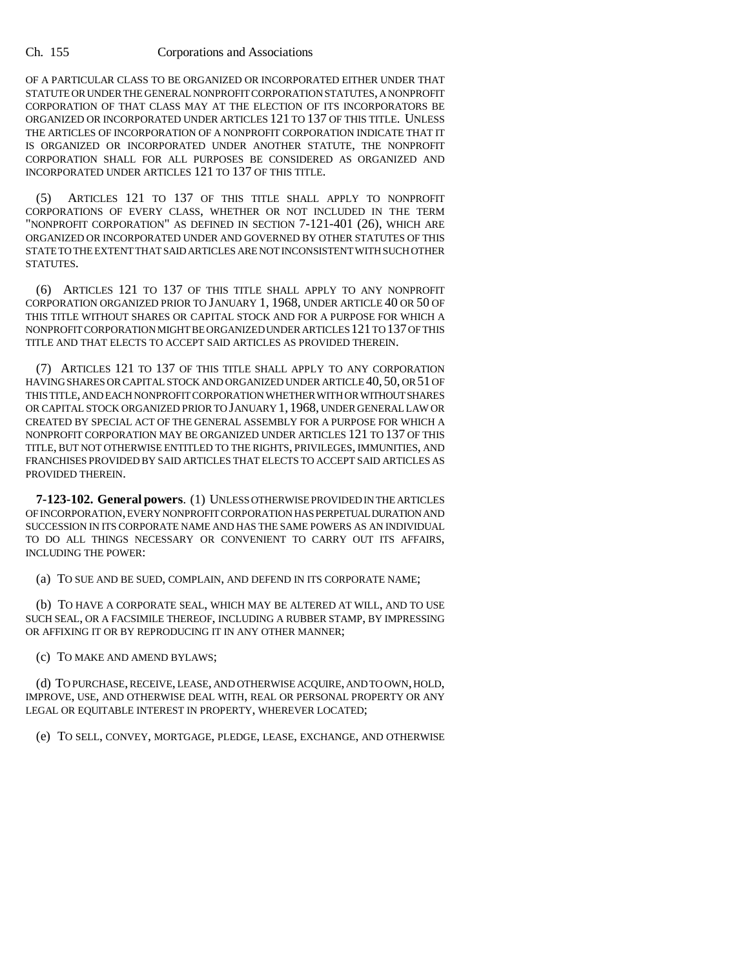OF A PARTICULAR CLASS TO BE ORGANIZED OR INCORPORATED EITHER UNDER THAT STATUTE OR UNDER THE GENERAL NONPROFIT CORPORATION STATUTES, A NONPROFIT CORPORATION OF THAT CLASS MAY AT THE ELECTION OF ITS INCORPORATORS BE ORGANIZED OR INCORPORATED UNDER ARTICLES 121 TO 137 OF THIS TITLE. UNLESS THE ARTICLES OF INCORPORATION OF A NONPROFIT CORPORATION INDICATE THAT IT IS ORGANIZED OR INCORPORATED UNDER ANOTHER STATUTE, THE NONPROFIT CORPORATION SHALL FOR ALL PURPOSES BE CONSIDERED AS ORGANIZED AND INCORPORATED UNDER ARTICLES 121 TO 137 OF THIS TITLE.

(5) ARTICLES 121 TO 137 OF THIS TITLE SHALL APPLY TO NONPROFIT CORPORATIONS OF EVERY CLASS, WHETHER OR NOT INCLUDED IN THE TERM "NONPROFIT CORPORATION" AS DEFINED IN SECTION 7-121-401 (26), WHICH ARE ORGANIZED OR INCORPORATED UNDER AND GOVERNED BY OTHER STATUTES OF THIS STATE TO THE EXTENT THAT SAID ARTICLES ARE NOT INCONSISTENT WITH SUCH OTHER STATUTES.

(6) ARTICLES 121 TO 137 OF THIS TITLE SHALL APPLY TO ANY NONPROFIT CORPORATION ORGANIZED PRIOR TO JANUARY 1, 1968, UNDER ARTICLE 40 OR 50 OF THIS TITLE WITHOUT SHARES OR CAPITAL STOCK AND FOR A PURPOSE FOR WHICH A NONPROFIT CORPORATION MIGHT BE ORGANIZED UNDER ARTICLES 121 TO 137 OF THIS TITLE AND THAT ELECTS TO ACCEPT SAID ARTICLES AS PROVIDED THEREIN.

(7) ARTICLES 121 TO 137 OF THIS TITLE SHALL APPLY TO ANY CORPORATION HAVING SHARES OR CAPITAL STOCK AND ORGANIZED UNDER ARTICLE 40, 50, OR 51 OF THIS TITLE, AND EACH NONPROFIT CORPORATION WHETHER WITH OR WITHOUT SHARES OR CAPITAL STOCK ORGANIZED PRIOR TO JANUARY 1, 1968, UNDER GENERAL LAW OR CREATED BY SPECIAL ACT OF THE GENERAL ASSEMBLY FOR A PURPOSE FOR WHICH A NONPROFIT CORPORATION MAY BE ORGANIZED UNDER ARTICLES 121 TO 137 OF THIS TITLE, BUT NOT OTHERWISE ENTITLED TO THE RIGHTS, PRIVILEGES, IMMUNITIES, AND FRANCHISES PROVIDED BY SAID ARTICLES THAT ELECTS TO ACCEPT SAID ARTICLES AS PROVIDED THEREIN.

**7-123-102. General powers**. (1) UNLESS OTHERWISE PROVIDED IN THE ARTICLES OF INCORPORATION, EVERY NONPROFIT CORPORATION HAS PERPETUAL DURATION AND SUCCESSION IN ITS CORPORATE NAME AND HAS THE SAME POWERS AS AN INDIVIDUAL TO DO ALL THINGS NECESSARY OR CONVENIENT TO CARRY OUT ITS AFFAIRS, INCLUDING THE POWER:

(a) TO SUE AND BE SUED, COMPLAIN, AND DEFEND IN ITS CORPORATE NAME;

(b) TO HAVE A CORPORATE SEAL, WHICH MAY BE ALTERED AT WILL, AND TO USE SUCH SEAL, OR A FACSIMILE THEREOF, INCLUDING A RUBBER STAMP, BY IMPRESSING OR AFFIXING IT OR BY REPRODUCING IT IN ANY OTHER MANNER;

(c) TO MAKE AND AMEND BYLAWS;

(d) TO PURCHASE, RECEIVE, LEASE, AND OTHERWISE ACQUIRE, AND TO OWN, HOLD, IMPROVE, USE, AND OTHERWISE DEAL WITH, REAL OR PERSONAL PROPERTY OR ANY LEGAL OR EQUITABLE INTEREST IN PROPERTY, WHEREVER LOCATED;

(e) TO SELL, CONVEY, MORTGAGE, PLEDGE, LEASE, EXCHANGE, AND OTHERWISE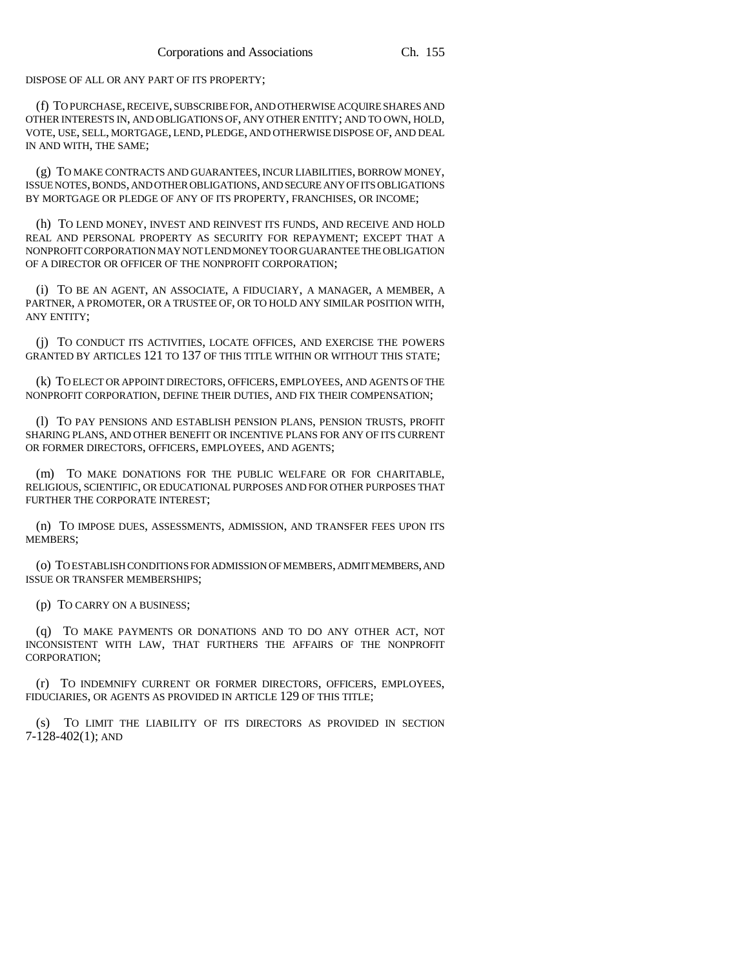DISPOSE OF ALL OR ANY PART OF ITS PROPERTY;

(f) TO PURCHASE, RECEIVE, SUBSCRIBE FOR, AND OTHERWISE ACQUIRE SHARES AND OTHER INTERESTS IN, AND OBLIGATIONS OF, ANY OTHER ENTITY; AND TO OWN, HOLD, VOTE, USE, SELL, MORTGAGE, LEND, PLEDGE, AND OTHERWISE DISPOSE OF, AND DEAL IN AND WITH, THE SAME;

(g) TO MAKE CONTRACTS AND GUARANTEES, INCUR LIABILITIES, BORROW MONEY, ISSUE NOTES, BONDS, AND OTHER OBLIGATIONS, AND SECURE ANY OF ITS OBLIGATIONS BY MORTGAGE OR PLEDGE OF ANY OF ITS PROPERTY, FRANCHISES, OR INCOME;

(h) TO LEND MONEY, INVEST AND REINVEST ITS FUNDS, AND RECEIVE AND HOLD REAL AND PERSONAL PROPERTY AS SECURITY FOR REPAYMENT; EXCEPT THAT A NONPROFIT CORPORATION MAY NOT LEND MONEY TO OR GUARANTEE THE OBLIGATION OF A DIRECTOR OR OFFICER OF THE NONPROFIT CORPORATION;

(i) TO BE AN AGENT, AN ASSOCIATE, A FIDUCIARY, A MANAGER, A MEMBER, A PARTNER, A PROMOTER, OR A TRUSTEE OF, OR TO HOLD ANY SIMILAR POSITION WITH, ANY ENTITY;

(j) TO CONDUCT ITS ACTIVITIES, LOCATE OFFICES, AND EXERCISE THE POWERS GRANTED BY ARTICLES 121 TO 137 OF THIS TITLE WITHIN OR WITHOUT THIS STATE;

(k) TO ELECT OR APPOINT DIRECTORS, OFFICERS, EMPLOYEES, AND AGENTS OF THE NONPROFIT CORPORATION, DEFINE THEIR DUTIES, AND FIX THEIR COMPENSATION;

(l) TO PAY PENSIONS AND ESTABLISH PENSION PLANS, PENSION TRUSTS, PROFIT SHARING PLANS, AND OTHER BENEFIT OR INCENTIVE PLANS FOR ANY OF ITS CURRENT OR FORMER DIRECTORS, OFFICERS, EMPLOYEES, AND AGENTS;

(m) TO MAKE DONATIONS FOR THE PUBLIC WELFARE OR FOR CHARITABLE, RELIGIOUS, SCIENTIFIC, OR EDUCATIONAL PURPOSES AND FOR OTHER PURPOSES THAT FURTHER THE CORPORATE INTEREST;

(n) TO IMPOSE DUES, ASSESSMENTS, ADMISSION, AND TRANSFER FEES UPON ITS MEMBERS;

(o) TO ESTABLISH CONDITIONS FOR ADMISSION OF MEMBERS, ADMIT MEMBERS, AND ISSUE OR TRANSFER MEMBERSHIPS;

(p) TO CARRY ON A BUSINESS;

(q) TO MAKE PAYMENTS OR DONATIONS AND TO DO ANY OTHER ACT, NOT INCONSISTENT WITH LAW, THAT FURTHERS THE AFFAIRS OF THE NONPROFIT CORPORATION;

(r) TO INDEMNIFY CURRENT OR FORMER DIRECTORS, OFFICERS, EMPLOYEES, FIDUCIARIES, OR AGENTS AS PROVIDED IN ARTICLE 129 OF THIS TITLE;

(s) TO LIMIT THE LIABILITY OF ITS DIRECTORS AS PROVIDED IN SECTION 7-128-402(1); AND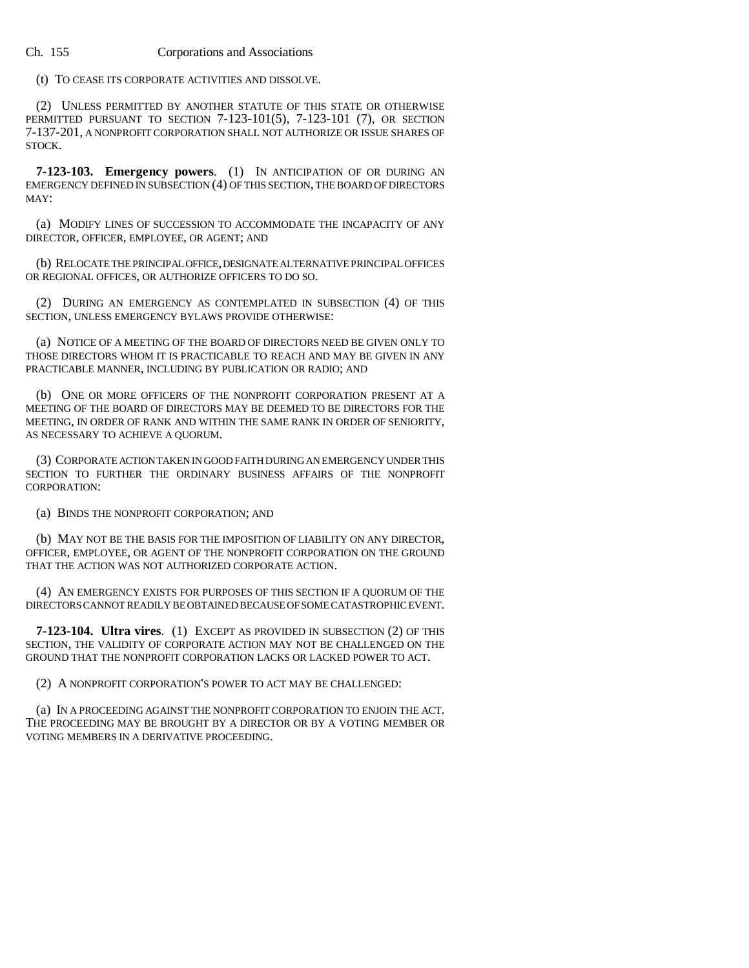(t) TO CEASE ITS CORPORATE ACTIVITIES AND DISSOLVE.

(2) UNLESS PERMITTED BY ANOTHER STATUTE OF THIS STATE OR OTHERWISE PERMITTED PURSUANT TO SECTION 7-123-101(5), 7-123-101 (7), OR SECTION 7-137-201, A NONPROFIT CORPORATION SHALL NOT AUTHORIZE OR ISSUE SHARES OF STOCK.

**7-123-103. Emergency powers**. (1) IN ANTICIPATION OF OR DURING AN EMERGENCY DEFINED IN SUBSECTION (4) OF THIS SECTION, THE BOARD OF DIRECTORS MAY:

(a) MODIFY LINES OF SUCCESSION TO ACCOMMODATE THE INCAPACITY OF ANY DIRECTOR, OFFICER, EMPLOYEE, OR AGENT; AND

(b) RELOCATE THE PRINCIPAL OFFICE, DESIGNATE ALTERNATIVE PRINCIPAL OFFICES OR REGIONAL OFFICES, OR AUTHORIZE OFFICERS TO DO SO.

(2) DURING AN EMERGENCY AS CONTEMPLATED IN SUBSECTION (4) OF THIS SECTION, UNLESS EMERGENCY BYLAWS PROVIDE OTHERWISE:

(a) NOTICE OF A MEETING OF THE BOARD OF DIRECTORS NEED BE GIVEN ONLY TO THOSE DIRECTORS WHOM IT IS PRACTICABLE TO REACH AND MAY BE GIVEN IN ANY PRACTICABLE MANNER, INCLUDING BY PUBLICATION OR RADIO; AND

(b) ONE OR MORE OFFICERS OF THE NONPROFIT CORPORATION PRESENT AT A MEETING OF THE BOARD OF DIRECTORS MAY BE DEEMED TO BE DIRECTORS FOR THE MEETING, IN ORDER OF RANK AND WITHIN THE SAME RANK IN ORDER OF SENIORITY, AS NECESSARY TO ACHIEVE A QUORUM.

(3) CORPORATE ACTION TAKEN IN GOOD FAITH DURING AN EMERGENCY UNDER THIS SECTION TO FURTHER THE ORDINARY BUSINESS AFFAIRS OF THE NONPROFIT CORPORATION:

(a) BINDS THE NONPROFIT CORPORATION; AND

(b) MAY NOT BE THE BASIS FOR THE IMPOSITION OF LIABILITY ON ANY DIRECTOR, OFFICER, EMPLOYEE, OR AGENT OF THE NONPROFIT CORPORATION ON THE GROUND THAT THE ACTION WAS NOT AUTHORIZED CORPORATE ACTION.

(4) AN EMERGENCY EXISTS FOR PURPOSES OF THIS SECTION IF A QUORUM OF THE DIRECTORS CANNOT READILY BE OBTAINED BECAUSE OF SOME CATASTROPHIC EVENT.

**7-123-104. Ultra vires**. (1) EXCEPT AS PROVIDED IN SUBSECTION (2) OF THIS SECTION, THE VALIDITY OF CORPORATE ACTION MAY NOT BE CHALLENGED ON THE GROUND THAT THE NONPROFIT CORPORATION LACKS OR LACKED POWER TO ACT.

(2) A NONPROFIT CORPORATION'S POWER TO ACT MAY BE CHALLENGED:

(a) IN A PROCEEDING AGAINST THE NONPROFIT CORPORATION TO ENJOIN THE ACT. THE PROCEEDING MAY BE BROUGHT BY A DIRECTOR OR BY A VOTING MEMBER OR VOTING MEMBERS IN A DERIVATIVE PROCEEDING.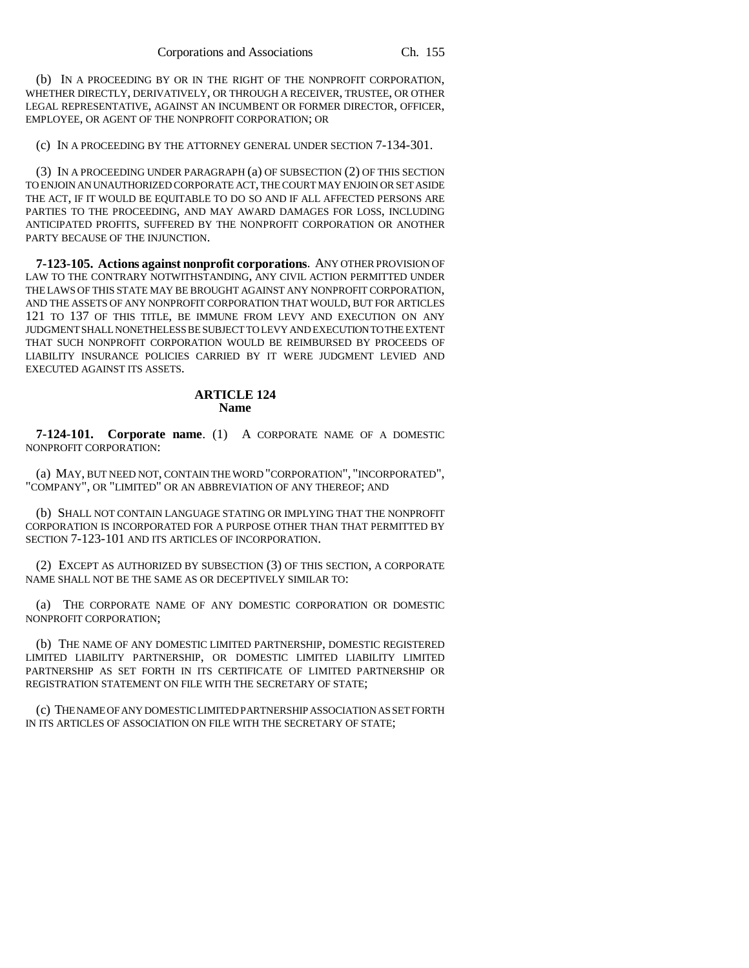(b) IN A PROCEEDING BY OR IN THE RIGHT OF THE NONPROFIT CORPORATION, WHETHER DIRECTLY, DERIVATIVELY, OR THROUGH A RECEIVER, TRUSTEE, OR OTHER LEGAL REPRESENTATIVE, AGAINST AN INCUMBENT OR FORMER DIRECTOR, OFFICER, EMPLOYEE, OR AGENT OF THE NONPROFIT CORPORATION; OR

(c) IN A PROCEEDING BY THE ATTORNEY GENERAL UNDER SECTION 7-134-301.

(3) IN A PROCEEDING UNDER PARAGRAPH (a) OF SUBSECTION (2) OF THIS SECTION TO ENJOIN AN UNAUTHORIZED CORPORATE ACT, THE COURT MAY ENJOIN OR SET ASIDE THE ACT, IF IT WOULD BE EQUITABLE TO DO SO AND IF ALL AFFECTED PERSONS ARE PARTIES TO THE PROCEEDING, AND MAY AWARD DAMAGES FOR LOSS, INCLUDING ANTICIPATED PROFITS, SUFFERED BY THE NONPROFIT CORPORATION OR ANOTHER PARTY BECAUSE OF THE INJUNCTION.

**7-123-105. Actions against nonprofit corporations**. ANY OTHER PROVISION OF LAW TO THE CONTRARY NOTWITHSTANDING, ANY CIVIL ACTION PERMITTED UNDER THE LAWS OF THIS STATE MAY BE BROUGHT AGAINST ANY NONPROFIT CORPORATION, AND THE ASSETS OF ANY NONPROFIT CORPORATION THAT WOULD, BUT FOR ARTICLES 121 TO 137 OF THIS TITLE, BE IMMUNE FROM LEVY AND EXECUTION ON ANY JUDGMENT SHALL NONETHELESS BE SUBJECT TO LEVY AND EXECUTION TO THE EXTENT THAT SUCH NONPROFIT CORPORATION WOULD BE REIMBURSED BY PROCEEDS OF LIABILITY INSURANCE POLICIES CARRIED BY IT WERE JUDGMENT LEVIED AND EXECUTED AGAINST ITS ASSETS.

#### **ARTICLE 124 Name**

**7-124-101. Corporate name**. (1) A CORPORATE NAME OF A DOMESTIC NONPROFIT CORPORATION:

(a) MAY, BUT NEED NOT, CONTAIN THE WORD "CORPORATION", "INCORPORATED", "COMPANY", OR "LIMITED" OR AN ABBREVIATION OF ANY THEREOF; AND

(b) SHALL NOT CONTAIN LANGUAGE STATING OR IMPLYING THAT THE NONPROFIT CORPORATION IS INCORPORATED FOR A PURPOSE OTHER THAN THAT PERMITTED BY SECTION 7-123-101 AND ITS ARTICLES OF INCORPORATION.

(2) EXCEPT AS AUTHORIZED BY SUBSECTION (3) OF THIS SECTION, A CORPORATE NAME SHALL NOT BE THE SAME AS OR DECEPTIVELY SIMILAR TO:

(a) THE CORPORATE NAME OF ANY DOMESTIC CORPORATION OR DOMESTIC NONPROFIT CORPORATION;

(b) THE NAME OF ANY DOMESTIC LIMITED PARTNERSHIP, DOMESTIC REGISTERED LIMITED LIABILITY PARTNERSHIP, OR DOMESTIC LIMITED LIABILITY LIMITED PARTNERSHIP AS SET FORTH IN ITS CERTIFICATE OF LIMITED PARTNERSHIP OR REGISTRATION STATEMENT ON FILE WITH THE SECRETARY OF STATE;

(c) THE NAME OF ANY DOMESTIC LIMITED PARTNERSHIP ASSOCIATION AS SET FORTH IN ITS ARTICLES OF ASSOCIATION ON FILE WITH THE SECRETARY OF STATE;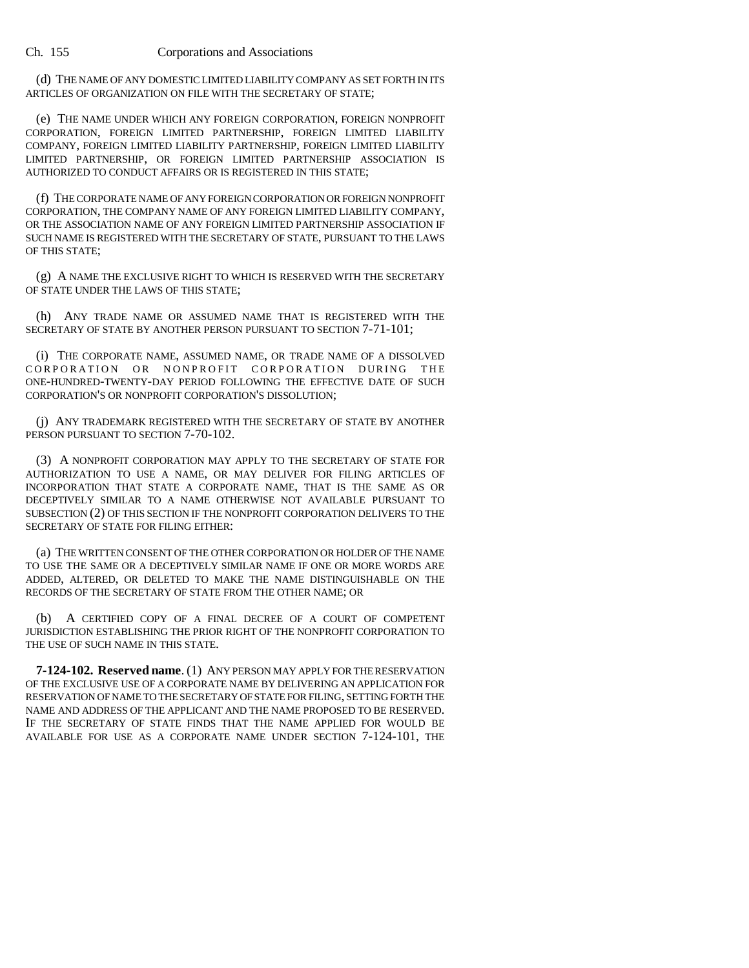(d) THE NAME OF ANY DOMESTIC LIMITED LIABILITY COMPANY AS SET FORTH IN ITS ARTICLES OF ORGANIZATION ON FILE WITH THE SECRETARY OF STATE;

(e) THE NAME UNDER WHICH ANY FOREIGN CORPORATION, FOREIGN NONPROFIT CORPORATION, FOREIGN LIMITED PARTNERSHIP, FOREIGN LIMITED LIABILITY COMPANY, FOREIGN LIMITED LIABILITY PARTNERSHIP, FOREIGN LIMITED LIABILITY LIMITED PARTNERSHIP, OR FOREIGN LIMITED PARTNERSHIP ASSOCIATION IS AUTHORIZED TO CONDUCT AFFAIRS OR IS REGISTERED IN THIS STATE;

(f) THE CORPORATE NAME OF ANY FOREIGN CORPORATION OR FOREIGN NONPROFIT CORPORATION, THE COMPANY NAME OF ANY FOREIGN LIMITED LIABILITY COMPANY, OR THE ASSOCIATION NAME OF ANY FOREIGN LIMITED PARTNERSHIP ASSOCIATION IF SUCH NAME IS REGISTERED WITH THE SECRETARY OF STATE, PURSUANT TO THE LAWS OF THIS STATE;

(g) A NAME THE EXCLUSIVE RIGHT TO WHICH IS RESERVED WITH THE SECRETARY OF STATE UNDER THE LAWS OF THIS STATE;

(h) ANY TRADE NAME OR ASSUMED NAME THAT IS REGISTERED WITH THE SECRETARY OF STATE BY ANOTHER PERSON PURSUANT TO SECTION 7-71-101;

(i) THE CORPORATE NAME, ASSUMED NAME, OR TRADE NAME OF A DISSOLVED CORPORATION OR NONPROFIT CORPORATION DURING THE ONE-HUNDRED-TWENTY-DAY PERIOD FOLLOWING THE EFFECTIVE DATE OF SUCH CORPORATION'S OR NONPROFIT CORPORATION'S DISSOLUTION;

(j) ANY TRADEMARK REGISTERED WITH THE SECRETARY OF STATE BY ANOTHER PERSON PURSUANT TO SECTION 7-70-102.

(3) A NONPROFIT CORPORATION MAY APPLY TO THE SECRETARY OF STATE FOR AUTHORIZATION TO USE A NAME, OR MAY DELIVER FOR FILING ARTICLES OF INCORPORATION THAT STATE A CORPORATE NAME, THAT IS THE SAME AS OR DECEPTIVELY SIMILAR TO A NAME OTHERWISE NOT AVAILABLE PURSUANT TO SUBSECTION (2) OF THIS SECTION IF THE NONPROFIT CORPORATION DELIVERS TO THE SECRETARY OF STATE FOR FILING EITHER:

(a) THE WRITTEN CONSENT OF THE OTHER CORPORATION OR HOLDER OF THE NAME TO USE THE SAME OR A DECEPTIVELY SIMILAR NAME IF ONE OR MORE WORDS ARE ADDED, ALTERED, OR DELETED TO MAKE THE NAME DISTINGUISHABLE ON THE RECORDS OF THE SECRETARY OF STATE FROM THE OTHER NAME; OR

(b) A CERTIFIED COPY OF A FINAL DECREE OF A COURT OF COMPETENT JURISDICTION ESTABLISHING THE PRIOR RIGHT OF THE NONPROFIT CORPORATION TO THE USE OF SUCH NAME IN THIS STATE.

**7-124-102. Reserved name**. (1) ANY PERSON MAY APPLY FOR THE RESERVATION OF THE EXCLUSIVE USE OF A CORPORATE NAME BY DELIVERING AN APPLICATION FOR RESERVATION OF NAME TO THE SECRETARY OF STATE FOR FILING, SETTING FORTH THE NAME AND ADDRESS OF THE APPLICANT AND THE NAME PROPOSED TO BE RESERVED. IF THE SECRETARY OF STATE FINDS THAT THE NAME APPLIED FOR WOULD BE AVAILABLE FOR USE AS A CORPORATE NAME UNDER SECTION 7-124-101, THE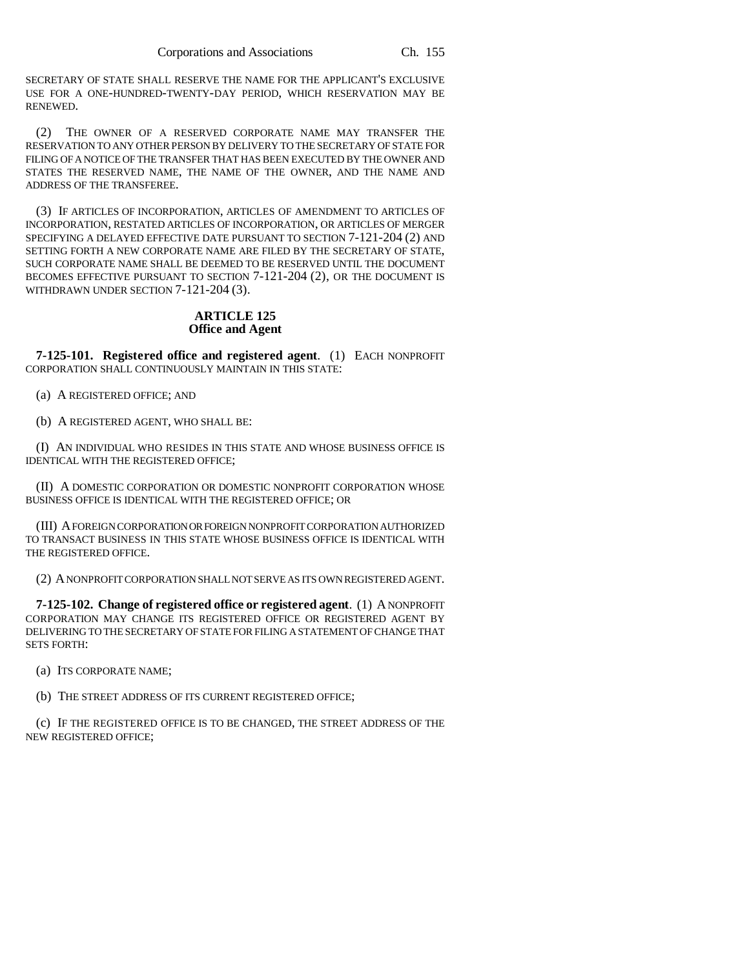SECRETARY OF STATE SHALL RESERVE THE NAME FOR THE APPLICANT'S EXCLUSIVE USE FOR A ONE-HUNDRED-TWENTY-DAY PERIOD, WHICH RESERVATION MAY BE RENEWED.

(2) THE OWNER OF A RESERVED CORPORATE NAME MAY TRANSFER THE RESERVATION TO ANY OTHER PERSON BY DELIVERY TO THE SECRETARY OF STATE FOR FILING OF A NOTICE OF THE TRANSFER THAT HAS BEEN EXECUTED BY THE OWNER AND STATES THE RESERVED NAME, THE NAME OF THE OWNER, AND THE NAME AND ADDRESS OF THE TRANSFEREE.

(3) IF ARTICLES OF INCORPORATION, ARTICLES OF AMENDMENT TO ARTICLES OF INCORPORATION, RESTATED ARTICLES OF INCORPORATION, OR ARTICLES OF MERGER SPECIFYING A DELAYED EFFECTIVE DATE PURSUANT TO SECTION 7-121-204 (2) AND SETTING FORTH A NEW CORPORATE NAME ARE FILED BY THE SECRETARY OF STATE, SUCH CORPORATE NAME SHALL BE DEEMED TO BE RESERVED UNTIL THE DOCUMENT BECOMES EFFECTIVE PURSUANT TO SECTION 7-121-204 (2), OR THE DOCUMENT IS WITHDRAWN UNDER SECTION 7-121-204 (3).

# **ARTICLE 125 Office and Agent**

**7-125-101. Registered office and registered agent**. (1) EACH NONPROFIT CORPORATION SHALL CONTINUOUSLY MAINTAIN IN THIS STATE:

(a) A REGISTERED OFFICE; AND

(b) A REGISTERED AGENT, WHO SHALL BE:

(I) AN INDIVIDUAL WHO RESIDES IN THIS STATE AND WHOSE BUSINESS OFFICE IS IDENTICAL WITH THE REGISTERED OFFICE;

(II) A DOMESTIC CORPORATION OR DOMESTIC NONPROFIT CORPORATION WHOSE BUSINESS OFFICE IS IDENTICAL WITH THE REGISTERED OFFICE; OR

(III) A FOREIGN CORPORATION OR FOREIGN NONPROFIT CORPORATION AUTHORIZED TO TRANSACT BUSINESS IN THIS STATE WHOSE BUSINESS OFFICE IS IDENTICAL WITH THE REGISTERED OFFICE.

(2) A NONPROFIT CORPORATION SHALL NOT SERVE AS ITS OWN REGISTERED AGENT.

**7-125-102. Change of registered office or registered agent**. (1) A NONPROFIT CORPORATION MAY CHANGE ITS REGISTERED OFFICE OR REGISTERED AGENT BY DELIVERING TO THE SECRETARY OF STATE FOR FILING A STATEMENT OF CHANGE THAT SETS FORTH:

(a) ITS CORPORATE NAME;

(b) THE STREET ADDRESS OF ITS CURRENT REGISTERED OFFICE;

(c) IF THE REGISTERED OFFICE IS TO BE CHANGED, THE STREET ADDRESS OF THE NEW REGISTERED OFFICE;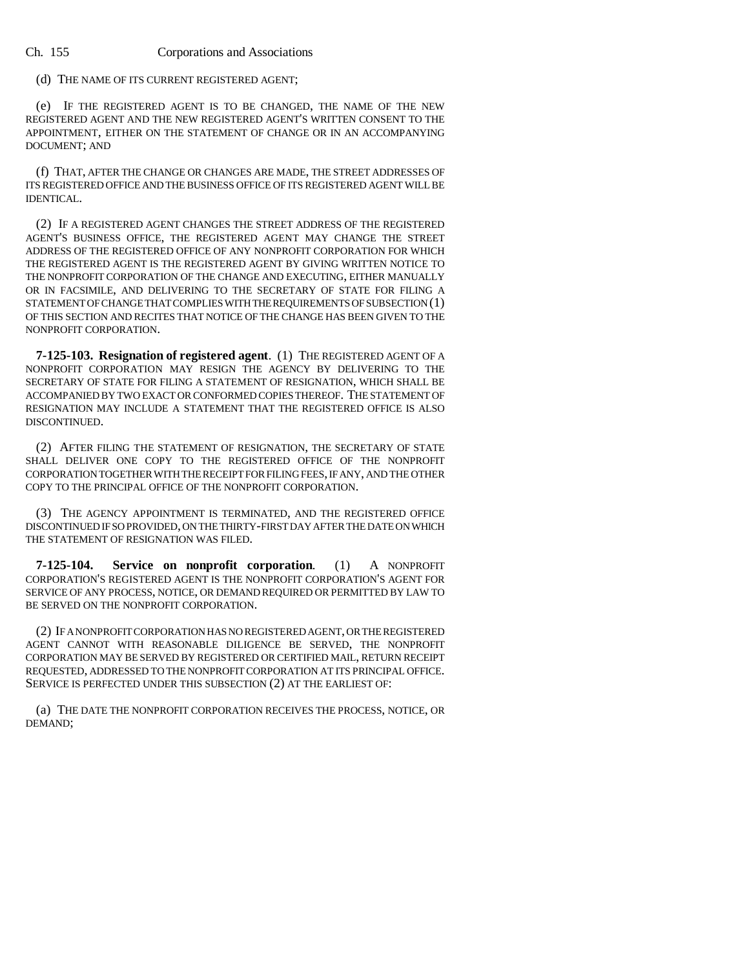(d) THE NAME OF ITS CURRENT REGISTERED AGENT;

(e) IF THE REGISTERED AGENT IS TO BE CHANGED, THE NAME OF THE NEW REGISTERED AGENT AND THE NEW REGISTERED AGENT'S WRITTEN CONSENT TO THE APPOINTMENT, EITHER ON THE STATEMENT OF CHANGE OR IN AN ACCOMPANYING DOCUMENT; AND

(f) THAT, AFTER THE CHANGE OR CHANGES ARE MADE, THE STREET ADDRESSES OF ITS REGISTERED OFFICE AND THE BUSINESS OFFICE OF ITS REGISTERED AGENT WILL BE IDENTICAL.

(2) IF A REGISTERED AGENT CHANGES THE STREET ADDRESS OF THE REGISTERED AGENT'S BUSINESS OFFICE, THE REGISTERED AGENT MAY CHANGE THE STREET ADDRESS OF THE REGISTERED OFFICE OF ANY NONPROFIT CORPORATION FOR WHICH THE REGISTERED AGENT IS THE REGISTERED AGENT BY GIVING WRITTEN NOTICE TO THE NONPROFIT CORPORATION OF THE CHANGE AND EXECUTING, EITHER MANUALLY OR IN FACSIMILE, AND DELIVERING TO THE SECRETARY OF STATE FOR FILING A STATEMENT OF CHANGE THAT COMPLIES WITH THE REQUIREMENTS OF SUBSECTION (1) OF THIS SECTION AND RECITES THAT NOTICE OF THE CHANGE HAS BEEN GIVEN TO THE NONPROFIT CORPORATION.

**7-125-103. Resignation of registered agent**. (1) THE REGISTERED AGENT OF A NONPROFIT CORPORATION MAY RESIGN THE AGENCY BY DELIVERING TO THE SECRETARY OF STATE FOR FILING A STATEMENT OF RESIGNATION, WHICH SHALL BE ACCOMPANIED BY TWO EXACT OR CONFORMED COPIES THEREOF. THE STATEMENT OF RESIGNATION MAY INCLUDE A STATEMENT THAT THE REGISTERED OFFICE IS ALSO DISCONTINUED.

(2) AFTER FILING THE STATEMENT OF RESIGNATION, THE SECRETARY OF STATE SHALL DELIVER ONE COPY TO THE REGISTERED OFFICE OF THE NONPROFIT CORPORATION TOGETHER WITH THE RECEIPT FOR FILING FEES, IF ANY, AND THE OTHER COPY TO THE PRINCIPAL OFFICE OF THE NONPROFIT CORPORATION.

(3) THE AGENCY APPOINTMENT IS TERMINATED, AND THE REGISTERED OFFICE DISCONTINUED IF SO PROVIDED, ON THE THIRTY-FIRST DAY AFTER THE DATE ON WHICH THE STATEMENT OF RESIGNATION WAS FILED.

**7-125-104. Service on nonprofit corporation**. (1) A NONPROFIT CORPORATION'S REGISTERED AGENT IS THE NONPROFIT CORPORATION'S AGENT FOR SERVICE OF ANY PROCESS, NOTICE, OR DEMAND REQUIRED OR PERMITTED BY LAW TO BE SERVED ON THE NONPROFIT CORPORATION.

(2) IF A NONPROFIT CORPORATION HAS NO REGISTERED AGENT, OR THE REGISTERED AGENT CANNOT WITH REASONABLE DILIGENCE BE SERVED, THE NONPROFIT CORPORATION MAY BE SERVED BY REGISTERED OR CERTIFIED MAIL, RETURN RECEIPT REQUESTED, ADDRESSED TO THE NONPROFIT CORPORATION AT ITS PRINCIPAL OFFICE. SERVICE IS PERFECTED UNDER THIS SUBSECTION (2) AT THE EARLIEST OF:

(a) THE DATE THE NONPROFIT CORPORATION RECEIVES THE PROCESS, NOTICE, OR DEMAND;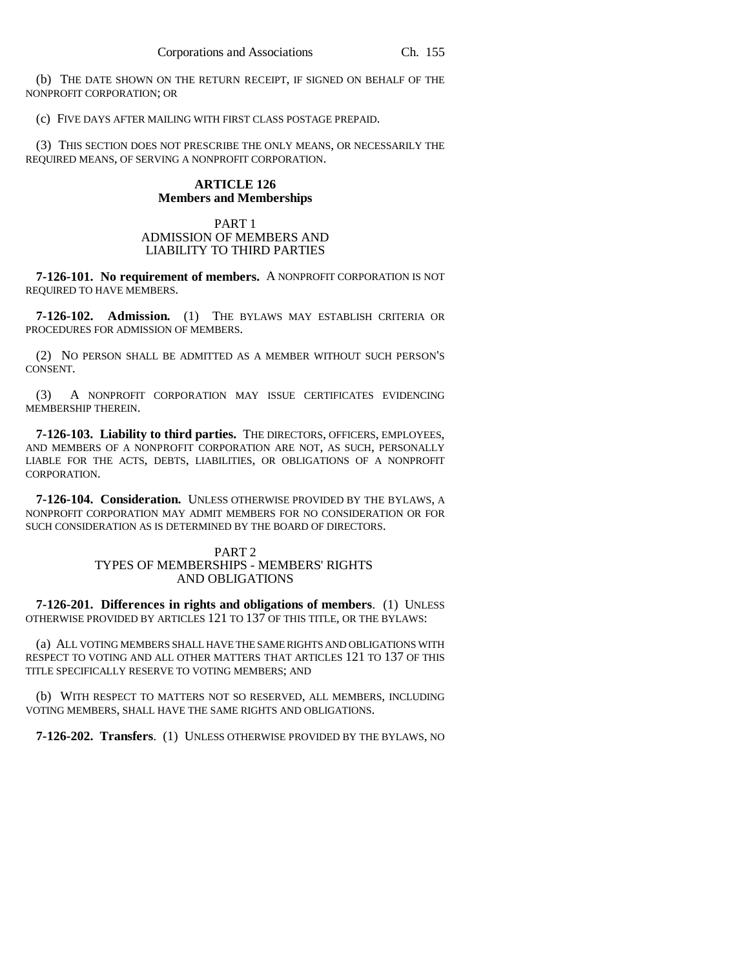(b) THE DATE SHOWN ON THE RETURN RECEIPT, IF SIGNED ON BEHALF OF THE NONPROFIT CORPORATION; OR

(c) FIVE DAYS AFTER MAILING WITH FIRST CLASS POSTAGE PREPAID.

(3) THIS SECTION DOES NOT PRESCRIBE THE ONLY MEANS, OR NECESSARILY THE REQUIRED MEANS, OF SERVING A NONPROFIT CORPORATION.

## **ARTICLE 126 Members and Memberships**

#### PART 1 ADMISSION OF MEMBERS AND LIABILITY TO THIRD PARTIES

**7-126-101. No requirement of members.** A NONPROFIT CORPORATION IS NOT REQUIRED TO HAVE MEMBERS.

**7-126-102. Admission.** (1) THE BYLAWS MAY ESTABLISH CRITERIA OR PROCEDURES FOR ADMISSION OF MEMBERS.

(2) NO PERSON SHALL BE ADMITTED AS A MEMBER WITHOUT SUCH PERSON'S CONSENT.

(3) A NONPROFIT CORPORATION MAY ISSUE CERTIFICATES EVIDENCING MEMBERSHIP THEREIN.

**7-126-103. Liability to third parties.** THE DIRECTORS, OFFICERS, EMPLOYEES, AND MEMBERS OF A NONPROFIT CORPORATION ARE NOT, AS SUCH, PERSONALLY LIABLE FOR THE ACTS, DEBTS, LIABILITIES, OR OBLIGATIONS OF A NONPROFIT CORPORATION.

**7-126-104. Consideration.** UNLESS OTHERWISE PROVIDED BY THE BYLAWS, A NONPROFIT CORPORATION MAY ADMIT MEMBERS FOR NO CONSIDERATION OR FOR SUCH CONSIDERATION AS IS DETERMINED BY THE BOARD OF DIRECTORS.

### PART 2 TYPES OF MEMBERSHIPS - MEMBERS' RIGHTS AND OBLIGATIONS

**7-126-201. Differences in rights and obligations of members**. (1) UNLESS OTHERWISE PROVIDED BY ARTICLES 121 TO 137 OF THIS TITLE, OR THE BYLAWS:

(a) ALL VOTING MEMBERS SHALL HAVE THE SAME RIGHTS AND OBLIGATIONS WITH RESPECT TO VOTING AND ALL OTHER MATTERS THAT ARTICLES 121 TO 137 OF THIS TITLE SPECIFICALLY RESERVE TO VOTING MEMBERS; AND

(b) WITH RESPECT TO MATTERS NOT SO RESERVED, ALL MEMBERS, INCLUDING VOTING MEMBERS, SHALL HAVE THE SAME RIGHTS AND OBLIGATIONS.

**7-126-202. Transfers**. (1) UNLESS OTHERWISE PROVIDED BY THE BYLAWS, NO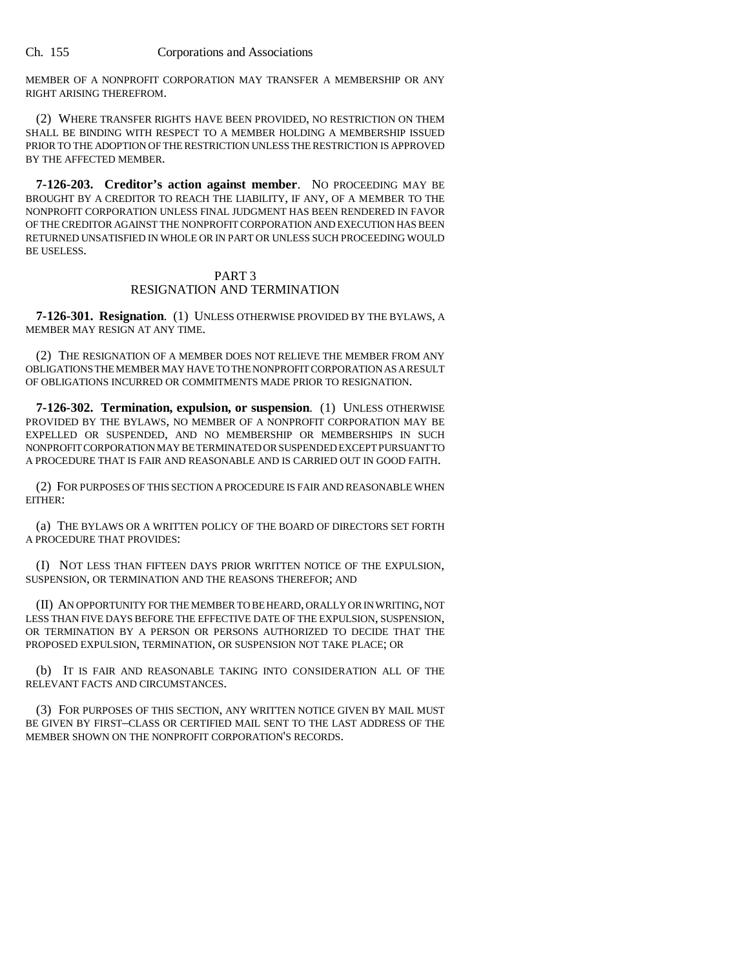MEMBER OF A NONPROFIT CORPORATION MAY TRANSFER A MEMBERSHIP OR ANY RIGHT ARISING THEREFROM.

(2) WHERE TRANSFER RIGHTS HAVE BEEN PROVIDED, NO RESTRICTION ON THEM SHALL BE BINDING WITH RESPECT TO A MEMBER HOLDING A MEMBERSHIP ISSUED PRIOR TO THE ADOPTION OF THE RESTRICTION UNLESS THE RESTRICTION IS APPROVED BY THE AFFECTED MEMBER.

**7-126-203. Creditor's action against member**. NO PROCEEDING MAY BE BROUGHT BY A CREDITOR TO REACH THE LIABILITY, IF ANY, OF A MEMBER TO THE NONPROFIT CORPORATION UNLESS FINAL JUDGMENT HAS BEEN RENDERED IN FAVOR OF THE CREDITOR AGAINST THE NONPROFIT CORPORATION AND EXECUTION HAS BEEN RETURNED UNSATISFIED IN WHOLE OR IN PART OR UNLESS SUCH PROCEEDING WOULD BE USELESS.

### PART 3 RESIGNATION AND TERMINATION

**7-126-301. Resignation**. (1) UNLESS OTHERWISE PROVIDED BY THE BYLAWS, A MEMBER MAY RESIGN AT ANY TIME.

(2) THE RESIGNATION OF A MEMBER DOES NOT RELIEVE THE MEMBER FROM ANY OBLIGATIONS THE MEMBER MAY HAVE TO THE NONPROFIT CORPORATION AS A RESULT OF OBLIGATIONS INCURRED OR COMMITMENTS MADE PRIOR TO RESIGNATION.

**7-126-302. Termination, expulsion, or suspension**. (1) UNLESS OTHERWISE PROVIDED BY THE BYLAWS, NO MEMBER OF A NONPROFIT CORPORATION MAY BE EXPELLED OR SUSPENDED, AND NO MEMBERSHIP OR MEMBERSHIPS IN SUCH NONPROFIT CORPORATION MAY BE TERMINATED OR SUSPENDED EXCEPT PURSUANT TO A PROCEDURE THAT IS FAIR AND REASONABLE AND IS CARRIED OUT IN GOOD FAITH.

(2) FOR PURPOSES OF THIS SECTION A PROCEDURE IS FAIR AND REASONABLE WHEN EITHER:

(a) THE BYLAWS OR A WRITTEN POLICY OF THE BOARD OF DIRECTORS SET FORTH A PROCEDURE THAT PROVIDES:

(I) NOT LESS THAN FIFTEEN DAYS PRIOR WRITTEN NOTICE OF THE EXPULSION, SUSPENSION, OR TERMINATION AND THE REASONS THEREFOR; AND

(II) AN OPPORTUNITY FOR THE MEMBER TO BE HEARD, ORALLY OR IN WRITING, NOT LESS THAN FIVE DAYS BEFORE THE EFFECTIVE DATE OF THE EXPULSION, SUSPENSION, OR TERMINATION BY A PERSON OR PERSONS AUTHORIZED TO DECIDE THAT THE PROPOSED EXPULSION, TERMINATION, OR SUSPENSION NOT TAKE PLACE; OR

(b) IT IS FAIR AND REASONABLE TAKING INTO CONSIDERATION ALL OF THE RELEVANT FACTS AND CIRCUMSTANCES.

(3) FOR PURPOSES OF THIS SECTION, ANY WRITTEN NOTICE GIVEN BY MAIL MUST BE GIVEN BY FIRST–CLASS OR CERTIFIED MAIL SENT TO THE LAST ADDRESS OF THE MEMBER SHOWN ON THE NONPROFIT CORPORATION'S RECORDS.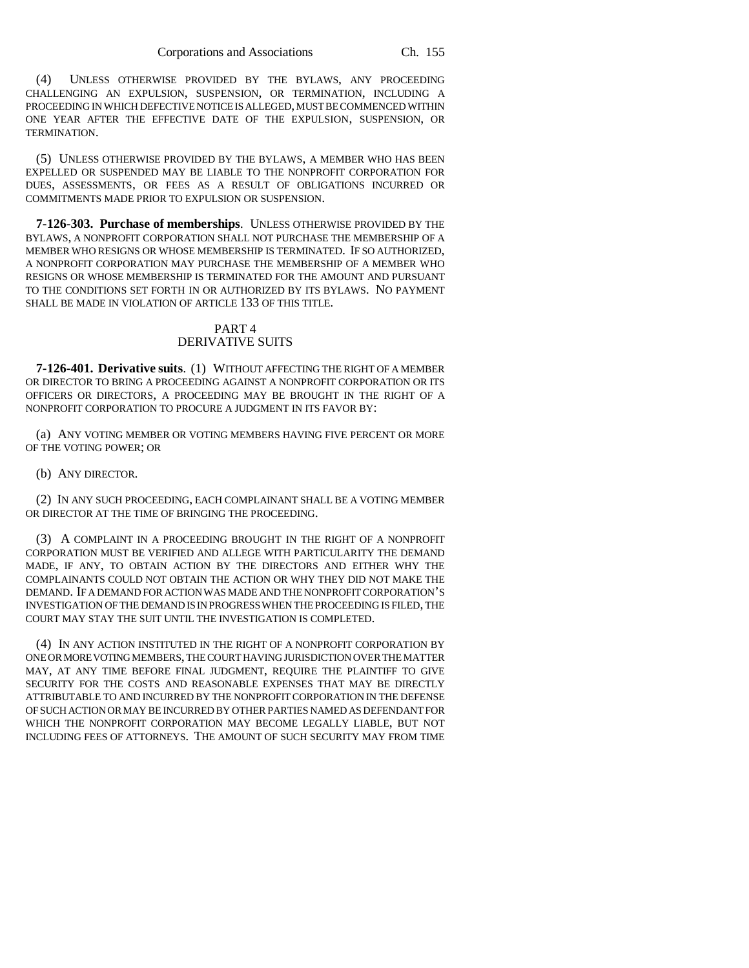(4) UNLESS OTHERWISE PROVIDED BY THE BYLAWS, ANY PROCEEDING CHALLENGING AN EXPULSION, SUSPENSION, OR TERMINATION, INCLUDING A PROCEEDING IN WHICH DEFECTIVE NOTICE IS ALLEGED, MUST BE COMMENCED WITHIN ONE YEAR AFTER THE EFFECTIVE DATE OF THE EXPULSION, SUSPENSION, OR TERMINATION.

(5) UNLESS OTHERWISE PROVIDED BY THE BYLAWS, A MEMBER WHO HAS BEEN EXPELLED OR SUSPENDED MAY BE LIABLE TO THE NONPROFIT CORPORATION FOR DUES, ASSESSMENTS, OR FEES AS A RESULT OF OBLIGATIONS INCURRED OR COMMITMENTS MADE PRIOR TO EXPULSION OR SUSPENSION.

**7-126-303. Purchase of memberships**. UNLESS OTHERWISE PROVIDED BY THE BYLAWS, A NONPROFIT CORPORATION SHALL NOT PURCHASE THE MEMBERSHIP OF A MEMBER WHO RESIGNS OR WHOSE MEMBERSHIP IS TERMINATED. IF SO AUTHORIZED, A NONPROFIT CORPORATION MAY PURCHASE THE MEMBERSHIP OF A MEMBER WHO RESIGNS OR WHOSE MEMBERSHIP IS TERMINATED FOR THE AMOUNT AND PURSUANT TO THE CONDITIONS SET FORTH IN OR AUTHORIZED BY ITS BYLAWS. NO PAYMENT SHALL BE MADE IN VIOLATION OF ARTICLE 133 OF THIS TITLE.

## PART 4 DERIVATIVE SUITS

**7-126-401. Derivative suits**. (1) WITHOUT AFFECTING THE RIGHT OF A MEMBER OR DIRECTOR TO BRING A PROCEEDING AGAINST A NONPROFIT CORPORATION OR ITS OFFICERS OR DIRECTORS, A PROCEEDING MAY BE BROUGHT IN THE RIGHT OF A NONPROFIT CORPORATION TO PROCURE A JUDGMENT IN ITS FAVOR BY:

(a) ANY VOTING MEMBER OR VOTING MEMBERS HAVING FIVE PERCENT OR MORE OF THE VOTING POWER; OR

(b) ANY DIRECTOR.

(2) IN ANY SUCH PROCEEDING, EACH COMPLAINANT SHALL BE A VOTING MEMBER OR DIRECTOR AT THE TIME OF BRINGING THE PROCEEDING.

(3) A COMPLAINT IN A PROCEEDING BROUGHT IN THE RIGHT OF A NONPROFIT CORPORATION MUST BE VERIFIED AND ALLEGE WITH PARTICULARITY THE DEMAND MADE, IF ANY, TO OBTAIN ACTION BY THE DIRECTORS AND EITHER WHY THE COMPLAINANTS COULD NOT OBTAIN THE ACTION OR WHY THEY DID NOT MAKE THE DEMAND. IF A DEMAND FOR ACTION WAS MADE AND THE NONPROFIT CORPORATION'S INVESTIGATION OF THE DEMAND IS IN PROGRESS WHEN THE PROCEEDING IS FILED, THE COURT MAY STAY THE SUIT UNTIL THE INVESTIGATION IS COMPLETED.

(4) IN ANY ACTION INSTITUTED IN THE RIGHT OF A NONPROFIT CORPORATION BY ONE OR MORE VOTING MEMBERS, THE COURT HAVING JURISDICTION OVER THE MATTER MAY, AT ANY TIME BEFORE FINAL JUDGMENT, REQUIRE THE PLAINTIFF TO GIVE SECURITY FOR THE COSTS AND REASONABLE EXPENSES THAT MAY BE DIRECTLY ATTRIBUTABLE TO AND INCURRED BY THE NONPROFIT CORPORATION IN THE DEFENSE OF SUCH ACTION OR MAY BE INCURRED BY OTHER PARTIES NAMED AS DEFENDANT FOR WHICH THE NONPROFIT CORPORATION MAY BECOME LEGALLY LIABLE, BUT NOT INCLUDING FEES OF ATTORNEYS. THE AMOUNT OF SUCH SECURITY MAY FROM TIME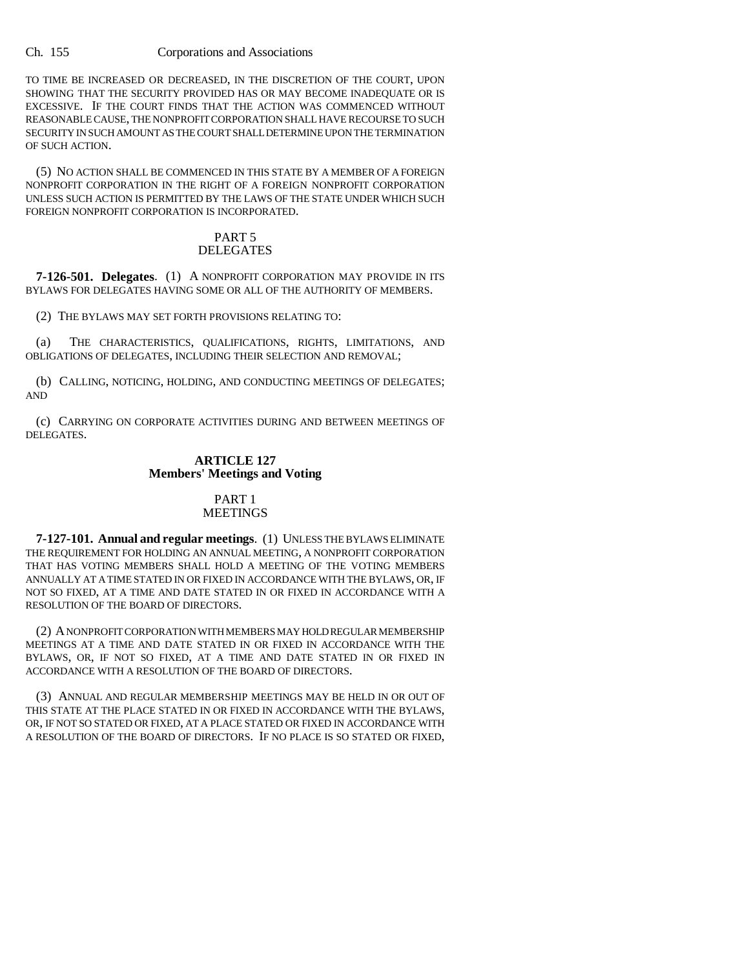TO TIME BE INCREASED OR DECREASED, IN THE DISCRETION OF THE COURT, UPON SHOWING THAT THE SECURITY PROVIDED HAS OR MAY BECOME INADEQUATE OR IS EXCESSIVE. IF THE COURT FINDS THAT THE ACTION WAS COMMENCED WITHOUT REASONABLE CAUSE, THE NONPROFIT CORPORATION SHALL HAVE RECOURSE TO SUCH SECURITY IN SUCH AMOUNT AS THE COURT SHALL DETERMINE UPON THE TERMINATION OF SUCH ACTION.

(5) NO ACTION SHALL BE COMMENCED IN THIS STATE BY A MEMBER OF A FOREIGN NONPROFIT CORPORATION IN THE RIGHT OF A FOREIGN NONPROFIT CORPORATION UNLESS SUCH ACTION IS PERMITTED BY THE LAWS OF THE STATE UNDER WHICH SUCH FOREIGN NONPROFIT CORPORATION IS INCORPORATED.

# PART 5

# DELEGATES

**7-126-501. Delegates**. (1) A NONPROFIT CORPORATION MAY PROVIDE IN ITS BYLAWS FOR DELEGATES HAVING SOME OR ALL OF THE AUTHORITY OF MEMBERS.

(2) THE BYLAWS MAY SET FORTH PROVISIONS RELATING TO:

(a) THE CHARACTERISTICS, QUALIFICATIONS, RIGHTS, LIMITATIONS, AND OBLIGATIONS OF DELEGATES, INCLUDING THEIR SELECTION AND REMOVAL;

(b) CALLING, NOTICING, HOLDING, AND CONDUCTING MEETINGS OF DELEGATES; AND

(c) CARRYING ON CORPORATE ACTIVITIES DURING AND BETWEEN MEETINGS OF DELEGATES.

### **ARTICLE 127 Members' Meetings and Voting**

## PART 1 MEETINGS

**7-127-101. Annual and regular meetings**. (1) UNLESS THE BYLAWS ELIMINATE THE REQUIREMENT FOR HOLDING AN ANNUAL MEETING, A NONPROFIT CORPORATION THAT HAS VOTING MEMBERS SHALL HOLD A MEETING OF THE VOTING MEMBERS ANNUALLY AT A TIME STATED IN OR FIXED IN ACCORDANCE WITH THE BYLAWS, OR, IF NOT SO FIXED, AT A TIME AND DATE STATED IN OR FIXED IN ACCORDANCE WITH A RESOLUTION OF THE BOARD OF DIRECTORS.

(2) A NONPROFIT CORPORATION WITH MEMBERS MAY HOLD REGULAR MEMBERSHIP MEETINGS AT A TIME AND DATE STATED IN OR FIXED IN ACCORDANCE WITH THE BYLAWS, OR, IF NOT SO FIXED, AT A TIME AND DATE STATED IN OR FIXED IN ACCORDANCE WITH A RESOLUTION OF THE BOARD OF DIRECTORS.

(3) ANNUAL AND REGULAR MEMBERSHIP MEETINGS MAY BE HELD IN OR OUT OF THIS STATE AT THE PLACE STATED IN OR FIXED IN ACCORDANCE WITH THE BYLAWS, OR, IF NOT SO STATED OR FIXED, AT A PLACE STATED OR FIXED IN ACCORDANCE WITH A RESOLUTION OF THE BOARD OF DIRECTORS. IF NO PLACE IS SO STATED OR FIXED,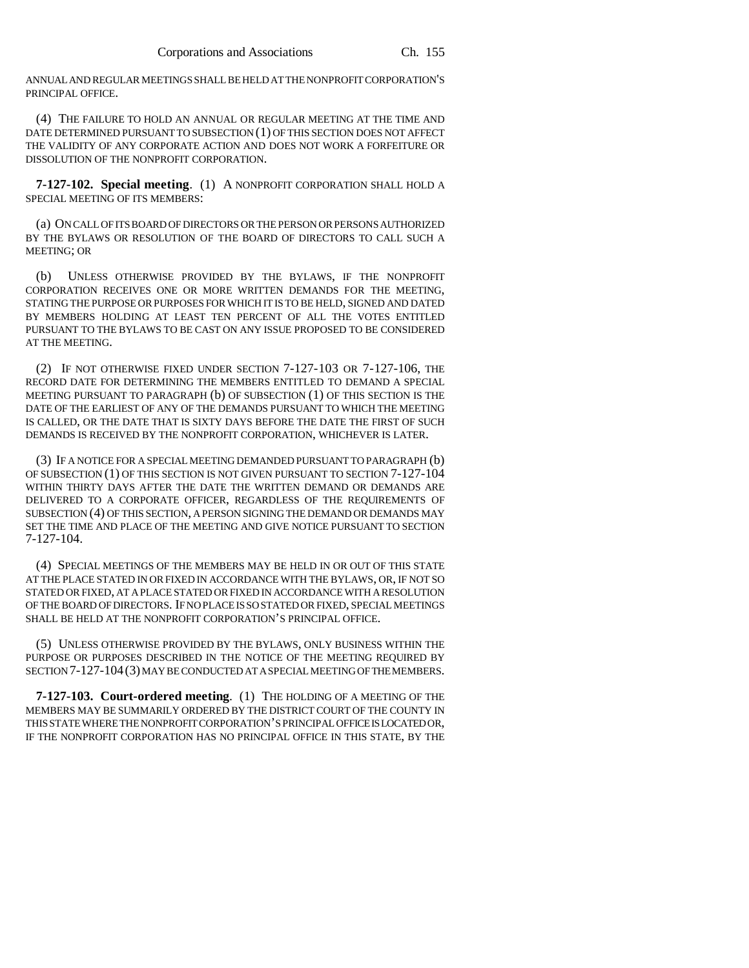ANNUAL AND REGULAR MEETINGS SHALL BE HELD AT THE NONPROFIT CORPORATION'S PRINCIPAL OFFICE.

(4) THE FAILURE TO HOLD AN ANNUAL OR REGULAR MEETING AT THE TIME AND DATE DETERMINED PURSUANT TO SUBSECTION (1) OF THIS SECTION DOES NOT AFFECT THE VALIDITY OF ANY CORPORATE ACTION AND DOES NOT WORK A FORFEITURE OR DISSOLUTION OF THE NONPROFIT CORPORATION.

**7-127-102. Special meeting**. (1) A NONPROFIT CORPORATION SHALL HOLD A SPECIAL MEETING OF ITS MEMBERS:

(a) ON CALL OF ITS BOARD OF DIRECTORS OR THE PERSON OR PERSONS AUTHORIZED BY THE BYLAWS OR RESOLUTION OF THE BOARD OF DIRECTORS TO CALL SUCH A MEETING; OR

(b) UNLESS OTHERWISE PROVIDED BY THE BYLAWS, IF THE NONPROFIT CORPORATION RECEIVES ONE OR MORE WRITTEN DEMANDS FOR THE MEETING, STATING THE PURPOSE OR PURPOSES FOR WHICH IT IS TO BE HELD, SIGNED AND DATED BY MEMBERS HOLDING AT LEAST TEN PERCENT OF ALL THE VOTES ENTITLED PURSUANT TO THE BYLAWS TO BE CAST ON ANY ISSUE PROPOSED TO BE CONSIDERED AT THE MEETING.

(2) IF NOT OTHERWISE FIXED UNDER SECTION 7-127-103 OR 7-127-106, THE RECORD DATE FOR DETERMINING THE MEMBERS ENTITLED TO DEMAND A SPECIAL MEETING PURSUANT TO PARAGRAPH (b) OF SUBSECTION (1) OF THIS SECTION IS THE DATE OF THE EARLIEST OF ANY OF THE DEMANDS PURSUANT TO WHICH THE MEETING IS CALLED, OR THE DATE THAT IS SIXTY DAYS BEFORE THE DATE THE FIRST OF SUCH DEMANDS IS RECEIVED BY THE NONPROFIT CORPORATION, WHICHEVER IS LATER.

(3) IF A NOTICE FOR A SPECIAL MEETING DEMANDED PURSUANT TO PARAGRAPH (b) OF SUBSECTION (1) OF THIS SECTION IS NOT GIVEN PURSUANT TO SECTION 7-127-104 WITHIN THIRTY DAYS AFTER THE DATE THE WRITTEN DEMAND OR DEMANDS ARE DELIVERED TO A CORPORATE OFFICER, REGARDLESS OF THE REQUIREMENTS OF SUBSECTION (4) OF THIS SECTION, A PERSON SIGNING THE DEMAND OR DEMANDS MAY SET THE TIME AND PLACE OF THE MEETING AND GIVE NOTICE PURSUANT TO SECTION 7-127-104.

(4) SPECIAL MEETINGS OF THE MEMBERS MAY BE HELD IN OR OUT OF THIS STATE AT THE PLACE STATED IN OR FIXED IN ACCORDANCE WITH THE BYLAWS, OR, IF NOT SO STATED OR FIXED, AT A PLACE STATED OR FIXED IN ACCORDANCE WITH A RESOLUTION OF THE BOARD OF DIRECTORS. IF NO PLACE IS SO STATED OR FIXED, SPECIAL MEETINGS SHALL BE HELD AT THE NONPROFIT CORPORATION'S PRINCIPAL OFFICE.

(5) UNLESS OTHERWISE PROVIDED BY THE BYLAWS, ONLY BUSINESS WITHIN THE PURPOSE OR PURPOSES DESCRIBED IN THE NOTICE OF THE MEETING REQUIRED BY SECTION 7-127-104(3) MAY BE CONDUCTED AT A SPECIAL MEETING OF THE MEMBERS.

**7-127-103. Court-ordered meeting**. (1) THE HOLDING OF A MEETING OF THE MEMBERS MAY BE SUMMARILY ORDERED BY THE DISTRICT COURT OF THE COUNTY IN THIS STATE WHERE THE NONPROFIT CORPORATION'S PRINCIPAL OFFICE IS LOCATED OR, IF THE NONPROFIT CORPORATION HAS NO PRINCIPAL OFFICE IN THIS STATE, BY THE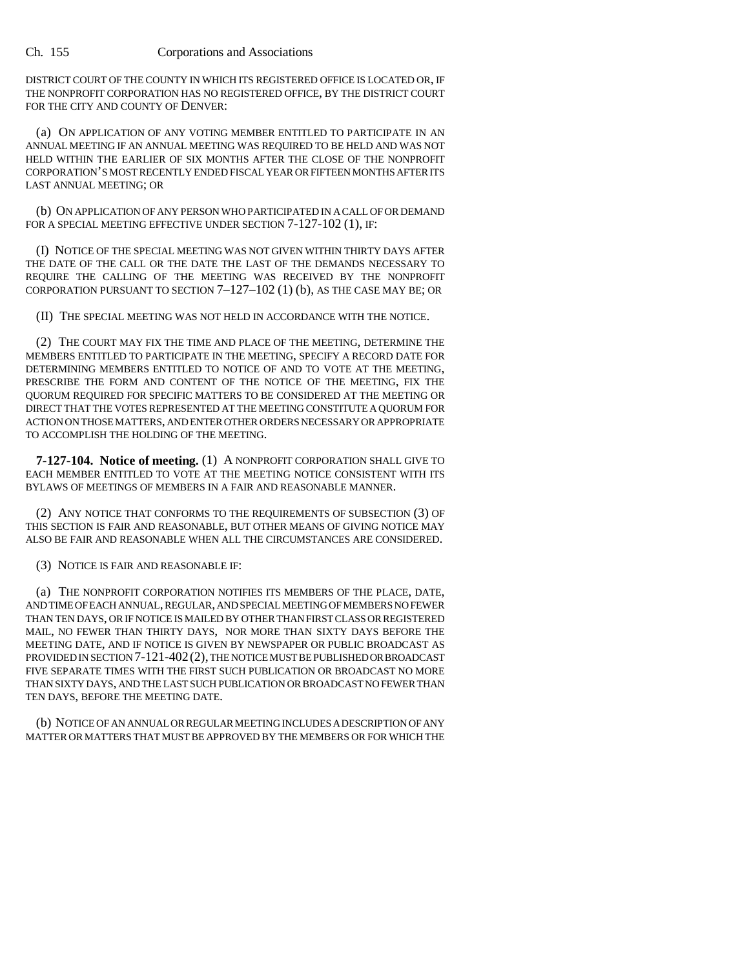DISTRICT COURT OF THE COUNTY IN WHICH ITS REGISTERED OFFICE IS LOCATED OR, IF THE NONPROFIT CORPORATION HAS NO REGISTERED OFFICE, BY THE DISTRICT COURT FOR THE CITY AND COUNTY OF DENVER:

(a) ON APPLICATION OF ANY VOTING MEMBER ENTITLED TO PARTICIPATE IN AN ANNUAL MEETING IF AN ANNUAL MEETING WAS REQUIRED TO BE HELD AND WAS NOT HELD WITHIN THE EARLIER OF SIX MONTHS AFTER THE CLOSE OF THE NONPROFIT CORPORATION'S MOST RECENTLY ENDED FISCAL YEAR OR FIFTEEN MONTHS AFTER ITS LAST ANNUAL MEETING; OR

(b) ON APPLICATION OF ANY PERSON WHO PARTICIPATED IN A CALL OF OR DEMAND FOR A SPECIAL MEETING EFFECTIVE UNDER SECTION 7-127-102 (1), IF:

(I) NOTICE OF THE SPECIAL MEETING WAS NOT GIVEN WITHIN THIRTY DAYS AFTER THE DATE OF THE CALL OR THE DATE THE LAST OF THE DEMANDS NECESSARY TO REQUIRE THE CALLING OF THE MEETING WAS RECEIVED BY THE NONPROFIT CORPORATION PURSUANT TO SECTION  $7-127-102$  (1) (b), AS THE CASE MAY BE; OR

(II) THE SPECIAL MEETING WAS NOT HELD IN ACCORDANCE WITH THE NOTICE.

(2) THE COURT MAY FIX THE TIME AND PLACE OF THE MEETING, DETERMINE THE MEMBERS ENTITLED TO PARTICIPATE IN THE MEETING, SPECIFY A RECORD DATE FOR DETERMINING MEMBERS ENTITLED TO NOTICE OF AND TO VOTE AT THE MEETING, PRESCRIBE THE FORM AND CONTENT OF THE NOTICE OF THE MEETING, FIX THE QUORUM REQUIRED FOR SPECIFIC MATTERS TO BE CONSIDERED AT THE MEETING OR DIRECT THAT THE VOTES REPRESENTED AT THE MEETING CONSTITUTE A QUORUM FOR ACTION ON THOSE MATTERS, AND ENTER OTHER ORDERS NECESSARY OR APPROPRIATE TO ACCOMPLISH THE HOLDING OF THE MEETING.

**7-127-104. Notice of meeting.** (1) A NONPROFIT CORPORATION SHALL GIVE TO EACH MEMBER ENTITLED TO VOTE AT THE MEETING NOTICE CONSISTENT WITH ITS BYLAWS OF MEETINGS OF MEMBERS IN A FAIR AND REASONABLE MANNER.

(2) ANY NOTICE THAT CONFORMS TO THE REQUIREMENTS OF SUBSECTION (3) OF THIS SECTION IS FAIR AND REASONABLE, BUT OTHER MEANS OF GIVING NOTICE MAY ALSO BE FAIR AND REASONABLE WHEN ALL THE CIRCUMSTANCES ARE CONSIDERED.

#### (3) NOTICE IS FAIR AND REASONABLE IF:

(a) THE NONPROFIT CORPORATION NOTIFIES ITS MEMBERS OF THE PLACE, DATE, AND TIME OF EACH ANNUAL, REGULAR, AND SPECIAL MEETING OF MEMBERS NO FEWER THAN TEN DAYS, OR IF NOTICE IS MAILED BY OTHER THAN FIRST CLASS OR REGISTERED MAIL, NO FEWER THAN THIRTY DAYS, NOR MORE THAN SIXTY DAYS BEFORE THE MEETING DATE, AND IF NOTICE IS GIVEN BY NEWSPAPER OR PUBLIC BROADCAST AS PROVIDED IN SECTION 7-121-402(2), THE NOTICE MUST BE PUBLISHED OR BROADCAST FIVE SEPARATE TIMES WITH THE FIRST SUCH PUBLICATION OR BROADCAST NO MORE THAN SIXTY DAYS, AND THE LAST SUCH PUBLICATION OR BROADCAST NO FEWER THAN TEN DAYS, BEFORE THE MEETING DATE.

(b) NOTICE OF AN ANNUAL OR REGULAR MEETING INCLUDES A DESCRIPTION OF ANY MATTER OR MATTERS THAT MUST BE APPROVED BY THE MEMBERS OR FOR WHICH THE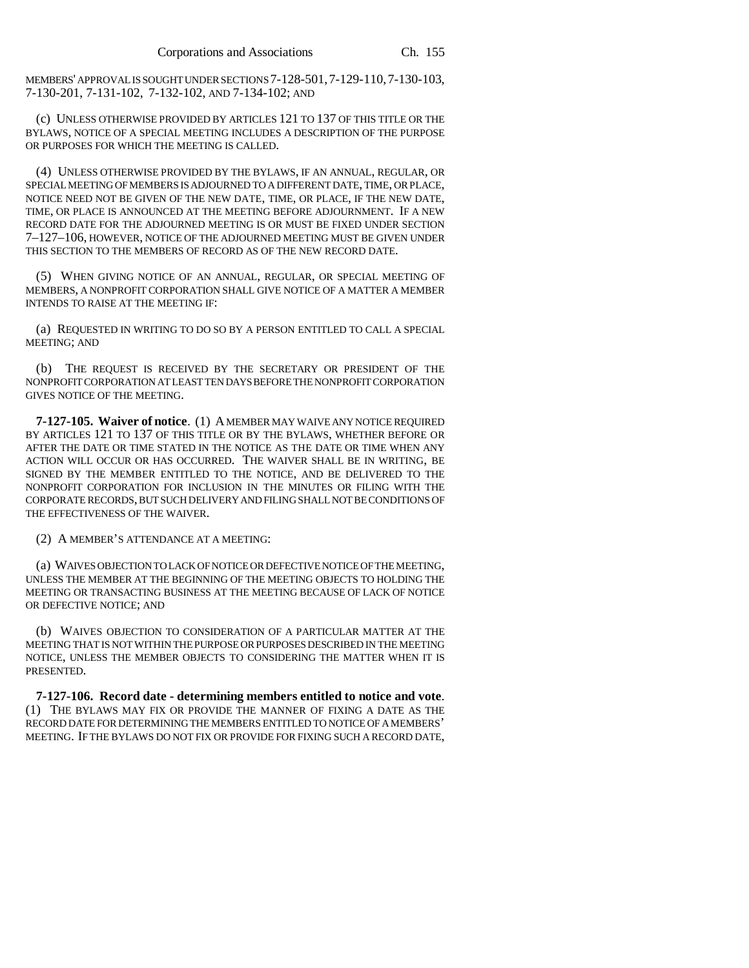MEMBERS' APPROVAL IS SOUGHT UNDER SECTIONS 7-128-501,7-129-110,7-130-103, 7-130-201, 7-131-102, 7-132-102, AND 7-134-102; AND

(c) UNLESS OTHERWISE PROVIDED BY ARTICLES 121 TO 137 OF THIS TITLE OR THE BYLAWS, NOTICE OF A SPECIAL MEETING INCLUDES A DESCRIPTION OF THE PURPOSE OR PURPOSES FOR WHICH THE MEETING IS CALLED.

(4) UNLESS OTHERWISE PROVIDED BY THE BYLAWS, IF AN ANNUAL, REGULAR, OR SPECIAL MEETING OF MEMBERS IS ADJOURNED TO A DIFFERENT DATE, TIME, OR PLACE, NOTICE NEED NOT BE GIVEN OF THE NEW DATE, TIME, OR PLACE, IF THE NEW DATE, TIME, OR PLACE IS ANNOUNCED AT THE MEETING BEFORE ADJOURNMENT. IF A NEW RECORD DATE FOR THE ADJOURNED MEETING IS OR MUST BE FIXED UNDER SECTION 7–127–106, HOWEVER, NOTICE OF THE ADJOURNED MEETING MUST BE GIVEN UNDER THIS SECTION TO THE MEMBERS OF RECORD AS OF THE NEW RECORD DATE.

(5) WHEN GIVING NOTICE OF AN ANNUAL, REGULAR, OR SPECIAL MEETING OF MEMBERS, A NONPROFIT CORPORATION SHALL GIVE NOTICE OF A MATTER A MEMBER INTENDS TO RAISE AT THE MEETING IF:

(a) REQUESTED IN WRITING TO DO SO BY A PERSON ENTITLED TO CALL A SPECIAL MEETING; AND

(b) THE REQUEST IS RECEIVED BY THE SECRETARY OR PRESIDENT OF THE NONPROFIT CORPORATION AT LEAST TEN DAYS BEFORE THE NONPROFIT CORPORATION GIVES NOTICE OF THE MEETING.

**7-127-105. Waiver of notice**. (1) A MEMBER MAY WAIVE ANY NOTICE REQUIRED BY ARTICLES 121 TO 137 OF THIS TITLE OR BY THE BYLAWS, WHETHER BEFORE OR AFTER THE DATE OR TIME STATED IN THE NOTICE AS THE DATE OR TIME WHEN ANY ACTION WILL OCCUR OR HAS OCCURRED. THE WAIVER SHALL BE IN WRITING, BE SIGNED BY THE MEMBER ENTITLED TO THE NOTICE, AND BE DELIVERED TO THE NONPROFIT CORPORATION FOR INCLUSION IN THE MINUTES OR FILING WITH THE CORPORATE RECORDS, BUT SUCH DELIVERY AND FILING SHALL NOT BE CONDITIONS OF THE EFFECTIVENESS OF THE WAIVER.

(2) A MEMBER'S ATTENDANCE AT A MEETING:

(a) WAIVES OBJECTION TO LACK OF NOTICE OR DEFECTIVE NOTICE OF THE MEETING, UNLESS THE MEMBER AT THE BEGINNING OF THE MEETING OBJECTS TO HOLDING THE MEETING OR TRANSACTING BUSINESS AT THE MEETING BECAUSE OF LACK OF NOTICE OR DEFECTIVE NOTICE; AND

(b) WAIVES OBJECTION TO CONSIDERATION OF A PARTICULAR MATTER AT THE MEETING THAT IS NOT WITHIN THE PURPOSE OR PURPOSES DESCRIBED IN THE MEETING NOTICE, UNLESS THE MEMBER OBJECTS TO CONSIDERING THE MATTER WHEN IT IS PRESENTED.

**7-127-106. Record date - determining members entitled to notice and vote**. (1) THE BYLAWS MAY FIX OR PROVIDE THE MANNER OF FIXING A DATE AS THE RECORD DATE FOR DETERMINING THE MEMBERS ENTITLED TO NOTICE OF A MEMBERS' MEETING. IF THE BYLAWS DO NOT FIX OR PROVIDE FOR FIXING SUCH A RECORD DATE,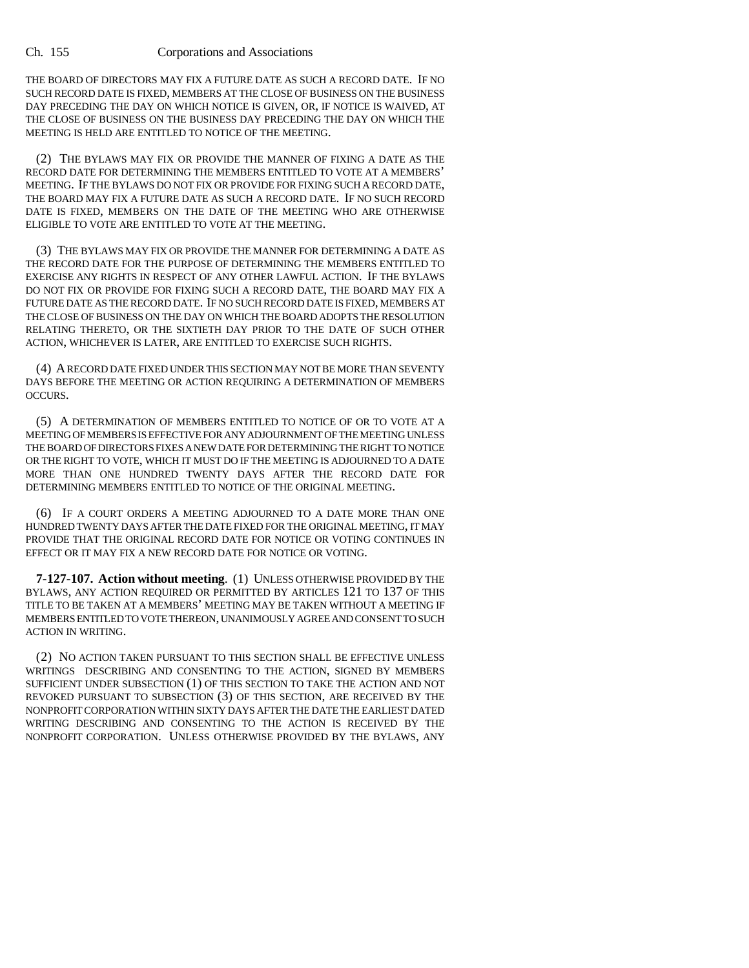THE BOARD OF DIRECTORS MAY FIX A FUTURE DATE AS SUCH A RECORD DATE. IF NO SUCH RECORD DATE IS FIXED, MEMBERS AT THE CLOSE OF BUSINESS ON THE BUSINESS DAY PRECEDING THE DAY ON WHICH NOTICE IS GIVEN, OR, IF NOTICE IS WAIVED, AT THE CLOSE OF BUSINESS ON THE BUSINESS DAY PRECEDING THE DAY ON WHICH THE MEETING IS HELD ARE ENTITLED TO NOTICE OF THE MEETING.

(2) THE BYLAWS MAY FIX OR PROVIDE THE MANNER OF FIXING A DATE AS THE RECORD DATE FOR DETERMINING THE MEMBERS ENTITLED TO VOTE AT A MEMBERS' MEETING. IF THE BYLAWS DO NOT FIX OR PROVIDE FOR FIXING SUCH A RECORD DATE, THE BOARD MAY FIX A FUTURE DATE AS SUCH A RECORD DATE. IF NO SUCH RECORD DATE IS FIXED, MEMBERS ON THE DATE OF THE MEETING WHO ARE OTHERWISE ELIGIBLE TO VOTE ARE ENTITLED TO VOTE AT THE MEETING.

(3) THE BYLAWS MAY FIX OR PROVIDE THE MANNER FOR DETERMINING A DATE AS THE RECORD DATE FOR THE PURPOSE OF DETERMINING THE MEMBERS ENTITLED TO EXERCISE ANY RIGHTS IN RESPECT OF ANY OTHER LAWFUL ACTION. IF THE BYLAWS DO NOT FIX OR PROVIDE FOR FIXING SUCH A RECORD DATE, THE BOARD MAY FIX A FUTURE DATE AS THE RECORD DATE. IF NO SUCH RECORD DATE IS FIXED, MEMBERS AT THE CLOSE OF BUSINESS ON THE DAY ON WHICH THE BOARD ADOPTS THE RESOLUTION RELATING THERETO, OR THE SIXTIETH DAY PRIOR TO THE DATE OF SUCH OTHER ACTION, WHICHEVER IS LATER, ARE ENTITLED TO EXERCISE SUCH RIGHTS.

(4) A RECORD DATE FIXED UNDER THIS SECTION MAY NOT BE MORE THAN SEVENTY DAYS BEFORE THE MEETING OR ACTION REQUIRING A DETERMINATION OF MEMBERS OCCURS.

(5) A DETERMINATION OF MEMBERS ENTITLED TO NOTICE OF OR TO VOTE AT A MEETING OF MEMBERS IS EFFECTIVE FOR ANY ADJOURNMENT OF THE MEETING UNLESS THE BOARD OF DIRECTORS FIXES A NEW DATE FOR DETERMINING THE RIGHT TO NOTICE OR THE RIGHT TO VOTE, WHICH IT MUST DO IF THE MEETING IS ADJOURNED TO A DATE MORE THAN ONE HUNDRED TWENTY DAYS AFTER THE RECORD DATE FOR DETERMINING MEMBERS ENTITLED TO NOTICE OF THE ORIGINAL MEETING.

(6) IF A COURT ORDERS A MEETING ADJOURNED TO A DATE MORE THAN ONE HUNDRED TWENTY DAYS AFTER THE DATE FIXED FOR THE ORIGINAL MEETING, IT MAY PROVIDE THAT THE ORIGINAL RECORD DATE FOR NOTICE OR VOTING CONTINUES IN EFFECT OR IT MAY FIX A NEW RECORD DATE FOR NOTICE OR VOTING.

**7-127-107. Action without meeting**. (1) UNLESS OTHERWISE PROVIDED BY THE BYLAWS, ANY ACTION REQUIRED OR PERMITTED BY ARTICLES 121 TO 137 OF THIS TITLE TO BE TAKEN AT A MEMBERS' MEETING MAY BE TAKEN WITHOUT A MEETING IF MEMBERS ENTITLED TO VOTE THEREON, UNANIMOUSLY AGREE AND CONSENT TO SUCH ACTION IN WRITING.

(2) NO ACTION TAKEN PURSUANT TO THIS SECTION SHALL BE EFFECTIVE UNLESS WRITINGS DESCRIBING AND CONSENTING TO THE ACTION, SIGNED BY MEMBERS SUFFICIENT UNDER SUBSECTION (1) OF THIS SECTION TO TAKE THE ACTION AND NOT REVOKED PURSUANT TO SUBSECTION (3) OF THIS SECTION, ARE RECEIVED BY THE NONPROFIT CORPORATION WITHIN SIXTY DAYS AFTER THE DATE THE EARLIEST DATED WRITING DESCRIBING AND CONSENTING TO THE ACTION IS RECEIVED BY THE NONPROFIT CORPORATION. UNLESS OTHERWISE PROVIDED BY THE BYLAWS, ANY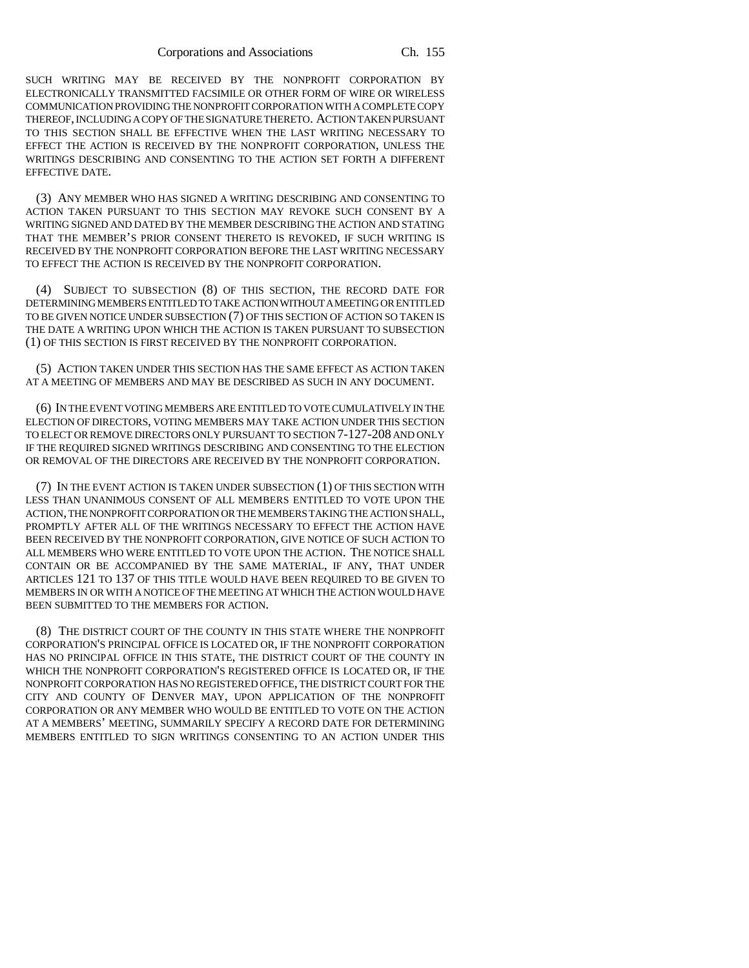SUCH WRITING MAY BE RECEIVED BY THE NONPROFIT CORPORATION BY ELECTRONICALLY TRANSMITTED FACSIMILE OR OTHER FORM OF WIRE OR WIRELESS COMMUNICATION PROVIDING THE NONPROFIT CORPORATION WITH A COMPLETE COPY THEREOF, INCLUDING A COPY OF THE SIGNATURE THERETO. ACTION TAKEN PURSUANT TO THIS SECTION SHALL BE EFFECTIVE WHEN THE LAST WRITING NECESSARY TO EFFECT THE ACTION IS RECEIVED BY THE NONPROFIT CORPORATION, UNLESS THE WRITINGS DESCRIBING AND CONSENTING TO THE ACTION SET FORTH A DIFFERENT EFFECTIVE DATE.

(3) ANY MEMBER WHO HAS SIGNED A WRITING DESCRIBING AND CONSENTING TO ACTION TAKEN PURSUANT TO THIS SECTION MAY REVOKE SUCH CONSENT BY A WRITING SIGNED AND DATED BY THE MEMBER DESCRIBING THE ACTION AND STATING THAT THE MEMBER'S PRIOR CONSENT THERETO IS REVOKED, IF SUCH WRITING IS RECEIVED BY THE NONPROFIT CORPORATION BEFORE THE LAST WRITING NECESSARY TO EFFECT THE ACTION IS RECEIVED BY THE NONPROFIT CORPORATION.

(4) SUBJECT TO SUBSECTION (8) OF THIS SECTION, THE RECORD DATE FOR DETERMINING MEMBERS ENTITLED TO TAKE ACTION WITHOUT A MEETING OR ENTITLED TO BE GIVEN NOTICE UNDER SUBSECTION (7) OF THIS SECTION OF ACTION SO TAKEN IS THE DATE A WRITING UPON WHICH THE ACTION IS TAKEN PURSUANT TO SUBSECTION (1) OF THIS SECTION IS FIRST RECEIVED BY THE NONPROFIT CORPORATION.

(5) ACTION TAKEN UNDER THIS SECTION HAS THE SAME EFFECT AS ACTION TAKEN AT A MEETING OF MEMBERS AND MAY BE DESCRIBED AS SUCH IN ANY DOCUMENT.

(6) IN THE EVENT VOTING MEMBERS ARE ENTITLED TO VOTE CUMULATIVELY IN THE ELECTION OF DIRECTORS, VOTING MEMBERS MAY TAKE ACTION UNDER THIS SECTION TO ELECT OR REMOVE DIRECTORS ONLY PURSUANT TO SECTION 7-127-208 AND ONLY IF THE REQUIRED SIGNED WRITINGS DESCRIBING AND CONSENTING TO THE ELECTION OR REMOVAL OF THE DIRECTORS ARE RECEIVED BY THE NONPROFIT CORPORATION.

(7) IN THE EVENT ACTION IS TAKEN UNDER SUBSECTION (1) OF THIS SECTION WITH LESS THAN UNANIMOUS CONSENT OF ALL MEMBERS ENTITLED TO VOTE UPON THE ACTION, THE NONPROFIT CORPORATION OR THE MEMBERS TAKING THE ACTION SHALL, PROMPTLY AFTER ALL OF THE WRITINGS NECESSARY TO EFFECT THE ACTION HAVE BEEN RECEIVED BY THE NONPROFIT CORPORATION, GIVE NOTICE OF SUCH ACTION TO ALL MEMBERS WHO WERE ENTITLED TO VOTE UPON THE ACTION. THE NOTICE SHALL CONTAIN OR BE ACCOMPANIED BY THE SAME MATERIAL, IF ANY, THAT UNDER ARTICLES 121 TO 137 OF THIS TITLE WOULD HAVE BEEN REQUIRED TO BE GIVEN TO MEMBERS IN OR WITH A NOTICE OF THE MEETING AT WHICH THE ACTION WOULD HAVE BEEN SUBMITTED TO THE MEMBERS FOR ACTION.

(8) THE DISTRICT COURT OF THE COUNTY IN THIS STATE WHERE THE NONPROFIT CORPORATION'S PRINCIPAL OFFICE IS LOCATED OR, IF THE NONPROFIT CORPORATION HAS NO PRINCIPAL OFFICE IN THIS STATE, THE DISTRICT COURT OF THE COUNTY IN WHICH THE NONPROFIT CORPORATION'S REGISTERED OFFICE IS LOCATED OR, IF THE NONPROFIT CORPORATION HAS NO REGISTERED OFFICE, THE DISTRICT COURT FOR THE CITY AND COUNTY OF DENVER MAY, UPON APPLICATION OF THE NONPROFIT CORPORATION OR ANY MEMBER WHO WOULD BE ENTITLED TO VOTE ON THE ACTION AT A MEMBERS' MEETING, SUMMARILY SPECIFY A RECORD DATE FOR DETERMINING MEMBERS ENTITLED TO SIGN WRITINGS CONSENTING TO AN ACTION UNDER THIS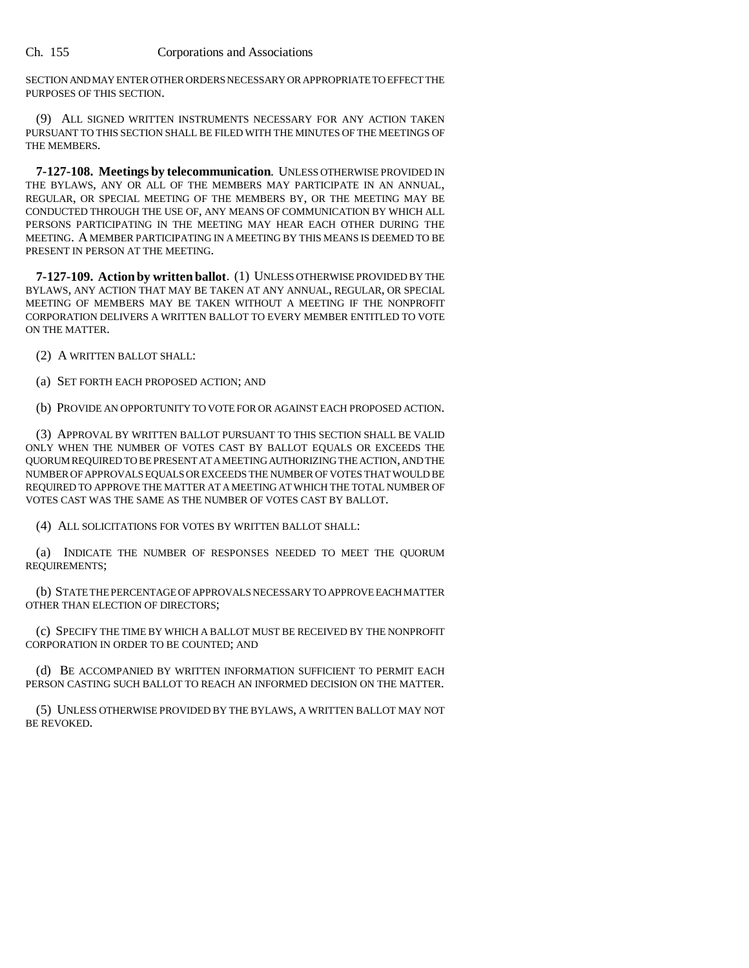SECTION AND MAY ENTER OTHER ORDERS NECESSARY OR APPROPRIATE TO EFFECT THE PURPOSES OF THIS SECTION.

(9) ALL SIGNED WRITTEN INSTRUMENTS NECESSARY FOR ANY ACTION TAKEN PURSUANT TO THIS SECTION SHALL BE FILED WITH THE MINUTES OF THE MEETINGS OF THE MEMBERS.

**7-127-108. Meetings by telecommunication**. UNLESS OTHERWISE PROVIDED IN THE BYLAWS, ANY OR ALL OF THE MEMBERS MAY PARTICIPATE IN AN ANNUAL, REGULAR, OR SPECIAL MEETING OF THE MEMBERS BY, OR THE MEETING MAY BE CONDUCTED THROUGH THE USE OF, ANY MEANS OF COMMUNICATION BY WHICH ALL PERSONS PARTICIPATING IN THE MEETING MAY HEAR EACH OTHER DURING THE MEETING. A MEMBER PARTICIPATING IN A MEETING BY THIS MEANS IS DEEMED TO BE PRESENT IN PERSON AT THE MEETING.

**7-127-109. Action by written ballot**. (1) UNLESS OTHERWISE PROVIDED BY THE BYLAWS, ANY ACTION THAT MAY BE TAKEN AT ANY ANNUAL, REGULAR, OR SPECIAL MEETING OF MEMBERS MAY BE TAKEN WITHOUT A MEETING IF THE NONPROFIT CORPORATION DELIVERS A WRITTEN BALLOT TO EVERY MEMBER ENTITLED TO VOTE ON THE MATTER.

(2) A WRITTEN BALLOT SHALL:

(a) SET FORTH EACH PROPOSED ACTION; AND

(b) PROVIDE AN OPPORTUNITY TO VOTE FOR OR AGAINST EACH PROPOSED ACTION.

(3) APPROVAL BY WRITTEN BALLOT PURSUANT TO THIS SECTION SHALL BE VALID ONLY WHEN THE NUMBER OF VOTES CAST BY BALLOT EQUALS OR EXCEEDS THE QUORUM REQUIRED TO BE PRESENT AT A MEETING AUTHORIZING THE ACTION, AND THE NUMBER OF APPROVALS EQUALS OR EXCEEDS THE NUMBER OF VOTES THAT WOULD BE REQUIRED TO APPROVE THE MATTER AT A MEETING AT WHICH THE TOTAL NUMBER OF VOTES CAST WAS THE SAME AS THE NUMBER OF VOTES CAST BY BALLOT.

(4) ALL SOLICITATIONS FOR VOTES BY WRITTEN BALLOT SHALL:

(a) INDICATE THE NUMBER OF RESPONSES NEEDED TO MEET THE QUORUM REQUIREMENTS;

(b) STATE THE PERCENTAGE OF APPROVALS NECESSARY TO APPROVE EACH MATTER OTHER THAN ELECTION OF DIRECTORS;

(c) SPECIFY THE TIME BY WHICH A BALLOT MUST BE RECEIVED BY THE NONPROFIT CORPORATION IN ORDER TO BE COUNTED; AND

(d) BE ACCOMPANIED BY WRITTEN INFORMATION SUFFICIENT TO PERMIT EACH PERSON CASTING SUCH BALLOT TO REACH AN INFORMED DECISION ON THE MATTER.

(5) UNLESS OTHERWISE PROVIDED BY THE BYLAWS, A WRITTEN BALLOT MAY NOT BE REVOKED.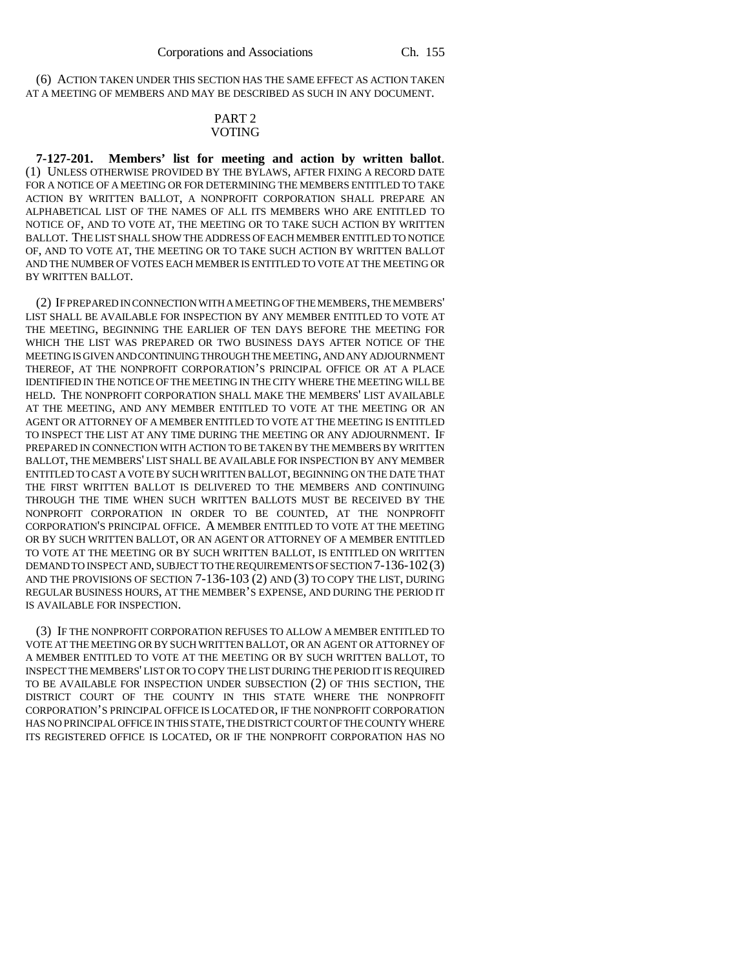(6) ACTION TAKEN UNDER THIS SECTION HAS THE SAME EFFECT AS ACTION TAKEN AT A MEETING OF MEMBERS AND MAY BE DESCRIBED AS SUCH IN ANY DOCUMENT.

#### PART 2 VOTING

**7-127-201. Members' list for meeting and action by written ballot**. (1) UNLESS OTHERWISE PROVIDED BY THE BYLAWS, AFTER FIXING A RECORD DATE FOR A NOTICE OF A MEETING OR FOR DETERMINING THE MEMBERS ENTITLED TO TAKE ACTION BY WRITTEN BALLOT, A NONPROFIT CORPORATION SHALL PREPARE AN ALPHABETICAL LIST OF THE NAMES OF ALL ITS MEMBERS WHO ARE ENTITLED TO NOTICE OF, AND TO VOTE AT, THE MEETING OR TO TAKE SUCH ACTION BY WRITTEN BALLOT. THE LIST SHALL SHOW THE ADDRESS OF EACH MEMBER ENTITLED TO NOTICE OF, AND TO VOTE AT, THE MEETING OR TO TAKE SUCH ACTION BY WRITTEN BALLOT AND THE NUMBER OF VOTES EACH MEMBER IS ENTITLED TO VOTE AT THE MEETING OR BY WRITTEN BALLOT.

(2) IF PREPARED IN CONNECTION WITH A MEETING OF THE MEMBERS, THE MEMBERS' LIST SHALL BE AVAILABLE FOR INSPECTION BY ANY MEMBER ENTITLED TO VOTE AT THE MEETING, BEGINNING THE EARLIER OF TEN DAYS BEFORE THE MEETING FOR WHICH THE LIST WAS PREPARED OR TWO BUSINESS DAYS AFTER NOTICE OF THE MEETING IS GIVEN AND CONTINUING THROUGH THE MEETING, AND ANY ADJOURNMENT THEREOF, AT THE NONPROFIT CORPORATION'S PRINCIPAL OFFICE OR AT A PLACE IDENTIFIED IN THE NOTICE OF THE MEETING IN THE CITY WHERE THE MEETING WILL BE HELD. THE NONPROFIT CORPORATION SHALL MAKE THE MEMBERS' LIST AVAILABLE AT THE MEETING, AND ANY MEMBER ENTITLED TO VOTE AT THE MEETING OR AN AGENT OR ATTORNEY OF A MEMBER ENTITLED TO VOTE AT THE MEETING IS ENTITLED TO INSPECT THE LIST AT ANY TIME DURING THE MEETING OR ANY ADJOURNMENT. IF PREPARED IN CONNECTION WITH ACTION TO BE TAKEN BY THE MEMBERS BY WRITTEN BALLOT, THE MEMBERS' LIST SHALL BE AVAILABLE FOR INSPECTION BY ANY MEMBER ENTITLED TO CAST A VOTE BY SUCH WRITTEN BALLOT, BEGINNING ON THE DATE THAT THE FIRST WRITTEN BALLOT IS DELIVERED TO THE MEMBERS AND CONTINUING THROUGH THE TIME WHEN SUCH WRITTEN BALLOTS MUST BE RECEIVED BY THE NONPROFIT CORPORATION IN ORDER TO BE COUNTED, AT THE NONPROFIT CORPORATION'S PRINCIPAL OFFICE. A MEMBER ENTITLED TO VOTE AT THE MEETING OR BY SUCH WRITTEN BALLOT, OR AN AGENT OR ATTORNEY OF A MEMBER ENTITLED TO VOTE AT THE MEETING OR BY SUCH WRITTEN BALLOT, IS ENTITLED ON WRITTEN DEMAND TO INSPECT AND, SUBJECT TO THE REQUIREMENTS OF SECTION 7-136-102(3) AND THE PROVISIONS OF SECTION 7-136-103 (2) AND (3) TO COPY THE LIST, DURING REGULAR BUSINESS HOURS, AT THE MEMBER'S EXPENSE, AND DURING THE PERIOD IT IS AVAILABLE FOR INSPECTION.

(3) IF THE NONPROFIT CORPORATION REFUSES TO ALLOW A MEMBER ENTITLED TO VOTE AT THE MEETING OR BY SUCH WRITTEN BALLOT, OR AN AGENT OR ATTORNEY OF A MEMBER ENTITLED TO VOTE AT THE MEETING OR BY SUCH WRITTEN BALLOT, TO INSPECT THE MEMBERS' LIST OR TO COPY THE LIST DURING THE PERIOD IT IS REQUIRED TO BE AVAILABLE FOR INSPECTION UNDER SUBSECTION (2) OF THIS SECTION, THE DISTRICT COURT OF THE COUNTY IN THIS STATE WHERE THE NONPROFIT CORPORATION'S PRINCIPAL OFFICE IS LOCATED OR, IF THE NONPROFIT CORPORATION HAS NO PRINCIPAL OFFICE IN THIS STATE, THE DISTRICT COURT OF THE COUNTY WHERE ITS REGISTERED OFFICE IS LOCATED, OR IF THE NONPROFIT CORPORATION HAS NO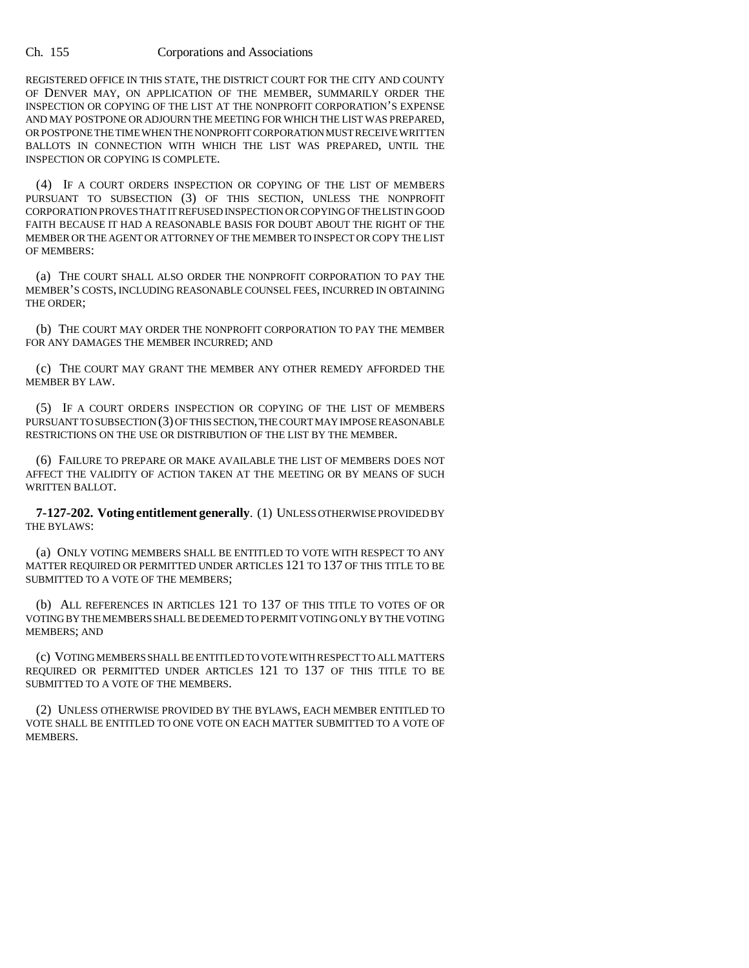Ch. 155 Corporations and Associations

REGISTERED OFFICE IN THIS STATE, THE DISTRICT COURT FOR THE CITY AND COUNTY OF DENVER MAY, ON APPLICATION OF THE MEMBER, SUMMARILY ORDER THE INSPECTION OR COPYING OF THE LIST AT THE NONPROFIT CORPORATION'S EXPENSE AND MAY POSTPONE OR ADJOURN THE MEETING FOR WHICH THE LIST WAS PREPARED, OR POSTPONE THE TIME WHEN THE NONPROFIT CORPORATION MUST RECEIVE WRITTEN BALLOTS IN CONNECTION WITH WHICH THE LIST WAS PREPARED, UNTIL THE INSPECTION OR COPYING IS COMPLETE.

(4) IF A COURT ORDERS INSPECTION OR COPYING OF THE LIST OF MEMBERS PURSUANT TO SUBSECTION (3) OF THIS SECTION, UNLESS THE NONPROFIT CORPORATION PROVES THAT IT REFUSED INSPECTION OR COPYING OF THE LIST IN GOOD FAITH BECAUSE IT HAD A REASONABLE BASIS FOR DOUBT ABOUT THE RIGHT OF THE MEMBER OR THE AGENT OR ATTORNEY OF THE MEMBER TO INSPECT OR COPY THE LIST OF MEMBERS:

(a) THE COURT SHALL ALSO ORDER THE NONPROFIT CORPORATION TO PAY THE MEMBER'S COSTS, INCLUDING REASONABLE COUNSEL FEES, INCURRED IN OBTAINING THE ORDER;

(b) THE COURT MAY ORDER THE NONPROFIT CORPORATION TO PAY THE MEMBER FOR ANY DAMAGES THE MEMBER INCURRED; AND

(c) THE COURT MAY GRANT THE MEMBER ANY OTHER REMEDY AFFORDED THE MEMBER BY LAW.

(5) IF A COURT ORDERS INSPECTION OR COPYING OF THE LIST OF MEMBERS PURSUANT TO SUBSECTION (3) OF THIS SECTION, THE COURT MAY IMPOSE REASONABLE RESTRICTIONS ON THE USE OR DISTRIBUTION OF THE LIST BY THE MEMBER.

(6) FAILURE TO PREPARE OR MAKE AVAILABLE THE LIST OF MEMBERS DOES NOT AFFECT THE VALIDITY OF ACTION TAKEN AT THE MEETING OR BY MEANS OF SUCH WRITTEN BALLOT.

**7-127-202. Voting entitlement generally**. (1) UNLESS OTHERWISE PROVIDED BY THE BYLAWS:

(a) ONLY VOTING MEMBERS SHALL BE ENTITLED TO VOTE WITH RESPECT TO ANY MATTER REQUIRED OR PERMITTED UNDER ARTICLES 121 TO 137 OF THIS TITLE TO BE SUBMITTED TO A VOTE OF THE MEMBERS;

(b) ALL REFERENCES IN ARTICLES 121 TO 137 OF THIS TITLE TO VOTES OF OR VOTING BY THE MEMBERS SHALL BE DEEMED TO PERMIT VOTING ONLY BY THE VOTING MEMBERS; AND

(c) VOTING MEMBERS SHALL BE ENTITLED TO VOTE WITH RESPECT TO ALL MATTERS REQUIRED OR PERMITTED UNDER ARTICLES 121 TO 137 OF THIS TITLE TO BE SUBMITTED TO A VOTE OF THE MEMBERS.

(2) UNLESS OTHERWISE PROVIDED BY THE BYLAWS, EACH MEMBER ENTITLED TO VOTE SHALL BE ENTITLED TO ONE VOTE ON EACH MATTER SUBMITTED TO A VOTE OF MEMBERS.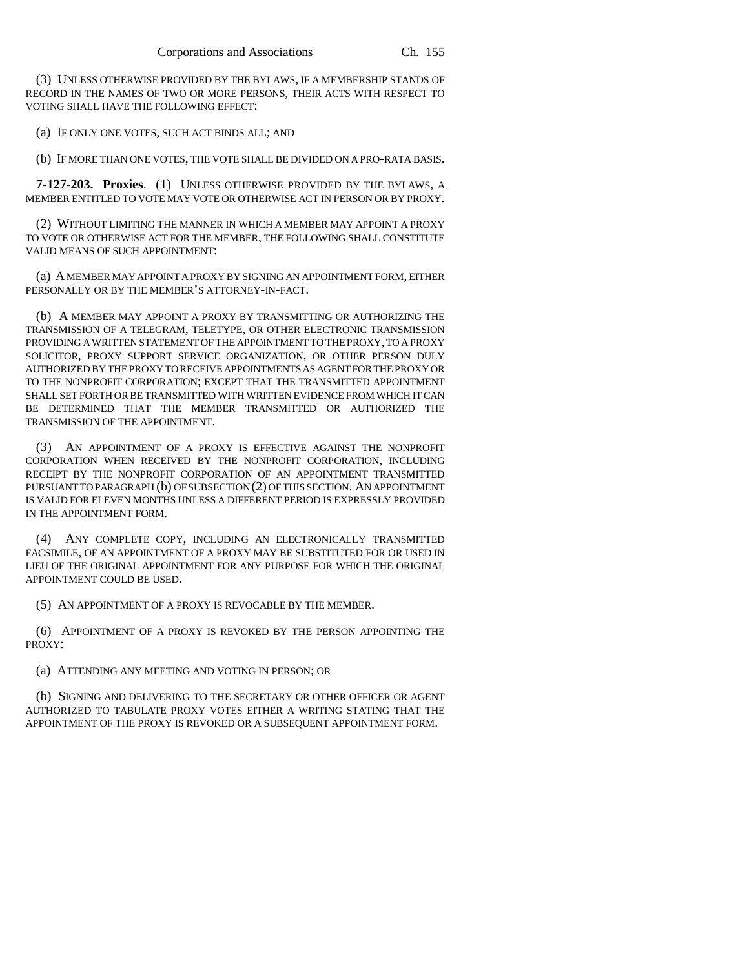(3) UNLESS OTHERWISE PROVIDED BY THE BYLAWS, IF A MEMBERSHIP STANDS OF RECORD IN THE NAMES OF TWO OR MORE PERSONS, THEIR ACTS WITH RESPECT TO VOTING SHALL HAVE THE FOLLOWING EFFECT:

(a) IF ONLY ONE VOTES, SUCH ACT BINDS ALL; AND

(b) IF MORE THAN ONE VOTES, THE VOTE SHALL BE DIVIDED ON A PRO-RATA BASIS.

**7-127-203. Proxies**. (1) UNLESS OTHERWISE PROVIDED BY THE BYLAWS, A MEMBER ENTITLED TO VOTE MAY VOTE OR OTHERWISE ACT IN PERSON OR BY PROXY.

(2) WITHOUT LIMITING THE MANNER IN WHICH A MEMBER MAY APPOINT A PROXY TO VOTE OR OTHERWISE ACT FOR THE MEMBER, THE FOLLOWING SHALL CONSTITUTE VALID MEANS OF SUCH APPOINTMENT:

(a) A MEMBER MAY APPOINT A PROXY BY SIGNING AN APPOINTMENT FORM, EITHER PERSONALLY OR BY THE MEMBER'S ATTORNEY-IN-FACT.

(b) A MEMBER MAY APPOINT A PROXY BY TRANSMITTING OR AUTHORIZING THE TRANSMISSION OF A TELEGRAM, TELETYPE, OR OTHER ELECTRONIC TRANSMISSION PROVIDING A WRITTEN STATEMENT OF THE APPOINTMENT TO THE PROXY, TO A PROXY SOLICITOR, PROXY SUPPORT SERVICE ORGANIZATION, OR OTHER PERSON DULY AUTHORIZED BY THE PROXY TO RECEIVE APPOINTMENTS AS AGENT FOR THE PROXY OR TO THE NONPROFIT CORPORATION; EXCEPT THAT THE TRANSMITTED APPOINTMENT SHALL SET FORTH OR BE TRANSMITTED WITH WRITTEN EVIDENCE FROM WHICH IT CAN BE DETERMINED THAT THE MEMBER TRANSMITTED OR AUTHORIZED THE TRANSMISSION OF THE APPOINTMENT.

(3) AN APPOINTMENT OF A PROXY IS EFFECTIVE AGAINST THE NONPROFIT CORPORATION WHEN RECEIVED BY THE NONPROFIT CORPORATION, INCLUDING RECEIPT BY THE NONPROFIT CORPORATION OF AN APPOINTMENT TRANSMITTED PURSUANT TO PARAGRAPH (b) OF SUBSECTION (2) OF THIS SECTION. AN APPOINTMENT IS VALID FOR ELEVEN MONTHS UNLESS A DIFFERENT PERIOD IS EXPRESSLY PROVIDED IN THE APPOINTMENT FORM.

(4) ANY COMPLETE COPY, INCLUDING AN ELECTRONICALLY TRANSMITTED FACSIMILE, OF AN APPOINTMENT OF A PROXY MAY BE SUBSTITUTED FOR OR USED IN LIEU OF THE ORIGINAL APPOINTMENT FOR ANY PURPOSE FOR WHICH THE ORIGINAL APPOINTMENT COULD BE USED.

(5) AN APPOINTMENT OF A PROXY IS REVOCABLE BY THE MEMBER.

(6) APPOINTMENT OF A PROXY IS REVOKED BY THE PERSON APPOINTING THE PROXY:

(a) ATTENDING ANY MEETING AND VOTING IN PERSON; OR

(b) SIGNING AND DELIVERING TO THE SECRETARY OR OTHER OFFICER OR AGENT AUTHORIZED TO TABULATE PROXY VOTES EITHER A WRITING STATING THAT THE APPOINTMENT OF THE PROXY IS REVOKED OR A SUBSEQUENT APPOINTMENT FORM.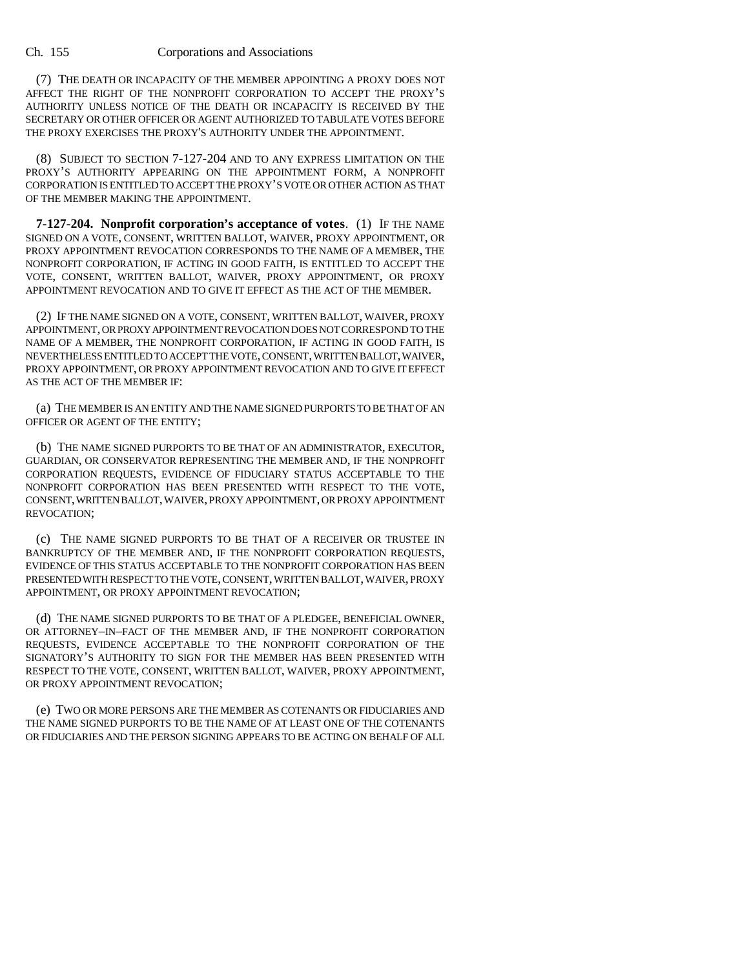#### Ch. 155 Corporations and Associations

(7) THE DEATH OR INCAPACITY OF THE MEMBER APPOINTING A PROXY DOES NOT AFFECT THE RIGHT OF THE NONPROFIT CORPORATION TO ACCEPT THE PROXY'S AUTHORITY UNLESS NOTICE OF THE DEATH OR INCAPACITY IS RECEIVED BY THE SECRETARY OR OTHER OFFICER OR AGENT AUTHORIZED TO TABULATE VOTES BEFORE THE PROXY EXERCISES THE PROXY'S AUTHORITY UNDER THE APPOINTMENT.

(8) SUBJECT TO SECTION 7-127-204 AND TO ANY EXPRESS LIMITATION ON THE PROXY'S AUTHORITY APPEARING ON THE APPOINTMENT FORM, A NONPROFIT CORPORATION IS ENTITLED TO ACCEPT THE PROXY'S VOTE OR OTHER ACTION AS THAT OF THE MEMBER MAKING THE APPOINTMENT.

**7-127-204. Nonprofit corporation's acceptance of votes**. (1) IF THE NAME SIGNED ON A VOTE, CONSENT, WRITTEN BALLOT, WAIVER, PROXY APPOINTMENT, OR PROXY APPOINTMENT REVOCATION CORRESPONDS TO THE NAME OF A MEMBER, THE NONPROFIT CORPORATION, IF ACTING IN GOOD FAITH, IS ENTITLED TO ACCEPT THE VOTE, CONSENT, WRITTEN BALLOT, WAIVER, PROXY APPOINTMENT, OR PROXY APPOINTMENT REVOCATION AND TO GIVE IT EFFECT AS THE ACT OF THE MEMBER.

(2) IF THE NAME SIGNED ON A VOTE, CONSENT, WRITTEN BALLOT, WAIVER, PROXY APPOINTMENT, OR PROXY APPOINTMENT REVOCATION DOES NOT CORRESPOND TO THE NAME OF A MEMBER, THE NONPROFIT CORPORATION, IF ACTING IN GOOD FAITH, IS NEVERTHELESS ENTITLED TO ACCEPT THE VOTE, CONSENT, WRITTEN BALLOT, WAIVER, PROXY APPOINTMENT, OR PROXY APPOINTMENT REVOCATION AND TO GIVE IT EFFECT AS THE ACT OF THE MEMBER IF:

(a) THE MEMBER IS AN ENTITY AND THE NAME SIGNED PURPORTS TO BE THAT OF AN OFFICER OR AGENT OF THE ENTITY;

(b) THE NAME SIGNED PURPORTS TO BE THAT OF AN ADMINISTRATOR, EXECUTOR, GUARDIAN, OR CONSERVATOR REPRESENTING THE MEMBER AND, IF THE NONPROFIT CORPORATION REQUESTS, EVIDENCE OF FIDUCIARY STATUS ACCEPTABLE TO THE NONPROFIT CORPORATION HAS BEEN PRESENTED WITH RESPECT TO THE VOTE, CONSENT, WRITTEN BALLOT, WAIVER, PROXY APPOINTMENT, OR PROXY APPOINTMENT REVOCATION;

(c) THE NAME SIGNED PURPORTS TO BE THAT OF A RECEIVER OR TRUSTEE IN BANKRUPTCY OF THE MEMBER AND, IF THE NONPROFIT CORPORATION REQUESTS, EVIDENCE OF THIS STATUS ACCEPTABLE TO THE NONPROFIT CORPORATION HAS BEEN PRESENTED WITH RESPECT TO THE VOTE, CONSENT, WRITTEN BALLOT, WAIVER, PROXY APPOINTMENT, OR PROXY APPOINTMENT REVOCATION;

(d) THE NAME SIGNED PURPORTS TO BE THAT OF A PLEDGEE, BENEFICIAL OWNER, OR ATTORNEY–IN–FACT OF THE MEMBER AND, IF THE NONPROFIT CORPORATION REQUESTS, EVIDENCE ACCEPTABLE TO THE NONPROFIT CORPORATION OF THE SIGNATORY'S AUTHORITY TO SIGN FOR THE MEMBER HAS BEEN PRESENTED WITH RESPECT TO THE VOTE, CONSENT, WRITTEN BALLOT, WAIVER, PROXY APPOINTMENT, OR PROXY APPOINTMENT REVOCATION;

(e) TWO OR MORE PERSONS ARE THE MEMBER AS COTENANTS OR FIDUCIARIES AND THE NAME SIGNED PURPORTS TO BE THE NAME OF AT LEAST ONE OF THE COTENANTS OR FIDUCIARIES AND THE PERSON SIGNING APPEARS TO BE ACTING ON BEHALF OF ALL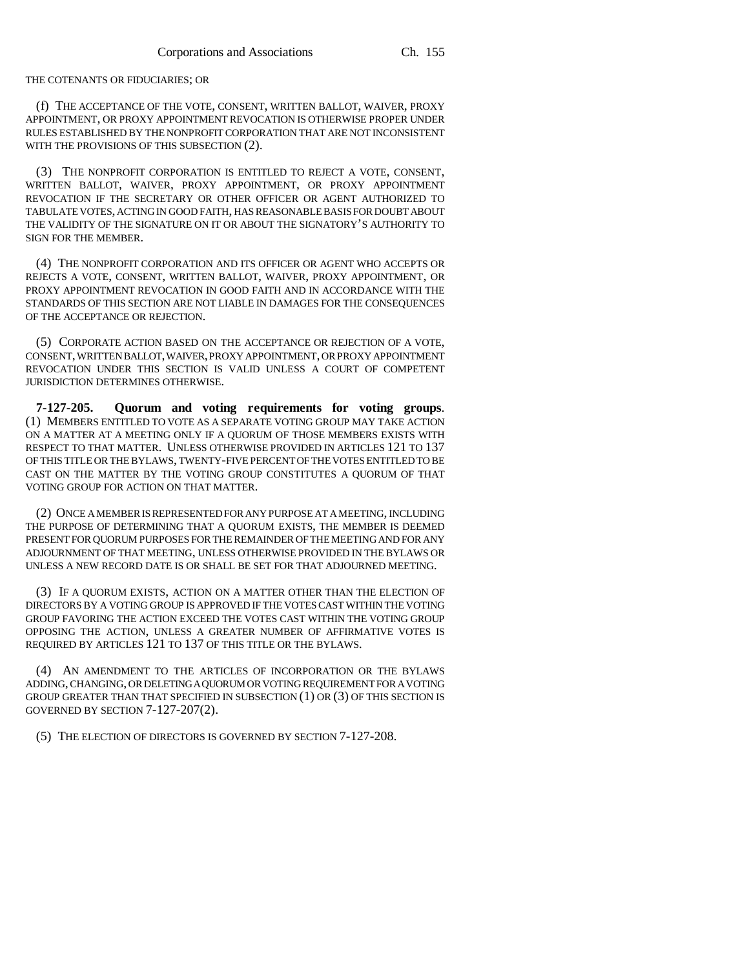THE COTENANTS OR FIDUCIARIES; OR

(f) THE ACCEPTANCE OF THE VOTE, CONSENT, WRITTEN BALLOT, WAIVER, PROXY APPOINTMENT, OR PROXY APPOINTMENT REVOCATION IS OTHERWISE PROPER UNDER RULES ESTABLISHED BY THE NONPROFIT CORPORATION THAT ARE NOT INCONSISTENT WITH THE PROVISIONS OF THIS SUBSECTION  $(2)$ .

(3) THE NONPROFIT CORPORATION IS ENTITLED TO REJECT A VOTE, CONSENT, WRITTEN BALLOT, WAIVER, PROXY APPOINTMENT, OR PROXY APPOINTMENT REVOCATION IF THE SECRETARY OR OTHER OFFICER OR AGENT AUTHORIZED TO TABULATE VOTES, ACTING IN GOOD FAITH, HAS REASONABLE BASIS FOR DOUBT ABOUT THE VALIDITY OF THE SIGNATURE ON IT OR ABOUT THE SIGNATORY'S AUTHORITY TO SIGN FOR THE MEMBER.

(4) THE NONPROFIT CORPORATION AND ITS OFFICER OR AGENT WHO ACCEPTS OR REJECTS A VOTE, CONSENT, WRITTEN BALLOT, WAIVER, PROXY APPOINTMENT, OR PROXY APPOINTMENT REVOCATION IN GOOD FAITH AND IN ACCORDANCE WITH THE STANDARDS OF THIS SECTION ARE NOT LIABLE IN DAMAGES FOR THE CONSEQUENCES OF THE ACCEPTANCE OR REJECTION.

(5) CORPORATE ACTION BASED ON THE ACCEPTANCE OR REJECTION OF A VOTE, CONSENT, WRITTEN BALLOT, WAIVER, PROXY APPOINTMENT, OR PROXY APPOINTMENT REVOCATION UNDER THIS SECTION IS VALID UNLESS A COURT OF COMPETENT JURISDICTION DETERMINES OTHERWISE.

**7-127-205. Quorum and voting requirements for voting groups**. (1) MEMBERS ENTITLED TO VOTE AS A SEPARATE VOTING GROUP MAY TAKE ACTION ON A MATTER AT A MEETING ONLY IF A QUORUM OF THOSE MEMBERS EXISTS WITH RESPECT TO THAT MATTER. UNLESS OTHERWISE PROVIDED IN ARTICLES 121 TO 137 OF THIS TITLE OR THE BYLAWS, TWENTY-FIVE PERCENT OF THE VOTES ENTITLED TO BE CAST ON THE MATTER BY THE VOTING GROUP CONSTITUTES A QUORUM OF THAT VOTING GROUP FOR ACTION ON THAT MATTER.

(2) ONCE A MEMBER IS REPRESENTED FOR ANY PURPOSE AT A MEETING, INCLUDING THE PURPOSE OF DETERMINING THAT A QUORUM EXISTS, THE MEMBER IS DEEMED PRESENT FOR QUORUM PURPOSES FOR THE REMAINDER OF THE MEETING AND FOR ANY ADJOURNMENT OF THAT MEETING, UNLESS OTHERWISE PROVIDED IN THE BYLAWS OR UNLESS A NEW RECORD DATE IS OR SHALL BE SET FOR THAT ADJOURNED MEETING.

(3) IF A QUORUM EXISTS, ACTION ON A MATTER OTHER THAN THE ELECTION OF DIRECTORS BY A VOTING GROUP IS APPROVED IF THE VOTES CAST WITHIN THE VOTING GROUP FAVORING THE ACTION EXCEED THE VOTES CAST WITHIN THE VOTING GROUP OPPOSING THE ACTION, UNLESS A GREATER NUMBER OF AFFIRMATIVE VOTES IS REQUIRED BY ARTICLES 121 TO 137 OF THIS TITLE OR THE BYLAWS.

(4) AN AMENDMENT TO THE ARTICLES OF INCORPORATION OR THE BYLAWS ADDING, CHANGING, OR DELETING A QUORUM OR VOTING REQUIREMENT FOR A VOTING GROUP GREATER THAN THAT SPECIFIED IN SUBSECTION (1) OR (3) OF THIS SECTION IS GOVERNED BY SECTION 7-127-207(2).

(5) THE ELECTION OF DIRECTORS IS GOVERNED BY SECTION 7-127-208.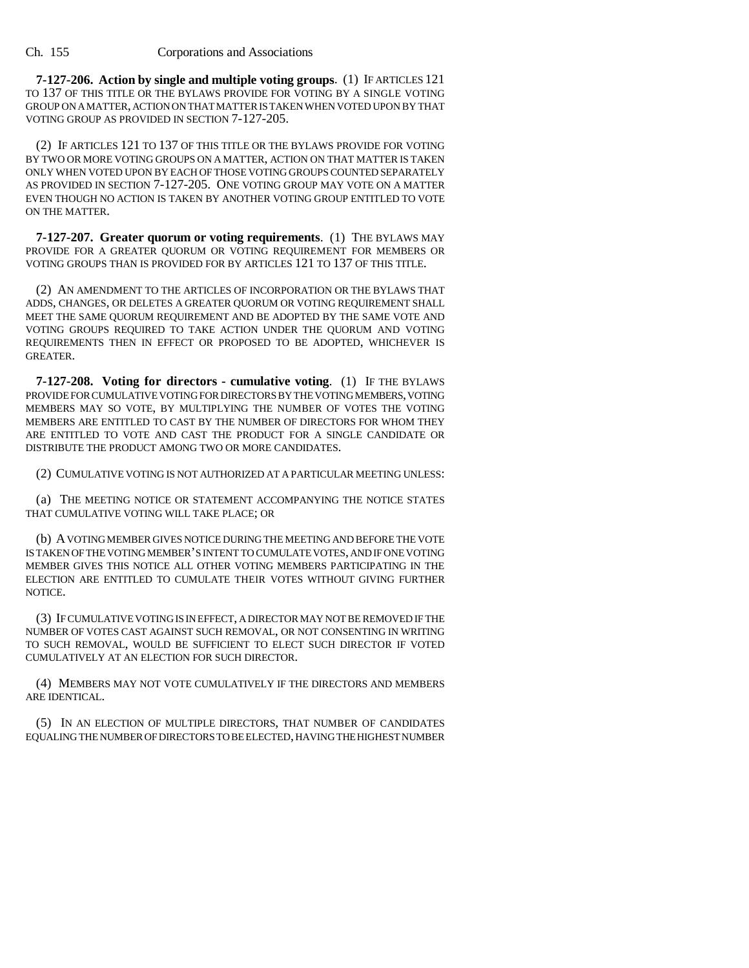**7-127-206. Action by single and multiple voting groups**. (1) IF ARTICLES 121 TO 137 OF THIS TITLE OR THE BYLAWS PROVIDE FOR VOTING BY A SINGLE VOTING GROUP ON A MATTER, ACTION ON THAT MATTER IS TAKEN WHEN VOTED UPON BY THAT VOTING GROUP AS PROVIDED IN SECTION 7-127-205.

(2) IF ARTICLES 121 TO 137 OF THIS TITLE OR THE BYLAWS PROVIDE FOR VOTING BY TWO OR MORE VOTING GROUPS ON A MATTER, ACTION ON THAT MATTER IS TAKEN ONLY WHEN VOTED UPON BY EACH OF THOSE VOTING GROUPS COUNTED SEPARATELY AS PROVIDED IN SECTION 7-127-205. ONE VOTING GROUP MAY VOTE ON A MATTER EVEN THOUGH NO ACTION IS TAKEN BY ANOTHER VOTING GROUP ENTITLED TO VOTE ON THE MATTER.

**7-127-207. Greater quorum or voting requirements**. (1) THE BYLAWS MAY PROVIDE FOR A GREATER QUORUM OR VOTING REQUIREMENT FOR MEMBERS OR VOTING GROUPS THAN IS PROVIDED FOR BY ARTICLES 121 TO 137 OF THIS TITLE.

(2) AN AMENDMENT TO THE ARTICLES OF INCORPORATION OR THE BYLAWS THAT ADDS, CHANGES, OR DELETES A GREATER QUORUM OR VOTING REQUIREMENT SHALL MEET THE SAME QUORUM REQUIREMENT AND BE ADOPTED BY THE SAME VOTE AND VOTING GROUPS REQUIRED TO TAKE ACTION UNDER THE QUORUM AND VOTING REQUIREMENTS THEN IN EFFECT OR PROPOSED TO BE ADOPTED, WHICHEVER IS GREATER.

**7-127-208. Voting for directors - cumulative voting**. (1) IF THE BYLAWS PROVIDE FOR CUMULATIVE VOTING FOR DIRECTORS BY THE VOTING MEMBERS, VOTING MEMBERS MAY SO VOTE, BY MULTIPLYING THE NUMBER OF VOTES THE VOTING MEMBERS ARE ENTITLED TO CAST BY THE NUMBER OF DIRECTORS FOR WHOM THEY ARE ENTITLED TO VOTE AND CAST THE PRODUCT FOR A SINGLE CANDIDATE OR DISTRIBUTE THE PRODUCT AMONG TWO OR MORE CANDIDATES.

(2) CUMULATIVE VOTING IS NOT AUTHORIZED AT A PARTICULAR MEETING UNLESS:

(a) THE MEETING NOTICE OR STATEMENT ACCOMPANYING THE NOTICE STATES THAT CUMULATIVE VOTING WILL TAKE PLACE; OR

(b) A VOTING MEMBER GIVES NOTICE DURING THE MEETING AND BEFORE THE VOTE IS TAKEN OF THE VOTING MEMBER'S INTENT TO CUMULATE VOTES, AND IF ONE VOTING MEMBER GIVES THIS NOTICE ALL OTHER VOTING MEMBERS PARTICIPATING IN THE ELECTION ARE ENTITLED TO CUMULATE THEIR VOTES WITHOUT GIVING FURTHER NOTICE.

(3) IF CUMULATIVE VOTING IS IN EFFECT, A DIRECTOR MAY NOT BE REMOVED IF THE NUMBER OF VOTES CAST AGAINST SUCH REMOVAL, OR NOT CONSENTING IN WRITING TO SUCH REMOVAL, WOULD BE SUFFICIENT TO ELECT SUCH DIRECTOR IF VOTED CUMULATIVELY AT AN ELECTION FOR SUCH DIRECTOR.

(4) MEMBERS MAY NOT VOTE CUMULATIVELY IF THE DIRECTORS AND MEMBERS ARE IDENTICAL.

(5) IN AN ELECTION OF MULTIPLE DIRECTORS, THAT NUMBER OF CANDIDATES EQUALING THE NUMBER OF DIRECTORS TO BE ELECTED, HAVING THE HIGHEST NUMBER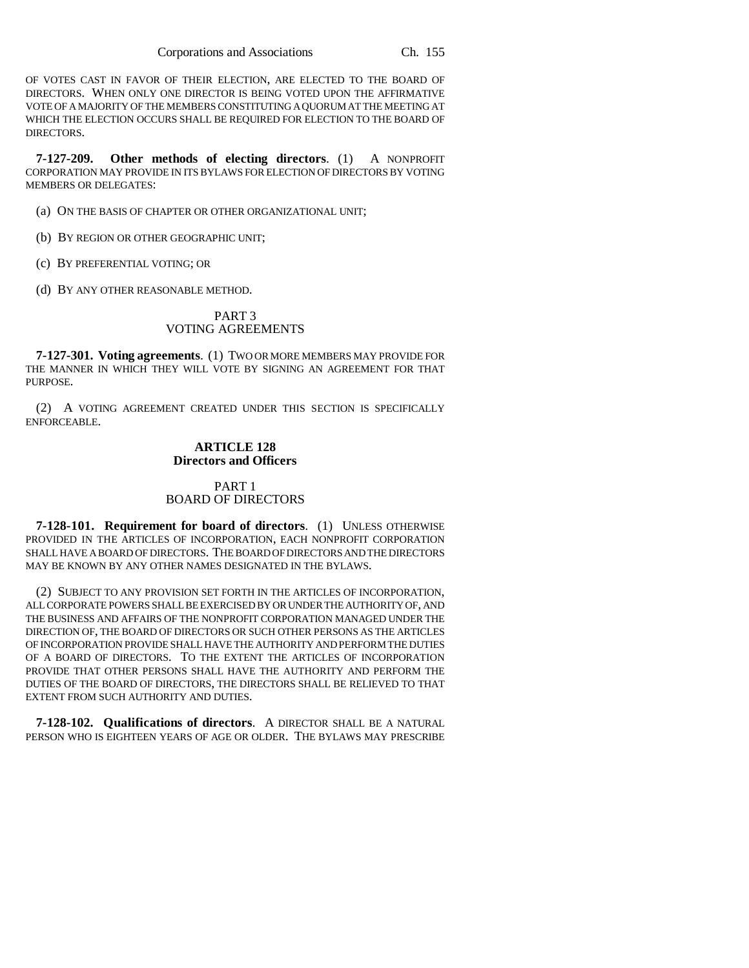OF VOTES CAST IN FAVOR OF THEIR ELECTION, ARE ELECTED TO THE BOARD OF DIRECTORS. WHEN ONLY ONE DIRECTOR IS BEING VOTED UPON THE AFFIRMATIVE VOTE OF A MAJORITY OF THE MEMBERS CONSTITUTING A QUORUM AT THE MEETING AT WHICH THE ELECTION OCCURS SHALL BE REQUIRED FOR ELECTION TO THE BOARD OF DIRECTORS.

**7-127-209. Other methods of electing directors**. (1) A NONPROFIT CORPORATION MAY PROVIDE IN ITS BYLAWS FOR ELECTION OF DIRECTORS BY VOTING MEMBERS OR DELEGATES:

- (a) ON THE BASIS OF CHAPTER OR OTHER ORGANIZATIONAL UNIT;
- (b) BY REGION OR OTHER GEOGRAPHIC UNIT;
- (c) BY PREFERENTIAL VOTING; OR
- (d) BY ANY OTHER REASONABLE METHOD.

# PART 3 VOTING AGREEMENTS

**7-127-301. Voting agreements**. (1) TWO OR MORE MEMBERS MAY PROVIDE FOR THE MANNER IN WHICH THEY WILL VOTE BY SIGNING AN AGREEMENT FOR THAT PURPOSE.

(2) A VOTING AGREEMENT CREATED UNDER THIS SECTION IS SPECIFICALLY ENFORCEABLE.

# **ARTICLE 128 Directors and Officers**

# PART 1 BOARD OF DIRECTORS

**7-128-101. Requirement for board of directors**. (1) UNLESS OTHERWISE PROVIDED IN THE ARTICLES OF INCORPORATION, EACH NONPROFIT CORPORATION SHALL HAVE A BOARD OF DIRECTORS. THE BOARD OF DIRECTORS AND THE DIRECTORS MAY BE KNOWN BY ANY OTHER NAMES DESIGNATED IN THE BYLAWS.

(2) SUBJECT TO ANY PROVISION SET FORTH IN THE ARTICLES OF INCORPORATION, ALL CORPORATE POWERS SHALL BE EXERCISED BY OR UNDER THE AUTHORITY OF, AND THE BUSINESS AND AFFAIRS OF THE NONPROFIT CORPORATION MANAGED UNDER THE DIRECTION OF, THE BOARD OF DIRECTORS OR SUCH OTHER PERSONS AS THE ARTICLES OF INCORPORATION PROVIDE SHALL HAVE THE AUTHORITY AND PERFORM THE DUTIES OF A BOARD OF DIRECTORS. TO THE EXTENT THE ARTICLES OF INCORPORATION PROVIDE THAT OTHER PERSONS SHALL HAVE THE AUTHORITY AND PERFORM THE DUTIES OF THE BOARD OF DIRECTORS, THE DIRECTORS SHALL BE RELIEVED TO THAT EXTENT FROM SUCH AUTHORITY AND DUTIES.

**7-128-102. Qualifications of directors**. A DIRECTOR SHALL BE A NATURAL PERSON WHO IS EIGHTEEN YEARS OF AGE OR OLDER. THE BYLAWS MAY PRESCRIBE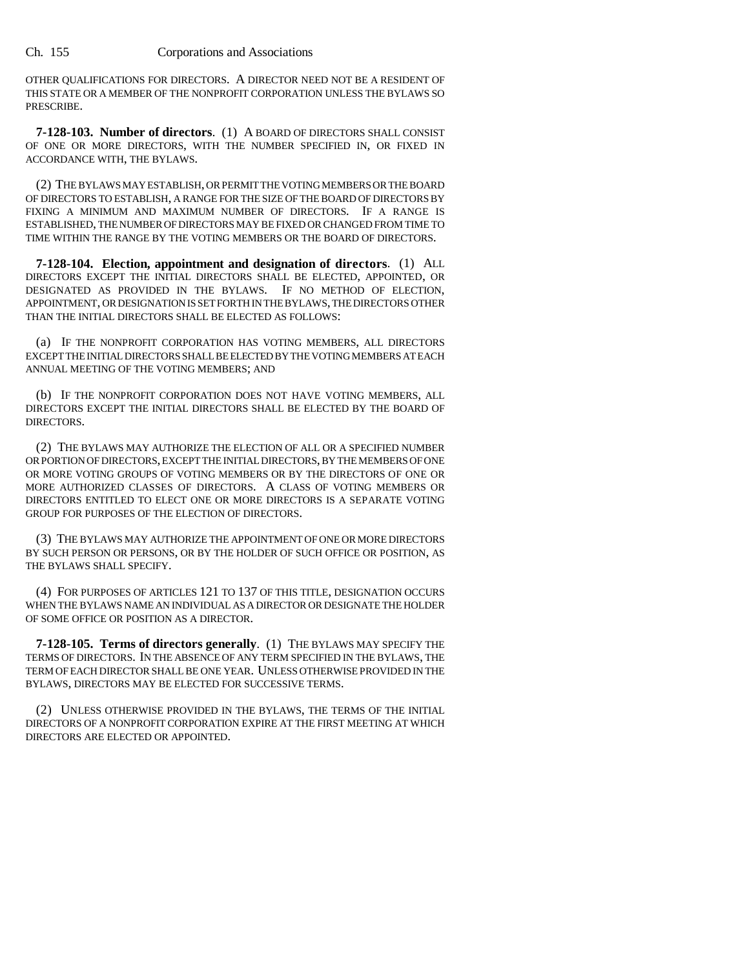OTHER QUALIFICATIONS FOR DIRECTORS. A DIRECTOR NEED NOT BE A RESIDENT OF THIS STATE OR A MEMBER OF THE NONPROFIT CORPORATION UNLESS THE BYLAWS SO PRESCRIBE.

**7-128-103. Number of directors**. (1) A BOARD OF DIRECTORS SHALL CONSIST OF ONE OR MORE DIRECTORS, WITH THE NUMBER SPECIFIED IN, OR FIXED IN ACCORDANCE WITH, THE BYLAWS.

(2) THE BYLAWS MAY ESTABLISH, OR PERMIT THE VOTING MEMBERS OR THE BOARD OF DIRECTORS TO ESTABLISH, A RANGE FOR THE SIZE OF THE BOARD OF DIRECTORS BY FIXING A MINIMUM AND MAXIMUM NUMBER OF DIRECTORS. IF A RANGE IS ESTABLISHED, THE NUMBER OF DIRECTORS MAY BE FIXED OR CHANGED FROM TIME TO TIME WITHIN THE RANGE BY THE VOTING MEMBERS OR THE BOARD OF DIRECTORS.

**7-128-104. Election, appointment and designation of directors**. (1) ALL DIRECTORS EXCEPT THE INITIAL DIRECTORS SHALL BE ELECTED, APPOINTED, OR DESIGNATED AS PROVIDED IN THE BYLAWS. IF NO METHOD OF ELECTION, APPOINTMENT, OR DESIGNATION IS SET FORTH IN THE BYLAWS, THE DIRECTORS OTHER THAN THE INITIAL DIRECTORS SHALL BE ELECTED AS FOLLOWS:

(a) IF THE NONPROFIT CORPORATION HAS VOTING MEMBERS, ALL DIRECTORS EXCEPT THE INITIAL DIRECTORS SHALL BE ELECTED BY THE VOTING MEMBERS AT EACH ANNUAL MEETING OF THE VOTING MEMBERS; AND

(b) IF THE NONPROFIT CORPORATION DOES NOT HAVE VOTING MEMBERS, ALL DIRECTORS EXCEPT THE INITIAL DIRECTORS SHALL BE ELECTED BY THE BOARD OF DIRECTORS.

(2) THE BYLAWS MAY AUTHORIZE THE ELECTION OF ALL OR A SPECIFIED NUMBER OR PORTION OF DIRECTORS, EXCEPT THE INITIAL DIRECTORS, BY THE MEMBERS OF ONE OR MORE VOTING GROUPS OF VOTING MEMBERS OR BY THE DIRECTORS OF ONE OR MORE AUTHORIZED CLASSES OF DIRECTORS. A CLASS OF VOTING MEMBERS OR DIRECTORS ENTITLED TO ELECT ONE OR MORE DIRECTORS IS A SEPARATE VOTING GROUP FOR PURPOSES OF THE ELECTION OF DIRECTORS.

(3) THE BYLAWS MAY AUTHORIZE THE APPOINTMENT OF ONE OR MORE DIRECTORS BY SUCH PERSON OR PERSONS, OR BY THE HOLDER OF SUCH OFFICE OR POSITION, AS THE BYLAWS SHALL SPECIFY.

(4) FOR PURPOSES OF ARTICLES 121 TO 137 OF THIS TITLE, DESIGNATION OCCURS WHEN THE BYLAWS NAME AN INDIVIDUAL AS A DIRECTOR OR DESIGNATE THE HOLDER OF SOME OFFICE OR POSITION AS A DIRECTOR.

**7-128-105. Terms of directors generally**. (1) THE BYLAWS MAY SPECIFY THE TERMS OF DIRECTORS. IN THE ABSENCE OF ANY TERM SPECIFIED IN THE BYLAWS, THE TERM OF EACH DIRECTOR SHALL BE ONE YEAR. UNLESS OTHERWISE PROVIDED IN THE BYLAWS, DIRECTORS MAY BE ELECTED FOR SUCCESSIVE TERMS.

(2) UNLESS OTHERWISE PROVIDED IN THE BYLAWS, THE TERMS OF THE INITIAL DIRECTORS OF A NONPROFIT CORPORATION EXPIRE AT THE FIRST MEETING AT WHICH DIRECTORS ARE ELECTED OR APPOINTED.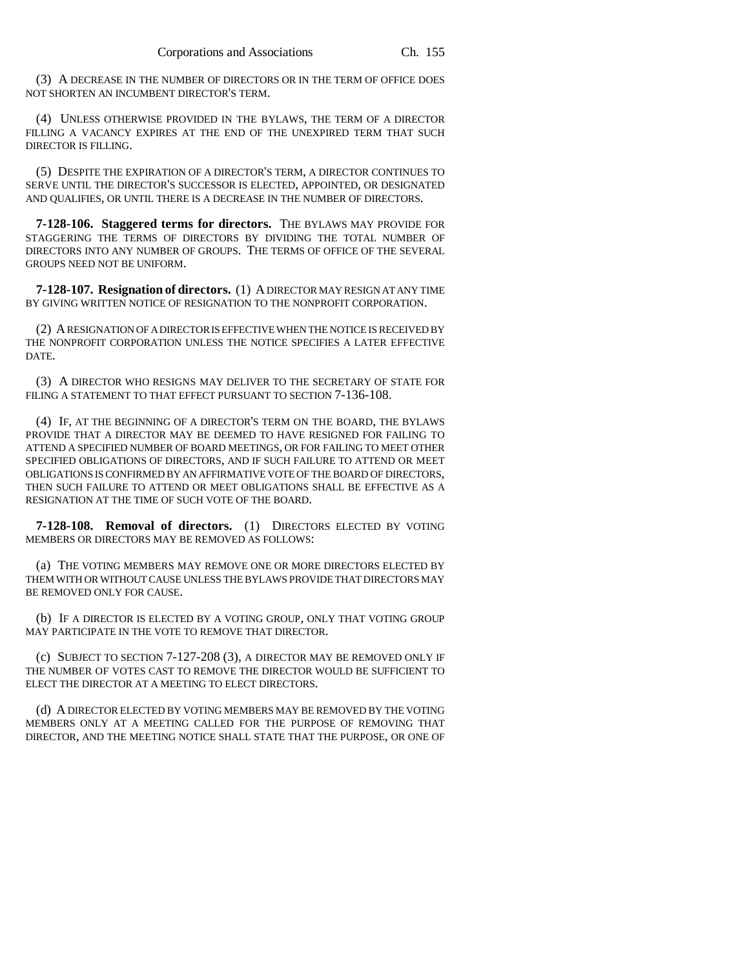(3) A DECREASE IN THE NUMBER OF DIRECTORS OR IN THE TERM OF OFFICE DOES NOT SHORTEN AN INCUMBENT DIRECTOR'S TERM.

(4) UNLESS OTHERWISE PROVIDED IN THE BYLAWS, THE TERM OF A DIRECTOR FILLING A VACANCY EXPIRES AT THE END OF THE UNEXPIRED TERM THAT SUCH DIRECTOR IS FILLING.

(5) DESPITE THE EXPIRATION OF A DIRECTOR'S TERM, A DIRECTOR CONTINUES TO SERVE UNTIL THE DIRECTOR'S SUCCESSOR IS ELECTED, APPOINTED, OR DESIGNATED AND QUALIFIES, OR UNTIL THERE IS A DECREASE IN THE NUMBER OF DIRECTORS.

**7-128-106. Staggered terms for directors.** THE BYLAWS MAY PROVIDE FOR STAGGERING THE TERMS OF DIRECTORS BY DIVIDING THE TOTAL NUMBER OF DIRECTORS INTO ANY NUMBER OF GROUPS. THE TERMS OF OFFICE OF THE SEVERAL GROUPS NEED NOT BE UNIFORM.

**7-128-107. Resignation of directors.** (1) A DIRECTOR MAY RESIGN AT ANY TIME BY GIVING WRITTEN NOTICE OF RESIGNATION TO THE NONPROFIT CORPORATION.

(2) A RESIGNATION OF A DIRECTOR IS EFFECTIVE WHEN THE NOTICE IS RECEIVED BY THE NONPROFIT CORPORATION UNLESS THE NOTICE SPECIFIES A LATER EFFECTIVE DATE.

(3) A DIRECTOR WHO RESIGNS MAY DELIVER TO THE SECRETARY OF STATE FOR FILING A STATEMENT TO THAT EFFECT PURSUANT TO SECTION 7-136-108.

(4) IF, AT THE BEGINNING OF A DIRECTOR'S TERM ON THE BOARD, THE BYLAWS PROVIDE THAT A DIRECTOR MAY BE DEEMED TO HAVE RESIGNED FOR FAILING TO ATTEND A SPECIFIED NUMBER OF BOARD MEETINGS, OR FOR FAILING TO MEET OTHER SPECIFIED OBLIGATIONS OF DIRECTORS, AND IF SUCH FAILURE TO ATTEND OR MEET OBLIGATIONS IS CONFIRMED BY AN AFFIRMATIVE VOTE OF THE BOARD OF DIRECTORS, THEN SUCH FAILURE TO ATTEND OR MEET OBLIGATIONS SHALL BE EFFECTIVE AS A RESIGNATION AT THE TIME OF SUCH VOTE OF THE BOARD.

**7-128-108. Removal of directors.** (1) DIRECTORS ELECTED BY VOTING MEMBERS OR DIRECTORS MAY BE REMOVED AS FOLLOWS:

(a) THE VOTING MEMBERS MAY REMOVE ONE OR MORE DIRECTORS ELECTED BY THEM WITH OR WITHOUT CAUSE UNLESS THE BYLAWS PROVIDE THAT DIRECTORS MAY BE REMOVED ONLY FOR CAUSE.

(b) IF A DIRECTOR IS ELECTED BY A VOTING GROUP, ONLY THAT VOTING GROUP MAY PARTICIPATE IN THE VOTE TO REMOVE THAT DIRECTOR.

(c) SUBJECT TO SECTION 7-127-208 (3), A DIRECTOR MAY BE REMOVED ONLY IF THE NUMBER OF VOTES CAST TO REMOVE THE DIRECTOR WOULD BE SUFFICIENT TO ELECT THE DIRECTOR AT A MEETING TO ELECT DIRECTORS.

(d) A DIRECTOR ELECTED BY VOTING MEMBERS MAY BE REMOVED BY THE VOTING MEMBERS ONLY AT A MEETING CALLED FOR THE PURPOSE OF REMOVING THAT DIRECTOR, AND THE MEETING NOTICE SHALL STATE THAT THE PURPOSE, OR ONE OF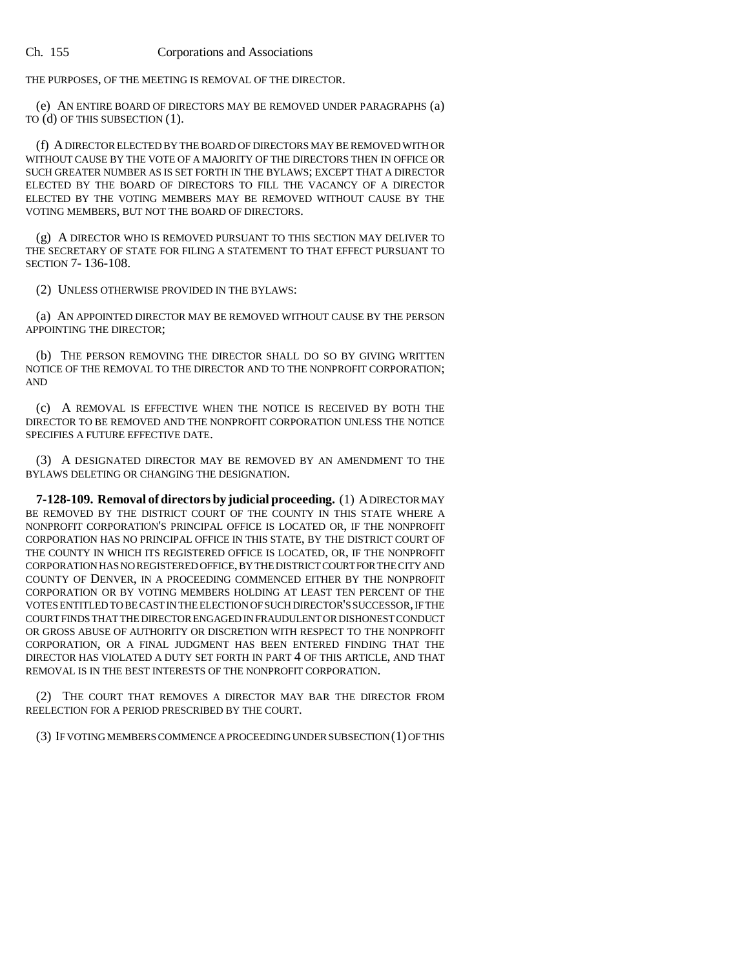THE PURPOSES, OF THE MEETING IS REMOVAL OF THE DIRECTOR.

(e) AN ENTIRE BOARD OF DIRECTORS MAY BE REMOVED UNDER PARAGRAPHS (a) TO (d) OF THIS SUBSECTION (1).

(f) A DIRECTOR ELECTED BY THE BOARD OF DIRECTORS MAY BE REMOVED WITH OR WITHOUT CAUSE BY THE VOTE OF A MAJORITY OF THE DIRECTORS THEN IN OFFICE OR SUCH GREATER NUMBER AS IS SET FORTH IN THE BYLAWS; EXCEPT THAT A DIRECTOR ELECTED BY THE BOARD OF DIRECTORS TO FILL THE VACANCY OF A DIRECTOR ELECTED BY THE VOTING MEMBERS MAY BE REMOVED WITHOUT CAUSE BY THE VOTING MEMBERS, BUT NOT THE BOARD OF DIRECTORS.

(g) A DIRECTOR WHO IS REMOVED PURSUANT TO THIS SECTION MAY DELIVER TO THE SECRETARY OF STATE FOR FILING A STATEMENT TO THAT EFFECT PURSUANT TO SECTION 7- 136-108.

(2) UNLESS OTHERWISE PROVIDED IN THE BYLAWS:

(a) AN APPOINTED DIRECTOR MAY BE REMOVED WITHOUT CAUSE BY THE PERSON APPOINTING THE DIRECTOR;

(b) THE PERSON REMOVING THE DIRECTOR SHALL DO SO BY GIVING WRITTEN NOTICE OF THE REMOVAL TO THE DIRECTOR AND TO THE NONPROFIT CORPORATION; AND

(c) A REMOVAL IS EFFECTIVE WHEN THE NOTICE IS RECEIVED BY BOTH THE DIRECTOR TO BE REMOVED AND THE NONPROFIT CORPORATION UNLESS THE NOTICE SPECIFIES A FUTURE EFFECTIVE DATE.

(3) A DESIGNATED DIRECTOR MAY BE REMOVED BY AN AMENDMENT TO THE BYLAWS DELETING OR CHANGING THE DESIGNATION.

**7-128-109. Removal of directors by judicial proceeding.** (1) A DIRECTOR MAY BE REMOVED BY THE DISTRICT COURT OF THE COUNTY IN THIS STATE WHERE A NONPROFIT CORPORATION'S PRINCIPAL OFFICE IS LOCATED OR, IF THE NONPROFIT CORPORATION HAS NO PRINCIPAL OFFICE IN THIS STATE, BY THE DISTRICT COURT OF THE COUNTY IN WHICH ITS REGISTERED OFFICE IS LOCATED, OR, IF THE NONPROFIT CORPORATION HAS NO REGISTERED OFFICE, BY THE DISTRICT COURT FOR THE CITY AND COUNTY OF DENVER, IN A PROCEEDING COMMENCED EITHER BY THE NONPROFIT CORPORATION OR BY VOTING MEMBERS HOLDING AT LEAST TEN PERCENT OF THE VOTES ENTITLED TO BE CAST IN THE ELECTION OF SUCH DIRECTOR'S SUCCESSOR, IF THE COURT FINDS THAT THE DIRECTOR ENGAGED IN FRAUDULENT OR DISHONEST CONDUCT OR GROSS ABUSE OF AUTHORITY OR DISCRETION WITH RESPECT TO THE NONPROFIT CORPORATION, OR A FINAL JUDGMENT HAS BEEN ENTERED FINDING THAT THE DIRECTOR HAS VIOLATED A DUTY SET FORTH IN PART 4 OF THIS ARTICLE, AND THAT REMOVAL IS IN THE BEST INTERESTS OF THE NONPROFIT CORPORATION.

(2) THE COURT THAT REMOVES A DIRECTOR MAY BAR THE DIRECTOR FROM REELECTION FOR A PERIOD PRESCRIBED BY THE COURT.

(3) IF VOTING MEMBERS COMMENCE A PROCEEDING UNDER SUBSECTION (1) OF THIS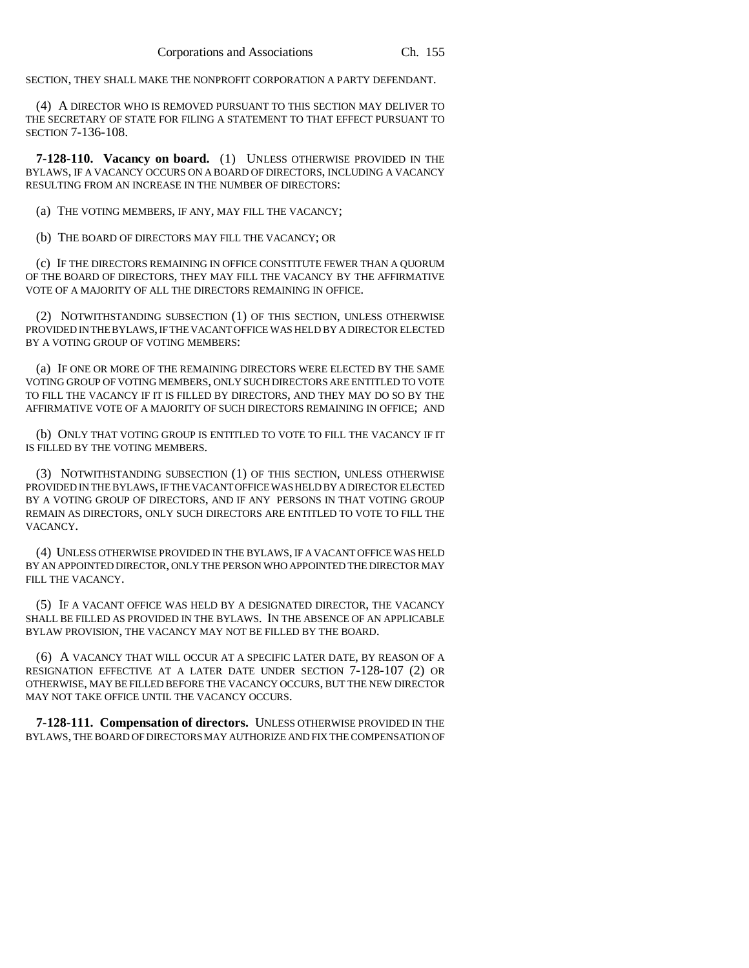SECTION, THEY SHALL MAKE THE NONPROFIT CORPORATION A PARTY DEFENDANT.

(4) A DIRECTOR WHO IS REMOVED PURSUANT TO THIS SECTION MAY DELIVER TO THE SECRETARY OF STATE FOR FILING A STATEMENT TO THAT EFFECT PURSUANT TO SECTION 7-136-108.

**7-128-110. Vacancy on board.** (1) UNLESS OTHERWISE PROVIDED IN THE BYLAWS, IF A VACANCY OCCURS ON A BOARD OF DIRECTORS, INCLUDING A VACANCY RESULTING FROM AN INCREASE IN THE NUMBER OF DIRECTORS:

(a) THE VOTING MEMBERS, IF ANY, MAY FILL THE VACANCY;

(b) THE BOARD OF DIRECTORS MAY FILL THE VACANCY; OR

(c) IF THE DIRECTORS REMAINING IN OFFICE CONSTITUTE FEWER THAN A QUORUM OF THE BOARD OF DIRECTORS, THEY MAY FILL THE VACANCY BY THE AFFIRMATIVE VOTE OF A MAJORITY OF ALL THE DIRECTORS REMAINING IN OFFICE.

(2) NOTWITHSTANDING SUBSECTION (1) OF THIS SECTION, UNLESS OTHERWISE PROVIDED IN THE BYLAWS, IF THE VACANT OFFICE WAS HELD BY A DIRECTOR ELECTED BY A VOTING GROUP OF VOTING MEMBERS:

(a) IF ONE OR MORE OF THE REMAINING DIRECTORS WERE ELECTED BY THE SAME VOTING GROUP OF VOTING MEMBERS, ONLY SUCH DIRECTORS ARE ENTITLED TO VOTE TO FILL THE VACANCY IF IT IS FILLED BY DIRECTORS, AND THEY MAY DO SO BY THE AFFIRMATIVE VOTE OF A MAJORITY OF SUCH DIRECTORS REMAINING IN OFFICE; AND

(b) ONLY THAT VOTING GROUP IS ENTITLED TO VOTE TO FILL THE VACANCY IF IT IS FILLED BY THE VOTING MEMBERS.

(3) NOTWITHSTANDING SUBSECTION (1) OF THIS SECTION, UNLESS OTHERWISE PROVIDED IN THE BYLAWS, IF THE VACANT OFFICE WAS HELD BY A DIRECTOR ELECTED BY A VOTING GROUP OF DIRECTORS, AND IF ANY PERSONS IN THAT VOTING GROUP REMAIN AS DIRECTORS, ONLY SUCH DIRECTORS ARE ENTITLED TO VOTE TO FILL THE VACANCY.

(4) UNLESS OTHERWISE PROVIDED IN THE BYLAWS, IF A VACANT OFFICE WAS HELD BY AN APPOINTED DIRECTOR, ONLY THE PERSON WHO APPOINTED THE DIRECTOR MAY FILL THE VACANCY.

(5) IF A VACANT OFFICE WAS HELD BY A DESIGNATED DIRECTOR, THE VACANCY SHALL BE FILLED AS PROVIDED IN THE BYLAWS. IN THE ABSENCE OF AN APPLICABLE BYLAW PROVISION, THE VACANCY MAY NOT BE FILLED BY THE BOARD.

(6) A VACANCY THAT WILL OCCUR AT A SPECIFIC LATER DATE, BY REASON OF A RESIGNATION EFFECTIVE AT A LATER DATE UNDER SECTION 7-128-107 (2) OR OTHERWISE, MAY BE FILLED BEFORE THE VACANCY OCCURS, BUT THE NEW DIRECTOR MAY NOT TAKE OFFICE UNTIL THE VACANCY OCCURS.

**7-128-111. Compensation of directors.** UNLESS OTHERWISE PROVIDED IN THE BYLAWS, THE BOARD OF DIRECTORS MAY AUTHORIZE AND FIX THE COMPENSATION OF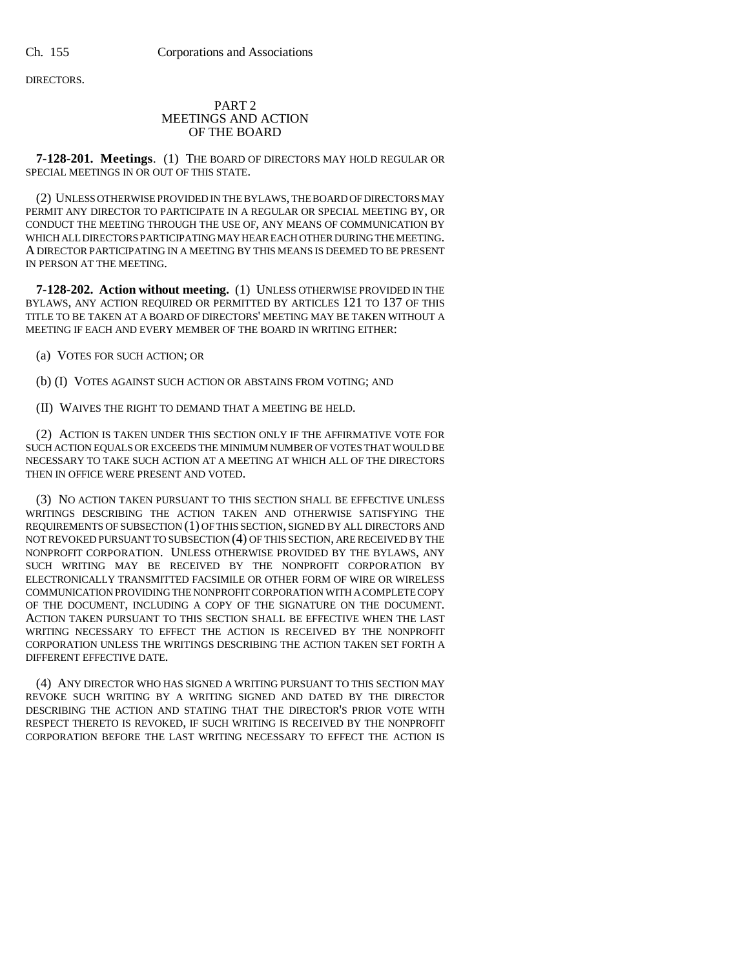DIRECTORS.

### PART 2 MEETINGS AND ACTION OF THE BOARD

**7-128-201. Meetings**. (1) THE BOARD OF DIRECTORS MAY HOLD REGULAR OR SPECIAL MEETINGS IN OR OUT OF THIS STATE.

(2) UNLESS OTHERWISE PROVIDED IN THE BYLAWS, THE BOARD OF DIRECTORS MAY PERMIT ANY DIRECTOR TO PARTICIPATE IN A REGULAR OR SPECIAL MEETING BY, OR CONDUCT THE MEETING THROUGH THE USE OF, ANY MEANS OF COMMUNICATION BY WHICH ALL DIRECTORS PARTICIPATING MAY HEAR EACH OTHER DURING THE MEETING. A DIRECTOR PARTICIPATING IN A MEETING BY THIS MEANS IS DEEMED TO BE PRESENT IN PERSON AT THE MEETING.

**7-128-202. Action without meeting.** (1) UNLESS OTHERWISE PROVIDED IN THE BYLAWS, ANY ACTION REQUIRED OR PERMITTED BY ARTICLES 121 TO 137 OF THIS TITLE TO BE TAKEN AT A BOARD OF DIRECTORS' MEETING MAY BE TAKEN WITHOUT A MEETING IF EACH AND EVERY MEMBER OF THE BOARD IN WRITING EITHER:

(a) VOTES FOR SUCH ACTION; OR

(b) (I) VOTES AGAINST SUCH ACTION OR ABSTAINS FROM VOTING; AND

(II) WAIVES THE RIGHT TO DEMAND THAT A MEETING BE HELD.

(2) ACTION IS TAKEN UNDER THIS SECTION ONLY IF THE AFFIRMATIVE VOTE FOR SUCH ACTION EQUALS OR EXCEEDS THE MINIMUM NUMBER OF VOTES THAT WOULD BE NECESSARY TO TAKE SUCH ACTION AT A MEETING AT WHICH ALL OF THE DIRECTORS THEN IN OFFICE WERE PRESENT AND VOTED.

(3) NO ACTION TAKEN PURSUANT TO THIS SECTION SHALL BE EFFECTIVE UNLESS WRITINGS DESCRIBING THE ACTION TAKEN AND OTHERWISE SATISFYING THE REQUIREMENTS OF SUBSECTION (1) OF THIS SECTION, SIGNED BY ALL DIRECTORS AND NOT REVOKED PURSUANT TO SUBSECTION (4) OF THIS SECTION, ARE RECEIVED BY THE NONPROFIT CORPORATION. UNLESS OTHERWISE PROVIDED BY THE BYLAWS, ANY SUCH WRITING MAY BE RECEIVED BY THE NONPROFIT CORPORATION BY ELECTRONICALLY TRANSMITTED FACSIMILE OR OTHER FORM OF WIRE OR WIRELESS COMMUNICATION PROVIDING THE NONPROFIT CORPORATION WITH A COMPLETE COPY OF THE DOCUMENT, INCLUDING A COPY OF THE SIGNATURE ON THE DOCUMENT. ACTION TAKEN PURSUANT TO THIS SECTION SHALL BE EFFECTIVE WHEN THE LAST WRITING NECESSARY TO EFFECT THE ACTION IS RECEIVED BY THE NONPROFIT CORPORATION UNLESS THE WRITINGS DESCRIBING THE ACTION TAKEN SET FORTH A DIFFERENT EFFECTIVE DATE.

(4) ANY DIRECTOR WHO HAS SIGNED A WRITING PURSUANT TO THIS SECTION MAY REVOKE SUCH WRITING BY A WRITING SIGNED AND DATED BY THE DIRECTOR DESCRIBING THE ACTION AND STATING THAT THE DIRECTOR'S PRIOR VOTE WITH RESPECT THERETO IS REVOKED, IF SUCH WRITING IS RECEIVED BY THE NONPROFIT CORPORATION BEFORE THE LAST WRITING NECESSARY TO EFFECT THE ACTION IS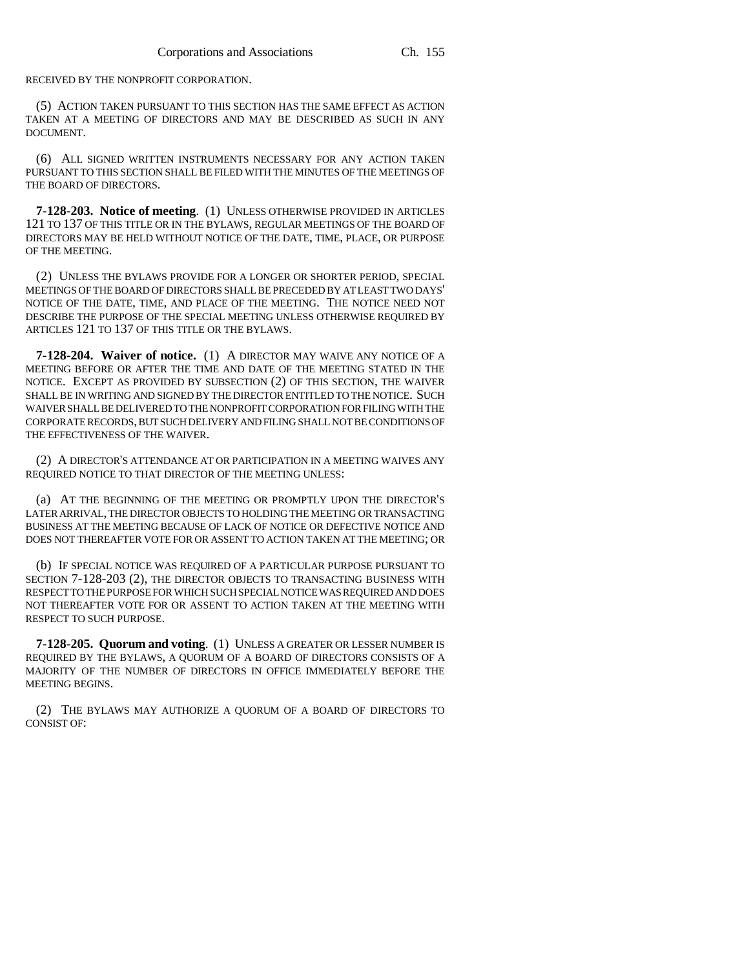RECEIVED BY THE NONPROFIT CORPORATION.

(5) ACTION TAKEN PURSUANT TO THIS SECTION HAS THE SAME EFFECT AS ACTION TAKEN AT A MEETING OF DIRECTORS AND MAY BE DESCRIBED AS SUCH IN ANY DOCUMENT.

(6) ALL SIGNED WRITTEN INSTRUMENTS NECESSARY FOR ANY ACTION TAKEN PURSUANT TO THIS SECTION SHALL BE FILED WITH THE MINUTES OF THE MEETINGS OF THE BOARD OF DIRECTORS.

**7-128-203. Notice of meeting**. (1) UNLESS OTHERWISE PROVIDED IN ARTICLES 121 TO 137 OF THIS TITLE OR IN THE BYLAWS, REGULAR MEETINGS OF THE BOARD OF DIRECTORS MAY BE HELD WITHOUT NOTICE OF THE DATE, TIME, PLACE, OR PURPOSE OF THE MEETING.

(2) UNLESS THE BYLAWS PROVIDE FOR A LONGER OR SHORTER PERIOD, SPECIAL MEETINGS OF THE BOARD OF DIRECTORS SHALL BE PRECEDED BY AT LEAST TWO DAYS' NOTICE OF THE DATE, TIME, AND PLACE OF THE MEETING. THE NOTICE NEED NOT DESCRIBE THE PURPOSE OF THE SPECIAL MEETING UNLESS OTHERWISE REQUIRED BY ARTICLES 121 TO 137 OF THIS TITLE OR THE BYLAWS.

**7-128-204. Waiver of notice.** (1) A DIRECTOR MAY WAIVE ANY NOTICE OF A MEETING BEFORE OR AFTER THE TIME AND DATE OF THE MEETING STATED IN THE NOTICE. EXCEPT AS PROVIDED BY SUBSECTION (2) OF THIS SECTION, THE WAIVER SHALL BE IN WRITING AND SIGNED BY THE DIRECTOR ENTITLED TO THE NOTICE. SUCH WAIVER SHALL BE DELIVERED TO THE NONPROFIT CORPORATION FOR FILING WITH THE CORPORATE RECORDS, BUT SUCH DELIVERY AND FILING SHALL NOT BE CONDITIONS OF THE EFFECTIVENESS OF THE WAIVER.

(2) A DIRECTOR'S ATTENDANCE AT OR PARTICIPATION IN A MEETING WAIVES ANY REQUIRED NOTICE TO THAT DIRECTOR OF THE MEETING UNLESS:

(a) AT THE BEGINNING OF THE MEETING OR PROMPTLY UPON THE DIRECTOR'S LATER ARRIVAL, THE DIRECTOR OBJECTS TO HOLDING THE MEETING OR TRANSACTING BUSINESS AT THE MEETING BECAUSE OF LACK OF NOTICE OR DEFECTIVE NOTICE AND DOES NOT THEREAFTER VOTE FOR OR ASSENT TO ACTION TAKEN AT THE MEETING; OR

(b) IF SPECIAL NOTICE WAS REQUIRED OF A PARTICULAR PURPOSE PURSUANT TO SECTION 7-128-203 (2), THE DIRECTOR OBJECTS TO TRANSACTING BUSINESS WITH RESPECT TO THE PURPOSE FOR WHICH SUCH SPECIAL NOTICE WAS REQUIRED AND DOES NOT THEREAFTER VOTE FOR OR ASSENT TO ACTION TAKEN AT THE MEETING WITH RESPECT TO SUCH PURPOSE.

**7-128-205. Quorum and voting**. (1) UNLESS A GREATER OR LESSER NUMBER IS REQUIRED BY THE BYLAWS, A QUORUM OF A BOARD OF DIRECTORS CONSISTS OF A MAJORITY OF THE NUMBER OF DIRECTORS IN OFFICE IMMEDIATELY BEFORE THE MEETING BEGINS.

(2) THE BYLAWS MAY AUTHORIZE A QUORUM OF A BOARD OF DIRECTORS TO CONSIST OF: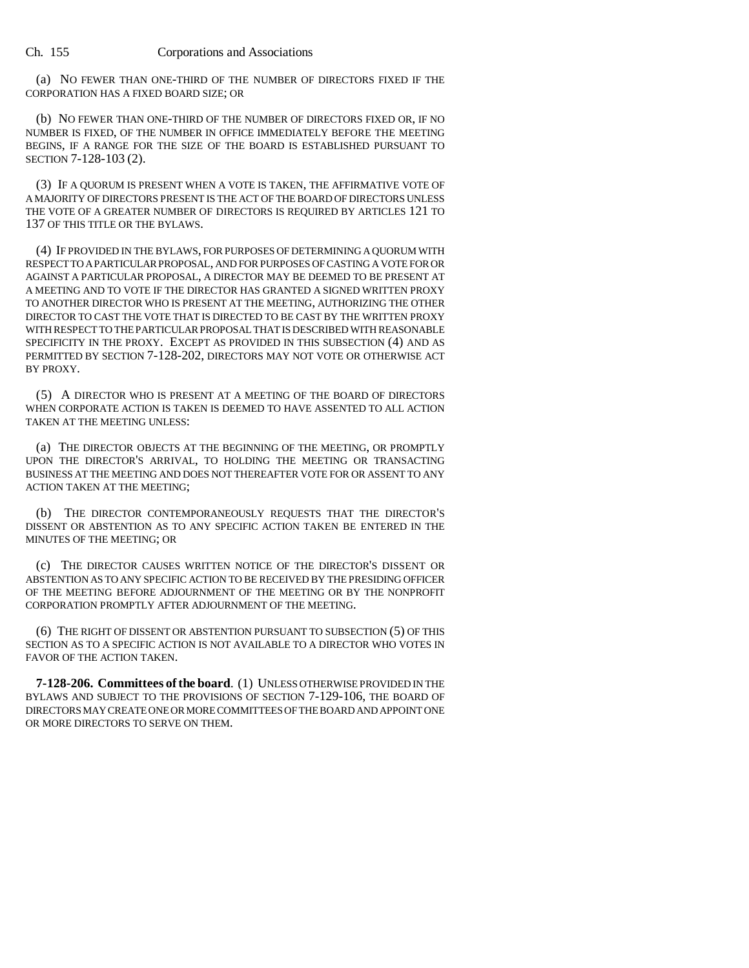(a) NO FEWER THAN ONE-THIRD OF THE NUMBER OF DIRECTORS FIXED IF THE CORPORATION HAS A FIXED BOARD SIZE; OR

(b) NO FEWER THAN ONE-THIRD OF THE NUMBER OF DIRECTORS FIXED OR, IF NO NUMBER IS FIXED, OF THE NUMBER IN OFFICE IMMEDIATELY BEFORE THE MEETING BEGINS, IF A RANGE FOR THE SIZE OF THE BOARD IS ESTABLISHED PURSUANT TO SECTION 7-128-103 (2).

(3) IF A QUORUM IS PRESENT WHEN A VOTE IS TAKEN, THE AFFIRMATIVE VOTE OF A MAJORITY OF DIRECTORS PRESENT IS THE ACT OF THE BOARD OF DIRECTORS UNLESS THE VOTE OF A GREATER NUMBER OF DIRECTORS IS REQUIRED BY ARTICLES 121 TO 137 OF THIS TITLE OR THE BYLAWS.

(4) IF PROVIDED IN THE BYLAWS, FOR PURPOSES OF DETERMINING A QUORUM WITH RESPECT TO A PARTICULAR PROPOSAL, AND FOR PURPOSES OF CASTING A VOTE FOR OR AGAINST A PARTICULAR PROPOSAL, A DIRECTOR MAY BE DEEMED TO BE PRESENT AT A MEETING AND TO VOTE IF THE DIRECTOR HAS GRANTED A SIGNED WRITTEN PROXY TO ANOTHER DIRECTOR WHO IS PRESENT AT THE MEETING, AUTHORIZING THE OTHER DIRECTOR TO CAST THE VOTE THAT IS DIRECTED TO BE CAST BY THE WRITTEN PROXY WITH RESPECT TO THE PARTICULAR PROPOSAL THAT IS DESCRIBED WITH REASONABLE SPECIFICITY IN THE PROXY. EXCEPT AS PROVIDED IN THIS SUBSECTION (4) AND AS PERMITTED BY SECTION 7-128-202, DIRECTORS MAY NOT VOTE OR OTHERWISE ACT BY PROXY.

(5) A DIRECTOR WHO IS PRESENT AT A MEETING OF THE BOARD OF DIRECTORS WHEN CORPORATE ACTION IS TAKEN IS DEEMED TO HAVE ASSENTED TO ALL ACTION TAKEN AT THE MEETING UNLESS:

(a) THE DIRECTOR OBJECTS AT THE BEGINNING OF THE MEETING, OR PROMPTLY UPON THE DIRECTOR'S ARRIVAL, TO HOLDING THE MEETING OR TRANSACTING BUSINESS AT THE MEETING AND DOES NOT THEREAFTER VOTE FOR OR ASSENT TO ANY ACTION TAKEN AT THE MEETING;

(b) THE DIRECTOR CONTEMPORANEOUSLY REQUESTS THAT THE DIRECTOR'S DISSENT OR ABSTENTION AS TO ANY SPECIFIC ACTION TAKEN BE ENTERED IN THE MINUTES OF THE MEETING; OR

(c) THE DIRECTOR CAUSES WRITTEN NOTICE OF THE DIRECTOR'S DISSENT OR ABSTENTION AS TO ANY SPECIFIC ACTION TO BE RECEIVED BY THE PRESIDING OFFICER OF THE MEETING BEFORE ADJOURNMENT OF THE MEETING OR BY THE NONPROFIT CORPORATION PROMPTLY AFTER ADJOURNMENT OF THE MEETING.

(6) THE RIGHT OF DISSENT OR ABSTENTION PURSUANT TO SUBSECTION (5) OF THIS SECTION AS TO A SPECIFIC ACTION IS NOT AVAILABLE TO A DIRECTOR WHO VOTES IN FAVOR OF THE ACTION TAKEN.

**7-128-206. Committees of the board**. (1) UNLESS OTHERWISE PROVIDED IN THE BYLAWS AND SUBJECT TO THE PROVISIONS OF SECTION 7-129-106, THE BOARD OF DIRECTORS MAY CREATE ONE OR MORE COMMITTEES OF THE BOARD AND APPOINT ONE OR MORE DIRECTORS TO SERVE ON THEM.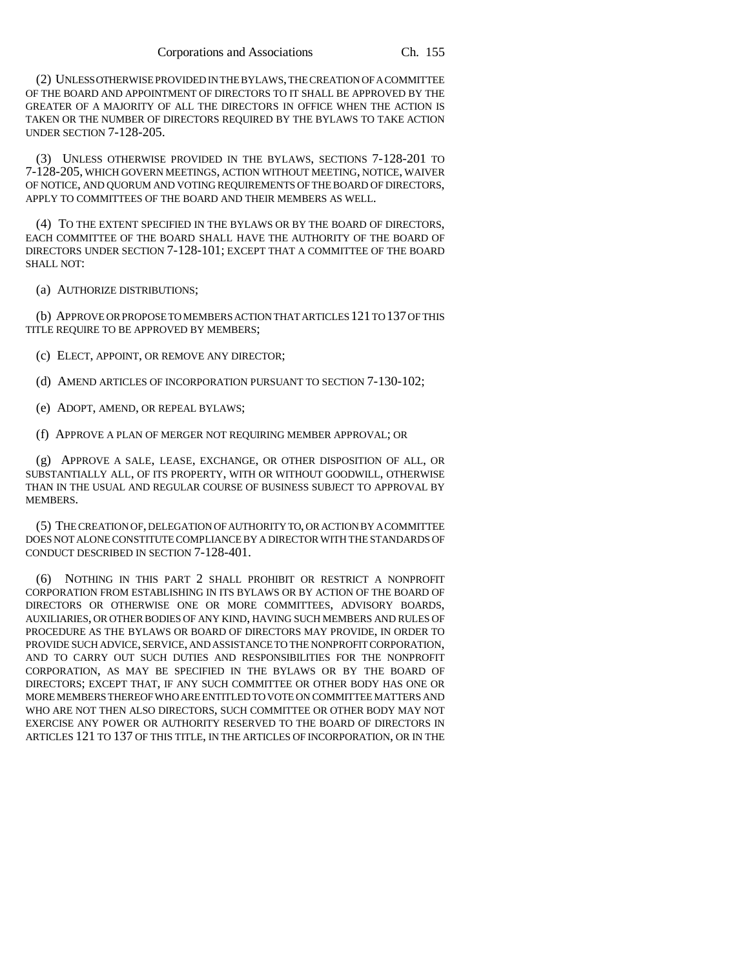(2) UNLESS OTHERWISE PROVIDED IN THE BYLAWS, THE CREATION OF A COMMITTEE OF THE BOARD AND APPOINTMENT OF DIRECTORS TO IT SHALL BE APPROVED BY THE GREATER OF A MAJORITY OF ALL THE DIRECTORS IN OFFICE WHEN THE ACTION IS TAKEN OR THE NUMBER OF DIRECTORS REQUIRED BY THE BYLAWS TO TAKE ACTION UNDER SECTION 7-128-205.

(3) UNLESS OTHERWISE PROVIDED IN THE BYLAWS, SECTIONS 7-128-201 TO 7-128-205, WHICH GOVERN MEETINGS, ACTION WITHOUT MEETING, NOTICE, WAIVER OF NOTICE, AND QUORUM AND VOTING REQUIREMENTS OF THE BOARD OF DIRECTORS, APPLY TO COMMITTEES OF THE BOARD AND THEIR MEMBERS AS WELL.

(4) TO THE EXTENT SPECIFIED IN THE BYLAWS OR BY THE BOARD OF DIRECTORS, EACH COMMITTEE OF THE BOARD SHALL HAVE THE AUTHORITY OF THE BOARD OF DIRECTORS UNDER SECTION 7-128-101; EXCEPT THAT A COMMITTEE OF THE BOARD SHALL NOT:

(a) AUTHORIZE DISTRIBUTIONS;

(b) APPROVE OR PROPOSE TO MEMBERS ACTION THAT ARTICLES 121 TO 137 OF THIS TITLE REQUIRE TO BE APPROVED BY MEMBERS;

(c) ELECT, APPOINT, OR REMOVE ANY DIRECTOR;

(d) AMEND ARTICLES OF INCORPORATION PURSUANT TO SECTION 7-130-102;

(e) ADOPT, AMEND, OR REPEAL BYLAWS;

(f) APPROVE A PLAN OF MERGER NOT REQUIRING MEMBER APPROVAL; OR

(g) APPROVE A SALE, LEASE, EXCHANGE, OR OTHER DISPOSITION OF ALL, OR SUBSTANTIALLY ALL, OF ITS PROPERTY, WITH OR WITHOUT GOODWILL, OTHERWISE THAN IN THE USUAL AND REGULAR COURSE OF BUSINESS SUBJECT TO APPROVAL BY MEMBERS.

(5) THE CREATION OF, DELEGATION OF AUTHORITY TO, OR ACTION BY A COMMITTEE DOES NOT ALONE CONSTITUTE COMPLIANCE BY A DIRECTOR WITH THE STANDARDS OF CONDUCT DESCRIBED IN SECTION 7-128-401.

(6) NOTHING IN THIS PART 2 SHALL PROHIBIT OR RESTRICT A NONPROFIT CORPORATION FROM ESTABLISHING IN ITS BYLAWS OR BY ACTION OF THE BOARD OF DIRECTORS OR OTHERWISE ONE OR MORE COMMITTEES, ADVISORY BOARDS, AUXILIARIES, OR OTHER BODIES OF ANY KIND, HAVING SUCH MEMBERS AND RULES OF PROCEDURE AS THE BYLAWS OR BOARD OF DIRECTORS MAY PROVIDE, IN ORDER TO PROVIDE SUCH ADVICE, SERVICE, AND ASSISTANCE TO THE NONPROFIT CORPORATION, AND TO CARRY OUT SUCH DUTIES AND RESPONSIBILITIES FOR THE NONPROFIT CORPORATION, AS MAY BE SPECIFIED IN THE BYLAWS OR BY THE BOARD OF DIRECTORS; EXCEPT THAT, IF ANY SUCH COMMITTEE OR OTHER BODY HAS ONE OR MORE MEMBERS THEREOF WHO ARE ENTITLED TO VOTE ON COMMITTEE MATTERS AND WHO ARE NOT THEN ALSO DIRECTORS, SUCH COMMITTEE OR OTHER BODY MAY NOT EXERCISE ANY POWER OR AUTHORITY RESERVED TO THE BOARD OF DIRECTORS IN ARTICLES 121 TO 137 OF THIS TITLE, IN THE ARTICLES OF INCORPORATION, OR IN THE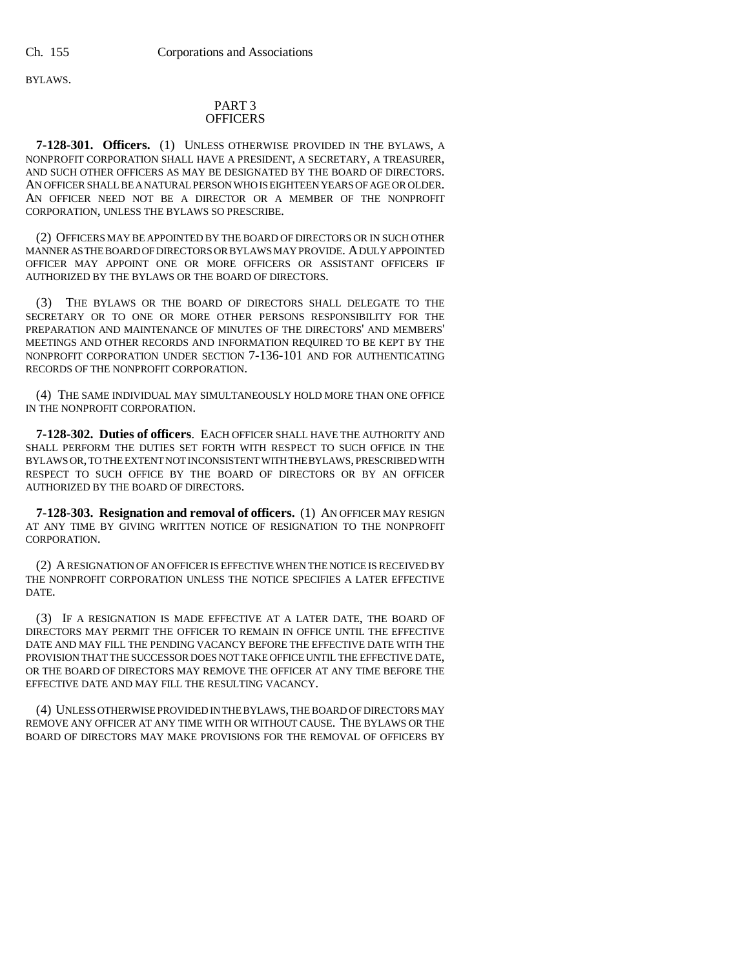BYLAWS.

### PART 3 **OFFICERS**

**7-128-301. Officers.** (1) UNLESS OTHERWISE PROVIDED IN THE BYLAWS, A NONPROFIT CORPORATION SHALL HAVE A PRESIDENT, A SECRETARY, A TREASURER, AND SUCH OTHER OFFICERS AS MAY BE DESIGNATED BY THE BOARD OF DIRECTORS. AN OFFICER SHALL BE A NATURAL PERSON WHO IS EIGHTEEN YEARS OF AGE OR OLDER. AN OFFICER NEED NOT BE A DIRECTOR OR A MEMBER OF THE NONPROFIT CORPORATION, UNLESS THE BYLAWS SO PRESCRIBE.

(2) OFFICERS MAY BE APPOINTED BY THE BOARD OF DIRECTORS OR IN SUCH OTHER MANNER AS THE BOARD OF DIRECTORS OR BYLAWS MAY PROVIDE. A DULY APPOINTED OFFICER MAY APPOINT ONE OR MORE OFFICERS OR ASSISTANT OFFICERS IF AUTHORIZED BY THE BYLAWS OR THE BOARD OF DIRECTORS.

(3) THE BYLAWS OR THE BOARD OF DIRECTORS SHALL DELEGATE TO THE SECRETARY OR TO ONE OR MORE OTHER PERSONS RESPONSIBILITY FOR THE PREPARATION AND MAINTENANCE OF MINUTES OF THE DIRECTORS' AND MEMBERS' MEETINGS AND OTHER RECORDS AND INFORMATION REQUIRED TO BE KEPT BY THE NONPROFIT CORPORATION UNDER SECTION 7-136-101 AND FOR AUTHENTICATING RECORDS OF THE NONPROFIT CORPORATION.

(4) THE SAME INDIVIDUAL MAY SIMULTANEOUSLY HOLD MORE THAN ONE OFFICE IN THE NONPROFIT CORPORATION.

**7-128-302. Duties of officers**. EACH OFFICER SHALL HAVE THE AUTHORITY AND SHALL PERFORM THE DUTIES SET FORTH WITH RESPECT TO SUCH OFFICE IN THE BYLAWS OR, TO THE EXTENT NOT INCONSISTENT WITH THE BYLAWS, PRESCRIBED WITH RESPECT TO SUCH OFFICE BY THE BOARD OF DIRECTORS OR BY AN OFFICER AUTHORIZED BY THE BOARD OF DIRECTORS.

**7-128-303. Resignation and removal of officers.** (1) AN OFFICER MAY RESIGN AT ANY TIME BY GIVING WRITTEN NOTICE OF RESIGNATION TO THE NONPROFIT CORPORATION.

(2) A RESIGNATION OF AN OFFICER IS EFFECTIVE WHEN THE NOTICE IS RECEIVED BY THE NONPROFIT CORPORATION UNLESS THE NOTICE SPECIFIES A LATER EFFECTIVE DATE.

(3) IF A RESIGNATION IS MADE EFFECTIVE AT A LATER DATE, THE BOARD OF DIRECTORS MAY PERMIT THE OFFICER TO REMAIN IN OFFICE UNTIL THE EFFECTIVE DATE AND MAY FILL THE PENDING VACANCY BEFORE THE EFFECTIVE DATE WITH THE PROVISION THAT THE SUCCESSOR DOES NOT TAKE OFFICE UNTIL THE EFFECTIVE DATE, OR THE BOARD OF DIRECTORS MAY REMOVE THE OFFICER AT ANY TIME BEFORE THE EFFECTIVE DATE AND MAY FILL THE RESULTING VACANCY.

(4) UNLESS OTHERWISE PROVIDED IN THE BYLAWS, THE BOARD OF DIRECTORS MAY REMOVE ANY OFFICER AT ANY TIME WITH OR WITHOUT CAUSE. THE BYLAWS OR THE BOARD OF DIRECTORS MAY MAKE PROVISIONS FOR THE REMOVAL OF OFFICERS BY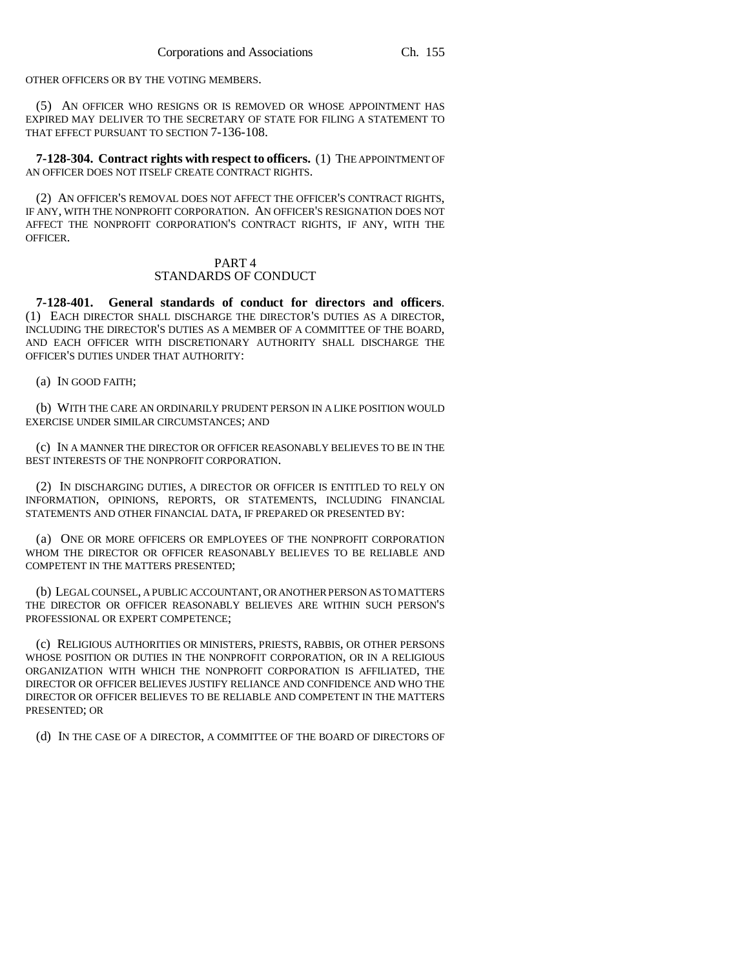OTHER OFFICERS OR BY THE VOTING MEMBERS.

(5) AN OFFICER WHO RESIGNS OR IS REMOVED OR WHOSE APPOINTMENT HAS EXPIRED MAY DELIVER TO THE SECRETARY OF STATE FOR FILING A STATEMENT TO THAT EFFECT PURSUANT TO SECTION 7-136-108.

**7-128-304. Contract rights with respect to officers.** (1) THE APPOINTMENT OF AN OFFICER DOES NOT ITSELF CREATE CONTRACT RIGHTS.

(2) AN OFFICER'S REMOVAL DOES NOT AFFECT THE OFFICER'S CONTRACT RIGHTS, IF ANY, WITH THE NONPROFIT CORPORATION. AN OFFICER'S RESIGNATION DOES NOT AFFECT THE NONPROFIT CORPORATION'S CONTRACT RIGHTS, IF ANY, WITH THE OFFICER.

## PART 4 STANDARDS OF CONDUCT

**7-128-401. General standards of conduct for directors and officers**. (1) EACH DIRECTOR SHALL DISCHARGE THE DIRECTOR'S DUTIES AS A DIRECTOR, INCLUDING THE DIRECTOR'S DUTIES AS A MEMBER OF A COMMITTEE OF THE BOARD, AND EACH OFFICER WITH DISCRETIONARY AUTHORITY SHALL DISCHARGE THE OFFICER'S DUTIES UNDER THAT AUTHORITY:

(a) IN GOOD FAITH;

(b) WITH THE CARE AN ORDINARILY PRUDENT PERSON IN A LIKE POSITION WOULD EXERCISE UNDER SIMILAR CIRCUMSTANCES; AND

(c) IN A MANNER THE DIRECTOR OR OFFICER REASONABLY BELIEVES TO BE IN THE BEST INTERESTS OF THE NONPROFIT CORPORATION.

(2) IN DISCHARGING DUTIES, A DIRECTOR OR OFFICER IS ENTITLED TO RELY ON INFORMATION, OPINIONS, REPORTS, OR STATEMENTS, INCLUDING FINANCIAL STATEMENTS AND OTHER FINANCIAL DATA, IF PREPARED OR PRESENTED BY:

(a) ONE OR MORE OFFICERS OR EMPLOYEES OF THE NONPROFIT CORPORATION WHOM THE DIRECTOR OR OFFICER REASONABLY BELIEVES TO BE RELIABLE AND COMPETENT IN THE MATTERS PRESENTED;

(b) LEGAL COUNSEL, A PUBLIC ACCOUNTANT, OR ANOTHER PERSON AS TO MATTERS THE DIRECTOR OR OFFICER REASONABLY BELIEVES ARE WITHIN SUCH PERSON'S PROFESSIONAL OR EXPERT COMPETENCE;

(c) RELIGIOUS AUTHORITIES OR MINISTERS, PRIESTS, RABBIS, OR OTHER PERSONS WHOSE POSITION OR DUTIES IN THE NONPROFIT CORPORATION, OR IN A RELIGIOUS ORGANIZATION WITH WHICH THE NONPROFIT CORPORATION IS AFFILIATED, THE DIRECTOR OR OFFICER BELIEVES JUSTIFY RELIANCE AND CONFIDENCE AND WHO THE DIRECTOR OR OFFICER BELIEVES TO BE RELIABLE AND COMPETENT IN THE MATTERS PRESENTED; OR

(d) IN THE CASE OF A DIRECTOR, A COMMITTEE OF THE BOARD OF DIRECTORS OF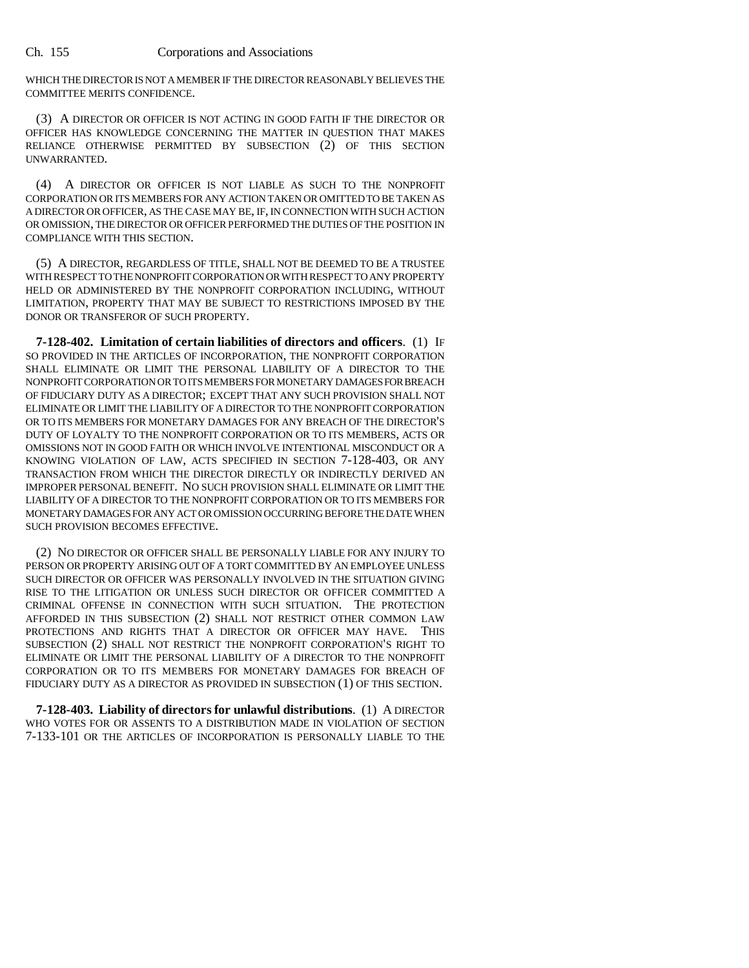WHICH THE DIRECTOR IS NOT A MEMBER IF THE DIRECTOR REASONABLY BELIEVES THE COMMITTEE MERITS CONFIDENCE.

(3) A DIRECTOR OR OFFICER IS NOT ACTING IN GOOD FAITH IF THE DIRECTOR OR OFFICER HAS KNOWLEDGE CONCERNING THE MATTER IN QUESTION THAT MAKES RELIANCE OTHERWISE PERMITTED BY SUBSECTION (2) OF THIS SECTION UNWARRANTED.

(4) A DIRECTOR OR OFFICER IS NOT LIABLE AS SUCH TO THE NONPROFIT CORPORATION OR ITS MEMBERS FOR ANY ACTION TAKEN OR OMITTED TO BE TAKEN AS A DIRECTOR OR OFFICER, AS THE CASE MAY BE, IF, IN CONNECTION WITH SUCH ACTION OR OMISSION, THE DIRECTOR OR OFFICER PERFORMED THE DUTIES OF THE POSITION IN COMPLIANCE WITH THIS SECTION.

(5) A DIRECTOR, REGARDLESS OF TITLE, SHALL NOT BE DEEMED TO BE A TRUSTEE WITH RESPECT TO THE NONPROFIT CORPORATION OR WITH RESPECT TO ANY PROPERTY HELD OR ADMINISTERED BY THE NONPROFIT CORPORATION INCLUDING, WITHOUT LIMITATION, PROPERTY THAT MAY BE SUBJECT TO RESTRICTIONS IMPOSED BY THE DONOR OR TRANSFEROR OF SUCH PROPERTY.

**7-128-402. Limitation of certain liabilities of directors and officers**. (1) IF SO PROVIDED IN THE ARTICLES OF INCORPORATION, THE NONPROFIT CORPORATION SHALL ELIMINATE OR LIMIT THE PERSONAL LIABILITY OF A DIRECTOR TO THE NONPROFIT CORPORATION OR TO ITS MEMBERS FOR MONETARY DAMAGES FOR BREACH OF FIDUCIARY DUTY AS A DIRECTOR; EXCEPT THAT ANY SUCH PROVISION SHALL NOT ELIMINATE OR LIMIT THE LIABILITY OF A DIRECTOR TO THE NONPROFIT CORPORATION OR TO ITS MEMBERS FOR MONETARY DAMAGES FOR ANY BREACH OF THE DIRECTOR'S DUTY OF LOYALTY TO THE NONPROFIT CORPORATION OR TO ITS MEMBERS, ACTS OR OMISSIONS NOT IN GOOD FAITH OR WHICH INVOLVE INTENTIONAL MISCONDUCT OR A KNOWING VIOLATION OF LAW, ACTS SPECIFIED IN SECTION 7-128-403, OR ANY TRANSACTION FROM WHICH THE DIRECTOR DIRECTLY OR INDIRECTLY DERIVED AN IMPROPER PERSONAL BENEFIT. NO SUCH PROVISION SHALL ELIMINATE OR LIMIT THE LIABILITY OF A DIRECTOR TO THE NONPROFIT CORPORATION OR TO ITS MEMBERS FOR MONETARY DAMAGES FOR ANY ACT OR OMISSION OCCURRING BEFORE THE DATE WHEN SUCH PROVISION BECOMES EFFECTIVE.

(2) NO DIRECTOR OR OFFICER SHALL BE PERSONALLY LIABLE FOR ANY INJURY TO PERSON OR PROPERTY ARISING OUT OF A TORT COMMITTED BY AN EMPLOYEE UNLESS SUCH DIRECTOR OR OFFICER WAS PERSONALLY INVOLVED IN THE SITUATION GIVING RISE TO THE LITIGATION OR UNLESS SUCH DIRECTOR OR OFFICER COMMITTED A CRIMINAL OFFENSE IN CONNECTION WITH SUCH SITUATION. THE PROTECTION AFFORDED IN THIS SUBSECTION (2) SHALL NOT RESTRICT OTHER COMMON LAW PROTECTIONS AND RIGHTS THAT A DIRECTOR OR OFFICER MAY HAVE. THIS SUBSECTION (2) SHALL NOT RESTRICT THE NONPROFIT CORPORATION'S RIGHT TO ELIMINATE OR LIMIT THE PERSONAL LIABILITY OF A DIRECTOR TO THE NONPROFIT CORPORATION OR TO ITS MEMBERS FOR MONETARY DAMAGES FOR BREACH OF FIDUCIARY DUTY AS A DIRECTOR AS PROVIDED IN SUBSECTION (1) OF THIS SECTION.

**7-128-403. Liability of directors for unlawful distributions**. (1) A DIRECTOR WHO VOTES FOR OR ASSENTS TO A DISTRIBUTION MADE IN VIOLATION OF SECTION 7-133-101 OR THE ARTICLES OF INCORPORATION IS PERSONALLY LIABLE TO THE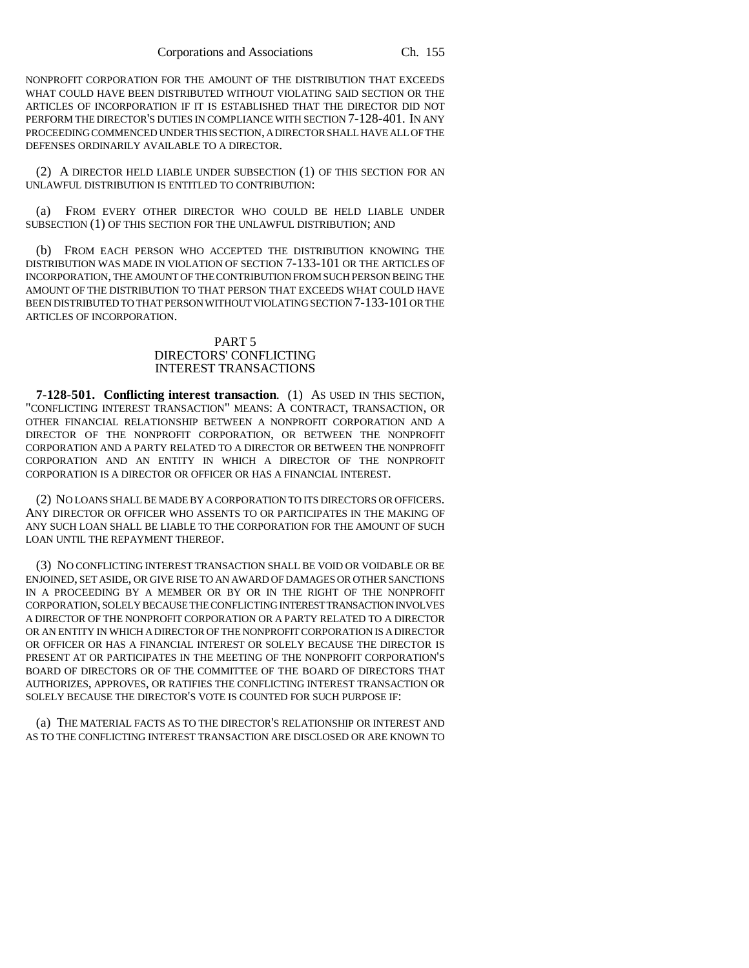NONPROFIT CORPORATION FOR THE AMOUNT OF THE DISTRIBUTION THAT EXCEEDS WHAT COULD HAVE BEEN DISTRIBUTED WITHOUT VIOLATING SAID SECTION OR THE ARTICLES OF INCORPORATION IF IT IS ESTABLISHED THAT THE DIRECTOR DID NOT PERFORM THE DIRECTOR'S DUTIES IN COMPLIANCE WITH SECTION 7-128-401. IN ANY PROCEEDING COMMENCED UNDER THIS SECTION, A DIRECTOR SHALL HAVE ALL OF THE DEFENSES ORDINARILY AVAILABLE TO A DIRECTOR.

(2) A DIRECTOR HELD LIABLE UNDER SUBSECTION (1) OF THIS SECTION FOR AN UNLAWFUL DISTRIBUTION IS ENTITLED TO CONTRIBUTION:

(a) FROM EVERY OTHER DIRECTOR WHO COULD BE HELD LIABLE UNDER SUBSECTION (1) OF THIS SECTION FOR THE UNLAWFUL DISTRIBUTION; AND

(b) FROM EACH PERSON WHO ACCEPTED THE DISTRIBUTION KNOWING THE DISTRIBUTION WAS MADE IN VIOLATION OF SECTION 7-133-101 OR THE ARTICLES OF INCORPORATION, THE AMOUNT OF THE CONTRIBUTION FROM SUCH PERSON BEING THE AMOUNT OF THE DISTRIBUTION TO THAT PERSON THAT EXCEEDS WHAT COULD HAVE BEEN DISTRIBUTED TO THAT PERSON WITHOUT VIOLATING SECTION 7-133-101 OR THE ARTICLES OF INCORPORATION.

#### PART 5 DIRECTORS' CONFLICTING INTEREST TRANSACTIONS

**7-128-501. Conflicting interest transaction**. (1) AS USED IN THIS SECTION, "CONFLICTING INTEREST TRANSACTION" MEANS: A CONTRACT, TRANSACTION, OR OTHER FINANCIAL RELATIONSHIP BETWEEN A NONPROFIT CORPORATION AND A DIRECTOR OF THE NONPROFIT CORPORATION, OR BETWEEN THE NONPROFIT CORPORATION AND A PARTY RELATED TO A DIRECTOR OR BETWEEN THE NONPROFIT CORPORATION AND AN ENTITY IN WHICH A DIRECTOR OF THE NONPROFIT CORPORATION IS A DIRECTOR OR OFFICER OR HAS A FINANCIAL INTEREST.

(2) NO LOANS SHALL BE MADE BY A CORPORATION TO ITS DIRECTORS OR OFFICERS. ANY DIRECTOR OR OFFICER WHO ASSENTS TO OR PARTICIPATES IN THE MAKING OF ANY SUCH LOAN SHALL BE LIABLE TO THE CORPORATION FOR THE AMOUNT OF SUCH LOAN UNTIL THE REPAYMENT THEREOF.

(3) NO CONFLICTING INTEREST TRANSACTION SHALL BE VOID OR VOIDABLE OR BE ENJOINED, SET ASIDE, OR GIVE RISE TO AN AWARD OF DAMAGES OR OTHER SANCTIONS IN A PROCEEDING BY A MEMBER OR BY OR IN THE RIGHT OF THE NONPROFIT CORPORATION, SOLELY BECAUSE THE CONFLICTING INTEREST TRANSACTION INVOLVES A DIRECTOR OF THE NONPROFIT CORPORATION OR A PARTY RELATED TO A DIRECTOR OR AN ENTITY IN WHICH A DIRECTOR OF THE NONPROFIT CORPORATION IS A DIRECTOR OR OFFICER OR HAS A FINANCIAL INTEREST OR SOLELY BECAUSE THE DIRECTOR IS PRESENT AT OR PARTICIPATES IN THE MEETING OF THE NONPROFIT CORPORATION'S BOARD OF DIRECTORS OR OF THE COMMITTEE OF THE BOARD OF DIRECTORS THAT AUTHORIZES, APPROVES, OR RATIFIES THE CONFLICTING INTEREST TRANSACTION OR SOLELY BECAUSE THE DIRECTOR'S VOTE IS COUNTED FOR SUCH PURPOSE IF:

(a) THE MATERIAL FACTS AS TO THE DIRECTOR'S RELATIONSHIP OR INTEREST AND AS TO THE CONFLICTING INTEREST TRANSACTION ARE DISCLOSED OR ARE KNOWN TO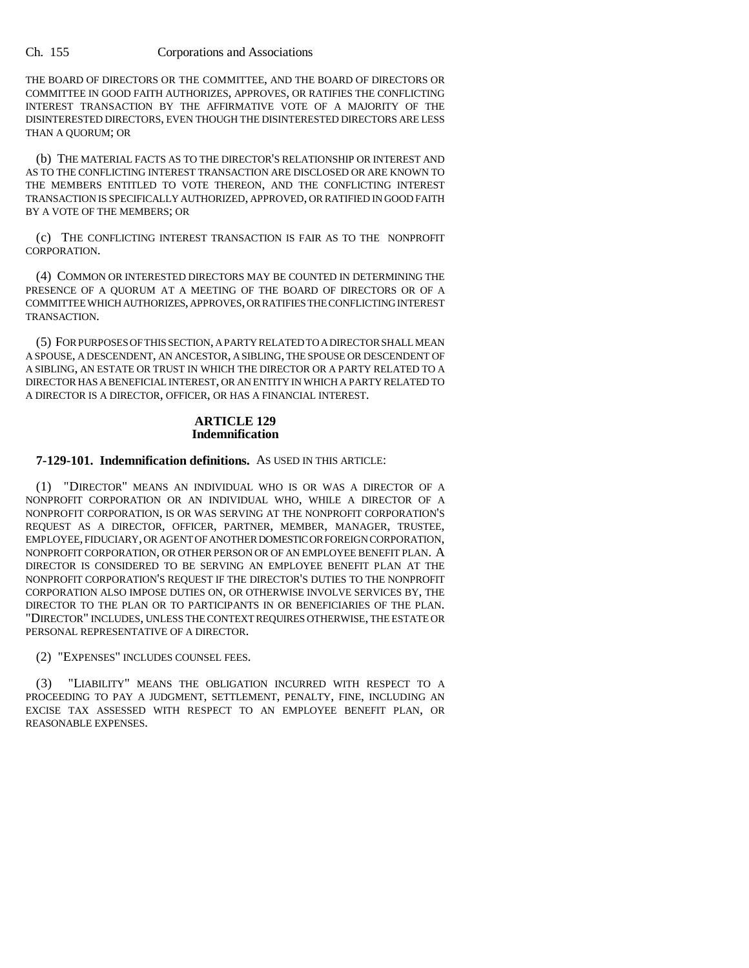Ch. 155 Corporations and Associations

THE BOARD OF DIRECTORS OR THE COMMITTEE, AND THE BOARD OF DIRECTORS OR COMMITTEE IN GOOD FAITH AUTHORIZES, APPROVES, OR RATIFIES THE CONFLICTING INTEREST TRANSACTION BY THE AFFIRMATIVE VOTE OF A MAJORITY OF THE DISINTERESTED DIRECTORS, EVEN THOUGH THE DISINTERESTED DIRECTORS ARE LESS THAN A QUORUM; OR

(b) THE MATERIAL FACTS AS TO THE DIRECTOR'S RELATIONSHIP OR INTEREST AND AS TO THE CONFLICTING INTEREST TRANSACTION ARE DISCLOSED OR ARE KNOWN TO THE MEMBERS ENTITLED TO VOTE THEREON, AND THE CONFLICTING INTEREST TRANSACTION IS SPECIFICALLY AUTHORIZED, APPROVED, OR RATIFIED IN GOOD FAITH BY A VOTE OF THE MEMBERS; OR

(c) THE CONFLICTING INTEREST TRANSACTION IS FAIR AS TO THE NONPROFIT CORPORATION.

(4) COMMON OR INTERESTED DIRECTORS MAY BE COUNTED IN DETERMINING THE PRESENCE OF A QUORUM AT A MEETING OF THE BOARD OF DIRECTORS OR OF A COMMITTEE WHICH AUTHORIZES, APPROVES, OR RATIFIES THE CONFLICTING INTEREST TRANSACTION.

(5) FOR PURPOSES OF THIS SECTION, A PARTY RELATED TO A DIRECTOR SHALL MEAN A SPOUSE, A DESCENDENT, AN ANCESTOR, A SIBLING, THE SPOUSE OR DESCENDENT OF A SIBLING, AN ESTATE OR TRUST IN WHICH THE DIRECTOR OR A PARTY RELATED TO A DIRECTOR HAS A BENEFICIAL INTEREST, OR AN ENTITY IN WHICH A PARTY RELATED TO A DIRECTOR IS A DIRECTOR, OFFICER, OR HAS A FINANCIAL INTEREST.

# **ARTICLE 129 Indemnification**

## **7-129-101. Indemnification definitions.** AS USED IN THIS ARTICLE:

(1) "DIRECTOR" MEANS AN INDIVIDUAL WHO IS OR WAS A DIRECTOR OF A NONPROFIT CORPORATION OR AN INDIVIDUAL WHO, WHILE A DIRECTOR OF A NONPROFIT CORPORATION, IS OR WAS SERVING AT THE NONPROFIT CORPORATION'S REQUEST AS A DIRECTOR, OFFICER, PARTNER, MEMBER, MANAGER, TRUSTEE, EMPLOYEE, FIDUCIARY, OR AGENT OF ANOTHER DOMESTIC OR FOREIGN CORPORATION, NONPROFIT CORPORATION, OR OTHER PERSON OR OF AN EMPLOYEE BENEFIT PLAN. A DIRECTOR IS CONSIDERED TO BE SERVING AN EMPLOYEE BENEFIT PLAN AT THE NONPROFIT CORPORATION'S REQUEST IF THE DIRECTOR'S DUTIES TO THE NONPROFIT CORPORATION ALSO IMPOSE DUTIES ON, OR OTHERWISE INVOLVE SERVICES BY, THE DIRECTOR TO THE PLAN OR TO PARTICIPANTS IN OR BENEFICIARIES OF THE PLAN. "DIRECTOR" INCLUDES, UNLESS THE CONTEXT REQUIRES OTHERWISE, THE ESTATE OR PERSONAL REPRESENTATIVE OF A DIRECTOR.

(2) "EXPENSES" INCLUDES COUNSEL FEES.

(3) "LIABILITY" MEANS THE OBLIGATION INCURRED WITH RESPECT TO A PROCEEDING TO PAY A JUDGMENT, SETTLEMENT, PENALTY, FINE, INCLUDING AN EXCISE TAX ASSESSED WITH RESPECT TO AN EMPLOYEE BENEFIT PLAN, OR REASONABLE EXPENSES.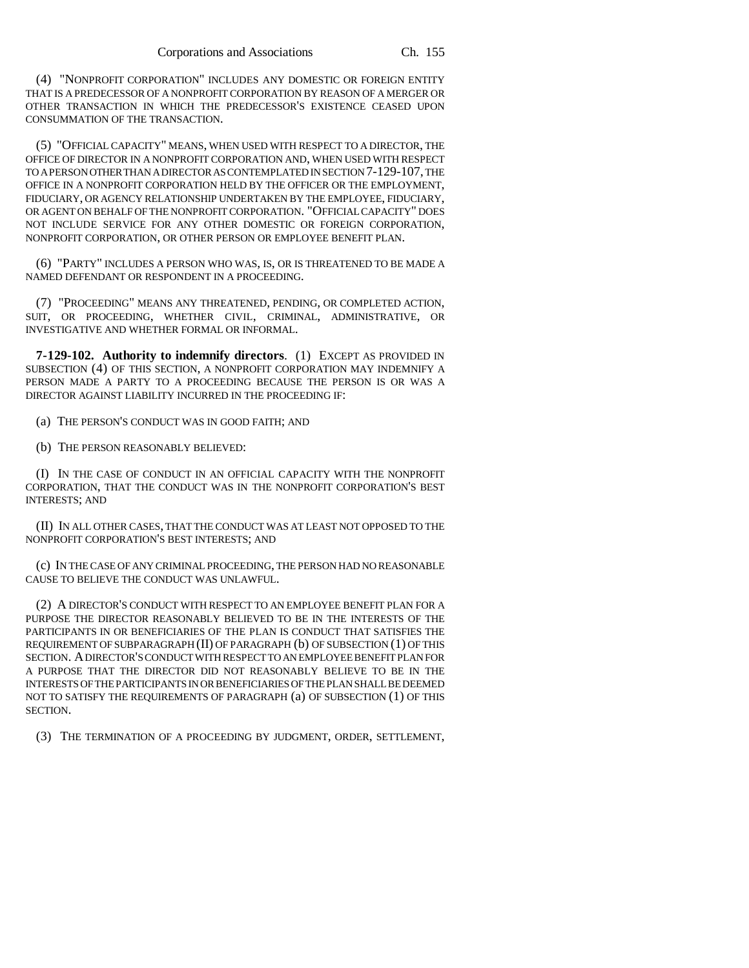(4) "NONPROFIT CORPORATION" INCLUDES ANY DOMESTIC OR FOREIGN ENTITY THAT IS A PREDECESSOR OF A NONPROFIT CORPORATION BY REASON OF A MERGER OR OTHER TRANSACTION IN WHICH THE PREDECESSOR'S EXISTENCE CEASED UPON CONSUMMATION OF THE TRANSACTION.

(5) "OFFICIAL CAPACITY" MEANS, WHEN USED WITH RESPECT TO A DIRECTOR, THE OFFICE OF DIRECTOR IN A NONPROFIT CORPORATION AND, WHEN USED WITH RESPECT TO A PERSON OTHER THAN A DIRECTOR AS CONTEMPLATED IN SECTION 7-129-107, THE OFFICE IN A NONPROFIT CORPORATION HELD BY THE OFFICER OR THE EMPLOYMENT, FIDUCIARY, OR AGENCY RELATIONSHIP UNDERTAKEN BY THE EMPLOYEE, FIDUCIARY, OR AGENT ON BEHALF OF THE NONPROFIT CORPORATION. "OFFICIAL CAPACITY" DOES NOT INCLUDE SERVICE FOR ANY OTHER DOMESTIC OR FOREIGN CORPORATION, NONPROFIT CORPORATION, OR OTHER PERSON OR EMPLOYEE BENEFIT PLAN.

(6) "PARTY" INCLUDES A PERSON WHO WAS, IS, OR IS THREATENED TO BE MADE A NAMED DEFENDANT OR RESPONDENT IN A PROCEEDING.

(7) "PROCEEDING" MEANS ANY THREATENED, PENDING, OR COMPLETED ACTION, SUIT, OR PROCEEDING, WHETHER CIVIL, CRIMINAL, ADMINISTRATIVE, OR INVESTIGATIVE AND WHETHER FORMAL OR INFORMAL.

**7-129-102. Authority to indemnify directors**. (1) EXCEPT AS PROVIDED IN SUBSECTION (4) OF THIS SECTION, A NONPROFIT CORPORATION MAY INDEMNIFY A PERSON MADE A PARTY TO A PROCEEDING BECAUSE THE PERSON IS OR WAS A DIRECTOR AGAINST LIABILITY INCURRED IN THE PROCEEDING IF:

(a) THE PERSON'S CONDUCT WAS IN GOOD FAITH; AND

(b) THE PERSON REASONABLY BELIEVED:

(I) IN THE CASE OF CONDUCT IN AN OFFICIAL CAPACITY WITH THE NONPROFIT CORPORATION, THAT THE CONDUCT WAS IN THE NONPROFIT CORPORATION'S BEST INTERESTS; AND

(II) IN ALL OTHER CASES, THAT THE CONDUCT WAS AT LEAST NOT OPPOSED TO THE NONPROFIT CORPORATION'S BEST INTERESTS; AND

(c) IN THE CASE OF ANY CRIMINAL PROCEEDING, THE PERSON HAD NO REASONABLE CAUSE TO BELIEVE THE CONDUCT WAS UNLAWFUL.

(2) A DIRECTOR'S CONDUCT WITH RESPECT TO AN EMPLOYEE BENEFIT PLAN FOR A PURPOSE THE DIRECTOR REASONABLY BELIEVED TO BE IN THE INTERESTS OF THE PARTICIPANTS IN OR BENEFICIARIES OF THE PLAN IS CONDUCT THAT SATISFIES THE REQUIREMENT OF SUBPARAGRAPH (II) OF PARAGRAPH (b) OF SUBSECTION (1) OF THIS SECTION. A DIRECTOR'S CONDUCT WITH RESPECT TO AN EMPLOYEE BENEFIT PLAN FOR A PURPOSE THAT THE DIRECTOR DID NOT REASONABLY BELIEVE TO BE IN THE INTERESTS OF THE PARTICIPANTS IN OR BENEFICIARIES OF THE PLAN SHALL BE DEEMED NOT TO SATISFY THE REQUIREMENTS OF PARAGRAPH (a) OF SUBSECTION (1) OF THIS SECTION.

(3) THE TERMINATION OF A PROCEEDING BY JUDGMENT, ORDER, SETTLEMENT,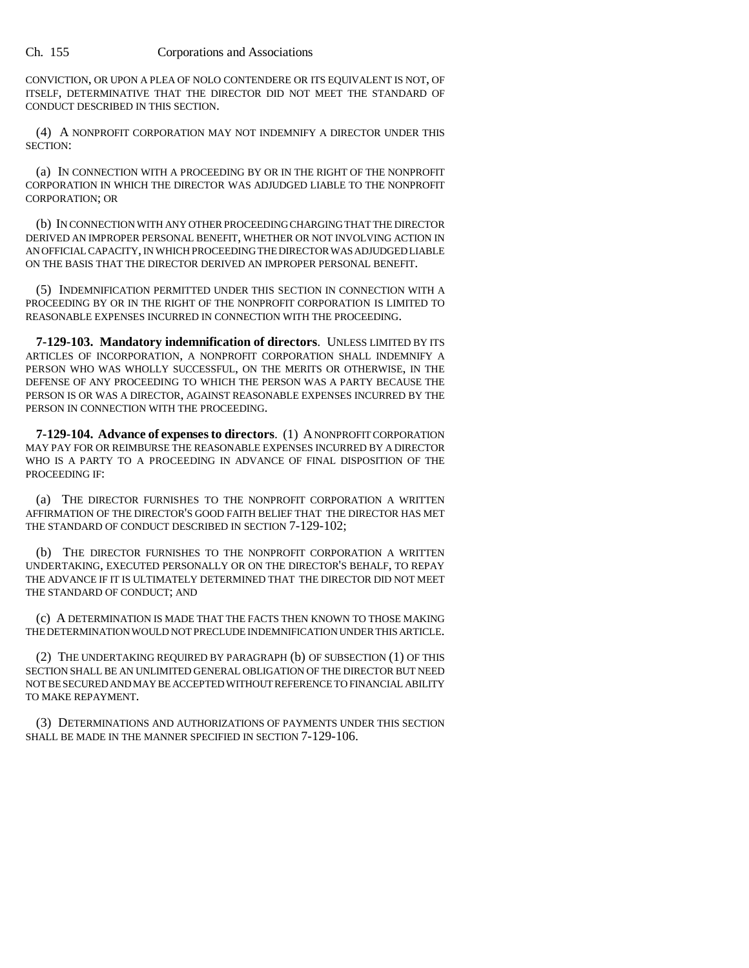#### Ch. 155 Corporations and Associations

CONVICTION, OR UPON A PLEA OF NOLO CONTENDERE OR ITS EQUIVALENT IS NOT, OF ITSELF, DETERMINATIVE THAT THE DIRECTOR DID NOT MEET THE STANDARD OF CONDUCT DESCRIBED IN THIS SECTION.

(4) A NONPROFIT CORPORATION MAY NOT INDEMNIFY A DIRECTOR UNDER THIS SECTION:

(a) IN CONNECTION WITH A PROCEEDING BY OR IN THE RIGHT OF THE NONPROFIT CORPORATION IN WHICH THE DIRECTOR WAS ADJUDGED LIABLE TO THE NONPROFIT CORPORATION; OR

(b) IN CONNECTION WITH ANY OTHER PROCEEDING CHARGING THAT THE DIRECTOR DERIVED AN IMPROPER PERSONAL BENEFIT, WHETHER OR NOT INVOLVING ACTION IN AN OFFICIAL CAPACITY, IN WHICH PROCEEDING THE DIRECTOR WAS ADJUDGED LIABLE ON THE BASIS THAT THE DIRECTOR DERIVED AN IMPROPER PERSONAL BENEFIT.

(5) INDEMNIFICATION PERMITTED UNDER THIS SECTION IN CONNECTION WITH A PROCEEDING BY OR IN THE RIGHT OF THE NONPROFIT CORPORATION IS LIMITED TO REASONABLE EXPENSES INCURRED IN CONNECTION WITH THE PROCEEDING.

**7-129-103. Mandatory indemnification of directors**. UNLESS LIMITED BY ITS ARTICLES OF INCORPORATION, A NONPROFIT CORPORATION SHALL INDEMNIFY A PERSON WHO WAS WHOLLY SUCCESSFUL, ON THE MERITS OR OTHERWISE, IN THE DEFENSE OF ANY PROCEEDING TO WHICH THE PERSON WAS A PARTY BECAUSE THE PERSON IS OR WAS A DIRECTOR, AGAINST REASONABLE EXPENSES INCURRED BY THE PERSON IN CONNECTION WITH THE PROCEEDING.

**7-129-104. Advance of expenses to directors**. (1) A NONPROFIT CORPORATION MAY PAY FOR OR REIMBURSE THE REASONABLE EXPENSES INCURRED BY A DIRECTOR WHO IS A PARTY TO A PROCEEDING IN ADVANCE OF FINAL DISPOSITION OF THE PROCEEDING IF:

(a) THE DIRECTOR FURNISHES TO THE NONPROFIT CORPORATION A WRITTEN AFFIRMATION OF THE DIRECTOR'S GOOD FAITH BELIEF THAT THE DIRECTOR HAS MET THE STANDARD OF CONDUCT DESCRIBED IN SECTION 7-129-102;

(b) THE DIRECTOR FURNISHES TO THE NONPROFIT CORPORATION A WRITTEN UNDERTAKING, EXECUTED PERSONALLY OR ON THE DIRECTOR'S BEHALF, TO REPAY THE ADVANCE IF IT IS ULTIMATELY DETERMINED THAT THE DIRECTOR DID NOT MEET THE STANDARD OF CONDUCT; AND

(c) A DETERMINATION IS MADE THAT THE FACTS THEN KNOWN TO THOSE MAKING THE DETERMINATION WOULD NOT PRECLUDE INDEMNIFICATION UNDER THIS ARTICLE.

(2) THE UNDERTAKING REQUIRED BY PARAGRAPH (b) OF SUBSECTION (1) OF THIS SECTION SHALL BE AN UNLIMITED GENERAL OBLIGATION OF THE DIRECTOR BUT NEED NOT BE SECURED AND MAY BE ACCEPTED WITHOUT REFERENCE TO FINANCIAL ABILITY TO MAKE REPAYMENT.

(3) DETERMINATIONS AND AUTHORIZATIONS OF PAYMENTS UNDER THIS SECTION SHALL BE MADE IN THE MANNER SPECIFIED IN SECTION 7-129-106.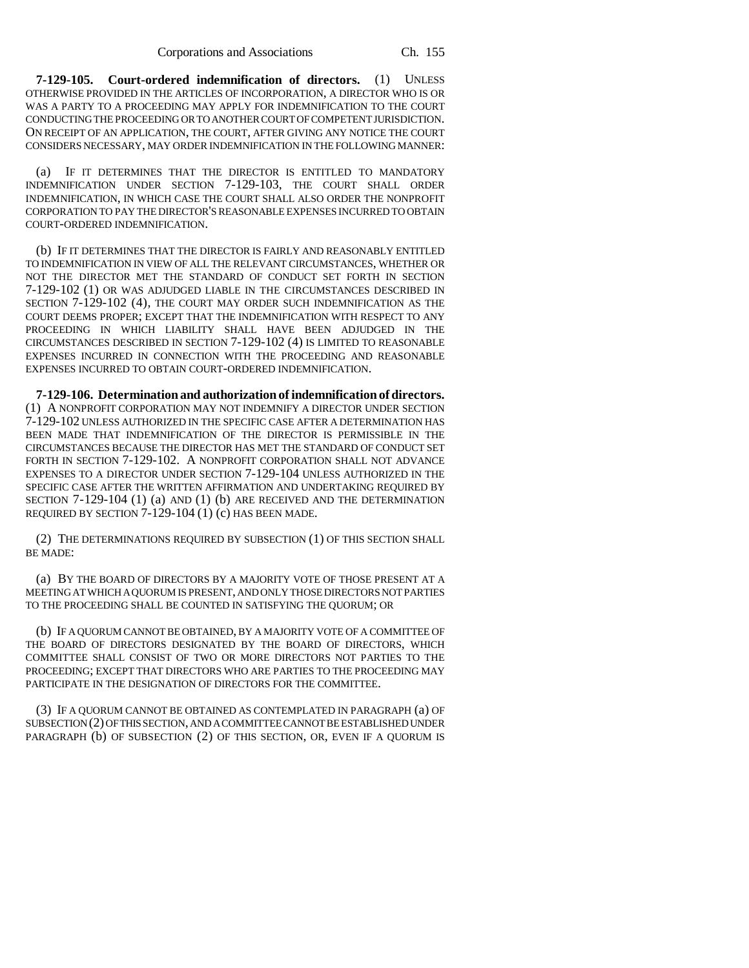**7-129-105. Court-ordered indemnification of directors.** (1) UNLESS OTHERWISE PROVIDED IN THE ARTICLES OF INCORPORATION, A DIRECTOR WHO IS OR WAS A PARTY TO A PROCEEDING MAY APPLY FOR INDEMNIFICATION TO THE COURT CONDUCTING THE PROCEEDING OR TO ANOTHER COURT OF COMPETENT JURISDICTION. ON RECEIPT OF AN APPLICATION, THE COURT, AFTER GIVING ANY NOTICE THE COURT CONSIDERS NECESSARY, MAY ORDER INDEMNIFICATION IN THE FOLLOWING MANNER:

(a) IF IT DETERMINES THAT THE DIRECTOR IS ENTITLED TO MANDATORY INDEMNIFICATION UNDER SECTION 7-129-103, THE COURT SHALL ORDER INDEMNIFICATION, IN WHICH CASE THE COURT SHALL ALSO ORDER THE NONPROFIT CORPORATION TO PAY THE DIRECTOR'S REASONABLE EXPENSES INCURRED TO OBTAIN COURT-ORDERED INDEMNIFICATION.

(b) IF IT DETERMINES THAT THE DIRECTOR IS FAIRLY AND REASONABLY ENTITLED TO INDEMNIFICATION IN VIEW OF ALL THE RELEVANT CIRCUMSTANCES, WHETHER OR NOT THE DIRECTOR MET THE STANDARD OF CONDUCT SET FORTH IN SECTION 7-129-102 (1) OR WAS ADJUDGED LIABLE IN THE CIRCUMSTANCES DESCRIBED IN SECTION 7-129-102 (4), THE COURT MAY ORDER SUCH INDEMNIFICATION AS THE COURT DEEMS PROPER; EXCEPT THAT THE INDEMNIFICATION WITH RESPECT TO ANY PROCEEDING IN WHICH LIABILITY SHALL HAVE BEEN ADJUDGED IN THE CIRCUMSTANCES DESCRIBED IN SECTION 7-129-102 (4) IS LIMITED TO REASONABLE EXPENSES INCURRED IN CONNECTION WITH THE PROCEEDING AND REASONABLE EXPENSES INCURRED TO OBTAIN COURT-ORDERED INDEMNIFICATION.

**7-129-106. Determination and authorization of indemnification of directors.** (1) A NONPROFIT CORPORATION MAY NOT INDEMNIFY A DIRECTOR UNDER SECTION 7-129-102 UNLESS AUTHORIZED IN THE SPECIFIC CASE AFTER A DETERMINATION HAS BEEN MADE THAT INDEMNIFICATION OF THE DIRECTOR IS PERMISSIBLE IN THE CIRCUMSTANCES BECAUSE THE DIRECTOR HAS MET THE STANDARD OF CONDUCT SET FORTH IN SECTION 7-129-102. A NONPROFIT CORPORATION SHALL NOT ADVANCE EXPENSES TO A DIRECTOR UNDER SECTION 7-129-104 UNLESS AUTHORIZED IN THE SPECIFIC CASE AFTER THE WRITTEN AFFIRMATION AND UNDERTAKING REQUIRED BY SECTION 7-129-104 (1) (a) AND (1) (b) ARE RECEIVED AND THE DETERMINATION REQUIRED BY SECTION 7-129-104 (1) (c) HAS BEEN MADE.

(2) THE DETERMINATIONS REQUIRED BY SUBSECTION (1) OF THIS SECTION SHALL BE MADE:

(a) BY THE BOARD OF DIRECTORS BY A MAJORITY VOTE OF THOSE PRESENT AT A MEETING AT WHICH A QUORUM IS PRESENT, AND ONLY THOSE DIRECTORS NOT PARTIES TO THE PROCEEDING SHALL BE COUNTED IN SATISFYING THE QUORUM; OR

(b) IF A QUORUM CANNOT BE OBTAINED, BY A MAJORITY VOTE OF A COMMITTEE OF THE BOARD OF DIRECTORS DESIGNATED BY THE BOARD OF DIRECTORS, WHICH COMMITTEE SHALL CONSIST OF TWO OR MORE DIRECTORS NOT PARTIES TO THE PROCEEDING; EXCEPT THAT DIRECTORS WHO ARE PARTIES TO THE PROCEEDING MAY PARTICIPATE IN THE DESIGNATION OF DIRECTORS FOR THE COMMITTEE.

(3) IF A QUORUM CANNOT BE OBTAINED AS CONTEMPLATED IN PARAGRAPH (a) OF SUBSECTION (2) OF THIS SECTION, AND A COMMITTEE CANNOT BE ESTABLISHED UNDER PARAGRAPH (b) OF SUBSECTION (2) OF THIS SECTION, OR, EVEN IF A QUORUM IS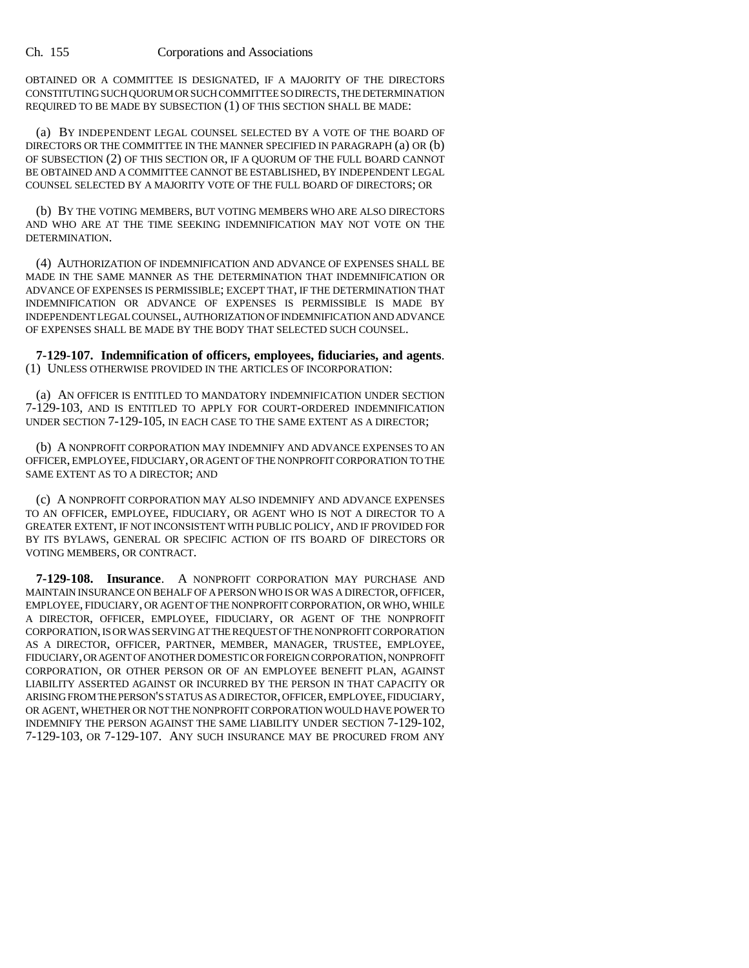OBTAINED OR A COMMITTEE IS DESIGNATED, IF A MAJORITY OF THE DIRECTORS CONSTITUTING SUCH QUORUM OR SUCH COMMITTEE SO DIRECTS, THE DETERMINATION REQUIRED TO BE MADE BY SUBSECTION (1) OF THIS SECTION SHALL BE MADE:

(a) BY INDEPENDENT LEGAL COUNSEL SELECTED BY A VOTE OF THE BOARD OF DIRECTORS OR THE COMMITTEE IN THE MANNER SPECIFIED IN PARAGRAPH (a) OR (b) OF SUBSECTION (2) OF THIS SECTION OR, IF A QUORUM OF THE FULL BOARD CANNOT BE OBTAINED AND A COMMITTEE CANNOT BE ESTABLISHED, BY INDEPENDENT LEGAL COUNSEL SELECTED BY A MAJORITY VOTE OF THE FULL BOARD OF DIRECTORS; OR

(b) BY THE VOTING MEMBERS, BUT VOTING MEMBERS WHO ARE ALSO DIRECTORS AND WHO ARE AT THE TIME SEEKING INDEMNIFICATION MAY NOT VOTE ON THE DETERMINATION.

(4) AUTHORIZATION OF INDEMNIFICATION AND ADVANCE OF EXPENSES SHALL BE MADE IN THE SAME MANNER AS THE DETERMINATION THAT INDEMNIFICATION OR ADVANCE OF EXPENSES IS PERMISSIBLE; EXCEPT THAT, IF THE DETERMINATION THAT INDEMNIFICATION OR ADVANCE OF EXPENSES IS PERMISSIBLE IS MADE BY INDEPENDENT LEGAL COUNSEL, AUTHORIZATION OF INDEMNIFICATION AND ADVANCE OF EXPENSES SHALL BE MADE BY THE BODY THAT SELECTED SUCH COUNSEL.

**7-129-107. Indemnification of officers, employees, fiduciaries, and agents**. (1) UNLESS OTHERWISE PROVIDED IN THE ARTICLES OF INCORPORATION:

(a) AN OFFICER IS ENTITLED TO MANDATORY INDEMNIFICATION UNDER SECTION 7-129-103, AND IS ENTITLED TO APPLY FOR COURT-ORDERED INDEMNIFICATION UNDER SECTION 7-129-105, IN EACH CASE TO THE SAME EXTENT AS A DIRECTOR;

(b) A NONPROFIT CORPORATION MAY INDEMNIFY AND ADVANCE EXPENSES TO AN OFFICER, EMPLOYEE, FIDUCIARY, OR AGENT OF THE NONPROFIT CORPORATION TO THE SAME EXTENT AS TO A DIRECTOR; AND

(c) A NONPROFIT CORPORATION MAY ALSO INDEMNIFY AND ADVANCE EXPENSES TO AN OFFICER, EMPLOYEE, FIDUCIARY, OR AGENT WHO IS NOT A DIRECTOR TO A GREATER EXTENT, IF NOT INCONSISTENT WITH PUBLIC POLICY, AND IF PROVIDED FOR BY ITS BYLAWS, GENERAL OR SPECIFIC ACTION OF ITS BOARD OF DIRECTORS OR VOTING MEMBERS, OR CONTRACT.

**7-129-108. Insurance**. A NONPROFIT CORPORATION MAY PURCHASE AND MAINTAIN INSURANCE ON BEHALF OF A PERSON WHO IS OR WAS A DIRECTOR, OFFICER, EMPLOYEE, FIDUCIARY, OR AGENT OF THE NONPROFIT CORPORATION, OR WHO, WHILE A DIRECTOR, OFFICER, EMPLOYEE, FIDUCIARY, OR AGENT OF THE NONPROFIT CORPORATION, IS OR WAS SERVING AT THE REQUEST OF THE NONPROFIT CORPORATION AS A DIRECTOR, OFFICER, PARTNER, MEMBER, MANAGER, TRUSTEE, EMPLOYEE, FIDUCIARY, OR AGENT OF ANOTHER DOMESTIC OR FOREIGN CORPORATION, NONPROFIT CORPORATION, OR OTHER PERSON OR OF AN EMPLOYEE BENEFIT PLAN, AGAINST LIABILITY ASSERTED AGAINST OR INCURRED BY THE PERSON IN THAT CAPACITY OR ARISING FROM THE PERSON'S STATUS AS A DIRECTOR, OFFICER, EMPLOYEE, FIDUCIARY, OR AGENT, WHETHER OR NOT THE NONPROFIT CORPORATION WOULD HAVE POWER TO INDEMNIFY THE PERSON AGAINST THE SAME LIABILITY UNDER SECTION 7-129-102, 7-129-103, OR 7-129-107. ANY SUCH INSURANCE MAY BE PROCURED FROM ANY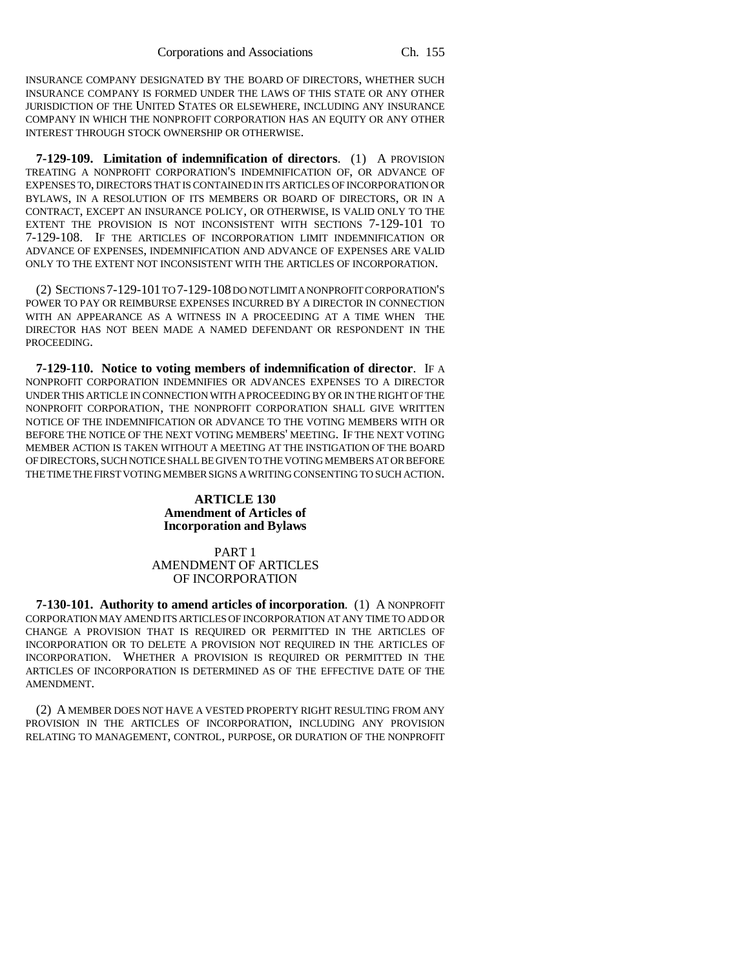INSURANCE COMPANY DESIGNATED BY THE BOARD OF DIRECTORS, WHETHER SUCH INSURANCE COMPANY IS FORMED UNDER THE LAWS OF THIS STATE OR ANY OTHER JURISDICTION OF THE UNITED STATES OR ELSEWHERE, INCLUDING ANY INSURANCE COMPANY IN WHICH THE NONPROFIT CORPORATION HAS AN EQUITY OR ANY OTHER INTEREST THROUGH STOCK OWNERSHIP OR OTHERWISE.

**7-129-109. Limitation of indemnification of directors**. (1) A PROVISION TREATING A NONPROFIT CORPORATION'S INDEMNIFICATION OF, OR ADVANCE OF EXPENSES TO, DIRECTORS THAT IS CONTAINED IN ITS ARTICLES OF INCORPORATION OR BYLAWS, IN A RESOLUTION OF ITS MEMBERS OR BOARD OF DIRECTORS, OR IN A CONTRACT, EXCEPT AN INSURANCE POLICY, OR OTHERWISE, IS VALID ONLY TO THE EXTENT THE PROVISION IS NOT INCONSISTENT WITH SECTIONS 7-129-101 TO 7-129-108. IF THE ARTICLES OF INCORPORATION LIMIT INDEMNIFICATION OR ADVANCE OF EXPENSES, INDEMNIFICATION AND ADVANCE OF EXPENSES ARE VALID ONLY TO THE EXTENT NOT INCONSISTENT WITH THE ARTICLES OF INCORPORATION.

(2) SECTIONS 7-129-101 TO 7-129-108 DO NOT LIMIT A NONPROFIT CORPORATION'S POWER TO PAY OR REIMBURSE EXPENSES INCURRED BY A DIRECTOR IN CONNECTION WITH AN APPEARANCE AS A WITNESS IN A PROCEEDING AT A TIME WHEN THE DIRECTOR HAS NOT BEEN MADE A NAMED DEFENDANT OR RESPONDENT IN THE PROCEEDING.

**7-129-110. Notice to voting members of indemnification of director**. IF A NONPROFIT CORPORATION INDEMNIFIES OR ADVANCES EXPENSES TO A DIRECTOR UNDER THIS ARTICLE IN CONNECTION WITH A PROCEEDING BY OR IN THE RIGHT OF THE NONPROFIT CORPORATION, THE NONPROFIT CORPORATION SHALL GIVE WRITTEN NOTICE OF THE INDEMNIFICATION OR ADVANCE TO THE VOTING MEMBERS WITH OR BEFORE THE NOTICE OF THE NEXT VOTING MEMBERS' MEETING. IF THE NEXT VOTING MEMBER ACTION IS TAKEN WITHOUT A MEETING AT THE INSTIGATION OF THE BOARD OF DIRECTORS, SUCH NOTICE SHALL BE GIVEN TO THE VOTING MEMBERS AT OR BEFORE THE TIME THE FIRST VOTING MEMBER SIGNS A WRITING CONSENTING TO SUCH ACTION.

## **ARTICLE 130 Amendment of Articles of Incorporation and Bylaws**

## PART 1 AMENDMENT OF ARTICLES OF INCORPORATION

**7-130-101. Authority to amend articles of incorporation**. (1) A NONPROFIT CORPORATION MAY AMEND ITS ARTICLES OF INCORPORATION AT ANY TIME TO ADD OR CHANGE A PROVISION THAT IS REQUIRED OR PERMITTED IN THE ARTICLES OF INCORPORATION OR TO DELETE A PROVISION NOT REQUIRED IN THE ARTICLES OF INCORPORATION. WHETHER A PROVISION IS REQUIRED OR PERMITTED IN THE ARTICLES OF INCORPORATION IS DETERMINED AS OF THE EFFECTIVE DATE OF THE AMENDMENT.

(2) A MEMBER DOES NOT HAVE A VESTED PROPERTY RIGHT RESULTING FROM ANY PROVISION IN THE ARTICLES OF INCORPORATION, INCLUDING ANY PROVISION RELATING TO MANAGEMENT, CONTROL, PURPOSE, OR DURATION OF THE NONPROFIT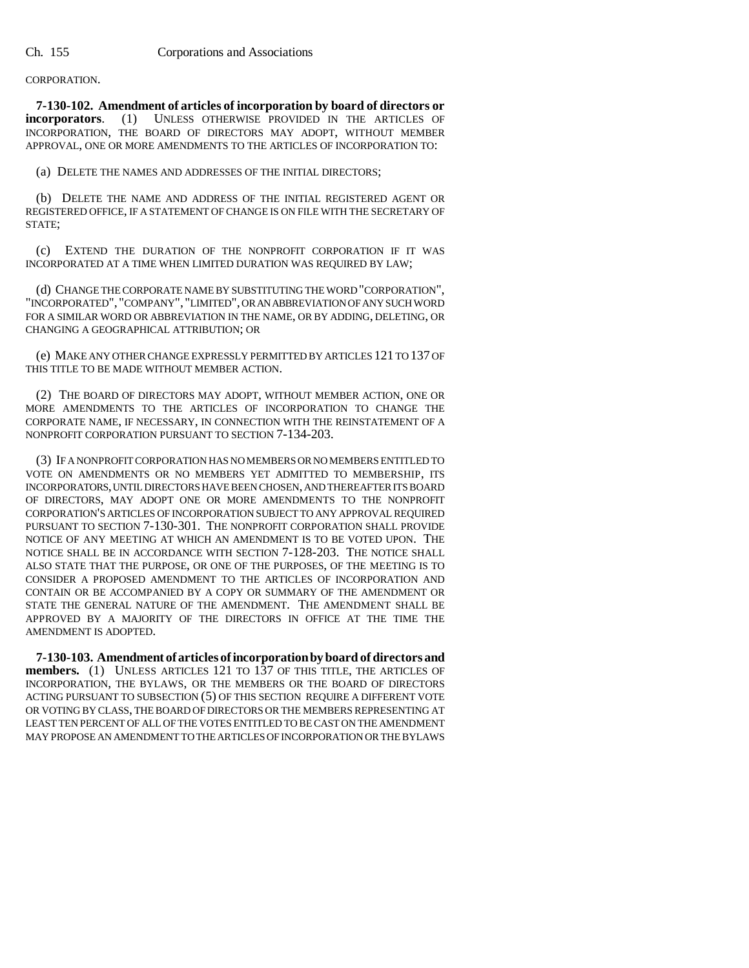CORPORATION.

**7-130-102. Amendment of articles of incorporation by board of directors or incorporators.** (1) UNLESS OTHERWISE PROVIDED IN THE ARTICLES OF UNLESS OTHERWISE PROVIDED IN THE ARTICLES OF INCORPORATION, THE BOARD OF DIRECTORS MAY ADOPT, WITHOUT MEMBER APPROVAL, ONE OR MORE AMENDMENTS TO THE ARTICLES OF INCORPORATION TO:

(a) DELETE THE NAMES AND ADDRESSES OF THE INITIAL DIRECTORS;

(b) DELETE THE NAME AND ADDRESS OF THE INITIAL REGISTERED AGENT OR REGISTERED OFFICE, IF A STATEMENT OF CHANGE IS ON FILE WITH THE SECRETARY OF STATE;

(c) EXTEND THE DURATION OF THE NONPROFIT CORPORATION IF IT WAS INCORPORATED AT A TIME WHEN LIMITED DURATION WAS REQUIRED BY LAW;

(d) CHANGE THE CORPORATE NAME BY SUBSTITUTING THE WORD "CORPORATION", "INCORPORATED", "COMPANY", "LIMITED", OR AN ABBREVIATION OF ANY SUCH WORD FOR A SIMILAR WORD OR ABBREVIATION IN THE NAME, OR BY ADDING, DELETING, OR CHANGING A GEOGRAPHICAL ATTRIBUTION; OR

(e) MAKE ANY OTHER CHANGE EXPRESSLY PERMITTED BY ARTICLES 121 TO 137 OF THIS TITLE TO BE MADE WITHOUT MEMBER ACTION.

(2) THE BOARD OF DIRECTORS MAY ADOPT, WITHOUT MEMBER ACTION, ONE OR MORE AMENDMENTS TO THE ARTICLES OF INCORPORATION TO CHANGE THE CORPORATE NAME, IF NECESSARY, IN CONNECTION WITH THE REINSTATEMENT OF A NONPROFIT CORPORATION PURSUANT TO SECTION 7-134-203.

(3) IF A NONPROFIT CORPORATION HAS NO MEMBERS OR NO MEMBERS ENTITLED TO VOTE ON AMENDMENTS OR NO MEMBERS YET ADMITTED TO MEMBERSHIP, ITS INCORPORATORS, UNTIL DIRECTORS HAVE BEEN CHOSEN, AND THEREAFTER ITS BOARD OF DIRECTORS, MAY ADOPT ONE OR MORE AMENDMENTS TO THE NONPROFIT CORPORATION'S ARTICLES OF INCORPORATION SUBJECT TO ANY APPROVAL REQUIRED PURSUANT TO SECTION 7-130-301. THE NONPROFIT CORPORATION SHALL PROVIDE NOTICE OF ANY MEETING AT WHICH AN AMENDMENT IS TO BE VOTED UPON. THE NOTICE SHALL BE IN ACCORDANCE WITH SECTION 7-128-203. THE NOTICE SHALL ALSO STATE THAT THE PURPOSE, OR ONE OF THE PURPOSES, OF THE MEETING IS TO CONSIDER A PROPOSED AMENDMENT TO THE ARTICLES OF INCORPORATION AND CONTAIN OR BE ACCOMPANIED BY A COPY OR SUMMARY OF THE AMENDMENT OR STATE THE GENERAL NATURE OF THE AMENDMENT. THE AMENDMENT SHALL BE APPROVED BY A MAJORITY OF THE DIRECTORS IN OFFICE AT THE TIME THE AMENDMENT IS ADOPTED.

**7-130-103. Amendment of articles of incorporation by board of directors and members.** (1) UNLESS ARTICLES 121 TO 137 OF THIS TITLE, THE ARTICLES OF INCORPORATION, THE BYLAWS, OR THE MEMBERS OR THE BOARD OF DIRECTORS ACTING PURSUANT TO SUBSECTION (5) OF THIS SECTION REQUIRE A DIFFERENT VOTE OR VOTING BY CLASS, THE BOARD OF DIRECTORS OR THE MEMBERS REPRESENTING AT LEAST TEN PERCENT OF ALL OF THE VOTES ENTITLED TO BE CAST ON THE AMENDMENT MAY PROPOSE AN AMENDMENT TO THE ARTICLES OF INCORPORATION OR THE BYLAWS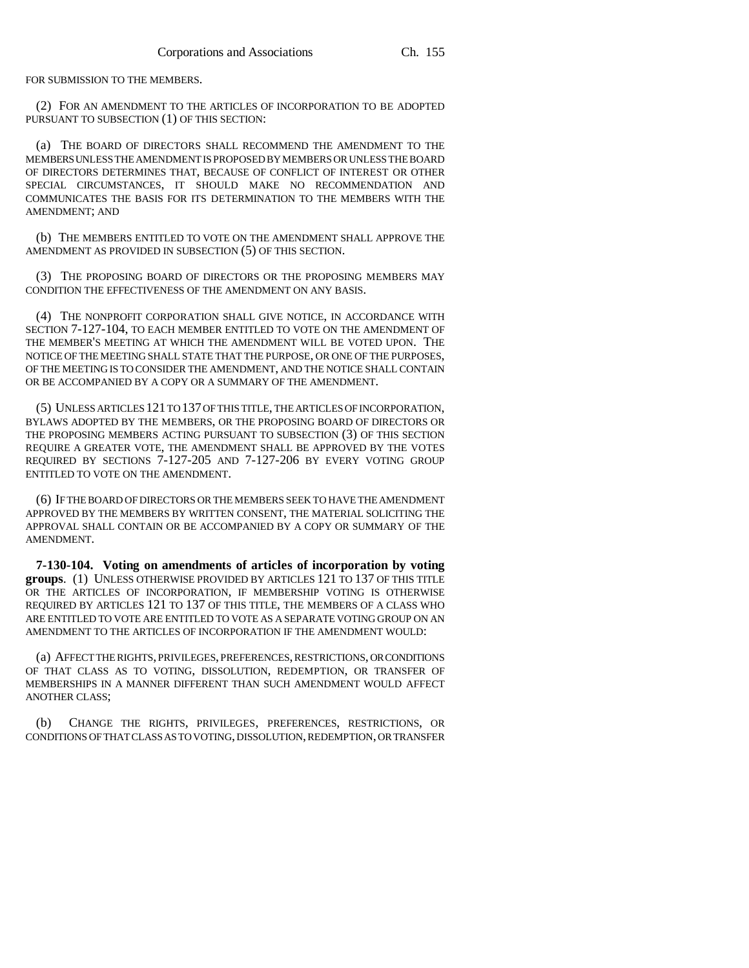FOR SUBMISSION TO THE MEMBERS.

(2) FOR AN AMENDMENT TO THE ARTICLES OF INCORPORATION TO BE ADOPTED PURSUANT TO SUBSECTION (1) OF THIS SECTION:

(a) THE BOARD OF DIRECTORS SHALL RECOMMEND THE AMENDMENT TO THE MEMBERS UNLESS THE AMENDMENT IS PROPOSED BY MEMBERS OR UNLESS THE BOARD OF DIRECTORS DETERMINES THAT, BECAUSE OF CONFLICT OF INTEREST OR OTHER SPECIAL CIRCUMSTANCES, IT SHOULD MAKE NO RECOMMENDATION AND COMMUNICATES THE BASIS FOR ITS DETERMINATION TO THE MEMBERS WITH THE AMENDMENT; AND

(b) THE MEMBERS ENTITLED TO VOTE ON THE AMENDMENT SHALL APPROVE THE AMENDMENT AS PROVIDED IN SUBSECTION (5) OF THIS SECTION.

(3) THE PROPOSING BOARD OF DIRECTORS OR THE PROPOSING MEMBERS MAY CONDITION THE EFFECTIVENESS OF THE AMENDMENT ON ANY BASIS.

(4) THE NONPROFIT CORPORATION SHALL GIVE NOTICE, IN ACCORDANCE WITH SECTION 7-127-104, TO EACH MEMBER ENTITLED TO VOTE ON THE AMENDMENT OF THE MEMBER'S MEETING AT WHICH THE AMENDMENT WILL BE VOTED UPON. THE NOTICE OF THE MEETING SHALL STATE THAT THE PURPOSE, OR ONE OF THE PURPOSES, OF THE MEETING IS TO CONSIDER THE AMENDMENT, AND THE NOTICE SHALL CONTAIN OR BE ACCOMPANIED BY A COPY OR A SUMMARY OF THE AMENDMENT.

(5) UNLESS ARTICLES 121 TO 137 OF THIS TITLE, THE ARTICLES OF INCORPORATION, BYLAWS ADOPTED BY THE MEMBERS, OR THE PROPOSING BOARD OF DIRECTORS OR THE PROPOSING MEMBERS ACTING PURSUANT TO SUBSECTION (3) OF THIS SECTION REQUIRE A GREATER VOTE, THE AMENDMENT SHALL BE APPROVED BY THE VOTES REQUIRED BY SECTIONS 7-127-205 AND 7-127-206 BY EVERY VOTING GROUP ENTITLED TO VOTE ON THE AMENDMENT.

(6) IF THE BOARD OF DIRECTORS OR THE MEMBERS SEEK TO HAVE THE AMENDMENT APPROVED BY THE MEMBERS BY WRITTEN CONSENT, THE MATERIAL SOLICITING THE APPROVAL SHALL CONTAIN OR BE ACCOMPANIED BY A COPY OR SUMMARY OF THE AMENDMENT.

**7-130-104. Voting on amendments of articles of incorporation by voting groups**. (1) UNLESS OTHERWISE PROVIDED BY ARTICLES 121 TO 137 OF THIS TITLE OR THE ARTICLES OF INCORPORATION, IF MEMBERSHIP VOTING IS OTHERWISE REQUIRED BY ARTICLES 121 TO 137 OF THIS TITLE, THE MEMBERS OF A CLASS WHO ARE ENTITLED TO VOTE ARE ENTITLED TO VOTE AS A SEPARATE VOTING GROUP ON AN AMENDMENT TO THE ARTICLES OF INCORPORATION IF THE AMENDMENT WOULD:

(a) AFFECT THE RIGHTS, PRIVILEGES, PREFERENCES, RESTRICTIONS, OR CONDITIONS OF THAT CLASS AS TO VOTING, DISSOLUTION, REDEMPTION, OR TRANSFER OF MEMBERSHIPS IN A MANNER DIFFERENT THAN SUCH AMENDMENT WOULD AFFECT ANOTHER CLASS;

(b) CHANGE THE RIGHTS, PRIVILEGES, PREFERENCES, RESTRICTIONS, OR CONDITIONS OF THAT CLASS AS TO VOTING, DISSOLUTION, REDEMPTION, OR TRANSFER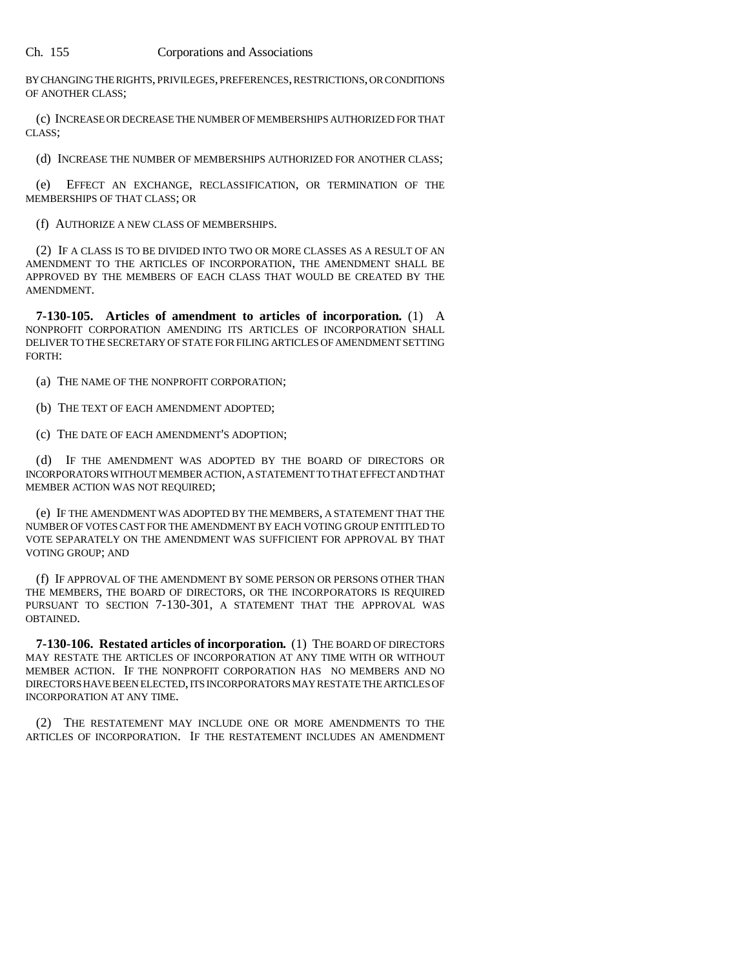Ch. 155 Corporations and Associations

BY CHANGING THE RIGHTS, PRIVILEGES, PREFERENCES, RESTRICTIONS, OR CONDITIONS OF ANOTHER CLASS;

(c) INCREASE OR DECREASE THE NUMBER OF MEMBERSHIPS AUTHORIZED FOR THAT CLASS;

(d) INCREASE THE NUMBER OF MEMBERSHIPS AUTHORIZED FOR ANOTHER CLASS;

(e) EFFECT AN EXCHANGE, RECLASSIFICATION, OR TERMINATION OF THE MEMBERSHIPS OF THAT CLASS; OR

(f) AUTHORIZE A NEW CLASS OF MEMBERSHIPS.

(2) IF A CLASS IS TO BE DIVIDED INTO TWO OR MORE CLASSES AS A RESULT OF AN AMENDMENT TO THE ARTICLES OF INCORPORATION, THE AMENDMENT SHALL BE APPROVED BY THE MEMBERS OF EACH CLASS THAT WOULD BE CREATED BY THE AMENDMENT.

**7-130-105. Articles of amendment to articles of incorporation.** (1) A NONPROFIT CORPORATION AMENDING ITS ARTICLES OF INCORPORATION SHALL DELIVER TO THE SECRETARY OF STATE FOR FILING ARTICLES OF AMENDMENT SETTING FORTH:

(a) THE NAME OF THE NONPROFIT CORPORATION;

(b) THE TEXT OF EACH AMENDMENT ADOPTED;

(c) THE DATE OF EACH AMENDMENT'S ADOPTION;

(d) IF THE AMENDMENT WAS ADOPTED BY THE BOARD OF DIRECTORS OR INCORPORATORS WITHOUT MEMBER ACTION, A STATEMENT TO THAT EFFECT AND THAT MEMBER ACTION WAS NOT REQUIRED;

(e) IF THE AMENDMENT WAS ADOPTED BY THE MEMBERS, A STATEMENT THAT THE NUMBER OF VOTES CAST FOR THE AMENDMENT BY EACH VOTING GROUP ENTITLED TO VOTE SEPARATELY ON THE AMENDMENT WAS SUFFICIENT FOR APPROVAL BY THAT VOTING GROUP; AND

(f) IF APPROVAL OF THE AMENDMENT BY SOME PERSON OR PERSONS OTHER THAN THE MEMBERS, THE BOARD OF DIRECTORS, OR THE INCORPORATORS IS REQUIRED PURSUANT TO SECTION 7-130-301, A STATEMENT THAT THE APPROVAL WAS OBTAINED.

**7-130-106. Restated articles of incorporation.** (1) THE BOARD OF DIRECTORS MAY RESTATE THE ARTICLES OF INCORPORATION AT ANY TIME WITH OR WITHOUT MEMBER ACTION. IF THE NONPROFIT CORPORATION HAS NO MEMBERS AND NO DIRECTORS HAVE BEEN ELECTED, ITS INCORPORATORS MAY RESTATE THE ARTICLES OF INCORPORATION AT ANY TIME.

(2) THE RESTATEMENT MAY INCLUDE ONE OR MORE AMENDMENTS TO THE ARTICLES OF INCORPORATION. IF THE RESTATEMENT INCLUDES AN AMENDMENT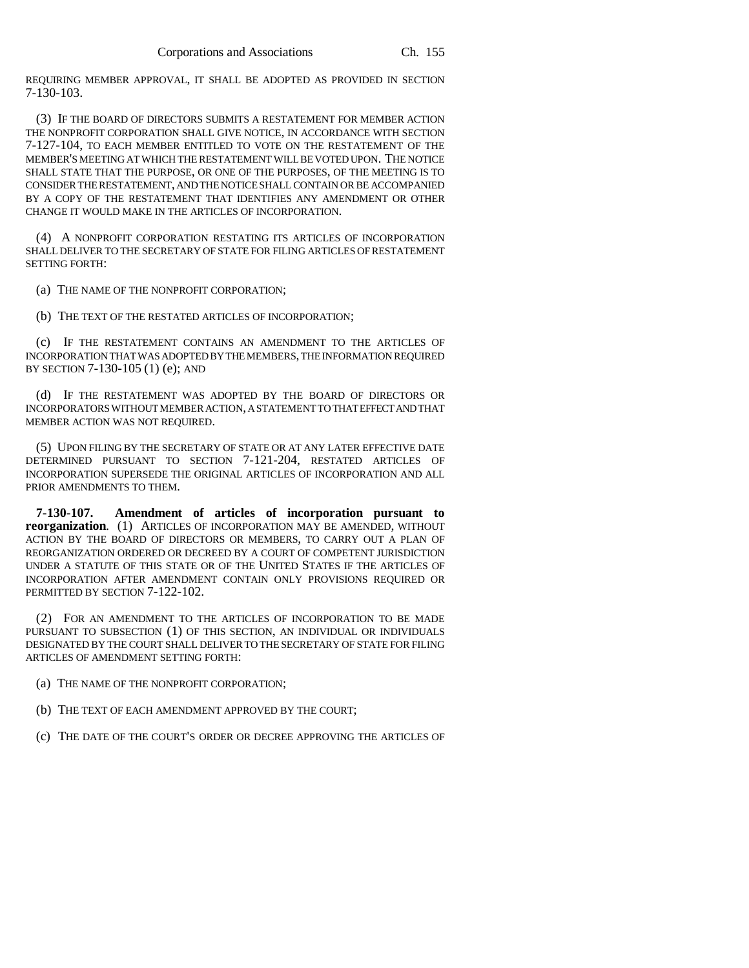REQUIRING MEMBER APPROVAL, IT SHALL BE ADOPTED AS PROVIDED IN SECTION 7-130-103.

(3) IF THE BOARD OF DIRECTORS SUBMITS A RESTATEMENT FOR MEMBER ACTION THE NONPROFIT CORPORATION SHALL GIVE NOTICE, IN ACCORDANCE WITH SECTION 7-127-104, TO EACH MEMBER ENTITLED TO VOTE ON THE RESTATEMENT OF THE MEMBER'S MEETING AT WHICH THE RESTATEMENT WILL BE VOTED UPON. THE NOTICE SHALL STATE THAT THE PURPOSE, OR ONE OF THE PURPOSES, OF THE MEETING IS TO CONSIDER THE RESTATEMENT, AND THE NOTICE SHALL CONTAIN OR BE ACCOMPANIED BY A COPY OF THE RESTATEMENT THAT IDENTIFIES ANY AMENDMENT OR OTHER CHANGE IT WOULD MAKE IN THE ARTICLES OF INCORPORATION.

(4) A NONPROFIT CORPORATION RESTATING ITS ARTICLES OF INCORPORATION SHALL DELIVER TO THE SECRETARY OF STATE FOR FILING ARTICLES OF RESTATEMENT SETTING FORTH:

(a) THE NAME OF THE NONPROFIT CORPORATION;

(b) THE TEXT OF THE RESTATED ARTICLES OF INCORPORATION;

(c) IF THE RESTATEMENT CONTAINS AN AMENDMENT TO THE ARTICLES OF INCORPORATION THAT WAS ADOPTED BY THE MEMBERS, THE INFORMATION REQUIRED BY SECTION 7-130-105 (1) (e); AND

(d) IF THE RESTATEMENT WAS ADOPTED BY THE BOARD OF DIRECTORS OR INCORPORATORS WITHOUT MEMBER ACTION, A STATEMENT TO THAT EFFECT AND THAT MEMBER ACTION WAS NOT REQUIRED.

(5) UPON FILING BY THE SECRETARY OF STATE OR AT ANY LATER EFFECTIVE DATE DETERMINED PURSUANT TO SECTION 7-121-204, RESTATED ARTICLES OF INCORPORATION SUPERSEDE THE ORIGINAL ARTICLES OF INCORPORATION AND ALL PRIOR AMENDMENTS TO THEM.

**7-130-107. Amendment of articles of incorporation pursuant to reorganization**. (1) ARTICLES OF INCORPORATION MAY BE AMENDED, WITHOUT ACTION BY THE BOARD OF DIRECTORS OR MEMBERS, TO CARRY OUT A PLAN OF REORGANIZATION ORDERED OR DECREED BY A COURT OF COMPETENT JURISDICTION UNDER A STATUTE OF THIS STATE OR OF THE UNITED STATES IF THE ARTICLES OF INCORPORATION AFTER AMENDMENT CONTAIN ONLY PROVISIONS REQUIRED OR PERMITTED BY SECTION 7-122-102.

(2) FOR AN AMENDMENT TO THE ARTICLES OF INCORPORATION TO BE MADE PURSUANT TO SUBSECTION (1) OF THIS SECTION, AN INDIVIDUAL OR INDIVIDUALS DESIGNATED BY THE COURT SHALL DELIVER TO THE SECRETARY OF STATE FOR FILING ARTICLES OF AMENDMENT SETTING FORTH:

(a) THE NAME OF THE NONPROFIT CORPORATION;

(b) THE TEXT OF EACH AMENDMENT APPROVED BY THE COURT;

(c) THE DATE OF THE COURT'S ORDER OR DECREE APPROVING THE ARTICLES OF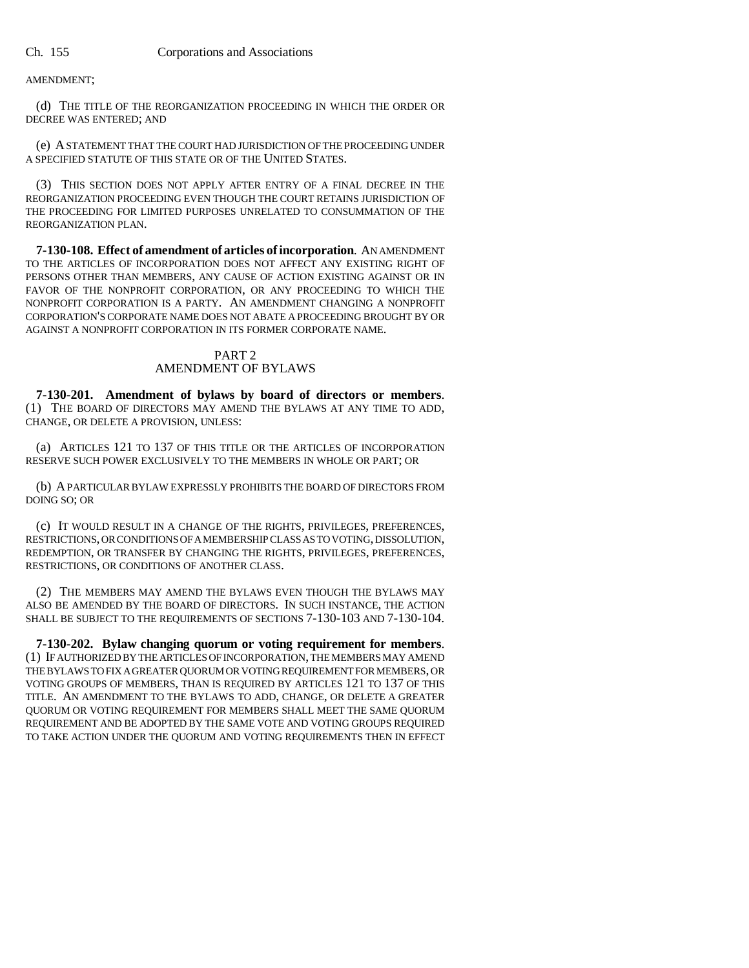AMENDMENT;

(d) THE TITLE OF THE REORGANIZATION PROCEEDING IN WHICH THE ORDER OR DECREE WAS ENTERED; AND

(e) A STATEMENT THAT THE COURT HAD JURISDICTION OF THE PROCEEDING UNDER A SPECIFIED STATUTE OF THIS STATE OR OF THE UNITED STATES.

(3) THIS SECTION DOES NOT APPLY AFTER ENTRY OF A FINAL DECREE IN THE REORGANIZATION PROCEEDING EVEN THOUGH THE COURT RETAINS JURISDICTION OF THE PROCEEDING FOR LIMITED PURPOSES UNRELATED TO CONSUMMATION OF THE REORGANIZATION PLAN.

**7-130-108. Effect of amendment of articles of incorporation**. AN AMENDMENT TO THE ARTICLES OF INCORPORATION DOES NOT AFFECT ANY EXISTING RIGHT OF PERSONS OTHER THAN MEMBERS, ANY CAUSE OF ACTION EXISTING AGAINST OR IN FAVOR OF THE NONPROFIT CORPORATION, OR ANY PROCEEDING TO WHICH THE NONPROFIT CORPORATION IS A PARTY. AN AMENDMENT CHANGING A NONPROFIT CORPORATION'S CORPORATE NAME DOES NOT ABATE A PROCEEDING BROUGHT BY OR AGAINST A NONPROFIT CORPORATION IN ITS FORMER CORPORATE NAME.

# PART 2 AMENDMENT OF BYLAWS

**7-130-201. Amendment of bylaws by board of directors or members**. (1) THE BOARD OF DIRECTORS MAY AMEND THE BYLAWS AT ANY TIME TO ADD, CHANGE, OR DELETE A PROVISION, UNLESS:

(a) ARTICLES 121 TO 137 OF THIS TITLE OR THE ARTICLES OF INCORPORATION RESERVE SUCH POWER EXCLUSIVELY TO THE MEMBERS IN WHOLE OR PART; OR

(b) A PARTICULAR BYLAW EXPRESSLY PROHIBITS THE BOARD OF DIRECTORS FROM DOING SO; OR

(c) IT WOULD RESULT IN A CHANGE OF THE RIGHTS, PRIVILEGES, PREFERENCES, RESTRICTIONS, OR CONDITIONS OF A MEMBERSHIP CLASS AS TO VOTING, DISSOLUTION, REDEMPTION, OR TRANSFER BY CHANGING THE RIGHTS, PRIVILEGES, PREFERENCES, RESTRICTIONS, OR CONDITIONS OF ANOTHER CLASS.

(2) THE MEMBERS MAY AMEND THE BYLAWS EVEN THOUGH THE BYLAWS MAY ALSO BE AMENDED BY THE BOARD OF DIRECTORS. IN SUCH INSTANCE, THE ACTION SHALL BE SUBJECT TO THE REQUIREMENTS OF SECTIONS 7-130-103 AND 7-130-104.

**7-130-202. Bylaw changing quorum or voting requirement for members**. (1) IF AUTHORIZED BY THE ARTICLES OF INCORPORATION, THE MEMBERS MAY AMEND THE BYLAWS TO FIX A GREATER QUORUM OR VOTING REQUIREMENT FOR MEMBERS, OR VOTING GROUPS OF MEMBERS, THAN IS REQUIRED BY ARTICLES 121 TO 137 OF THIS TITLE. AN AMENDMENT TO THE BYLAWS TO ADD, CHANGE, OR DELETE A GREATER QUORUM OR VOTING REQUIREMENT FOR MEMBERS SHALL MEET THE SAME QUORUM REQUIREMENT AND BE ADOPTED BY THE SAME VOTE AND VOTING GROUPS REQUIRED TO TAKE ACTION UNDER THE QUORUM AND VOTING REQUIREMENTS THEN IN EFFECT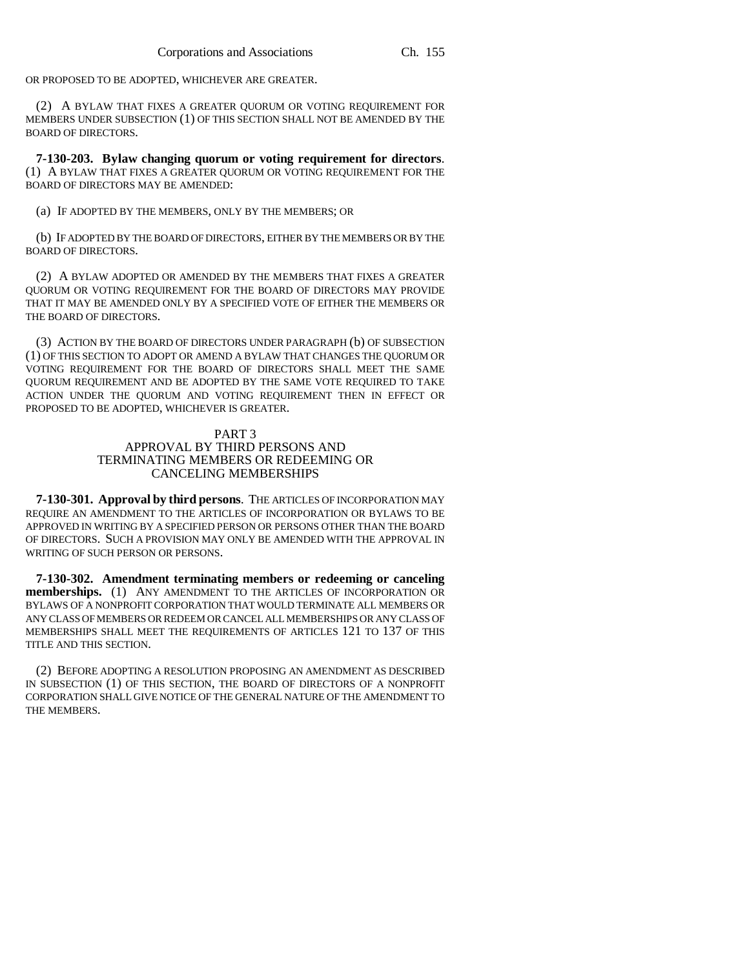OR PROPOSED TO BE ADOPTED, WHICHEVER ARE GREATER.

(2) A BYLAW THAT FIXES A GREATER QUORUM OR VOTING REQUIREMENT FOR MEMBERS UNDER SUBSECTION (1) OF THIS SECTION SHALL NOT BE AMENDED BY THE BOARD OF DIRECTORS.

**7-130-203. Bylaw changing quorum or voting requirement for directors**. (1) A BYLAW THAT FIXES A GREATER QUORUM OR VOTING REQUIREMENT FOR THE BOARD OF DIRECTORS MAY BE AMENDED:

(a) IF ADOPTED BY THE MEMBERS, ONLY BY THE MEMBERS; OR

(b) IF ADOPTED BY THE BOARD OF DIRECTORS, EITHER BY THE MEMBERS OR BY THE BOARD OF DIRECTORS.

(2) A BYLAW ADOPTED OR AMENDED BY THE MEMBERS THAT FIXES A GREATER QUORUM OR VOTING REQUIREMENT FOR THE BOARD OF DIRECTORS MAY PROVIDE THAT IT MAY BE AMENDED ONLY BY A SPECIFIED VOTE OF EITHER THE MEMBERS OR THE BOARD OF DIRECTORS.

(3) ACTION BY THE BOARD OF DIRECTORS UNDER PARAGRAPH (b) OF SUBSECTION (1) OF THIS SECTION TO ADOPT OR AMEND A BYLAW THAT CHANGES THE QUORUM OR VOTING REQUIREMENT FOR THE BOARD OF DIRECTORS SHALL MEET THE SAME QUORUM REQUIREMENT AND BE ADOPTED BY THE SAME VOTE REQUIRED TO TAKE ACTION UNDER THE QUORUM AND VOTING REQUIREMENT THEN IN EFFECT OR PROPOSED TO BE ADOPTED, WHICHEVER IS GREATER.

## PART 3 APPROVAL BY THIRD PERSONS AND TERMINATING MEMBERS OR REDEEMING OR CANCELING MEMBERSHIPS

**7-130-301. Approval by third persons**. THE ARTICLES OF INCORPORATION MAY REQUIRE AN AMENDMENT TO THE ARTICLES OF INCORPORATION OR BYLAWS TO BE APPROVED IN WRITING BY A SPECIFIED PERSON OR PERSONS OTHER THAN THE BOARD OF DIRECTORS. SUCH A PROVISION MAY ONLY BE AMENDED WITH THE APPROVAL IN WRITING OF SUCH PERSON OR PERSONS.

**7-130-302. Amendment terminating members or redeeming or canceling memberships.** (1) ANY AMENDMENT TO THE ARTICLES OF INCORPORATION OR BYLAWS OF A NONPROFIT CORPORATION THAT WOULD TERMINATE ALL MEMBERS OR ANY CLASS OF MEMBERS OR REDEEM OR CANCEL ALL MEMBERSHIPS OR ANY CLASS OF MEMBERSHIPS SHALL MEET THE REQUIREMENTS OF ARTICLES 121 TO 137 OF THIS TITLE AND THIS SECTION.

(2) BEFORE ADOPTING A RESOLUTION PROPOSING AN AMENDMENT AS DESCRIBED IN SUBSECTION (1) OF THIS SECTION, THE BOARD OF DIRECTORS OF A NONPROFIT CORPORATION SHALL GIVE NOTICE OF THE GENERAL NATURE OF THE AMENDMENT TO THE MEMBERS.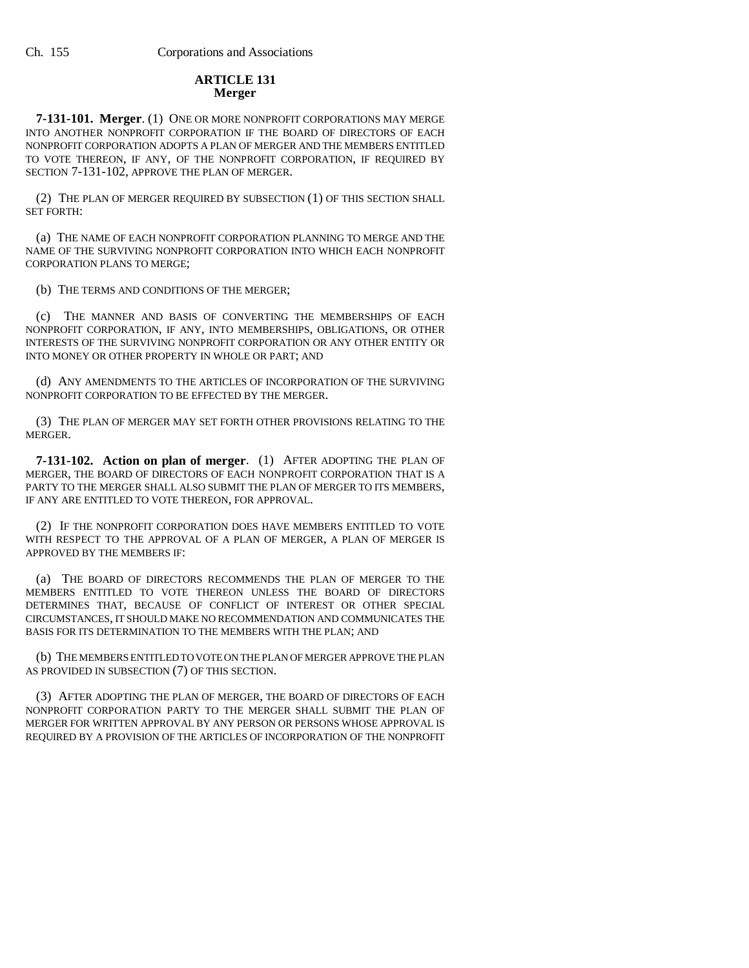## **ARTICLE 131 Merger**

**7-131-101. Merger**. (1) ONE OR MORE NONPROFIT CORPORATIONS MAY MERGE INTO ANOTHER NONPROFIT CORPORATION IF THE BOARD OF DIRECTORS OF EACH NONPROFIT CORPORATION ADOPTS A PLAN OF MERGER AND THE MEMBERS ENTITLED TO VOTE THEREON, IF ANY, OF THE NONPROFIT CORPORATION, IF REQUIRED BY SECTION 7-131-102, APPROVE THE PLAN OF MERGER.

(2) THE PLAN OF MERGER REQUIRED BY SUBSECTION (1) OF THIS SECTION SHALL SET FORTH:

(a) THE NAME OF EACH NONPROFIT CORPORATION PLANNING TO MERGE AND THE NAME OF THE SURVIVING NONPROFIT CORPORATION INTO WHICH EACH NONPROFIT CORPORATION PLANS TO MERGE;

(b) THE TERMS AND CONDITIONS OF THE MERGER;

(c) THE MANNER AND BASIS OF CONVERTING THE MEMBERSHIPS OF EACH NONPROFIT CORPORATION, IF ANY, INTO MEMBERSHIPS, OBLIGATIONS, OR OTHER INTERESTS OF THE SURVIVING NONPROFIT CORPORATION OR ANY OTHER ENTITY OR INTO MONEY OR OTHER PROPERTY IN WHOLE OR PART; AND

(d) ANY AMENDMENTS TO THE ARTICLES OF INCORPORATION OF THE SURVIVING NONPROFIT CORPORATION TO BE EFFECTED BY THE MERGER.

(3) THE PLAN OF MERGER MAY SET FORTH OTHER PROVISIONS RELATING TO THE MERGER.

**7-131-102. Action on plan of merger**. (1) AFTER ADOPTING THE PLAN OF MERGER, THE BOARD OF DIRECTORS OF EACH NONPROFIT CORPORATION THAT IS A PARTY TO THE MERGER SHALL ALSO SUBMIT THE PLAN OF MERGER TO ITS MEMBERS, IF ANY ARE ENTITLED TO VOTE THEREON, FOR APPROVAL.

(2) IF THE NONPROFIT CORPORATION DOES HAVE MEMBERS ENTITLED TO VOTE WITH RESPECT TO THE APPROVAL OF A PLAN OF MERGER, A PLAN OF MERGER IS APPROVED BY THE MEMBERS IF:

(a) THE BOARD OF DIRECTORS RECOMMENDS THE PLAN OF MERGER TO THE MEMBERS ENTITLED TO VOTE THEREON UNLESS THE BOARD OF DIRECTORS DETERMINES THAT, BECAUSE OF CONFLICT OF INTEREST OR OTHER SPECIAL CIRCUMSTANCES, IT SHOULD MAKE NO RECOMMENDATION AND COMMUNICATES THE BASIS FOR ITS DETERMINATION TO THE MEMBERS WITH THE PLAN; AND

(b) THE MEMBERS ENTITLED TO VOTE ON THE PLAN OF MERGER APPROVE THE PLAN AS PROVIDED IN SUBSECTION (7) OF THIS SECTION.

(3) AFTER ADOPTING THE PLAN OF MERGER, THE BOARD OF DIRECTORS OF EACH NONPROFIT CORPORATION PARTY TO THE MERGER SHALL SUBMIT THE PLAN OF MERGER FOR WRITTEN APPROVAL BY ANY PERSON OR PERSONS WHOSE APPROVAL IS REQUIRED BY A PROVISION OF THE ARTICLES OF INCORPORATION OF THE NONPROFIT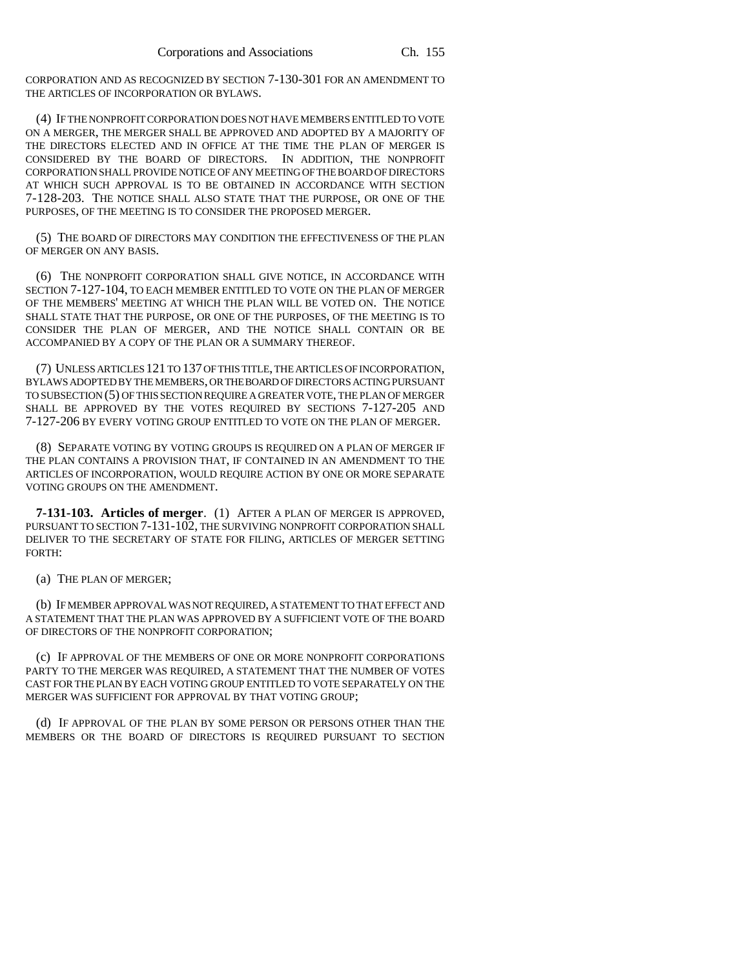CORPORATION AND AS RECOGNIZED BY SECTION 7-130-301 FOR AN AMENDMENT TO THE ARTICLES OF INCORPORATION OR BYLAWS.

(4) IF THE NONPROFIT CORPORATION DOES NOT HAVE MEMBERS ENTITLED TO VOTE ON A MERGER, THE MERGER SHALL BE APPROVED AND ADOPTED BY A MAJORITY OF THE DIRECTORS ELECTED AND IN OFFICE AT THE TIME THE PLAN OF MERGER IS CONSIDERED BY THE BOARD OF DIRECTORS. IN ADDITION, THE NONPROFIT CORPORATION SHALL PROVIDE NOTICE OF ANY MEETING OF THE BOARD OF DIRECTORS AT WHICH SUCH APPROVAL IS TO BE OBTAINED IN ACCORDANCE WITH SECTION 7-128-203. THE NOTICE SHALL ALSO STATE THAT THE PURPOSE, OR ONE OF THE PURPOSES, OF THE MEETING IS TO CONSIDER THE PROPOSED MERGER.

(5) THE BOARD OF DIRECTORS MAY CONDITION THE EFFECTIVENESS OF THE PLAN OF MERGER ON ANY BASIS.

(6) THE NONPROFIT CORPORATION SHALL GIVE NOTICE, IN ACCORDANCE WITH SECTION 7-127-104, TO EACH MEMBER ENTITLED TO VOTE ON THE PLAN OF MERGER OF THE MEMBERS' MEETING AT WHICH THE PLAN WILL BE VOTED ON. THE NOTICE SHALL STATE THAT THE PURPOSE, OR ONE OF THE PURPOSES, OF THE MEETING IS TO CONSIDER THE PLAN OF MERGER, AND THE NOTICE SHALL CONTAIN OR BE ACCOMPANIED BY A COPY OF THE PLAN OR A SUMMARY THEREOF.

(7) UNLESS ARTICLES 121 TO 137 OF THIS TITLE, THE ARTICLES OF INCORPORATION, BYLAWS ADOPTED BY THE MEMBERS, OR THE BOARD OF DIRECTORS ACTING PURSUANT TO SUBSECTION (5) OF THIS SECTION REQUIRE A GREATER VOTE, THE PLAN OF MERGER SHALL BE APPROVED BY THE VOTES REQUIRED BY SECTIONS 7-127-205 AND 7-127-206 BY EVERY VOTING GROUP ENTITLED TO VOTE ON THE PLAN OF MERGER.

(8) SEPARATE VOTING BY VOTING GROUPS IS REQUIRED ON A PLAN OF MERGER IF THE PLAN CONTAINS A PROVISION THAT, IF CONTAINED IN AN AMENDMENT TO THE ARTICLES OF INCORPORATION, WOULD REQUIRE ACTION BY ONE OR MORE SEPARATE VOTING GROUPS ON THE AMENDMENT.

**7-131-103. Articles of merger**. (1) AFTER A PLAN OF MERGER IS APPROVED, PURSUANT TO SECTION 7-131-102, THE SURVIVING NONPROFIT CORPORATION SHALL DELIVER TO THE SECRETARY OF STATE FOR FILING, ARTICLES OF MERGER SETTING FORTH:

(a) THE PLAN OF MERGER;

(b) IF MEMBER APPROVAL WAS NOT REQUIRED, A STATEMENT TO THAT EFFECT AND A STATEMENT THAT THE PLAN WAS APPROVED BY A SUFFICIENT VOTE OF THE BOARD OF DIRECTORS OF THE NONPROFIT CORPORATION;

(c) IF APPROVAL OF THE MEMBERS OF ONE OR MORE NONPROFIT CORPORATIONS PARTY TO THE MERGER WAS REQUIRED, A STATEMENT THAT THE NUMBER OF VOTES CAST FOR THE PLAN BY EACH VOTING GROUP ENTITLED TO VOTE SEPARATELY ON THE MERGER WAS SUFFICIENT FOR APPROVAL BY THAT VOTING GROUP;

(d) IF APPROVAL OF THE PLAN BY SOME PERSON OR PERSONS OTHER THAN THE MEMBERS OR THE BOARD OF DIRECTORS IS REQUIRED PURSUANT TO SECTION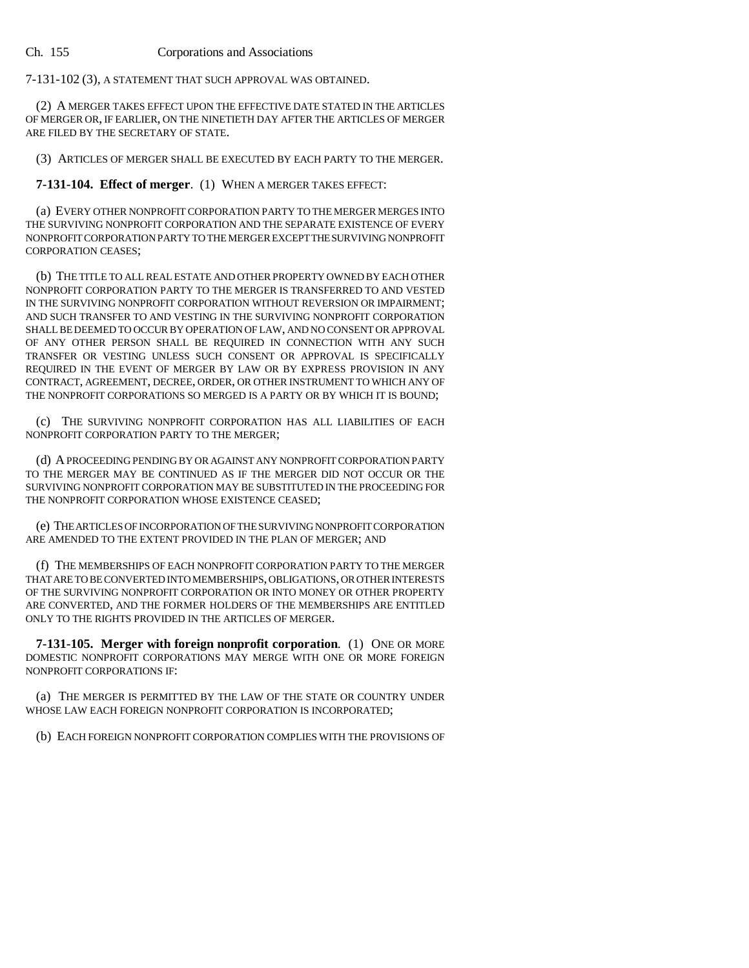Ch. 155 Corporations and Associations

7-131-102 (3), A STATEMENT THAT SUCH APPROVAL WAS OBTAINED.

(2) A MERGER TAKES EFFECT UPON THE EFFECTIVE DATE STATED IN THE ARTICLES OF MERGER OR, IF EARLIER, ON THE NINETIETH DAY AFTER THE ARTICLES OF MERGER ARE FILED BY THE SECRETARY OF STATE.

(3) ARTICLES OF MERGER SHALL BE EXECUTED BY EACH PARTY TO THE MERGER.

**7-131-104. Effect of merger**. (1) WHEN A MERGER TAKES EFFECT:

(a) EVERY OTHER NONPROFIT CORPORATION PARTY TO THE MERGER MERGES INTO THE SURVIVING NONPROFIT CORPORATION AND THE SEPARATE EXISTENCE OF EVERY NONPROFIT CORPORATION PARTY TO THE MERGER EXCEPT THE SURVIVING NONPROFIT CORPORATION CEASES;

(b) THE TITLE TO ALL REAL ESTATE AND OTHER PROPERTY OWNED BY EACH OTHER NONPROFIT CORPORATION PARTY TO THE MERGER IS TRANSFERRED TO AND VESTED IN THE SURVIVING NONPROFIT CORPORATION WITHOUT REVERSION OR IMPAIRMENT; AND SUCH TRANSFER TO AND VESTING IN THE SURVIVING NONPROFIT CORPORATION SHALL BE DEEMED TO OCCUR BY OPERATION OF LAW, AND NO CONSENT OR APPROVAL OF ANY OTHER PERSON SHALL BE REQUIRED IN CONNECTION WITH ANY SUCH TRANSFER OR VESTING UNLESS SUCH CONSENT OR APPROVAL IS SPECIFICALLY REQUIRED IN THE EVENT OF MERGER BY LAW OR BY EXPRESS PROVISION IN ANY CONTRACT, AGREEMENT, DECREE, ORDER, OR OTHER INSTRUMENT TO WHICH ANY OF THE NONPROFIT CORPORATIONS SO MERGED IS A PARTY OR BY WHICH IT IS BOUND;

(c) THE SURVIVING NONPROFIT CORPORATION HAS ALL LIABILITIES OF EACH NONPROFIT CORPORATION PARTY TO THE MERGER;

(d) A PROCEEDING PENDING BY OR AGAINST ANY NONPROFIT CORPORATION PARTY TO THE MERGER MAY BE CONTINUED AS IF THE MERGER DID NOT OCCUR OR THE SURVIVING NONPROFIT CORPORATION MAY BE SUBSTITUTED IN THE PROCEEDING FOR THE NONPROFIT CORPORATION WHOSE EXISTENCE CEASED;

(e) THE ARTICLES OF INCORPORATION OF THE SURVIVING NONPROFIT CORPORATION ARE AMENDED TO THE EXTENT PROVIDED IN THE PLAN OF MERGER; AND

(f) THE MEMBERSHIPS OF EACH NONPROFIT CORPORATION PARTY TO THE MERGER THAT ARE TO BE CONVERTED INTO MEMBERSHIPS, OBLIGATIONS, OR OTHER INTERESTS OF THE SURVIVING NONPROFIT CORPORATION OR INTO MONEY OR OTHER PROPERTY ARE CONVERTED, AND THE FORMER HOLDERS OF THE MEMBERSHIPS ARE ENTITLED ONLY TO THE RIGHTS PROVIDED IN THE ARTICLES OF MERGER.

**7-131-105. Merger with foreign nonprofit corporation**. (1) ONE OR MORE DOMESTIC NONPROFIT CORPORATIONS MAY MERGE WITH ONE OR MORE FOREIGN NONPROFIT CORPORATIONS IF:

(a) THE MERGER IS PERMITTED BY THE LAW OF THE STATE OR COUNTRY UNDER WHOSE LAW EACH FOREIGN NONPROFIT CORPORATION IS INCORPORATED;

(b) EACH FOREIGN NONPROFIT CORPORATION COMPLIES WITH THE PROVISIONS OF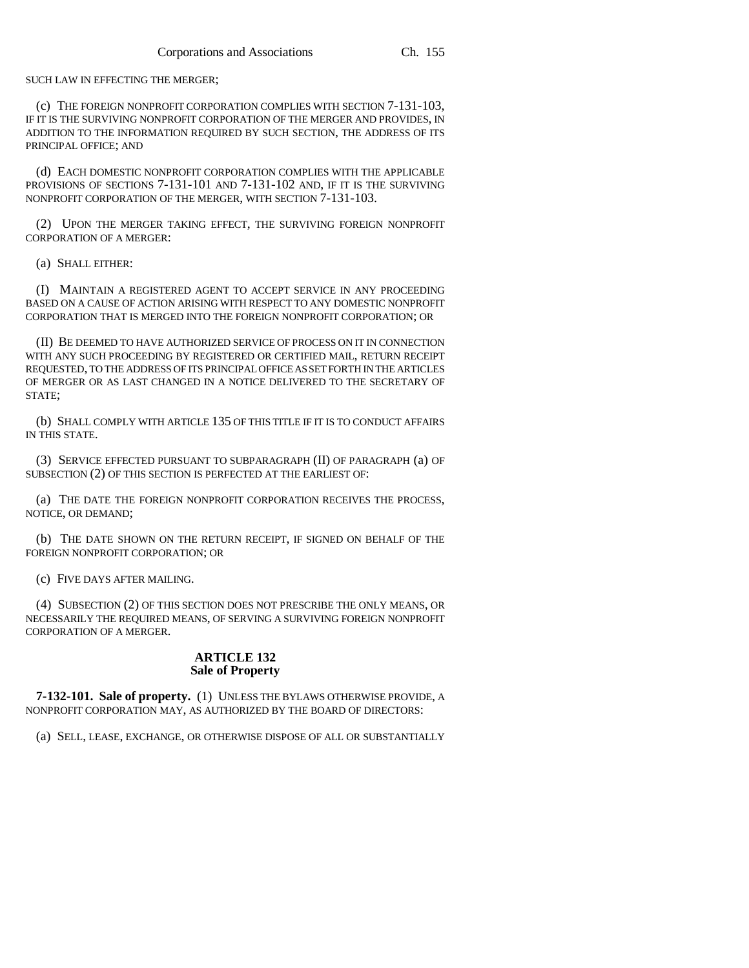SUCH LAW IN EFFECTING THE MERGER;

(c) THE FOREIGN NONPROFIT CORPORATION COMPLIES WITH SECTION 7-131-103, IF IT IS THE SURVIVING NONPROFIT CORPORATION OF THE MERGER AND PROVIDES, IN ADDITION TO THE INFORMATION REQUIRED BY SUCH SECTION, THE ADDRESS OF ITS PRINCIPAL OFFICE; AND

(d) EACH DOMESTIC NONPROFIT CORPORATION COMPLIES WITH THE APPLICABLE PROVISIONS OF SECTIONS 7-131-101 AND 7-131-102 AND, IF IT IS THE SURVIVING NONPROFIT CORPORATION OF THE MERGER, WITH SECTION 7-131-103.

(2) UPON THE MERGER TAKING EFFECT, THE SURVIVING FOREIGN NONPROFIT CORPORATION OF A MERGER:

(a) SHALL EITHER:

(I) MAINTAIN A REGISTERED AGENT TO ACCEPT SERVICE IN ANY PROCEEDING BASED ON A CAUSE OF ACTION ARISING WITH RESPECT TO ANY DOMESTIC NONPROFIT CORPORATION THAT IS MERGED INTO THE FOREIGN NONPROFIT CORPORATION; OR

(II) BE DEEMED TO HAVE AUTHORIZED SERVICE OF PROCESS ON IT IN CONNECTION WITH ANY SUCH PROCEEDING BY REGISTERED OR CERTIFIED MAIL, RETURN RECEIPT REQUESTED, TO THE ADDRESS OF ITS PRINCIPAL OFFICE AS SET FORTH IN THE ARTICLES OF MERGER OR AS LAST CHANGED IN A NOTICE DELIVERED TO THE SECRETARY OF STATE;

(b) SHALL COMPLY WITH ARTICLE 135 OF THIS TITLE IF IT IS TO CONDUCT AFFAIRS IN THIS STATE.

(3) SERVICE EFFECTED PURSUANT TO SUBPARAGRAPH (II) OF PARAGRAPH (a) OF SUBSECTION (2) OF THIS SECTION IS PERFECTED AT THE EARLIEST OF:

(a) THE DATE THE FOREIGN NONPROFIT CORPORATION RECEIVES THE PROCESS, NOTICE, OR DEMAND;

(b) THE DATE SHOWN ON THE RETURN RECEIPT, IF SIGNED ON BEHALF OF THE FOREIGN NONPROFIT CORPORATION; OR

(c) FIVE DAYS AFTER MAILING.

(4) SUBSECTION (2) OF THIS SECTION DOES NOT PRESCRIBE THE ONLY MEANS, OR NECESSARILY THE REQUIRED MEANS, OF SERVING A SURVIVING FOREIGN NONPROFIT CORPORATION OF A MERGER.

### **ARTICLE 132 Sale of Property**

**7-132-101. Sale of property.** (1) UNLESS THE BYLAWS OTHERWISE PROVIDE, A NONPROFIT CORPORATION MAY, AS AUTHORIZED BY THE BOARD OF DIRECTORS:

(a) SELL, LEASE, EXCHANGE, OR OTHERWISE DISPOSE OF ALL OR SUBSTANTIALLY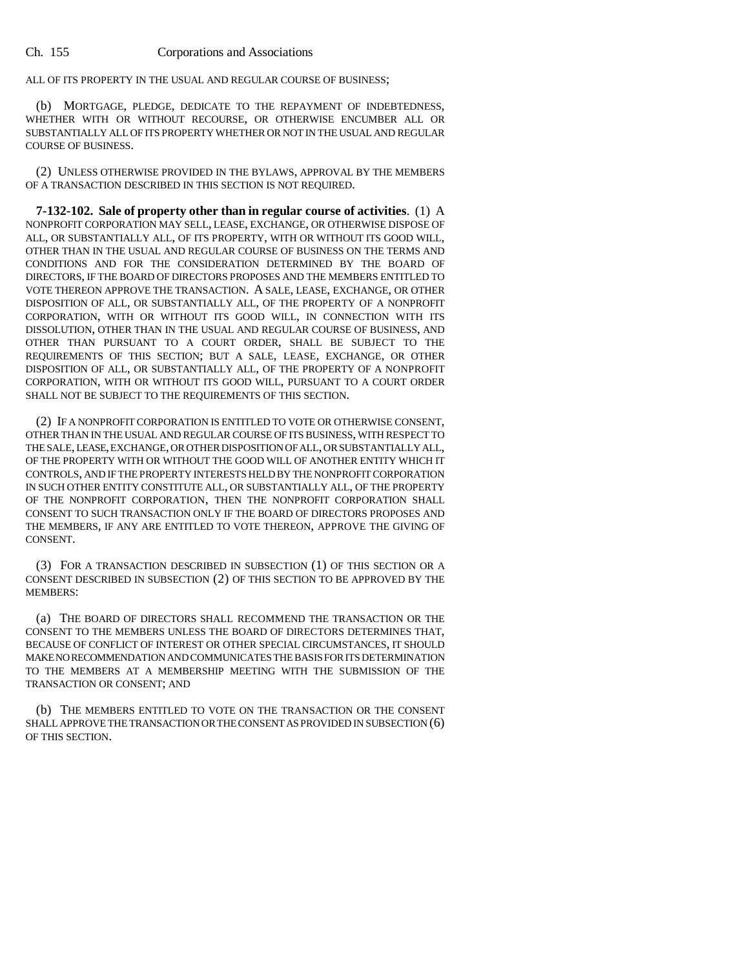ALL OF ITS PROPERTY IN THE USUAL AND REGULAR COURSE OF BUSINESS;

(b) MORTGAGE, PLEDGE, DEDICATE TO THE REPAYMENT OF INDEBTEDNESS, WHETHER WITH OR WITHOUT RECOURSE, OR OTHERWISE ENCUMBER ALL OR SUBSTANTIALLY ALL OF ITS PROPERTY WHETHER OR NOT IN THE USUAL AND REGULAR COURSE OF BUSINESS.

(2) UNLESS OTHERWISE PROVIDED IN THE BYLAWS, APPROVAL BY THE MEMBERS OF A TRANSACTION DESCRIBED IN THIS SECTION IS NOT REQUIRED.

**7-132-102. Sale of property other than in regular course of activities**. (1) A NONPROFIT CORPORATION MAY SELL, LEASE, EXCHANGE, OR OTHERWISE DISPOSE OF ALL, OR SUBSTANTIALLY ALL, OF ITS PROPERTY, WITH OR WITHOUT ITS GOOD WILL, OTHER THAN IN THE USUAL AND REGULAR COURSE OF BUSINESS ON THE TERMS AND CONDITIONS AND FOR THE CONSIDERATION DETERMINED BY THE BOARD OF DIRECTORS, IF THE BOARD OF DIRECTORS PROPOSES AND THE MEMBERS ENTITLED TO VOTE THEREON APPROVE THE TRANSACTION. A SALE, LEASE, EXCHANGE, OR OTHER DISPOSITION OF ALL, OR SUBSTANTIALLY ALL, OF THE PROPERTY OF A NONPROFIT CORPORATION, WITH OR WITHOUT ITS GOOD WILL, IN CONNECTION WITH ITS DISSOLUTION, OTHER THAN IN THE USUAL AND REGULAR COURSE OF BUSINESS, AND OTHER THAN PURSUANT TO A COURT ORDER, SHALL BE SUBJECT TO THE REQUIREMENTS OF THIS SECTION; BUT A SALE, LEASE, EXCHANGE, OR OTHER DISPOSITION OF ALL, OR SUBSTANTIALLY ALL, OF THE PROPERTY OF A NONPROFIT CORPORATION, WITH OR WITHOUT ITS GOOD WILL, PURSUANT TO A COURT ORDER SHALL NOT BE SUBJECT TO THE REQUIREMENTS OF THIS SECTION.

(2) IF A NONPROFIT CORPORATION IS ENTITLED TO VOTE OR OTHERWISE CONSENT, OTHER THAN IN THE USUAL AND REGULAR COURSE OF ITS BUSINESS, WITH RESPECT TO THE SALE, LEASE, EXCHANGE, OR OTHER DISPOSITION OF ALL, OR SUBSTANTIALLY ALL, OF THE PROPERTY WITH OR WITHOUT THE GOOD WILL OF ANOTHER ENTITY WHICH IT CONTROLS, AND IF THE PROPERTY INTERESTS HELD BY THE NONPROFIT CORPORATION IN SUCH OTHER ENTITY CONSTITUTE ALL, OR SUBSTANTIALLY ALL, OF THE PROPERTY OF THE NONPROFIT CORPORATION, THEN THE NONPROFIT CORPORATION SHALL CONSENT TO SUCH TRANSACTION ONLY IF THE BOARD OF DIRECTORS PROPOSES AND THE MEMBERS, IF ANY ARE ENTITLED TO VOTE THEREON, APPROVE THE GIVING OF CONSENT.

(3) FOR A TRANSACTION DESCRIBED IN SUBSECTION (1) OF THIS SECTION OR A CONSENT DESCRIBED IN SUBSECTION (2) OF THIS SECTION TO BE APPROVED BY THE MEMBERS:

(a) THE BOARD OF DIRECTORS SHALL RECOMMEND THE TRANSACTION OR THE CONSENT TO THE MEMBERS UNLESS THE BOARD OF DIRECTORS DETERMINES THAT, BECAUSE OF CONFLICT OF INTEREST OR OTHER SPECIAL CIRCUMSTANCES, IT SHOULD MAKE NO RECOMMENDATION AND COMMUNICATES THE BASIS FOR ITS DETERMINATION TO THE MEMBERS AT A MEMBERSHIP MEETING WITH THE SUBMISSION OF THE TRANSACTION OR CONSENT; AND

(b) THE MEMBERS ENTITLED TO VOTE ON THE TRANSACTION OR THE CONSENT SHALL APPROVE THE TRANSACTION OR THE CONSENT AS PROVIDED IN SUBSECTION (6) OF THIS SECTION.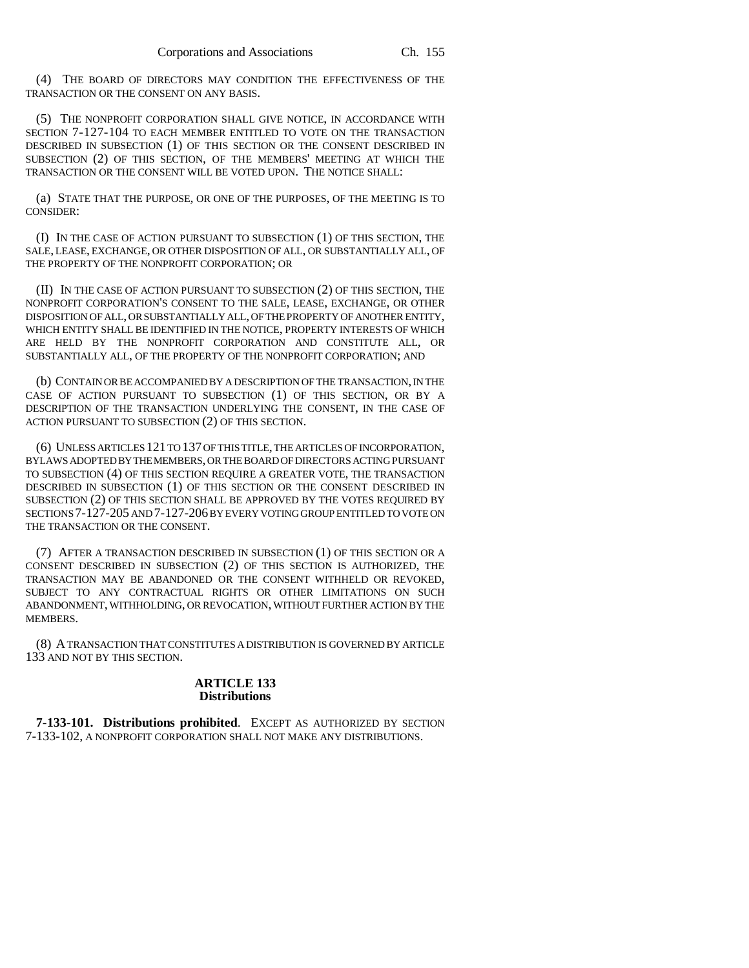(4) THE BOARD OF DIRECTORS MAY CONDITION THE EFFECTIVENESS OF THE TRANSACTION OR THE CONSENT ON ANY BASIS.

(5) THE NONPROFIT CORPORATION SHALL GIVE NOTICE, IN ACCORDANCE WITH SECTION 7-127-104 TO EACH MEMBER ENTITLED TO VOTE ON THE TRANSACTION DESCRIBED IN SUBSECTION (1) OF THIS SECTION OR THE CONSENT DESCRIBED IN SUBSECTION (2) OF THIS SECTION, OF THE MEMBERS' MEETING AT WHICH THE TRANSACTION OR THE CONSENT WILL BE VOTED UPON. THE NOTICE SHALL:

(a) STATE THAT THE PURPOSE, OR ONE OF THE PURPOSES, OF THE MEETING IS TO CONSIDER:

(I) IN THE CASE OF ACTION PURSUANT TO SUBSECTION (1) OF THIS SECTION, THE SALE, LEASE, EXCHANGE, OR OTHER DISPOSITION OF ALL, OR SUBSTANTIALLY ALL, OF THE PROPERTY OF THE NONPROFIT CORPORATION; OR

(II) IN THE CASE OF ACTION PURSUANT TO SUBSECTION (2) OF THIS SECTION, THE NONPROFIT CORPORATION'S CONSENT TO THE SALE, LEASE, EXCHANGE, OR OTHER DISPOSITION OF ALL, OR SUBSTANTIALLY ALL, OF THE PROPERTY OF ANOTHER ENTITY, WHICH ENTITY SHALL BE IDENTIFIED IN THE NOTICE, PROPERTY INTERESTS OF WHICH ARE HELD BY THE NONPROFIT CORPORATION AND CONSTITUTE ALL, OR SUBSTANTIALLY ALL, OF THE PROPERTY OF THE NONPROFIT CORPORATION; AND

(b) CONTAIN OR BE ACCOMPANIED BY A DESCRIPTION OF THE TRANSACTION, IN THE CASE OF ACTION PURSUANT TO SUBSECTION (1) OF THIS SECTION, OR BY A DESCRIPTION OF THE TRANSACTION UNDERLYING THE CONSENT, IN THE CASE OF ACTION PURSUANT TO SUBSECTION (2) OF THIS SECTION.

(6) UNLESS ARTICLES 121 TO 137 OF THIS TITLE, THE ARTICLES OF INCORPORATION, BYLAWS ADOPTED BY THE MEMBERS, OR THE BOARD OF DIRECTORS ACTING PURSUANT TO SUBSECTION (4) OF THIS SECTION REQUIRE A GREATER VOTE, THE TRANSACTION DESCRIBED IN SUBSECTION (1) OF THIS SECTION OR THE CONSENT DESCRIBED IN SUBSECTION (2) OF THIS SECTION SHALL BE APPROVED BY THE VOTES REQUIRED BY SECTIONS 7-127-205 AND 7-127-206 BY EVERY VOTING GROUP ENTITLED TO VOTE ON THE TRANSACTION OR THE CONSENT.

(7) AFTER A TRANSACTION DESCRIBED IN SUBSECTION (1) OF THIS SECTION OR A CONSENT DESCRIBED IN SUBSECTION (2) OF THIS SECTION IS AUTHORIZED, THE TRANSACTION MAY BE ABANDONED OR THE CONSENT WITHHELD OR REVOKED, SUBJECT TO ANY CONTRACTUAL RIGHTS OR OTHER LIMITATIONS ON SUCH ABANDONMENT, WITHHOLDING, OR REVOCATION, WITHOUT FURTHER ACTION BY THE MEMBERS.

(8) A TRANSACTION THAT CONSTITUTES A DISTRIBUTION IS GOVERNED BY ARTICLE 133 AND NOT BY THIS SECTION.

#### **ARTICLE 133 Distributions**

**7-133-101. Distributions prohibited**. EXCEPT AS AUTHORIZED BY SECTION 7-133-102, A NONPROFIT CORPORATION SHALL NOT MAKE ANY DISTRIBUTIONS.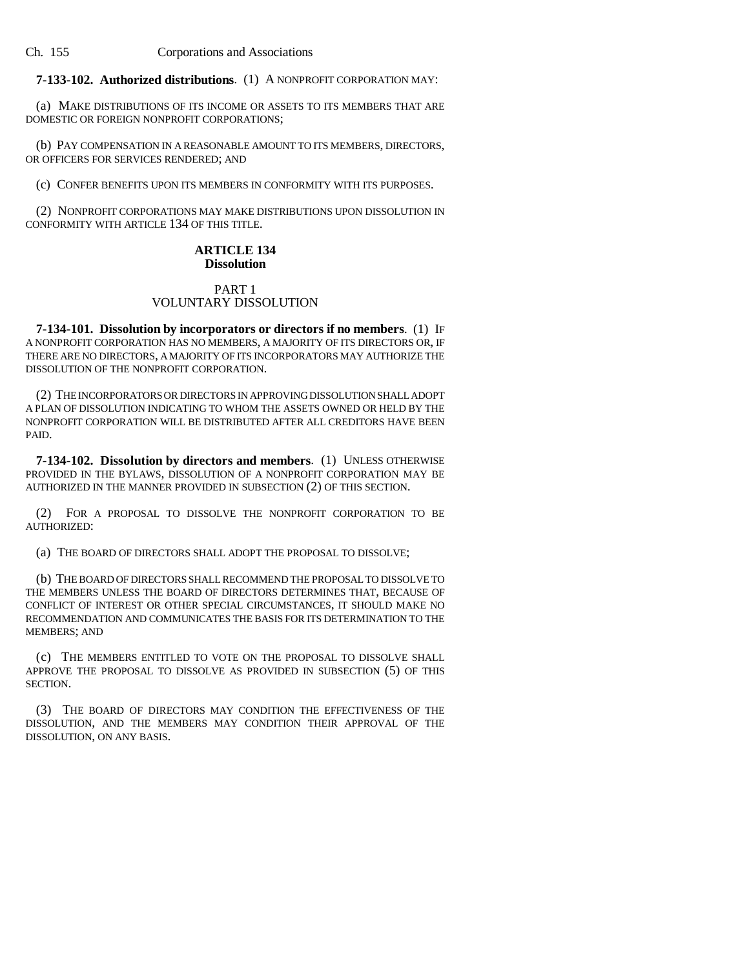**7-133-102. Authorized distributions**. (1) A NONPROFIT CORPORATION MAY:

(a) MAKE DISTRIBUTIONS OF ITS INCOME OR ASSETS TO ITS MEMBERS THAT ARE DOMESTIC OR FOREIGN NONPROFIT CORPORATIONS;

(b) PAY COMPENSATION IN A REASONABLE AMOUNT TO ITS MEMBERS, DIRECTORS, OR OFFICERS FOR SERVICES RENDERED; AND

(c) CONFER BENEFITS UPON ITS MEMBERS IN CONFORMITY WITH ITS PURPOSES.

(2) NONPROFIT CORPORATIONS MAY MAKE DISTRIBUTIONS UPON DISSOLUTION IN CONFORMITY WITH ARTICLE 134 OF THIS TITLE.

# **ARTICLE 134 Dissolution**

# PART 1 VOLUNTARY DISSOLUTION

**7-134-101. Dissolution by incorporators or directors if no members**. (1) IF A NONPROFIT CORPORATION HAS NO MEMBERS, A MAJORITY OF ITS DIRECTORS OR, IF THERE ARE NO DIRECTORS, A MAJORITY OF ITS INCORPORATORS MAY AUTHORIZE THE DISSOLUTION OF THE NONPROFIT CORPORATION.

(2) THE INCORPORATORS OR DIRECTORS IN APPROVING DISSOLUTION SHALL ADOPT A PLAN OF DISSOLUTION INDICATING TO WHOM THE ASSETS OWNED OR HELD BY THE NONPROFIT CORPORATION WILL BE DISTRIBUTED AFTER ALL CREDITORS HAVE BEEN PAID.

**7-134-102. Dissolution by directors and members**. (1) UNLESS OTHERWISE PROVIDED IN THE BYLAWS, DISSOLUTION OF A NONPROFIT CORPORATION MAY BE AUTHORIZED IN THE MANNER PROVIDED IN SUBSECTION (2) OF THIS SECTION.

(2) FOR A PROPOSAL TO DISSOLVE THE NONPROFIT CORPORATION TO BE AUTHORIZED:

(a) THE BOARD OF DIRECTORS SHALL ADOPT THE PROPOSAL TO DISSOLVE;

(b) THE BOARD OF DIRECTORS SHALL RECOMMEND THE PROPOSAL TO DISSOLVE TO THE MEMBERS UNLESS THE BOARD OF DIRECTORS DETERMINES THAT, BECAUSE OF CONFLICT OF INTEREST OR OTHER SPECIAL CIRCUMSTANCES, IT SHOULD MAKE NO RECOMMENDATION AND COMMUNICATES THE BASIS FOR ITS DETERMINATION TO THE MEMBERS; AND

(c) THE MEMBERS ENTITLED TO VOTE ON THE PROPOSAL TO DISSOLVE SHALL APPROVE THE PROPOSAL TO DISSOLVE AS PROVIDED IN SUBSECTION (5) OF THIS SECTION.

(3) THE BOARD OF DIRECTORS MAY CONDITION THE EFFECTIVENESS OF THE DISSOLUTION, AND THE MEMBERS MAY CONDITION THEIR APPROVAL OF THE DISSOLUTION, ON ANY BASIS.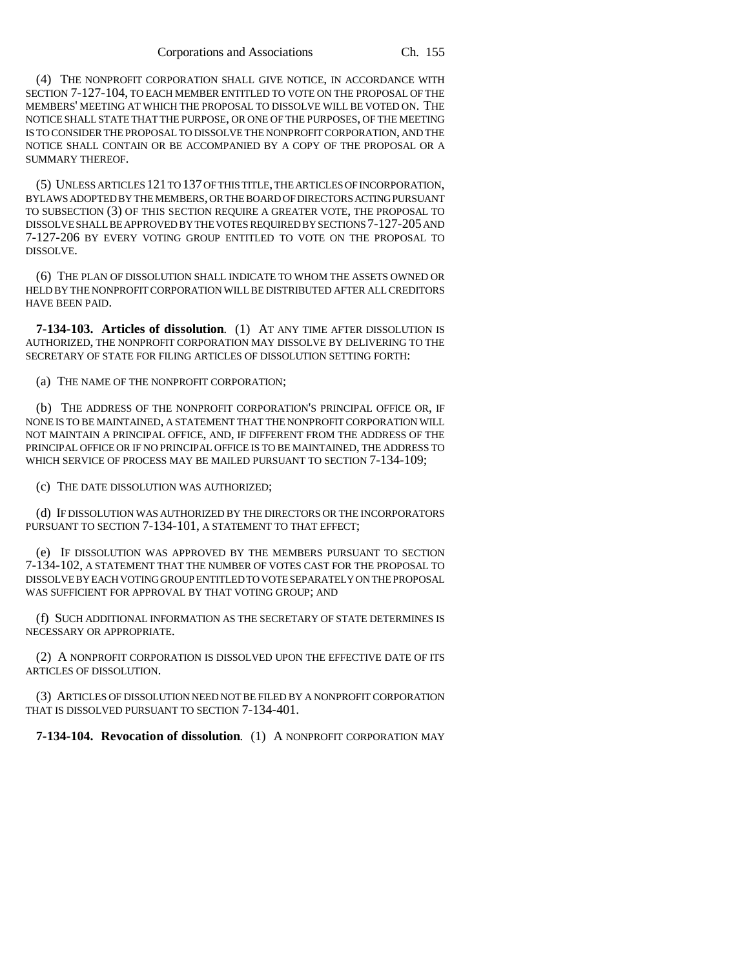(4) THE NONPROFIT CORPORATION SHALL GIVE NOTICE, IN ACCORDANCE WITH SECTION 7-127-104, TO EACH MEMBER ENTITLED TO VOTE ON THE PROPOSAL OF THE MEMBERS' MEETING AT WHICH THE PROPOSAL TO DISSOLVE WILL BE VOTED ON. THE NOTICE SHALL STATE THAT THE PURPOSE, OR ONE OF THE PURPOSES, OF THE MEETING IS TO CONSIDER THE PROPOSAL TO DISSOLVE THE NONPROFIT CORPORATION, AND THE NOTICE SHALL CONTAIN OR BE ACCOMPANIED BY A COPY OF THE PROPOSAL OR A SUMMARY THEREOF.

(5) UNLESS ARTICLES 121 TO 137 OF THIS TITLE, THE ARTICLES OF INCORPORATION, BYLAWS ADOPTED BY THE MEMBERS, OR THE BOARD OF DIRECTORS ACTING PURSUANT TO SUBSECTION (3) OF THIS SECTION REQUIRE A GREATER VOTE, THE PROPOSAL TO DISSOLVE SHALL BE APPROVED BY THE VOTES REQUIRED BY SECTIONS 7-127-205 AND 7-127-206 BY EVERY VOTING GROUP ENTITLED TO VOTE ON THE PROPOSAL TO DISSOLVE.

(6) THE PLAN OF DISSOLUTION SHALL INDICATE TO WHOM THE ASSETS OWNED OR HELD BY THE NONPROFIT CORPORATION WILL BE DISTRIBUTED AFTER ALL CREDITORS HAVE BEEN PAID.

**7-134-103. Articles of dissolution**. (1) AT ANY TIME AFTER DISSOLUTION IS AUTHORIZED, THE NONPROFIT CORPORATION MAY DISSOLVE BY DELIVERING TO THE SECRETARY OF STATE FOR FILING ARTICLES OF DISSOLUTION SETTING FORTH:

(a) THE NAME OF THE NONPROFIT CORPORATION;

(b) THE ADDRESS OF THE NONPROFIT CORPORATION'S PRINCIPAL OFFICE OR, IF NONE IS TO BE MAINTAINED, A STATEMENT THAT THE NONPROFIT CORPORATION WILL NOT MAINTAIN A PRINCIPAL OFFICE, AND, IF DIFFERENT FROM THE ADDRESS OF THE PRINCIPAL OFFICE OR IF NO PRINCIPAL OFFICE IS TO BE MAINTAINED, THE ADDRESS TO WHICH SERVICE OF PROCESS MAY BE MAILED PURSUANT TO SECTION 7-134-109;

(c) THE DATE DISSOLUTION WAS AUTHORIZED;

(d) IF DISSOLUTION WAS AUTHORIZED BY THE DIRECTORS OR THE INCORPORATORS PURSUANT TO SECTION 7-134-101, A STATEMENT TO THAT EFFECT;

(e) IF DISSOLUTION WAS APPROVED BY THE MEMBERS PURSUANT TO SECTION 7-134-102, A STATEMENT THAT THE NUMBER OF VOTES CAST FOR THE PROPOSAL TO DISSOLVE BY EACH VOTING GROUP ENTITLED TO VOTE SEPARATELY ON THE PROPOSAL WAS SUFFICIENT FOR APPROVAL BY THAT VOTING GROUP; AND

(f) SUCH ADDITIONAL INFORMATION AS THE SECRETARY OF STATE DETERMINES IS NECESSARY OR APPROPRIATE.

(2) A NONPROFIT CORPORATION IS DISSOLVED UPON THE EFFECTIVE DATE OF ITS ARTICLES OF DISSOLUTION.

(3) ARTICLES OF DISSOLUTION NEED NOT BE FILED BY A NONPROFIT CORPORATION THAT IS DISSOLVED PURSUANT TO SECTION 7-134-401.

**7-134-104. Revocation of dissolution**. (1) A NONPROFIT CORPORATION MAY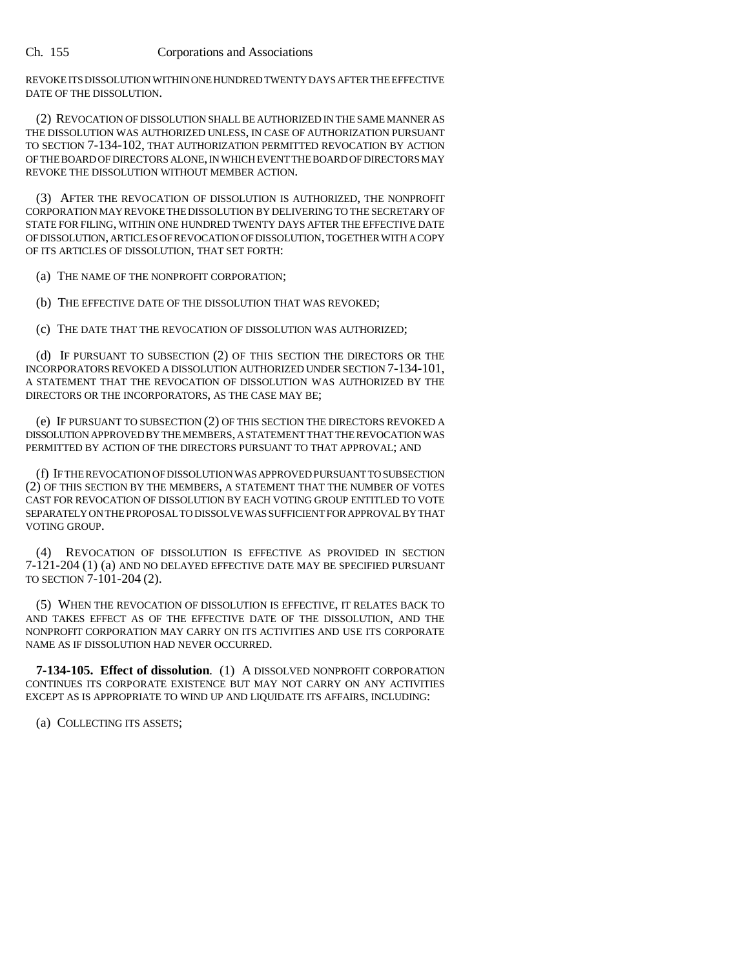REVOKE ITS DISSOLUTION WITHIN ONE HUNDRED TWENTY DAYS AFTER THE EFFECTIVE DATE OF THE DISSOLUTION.

(2) REVOCATION OF DISSOLUTION SHALL BE AUTHORIZED IN THE SAME MANNER AS THE DISSOLUTION WAS AUTHORIZED UNLESS, IN CASE OF AUTHORIZATION PURSUANT TO SECTION 7-134-102, THAT AUTHORIZATION PERMITTED REVOCATION BY ACTION OF THE BOARD OF DIRECTORS ALONE, IN WHICH EVENT THE BOARD OF DIRECTORS MAY REVOKE THE DISSOLUTION WITHOUT MEMBER ACTION.

(3) AFTER THE REVOCATION OF DISSOLUTION IS AUTHORIZED, THE NONPROFIT CORPORATION MAY REVOKE THE DISSOLUTION BY DELIVERING TO THE SECRETARY OF STATE FOR FILING, WITHIN ONE HUNDRED TWENTY DAYS AFTER THE EFFECTIVE DATE OF DISSOLUTION, ARTICLES OF REVOCATION OF DISSOLUTION, TOGETHER WITH A COPY OF ITS ARTICLES OF DISSOLUTION, THAT SET FORTH:

(a) THE NAME OF THE NONPROFIT CORPORATION;

(b) THE EFFECTIVE DATE OF THE DISSOLUTION THAT WAS REVOKED;

(c) THE DATE THAT THE REVOCATION OF DISSOLUTION WAS AUTHORIZED;

(d) IF PURSUANT TO SUBSECTION (2) OF THIS SECTION THE DIRECTORS OR THE INCORPORATORS REVOKED A DISSOLUTION AUTHORIZED UNDER SECTION 7-134-101, A STATEMENT THAT THE REVOCATION OF DISSOLUTION WAS AUTHORIZED BY THE DIRECTORS OR THE INCORPORATORS, AS THE CASE MAY BE;

(e) IF PURSUANT TO SUBSECTION (2) OF THIS SECTION THE DIRECTORS REVOKED A DISSOLUTION APPROVED BY THE MEMBERS, A STATEMENT THAT THE REVOCATION WAS PERMITTED BY ACTION OF THE DIRECTORS PURSUANT TO THAT APPROVAL; AND

(f) IF THE REVOCATION OF DISSOLUTION WAS APPROVED PURSUANT TO SUBSECTION (2) OF THIS SECTION BY THE MEMBERS, A STATEMENT THAT THE NUMBER OF VOTES CAST FOR REVOCATION OF DISSOLUTION BY EACH VOTING GROUP ENTITLED TO VOTE SEPARATELY ON THE PROPOSAL TO DISSOLVE WAS SUFFICIENT FOR APPROVAL BY THAT VOTING GROUP.

(4) REVOCATION OF DISSOLUTION IS EFFECTIVE AS PROVIDED IN SECTION 7-121-204 (1) (a) AND NO DELAYED EFFECTIVE DATE MAY BE SPECIFIED PURSUANT TO SECTION 7-101-204 (2).

(5) WHEN THE REVOCATION OF DISSOLUTION IS EFFECTIVE, IT RELATES BACK TO AND TAKES EFFECT AS OF THE EFFECTIVE DATE OF THE DISSOLUTION, AND THE NONPROFIT CORPORATION MAY CARRY ON ITS ACTIVITIES AND USE ITS CORPORATE NAME AS IF DISSOLUTION HAD NEVER OCCURRED.

**7-134-105. Effect of dissolution**. (1) A DISSOLVED NONPROFIT CORPORATION CONTINUES ITS CORPORATE EXISTENCE BUT MAY NOT CARRY ON ANY ACTIVITIES EXCEPT AS IS APPROPRIATE TO WIND UP AND LIQUIDATE ITS AFFAIRS, INCLUDING:

(a) COLLECTING ITS ASSETS;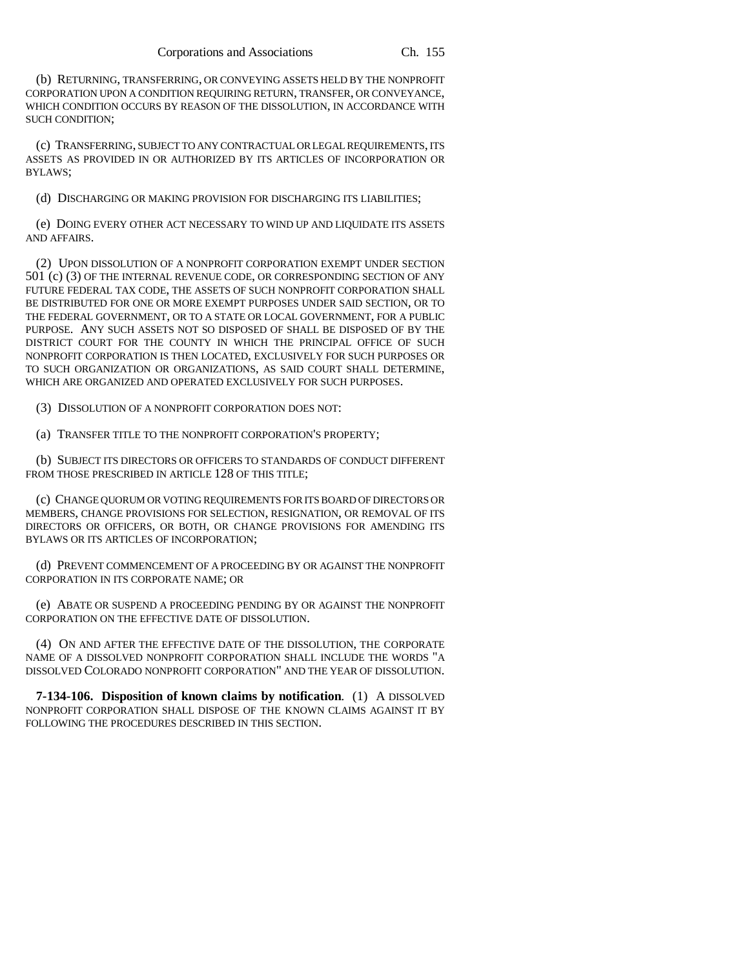(b) RETURNING, TRANSFERRING, OR CONVEYING ASSETS HELD BY THE NONPROFIT CORPORATION UPON A CONDITION REQUIRING RETURN, TRANSFER, OR CONVEYANCE, WHICH CONDITION OCCURS BY REASON OF THE DISSOLUTION, IN ACCORDANCE WITH SUCH CONDITION;

(c) TRANSFERRING, SUBJECT TO ANY CONTRACTUAL OR LEGAL REQUIREMENTS, ITS ASSETS AS PROVIDED IN OR AUTHORIZED BY ITS ARTICLES OF INCORPORATION OR BYLAWS;

(d) DISCHARGING OR MAKING PROVISION FOR DISCHARGING ITS LIABILITIES;

(e) DOING EVERY OTHER ACT NECESSARY TO WIND UP AND LIQUIDATE ITS ASSETS AND AFFAIRS.

(2) UPON DISSOLUTION OF A NONPROFIT CORPORATION EXEMPT UNDER SECTION 501 (c) (3) OF THE INTERNAL REVENUE CODE, OR CORRESPONDING SECTION OF ANY FUTURE FEDERAL TAX CODE, THE ASSETS OF SUCH NONPROFIT CORPORATION SHALL BE DISTRIBUTED FOR ONE OR MORE EXEMPT PURPOSES UNDER SAID SECTION, OR TO THE FEDERAL GOVERNMENT, OR TO A STATE OR LOCAL GOVERNMENT, FOR A PUBLIC PURPOSE. ANY SUCH ASSETS NOT SO DISPOSED OF SHALL BE DISPOSED OF BY THE DISTRICT COURT FOR THE COUNTY IN WHICH THE PRINCIPAL OFFICE OF SUCH NONPROFIT CORPORATION IS THEN LOCATED, EXCLUSIVELY FOR SUCH PURPOSES OR TO SUCH ORGANIZATION OR ORGANIZATIONS, AS SAID COURT SHALL DETERMINE, WHICH ARE ORGANIZED AND OPERATED EXCLUSIVELY FOR SUCH PURPOSES.

(3) DISSOLUTION OF A NONPROFIT CORPORATION DOES NOT:

(a) TRANSFER TITLE TO THE NONPROFIT CORPORATION'S PROPERTY;

(b) SUBJECT ITS DIRECTORS OR OFFICERS TO STANDARDS OF CONDUCT DIFFERENT FROM THOSE PRESCRIBED IN ARTICLE 128 OF THIS TITLE;

(c) CHANGE QUORUM OR VOTING REQUIREMENTS FOR ITS BOARD OF DIRECTORS OR MEMBERS, CHANGE PROVISIONS FOR SELECTION, RESIGNATION, OR REMOVAL OF ITS DIRECTORS OR OFFICERS, OR BOTH, OR CHANGE PROVISIONS FOR AMENDING ITS BYLAWS OR ITS ARTICLES OF INCORPORATION;

(d) PREVENT COMMENCEMENT OF A PROCEEDING BY OR AGAINST THE NONPROFIT CORPORATION IN ITS CORPORATE NAME; OR

(e) ABATE OR SUSPEND A PROCEEDING PENDING BY OR AGAINST THE NONPROFIT CORPORATION ON THE EFFECTIVE DATE OF DISSOLUTION.

(4) ON AND AFTER THE EFFECTIVE DATE OF THE DISSOLUTION, THE CORPORATE NAME OF A DISSOLVED NONPROFIT CORPORATION SHALL INCLUDE THE WORDS "A DISSOLVED COLORADO NONPROFIT CORPORATION" AND THE YEAR OF DISSOLUTION.

**7-134-106. Disposition of known claims by notification**. (1) A DISSOLVED NONPROFIT CORPORATION SHALL DISPOSE OF THE KNOWN CLAIMS AGAINST IT BY FOLLOWING THE PROCEDURES DESCRIBED IN THIS SECTION.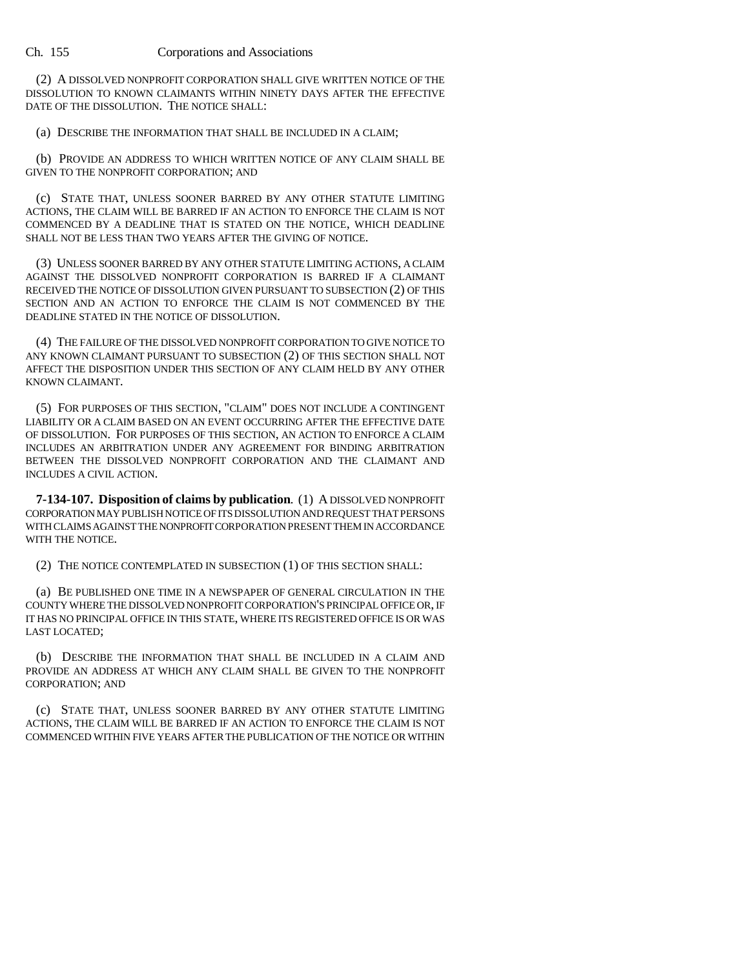(2) A DISSOLVED NONPROFIT CORPORATION SHALL GIVE WRITTEN NOTICE OF THE DISSOLUTION TO KNOWN CLAIMANTS WITHIN NINETY DAYS AFTER THE EFFECTIVE DATE OF THE DISSOLUTION. THE NOTICE SHALL:

(a) DESCRIBE THE INFORMATION THAT SHALL BE INCLUDED IN A CLAIM;

(b) PROVIDE AN ADDRESS TO WHICH WRITTEN NOTICE OF ANY CLAIM SHALL BE GIVEN TO THE NONPROFIT CORPORATION; AND

(c) STATE THAT, UNLESS SOONER BARRED BY ANY OTHER STATUTE LIMITING ACTIONS, THE CLAIM WILL BE BARRED IF AN ACTION TO ENFORCE THE CLAIM IS NOT COMMENCED BY A DEADLINE THAT IS STATED ON THE NOTICE, WHICH DEADLINE SHALL NOT BE LESS THAN TWO YEARS AFTER THE GIVING OF NOTICE.

(3) UNLESS SOONER BARRED BY ANY OTHER STATUTE LIMITING ACTIONS, A CLAIM AGAINST THE DISSOLVED NONPROFIT CORPORATION IS BARRED IF A CLAIMANT RECEIVED THE NOTICE OF DISSOLUTION GIVEN PURSUANT TO SUBSECTION (2) OF THIS SECTION AND AN ACTION TO ENFORCE THE CLAIM IS NOT COMMENCED BY THE DEADLINE STATED IN THE NOTICE OF DISSOLUTION.

(4) THE FAILURE OF THE DISSOLVED NONPROFIT CORPORATION TO GIVE NOTICE TO ANY KNOWN CLAIMANT PURSUANT TO SUBSECTION (2) OF THIS SECTION SHALL NOT AFFECT THE DISPOSITION UNDER THIS SECTION OF ANY CLAIM HELD BY ANY OTHER KNOWN CLAIMANT.

(5) FOR PURPOSES OF THIS SECTION, "CLAIM" DOES NOT INCLUDE A CONTINGENT LIABILITY OR A CLAIM BASED ON AN EVENT OCCURRING AFTER THE EFFECTIVE DATE OF DISSOLUTION. FOR PURPOSES OF THIS SECTION, AN ACTION TO ENFORCE A CLAIM INCLUDES AN ARBITRATION UNDER ANY AGREEMENT FOR BINDING ARBITRATION BETWEEN THE DISSOLVED NONPROFIT CORPORATION AND THE CLAIMANT AND INCLUDES A CIVIL ACTION.

**7-134-107. Disposition of claims by publication**. (1) A DISSOLVED NONPROFIT CORPORATION MAY PUBLISH NOTICE OF ITS DISSOLUTION AND REQUEST THAT PERSONS WITH CLAIMS AGAINST THE NONPROFIT CORPORATION PRESENT THEM IN ACCORDANCE WITH THE NOTICE.

(2) THE NOTICE CONTEMPLATED IN SUBSECTION (1) OF THIS SECTION SHALL:

(a) BE PUBLISHED ONE TIME IN A NEWSPAPER OF GENERAL CIRCULATION IN THE COUNTY WHERE THE DISSOLVED NONPROFIT CORPORATION'S PRINCIPAL OFFICE OR, IF IT HAS NO PRINCIPAL OFFICE IN THIS STATE, WHERE ITS REGISTERED OFFICE IS OR WAS LAST LOCATED;

(b) DESCRIBE THE INFORMATION THAT SHALL BE INCLUDED IN A CLAIM AND PROVIDE AN ADDRESS AT WHICH ANY CLAIM SHALL BE GIVEN TO THE NONPROFIT CORPORATION; AND

(c) STATE THAT, UNLESS SOONER BARRED BY ANY OTHER STATUTE LIMITING ACTIONS, THE CLAIM WILL BE BARRED IF AN ACTION TO ENFORCE THE CLAIM IS NOT COMMENCED WITHIN FIVE YEARS AFTER THE PUBLICATION OF THE NOTICE OR WITHIN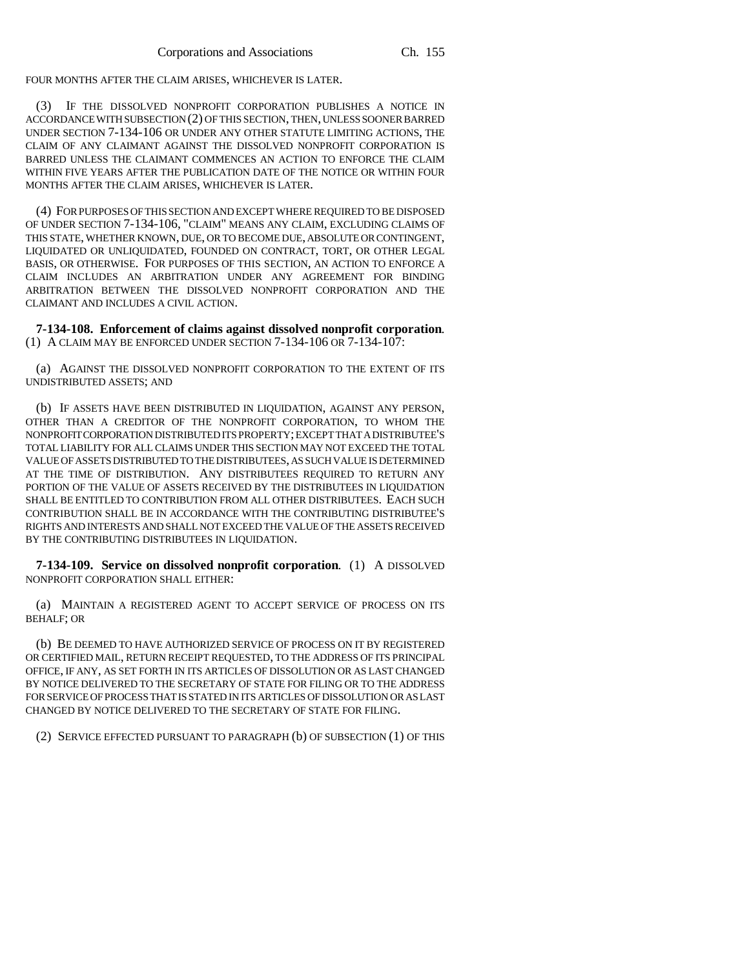FOUR MONTHS AFTER THE CLAIM ARISES, WHICHEVER IS LATER.

IF THE DISSOLVED NONPROFIT CORPORATION PUBLISHES A NOTICE IN ACCORDANCE WITH SUBSECTION (2) OF THIS SECTION, THEN, UNLESS SOONER BARRED UNDER SECTION 7-134-106 OR UNDER ANY OTHER STATUTE LIMITING ACTIONS, THE CLAIM OF ANY CLAIMANT AGAINST THE DISSOLVED NONPROFIT CORPORATION IS BARRED UNLESS THE CLAIMANT COMMENCES AN ACTION TO ENFORCE THE CLAIM WITHIN FIVE YEARS AFTER THE PUBLICATION DATE OF THE NOTICE OR WITHIN FOUR MONTHS AFTER THE CLAIM ARISES, WHICHEVER IS LATER.

(4) FOR PURPOSES OF THIS SECTION AND EXCEPT WHERE REQUIRED TO BE DISPOSED OF UNDER SECTION 7-134-106, "CLAIM" MEANS ANY CLAIM, EXCLUDING CLAIMS OF THIS STATE, WHETHER KNOWN, DUE, OR TO BECOME DUE, ABSOLUTE OR CONTINGENT, LIQUIDATED OR UNLIQUIDATED, FOUNDED ON CONTRACT, TORT, OR OTHER LEGAL BASIS, OR OTHERWISE. FOR PURPOSES OF THIS SECTION, AN ACTION TO ENFORCE A CLAIM INCLUDES AN ARBITRATION UNDER ANY AGREEMENT FOR BINDING ARBITRATION BETWEEN THE DISSOLVED NONPROFIT CORPORATION AND THE CLAIMANT AND INCLUDES A CIVIL ACTION.

**7-134-108. Enforcement of claims against dissolved nonprofit corporation**. (1) A CLAIM MAY BE ENFORCED UNDER SECTION 7-134-106 OR 7-134-107:

(a) AGAINST THE DISSOLVED NONPROFIT CORPORATION TO THE EXTENT OF ITS UNDISTRIBUTED ASSETS; AND

(b) IF ASSETS HAVE BEEN DISTRIBUTED IN LIQUIDATION, AGAINST ANY PERSON, OTHER THAN A CREDITOR OF THE NONPROFIT CORPORATION, TO WHOM THE NONPROFIT CORPORATION DISTRIBUTED ITS PROPERTY; EXCEPT THAT A DISTRIBUTEE'S TOTAL LIABILITY FOR ALL CLAIMS UNDER THIS SECTION MAY NOT EXCEED THE TOTAL VALUE OF ASSETS DISTRIBUTED TO THE DISTRIBUTEES, AS SUCH VALUE IS DETERMINED AT THE TIME OF DISTRIBUTION. ANY DISTRIBUTEES REQUIRED TO RETURN ANY PORTION OF THE VALUE OF ASSETS RECEIVED BY THE DISTRIBUTEES IN LIQUIDATION SHALL BE ENTITLED TO CONTRIBUTION FROM ALL OTHER DISTRIBUTEES. EACH SUCH CONTRIBUTION SHALL BE IN ACCORDANCE WITH THE CONTRIBUTING DISTRIBUTEE'S RIGHTS AND INTERESTS AND SHALL NOT EXCEED THE VALUE OF THE ASSETS RECEIVED BY THE CONTRIBUTING DISTRIBUTEES IN LIQUIDATION.

**7-134-109. Service on dissolved nonprofit corporation**. (1) A DISSOLVED NONPROFIT CORPORATION SHALL EITHER:

(a) MAINTAIN A REGISTERED AGENT TO ACCEPT SERVICE OF PROCESS ON ITS BEHALF; OR

(b) BE DEEMED TO HAVE AUTHORIZED SERVICE OF PROCESS ON IT BY REGISTERED OR CERTIFIED MAIL, RETURN RECEIPT REQUESTED, TO THE ADDRESS OF ITS PRINCIPAL OFFICE, IF ANY, AS SET FORTH IN ITS ARTICLES OF DISSOLUTION OR AS LAST CHANGED BY NOTICE DELIVERED TO THE SECRETARY OF STATE FOR FILING OR TO THE ADDRESS FOR SERVICE OF PROCESS THAT IS STATED IN ITS ARTICLES OF DISSOLUTION OR AS LAST CHANGED BY NOTICE DELIVERED TO THE SECRETARY OF STATE FOR FILING.

(2) SERVICE EFFECTED PURSUANT TO PARAGRAPH (b) OF SUBSECTION (1) OF THIS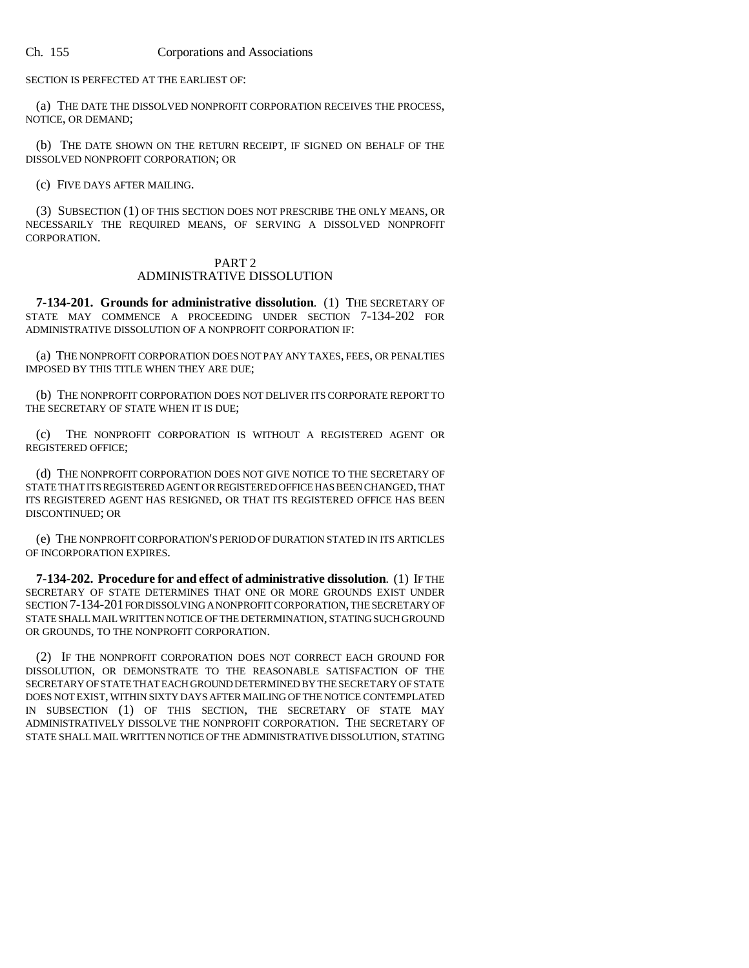SECTION IS PERFECTED AT THE EARLIEST OF:

(a) THE DATE THE DISSOLVED NONPROFIT CORPORATION RECEIVES THE PROCESS, NOTICE, OR DEMAND;

(b) THE DATE SHOWN ON THE RETURN RECEIPT, IF SIGNED ON BEHALF OF THE DISSOLVED NONPROFIT CORPORATION; OR

(c) FIVE DAYS AFTER MAILING.

(3) SUBSECTION (1) OF THIS SECTION DOES NOT PRESCRIBE THE ONLY MEANS, OR NECESSARILY THE REQUIRED MEANS, OF SERVING A DISSOLVED NONPROFIT CORPORATION.

# PART 2 ADMINISTRATIVE DISSOLUTION

**7-134-201. Grounds for administrative dissolution**. (1) THE SECRETARY OF STATE MAY COMMENCE A PROCEEDING UNDER SECTION 7-134-202 FOR ADMINISTRATIVE DISSOLUTION OF A NONPROFIT CORPORATION IF:

(a) THE NONPROFIT CORPORATION DOES NOT PAY ANY TAXES, FEES, OR PENALTIES IMPOSED BY THIS TITLE WHEN THEY ARE DUE;

(b) THE NONPROFIT CORPORATION DOES NOT DELIVER ITS CORPORATE REPORT TO THE SECRETARY OF STATE WHEN IT IS DUE;

(c) THE NONPROFIT CORPORATION IS WITHOUT A REGISTERED AGENT OR REGISTERED OFFICE;

(d) THE NONPROFIT CORPORATION DOES NOT GIVE NOTICE TO THE SECRETARY OF STATE THAT ITS REGISTERED AGENT OR REGISTERED OFFICE HAS BEEN CHANGED, THAT ITS REGISTERED AGENT HAS RESIGNED, OR THAT ITS REGISTERED OFFICE HAS BEEN DISCONTINUED; OR

(e) THE NONPROFIT CORPORATION'S PERIOD OF DURATION STATED IN ITS ARTICLES OF INCORPORATION EXPIRES.

**7-134-202. Procedure for and effect of administrative dissolution**. (1) IF THE SECRETARY OF STATE DETERMINES THAT ONE OR MORE GROUNDS EXIST UNDER SECTION 7-134-201 FOR DISSOLVING A NONPROFIT CORPORATION, THE SECRETARY OF STATE SHALL MAIL WRITTEN NOTICE OF THE DETERMINATION, STATING SUCH GROUND OR GROUNDS, TO THE NONPROFIT CORPORATION.

(2) IF THE NONPROFIT CORPORATION DOES NOT CORRECT EACH GROUND FOR DISSOLUTION, OR DEMONSTRATE TO THE REASONABLE SATISFACTION OF THE SECRETARY OF STATE THAT EACH GROUND DETERMINED BY THE SECRETARY OF STATE DOES NOT EXIST, WITHIN SIXTY DAYS AFTER MAILING OF THE NOTICE CONTEMPLATED IN SUBSECTION (1) OF THIS SECTION, THE SECRETARY OF STATE MAY ADMINISTRATIVELY DISSOLVE THE NONPROFIT CORPORATION. THE SECRETARY OF STATE SHALL MAIL WRITTEN NOTICE OF THE ADMINISTRATIVE DISSOLUTION, STATING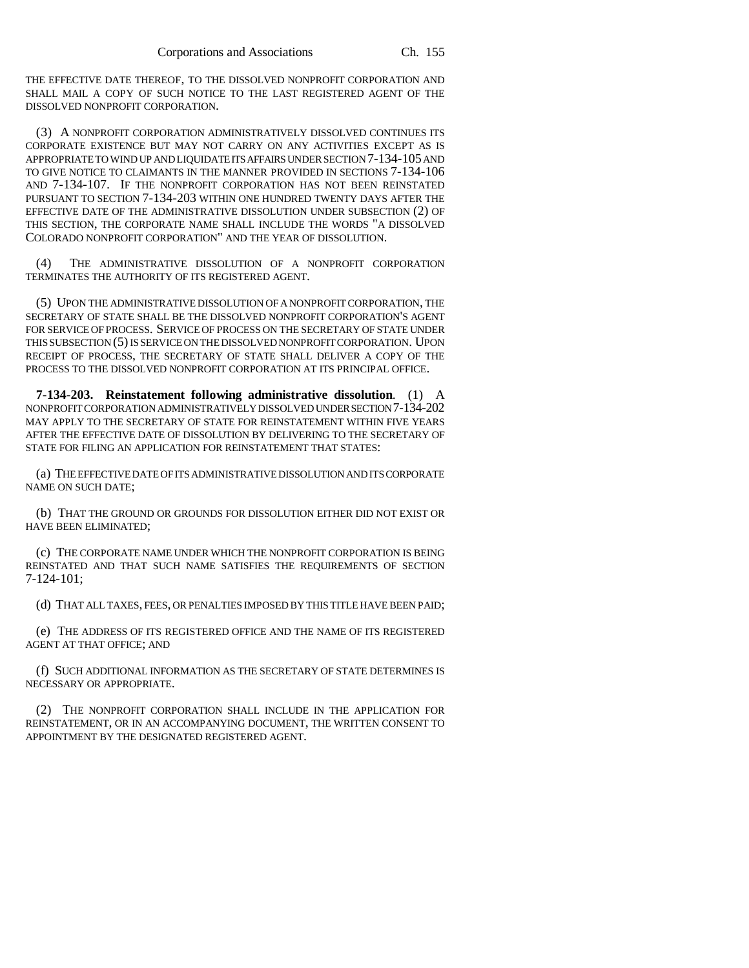THE EFFECTIVE DATE THEREOF, TO THE DISSOLVED NONPROFIT CORPORATION AND SHALL MAIL A COPY OF SUCH NOTICE TO THE LAST REGISTERED AGENT OF THE DISSOLVED NONPROFIT CORPORATION.

(3) A NONPROFIT CORPORATION ADMINISTRATIVELY DISSOLVED CONTINUES ITS CORPORATE EXISTENCE BUT MAY NOT CARRY ON ANY ACTIVITIES EXCEPT AS IS APPROPRIATE TO WIND UP AND LIQUIDATE ITS AFFAIRS UNDER SECTION 7-134-105 AND TO GIVE NOTICE TO CLAIMANTS IN THE MANNER PROVIDED IN SECTIONS 7-134-106 AND 7-134-107. IF THE NONPROFIT CORPORATION HAS NOT BEEN REINSTATED PURSUANT TO SECTION 7-134-203 WITHIN ONE HUNDRED TWENTY DAYS AFTER THE EFFECTIVE DATE OF THE ADMINISTRATIVE DISSOLUTION UNDER SUBSECTION (2) OF THIS SECTION, THE CORPORATE NAME SHALL INCLUDE THE WORDS "A DISSOLVED COLORADO NONPROFIT CORPORATION" AND THE YEAR OF DISSOLUTION.

(4) THE ADMINISTRATIVE DISSOLUTION OF A NONPROFIT CORPORATION TERMINATES THE AUTHORITY OF ITS REGISTERED AGENT.

(5) UPON THE ADMINISTRATIVE DISSOLUTION OF A NONPROFIT CORPORATION, THE SECRETARY OF STATE SHALL BE THE DISSOLVED NONPROFIT CORPORATION'S AGENT FOR SERVICE OF PROCESS. SERVICE OF PROCESS ON THE SECRETARY OF STATE UNDER THIS SUBSECTION (5) IS SERVICE ON THE DISSOLVED NONPROFIT CORPORATION. UPON RECEIPT OF PROCESS, THE SECRETARY OF STATE SHALL DELIVER A COPY OF THE PROCESS TO THE DISSOLVED NONPROFIT CORPORATION AT ITS PRINCIPAL OFFICE.

**7-134-203. Reinstatement following administrative dissolution**. (1) A NONPROFIT CORPORATION ADMINISTRATIVELY DISSOLVED UNDER SECTION 7-134-202 MAY APPLY TO THE SECRETARY OF STATE FOR REINSTATEMENT WITHIN FIVE YEARS AFTER THE EFFECTIVE DATE OF DISSOLUTION BY DELIVERING TO THE SECRETARY OF STATE FOR FILING AN APPLICATION FOR REINSTATEMENT THAT STATES:

(a) THE EFFECTIVE DATE OF ITS ADMINISTRATIVE DISSOLUTION AND ITS CORPORATE NAME ON SUCH DATE;

(b) THAT THE GROUND OR GROUNDS FOR DISSOLUTION EITHER DID NOT EXIST OR HAVE BEEN ELIMINATED;

(c) THE CORPORATE NAME UNDER WHICH THE NONPROFIT CORPORATION IS BEING REINSTATED AND THAT SUCH NAME SATISFIES THE REQUIREMENTS OF SECTION 7-124-101;

(d) THAT ALL TAXES, FEES, OR PENALTIES IMPOSED BY THIS TITLE HAVE BEEN PAID;

(e) THE ADDRESS OF ITS REGISTERED OFFICE AND THE NAME OF ITS REGISTERED AGENT AT THAT OFFICE; AND

(f) SUCH ADDITIONAL INFORMATION AS THE SECRETARY OF STATE DETERMINES IS NECESSARY OR APPROPRIATE.

(2) THE NONPROFIT CORPORATION SHALL INCLUDE IN THE APPLICATION FOR REINSTATEMENT, OR IN AN ACCOMPANYING DOCUMENT, THE WRITTEN CONSENT TO APPOINTMENT BY THE DESIGNATED REGISTERED AGENT.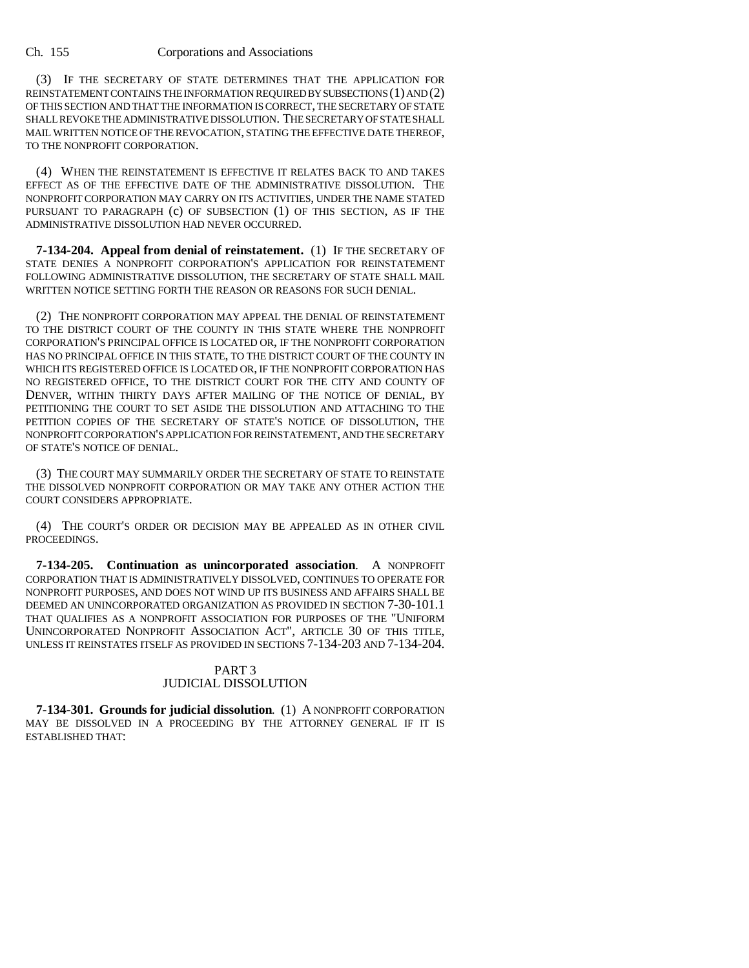(3) IF THE SECRETARY OF STATE DETERMINES THAT THE APPLICATION FOR REINSTATEMENT CONTAINS THE INFORMATION REQUIRED BY SUBSECTIONS (1) AND (2) OF THIS SECTION AND THAT THE INFORMATION IS CORRECT, THE SECRETARY OF STATE SHALL REVOKE THE ADMINISTRATIVE DISSOLUTION. THE SECRETARY OF STATE SHALL MAIL WRITTEN NOTICE OF THE REVOCATION, STATING THE EFFECTIVE DATE THEREOF, TO THE NONPROFIT CORPORATION.

(4) WHEN THE REINSTATEMENT IS EFFECTIVE IT RELATES BACK TO AND TAKES EFFECT AS OF THE EFFECTIVE DATE OF THE ADMINISTRATIVE DISSOLUTION. THE NONPROFIT CORPORATION MAY CARRY ON ITS ACTIVITIES, UNDER THE NAME STATED PURSUANT TO PARAGRAPH (c) OF SUBSECTION (1) OF THIS SECTION, AS IF THE ADMINISTRATIVE DISSOLUTION HAD NEVER OCCURRED.

**7-134-204. Appeal from denial of reinstatement.** (1) IF THE SECRETARY OF STATE DENIES A NONPROFIT CORPORATION'S APPLICATION FOR REINSTATEMENT FOLLOWING ADMINISTRATIVE DISSOLUTION, THE SECRETARY OF STATE SHALL MAIL WRITTEN NOTICE SETTING FORTH THE REASON OR REASONS FOR SUCH DENIAL.

(2) THE NONPROFIT CORPORATION MAY APPEAL THE DENIAL OF REINSTATEMENT TO THE DISTRICT COURT OF THE COUNTY IN THIS STATE WHERE THE NONPROFIT CORPORATION'S PRINCIPAL OFFICE IS LOCATED OR, IF THE NONPROFIT CORPORATION HAS NO PRINCIPAL OFFICE IN THIS STATE, TO THE DISTRICT COURT OF THE COUNTY IN WHICH ITS REGISTERED OFFICE IS LOCATED OR, IF THE NONPROFIT CORPORATION HAS NO REGISTERED OFFICE, TO THE DISTRICT COURT FOR THE CITY AND COUNTY OF DENVER, WITHIN THIRTY DAYS AFTER MAILING OF THE NOTICE OF DENIAL, BY PETITIONING THE COURT TO SET ASIDE THE DISSOLUTION AND ATTACHING TO THE PETITION COPIES OF THE SECRETARY OF STATE'S NOTICE OF DISSOLUTION, THE NONPROFIT CORPORATION'S APPLICATION FOR REINSTATEMENT, AND THE SECRETARY OF STATE'S NOTICE OF DENIAL.

(3) THE COURT MAY SUMMARILY ORDER THE SECRETARY OF STATE TO REINSTATE THE DISSOLVED NONPROFIT CORPORATION OR MAY TAKE ANY OTHER ACTION THE COURT CONSIDERS APPROPRIATE.

(4) THE COURT'S ORDER OR DECISION MAY BE APPEALED AS IN OTHER CIVIL PROCEEDINGS.

**7-134-205. Continuation as unincorporated association**. A NONPROFIT CORPORATION THAT IS ADMINISTRATIVELY DISSOLVED, CONTINUES TO OPERATE FOR NONPROFIT PURPOSES, AND DOES NOT WIND UP ITS BUSINESS AND AFFAIRS SHALL BE DEEMED AN UNINCORPORATED ORGANIZATION AS PROVIDED IN SECTION 7-30-101.1 THAT QUALIFIES AS A NONPROFIT ASSOCIATION FOR PURPOSES OF THE "UNIFORM UNINCORPORATED NONPROFIT ASSOCIATION ACT", ARTICLE 30 OF THIS TITLE, UNLESS IT REINSTATES ITSELF AS PROVIDED IN SECTIONS 7-134-203 AND 7-134-204.

# PART 3 JUDICIAL DISSOLUTION

**7-134-301. Grounds for judicial dissolution**. (1) A NONPROFIT CORPORATION MAY BE DISSOLVED IN A PROCEEDING BY THE ATTORNEY GENERAL IF IT IS ESTABLISHED THAT: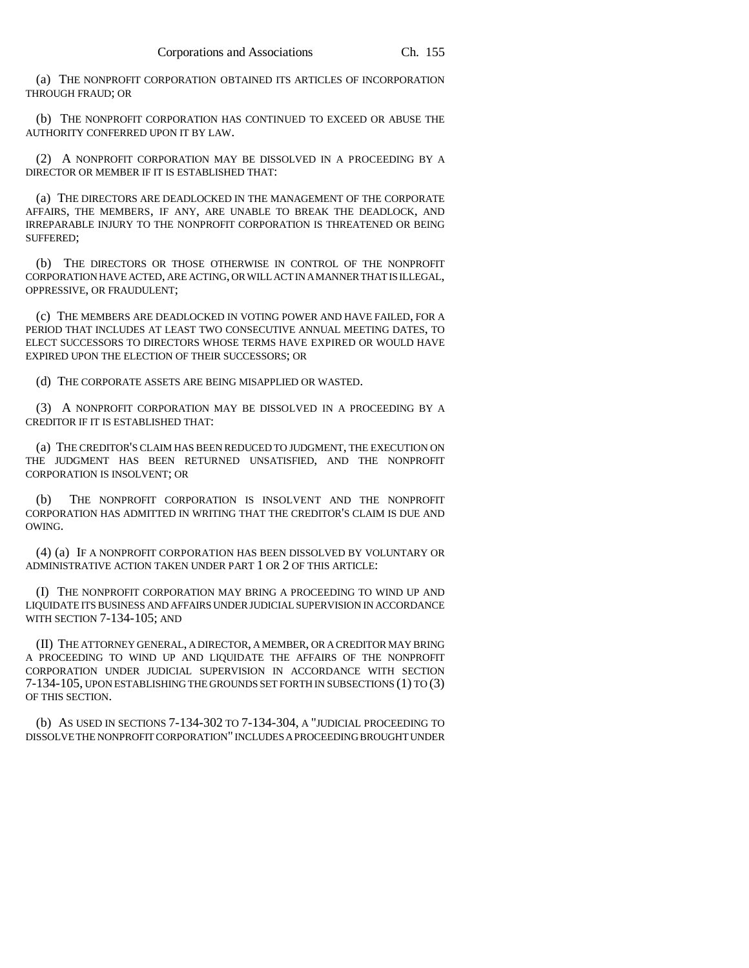(a) THE NONPROFIT CORPORATION OBTAINED ITS ARTICLES OF INCORPORATION THROUGH FRAUD; OR

(b) THE NONPROFIT CORPORATION HAS CONTINUED TO EXCEED OR ABUSE THE AUTHORITY CONFERRED UPON IT BY LAW.

(2) A NONPROFIT CORPORATION MAY BE DISSOLVED IN A PROCEEDING BY A DIRECTOR OR MEMBER IF IT IS ESTABLISHED THAT:

(a) THE DIRECTORS ARE DEADLOCKED IN THE MANAGEMENT OF THE CORPORATE AFFAIRS, THE MEMBERS, IF ANY, ARE UNABLE TO BREAK THE DEADLOCK, AND IRREPARABLE INJURY TO THE NONPROFIT CORPORATION IS THREATENED OR BEING SUFFERED;

(b) THE DIRECTORS OR THOSE OTHERWISE IN CONTROL OF THE NONPROFIT CORPORATION HAVE ACTED, ARE ACTING, OR WILL ACT IN A MANNER THAT IS ILLEGAL, OPPRESSIVE, OR FRAUDULENT;

(c) THE MEMBERS ARE DEADLOCKED IN VOTING POWER AND HAVE FAILED, FOR A PERIOD THAT INCLUDES AT LEAST TWO CONSECUTIVE ANNUAL MEETING DATES, TO ELECT SUCCESSORS TO DIRECTORS WHOSE TERMS HAVE EXPIRED OR WOULD HAVE EXPIRED UPON THE ELECTION OF THEIR SUCCESSORS; OR

(d) THE CORPORATE ASSETS ARE BEING MISAPPLIED OR WASTED.

(3) A NONPROFIT CORPORATION MAY BE DISSOLVED IN A PROCEEDING BY A CREDITOR IF IT IS ESTABLISHED THAT:

(a) THE CREDITOR'S CLAIM HAS BEEN REDUCED TO JUDGMENT, THE EXECUTION ON THE JUDGMENT HAS BEEN RETURNED UNSATISFIED, AND THE NONPROFIT CORPORATION IS INSOLVENT; OR

(b) THE NONPROFIT CORPORATION IS INSOLVENT AND THE NONPROFIT CORPORATION HAS ADMITTED IN WRITING THAT THE CREDITOR'S CLAIM IS DUE AND OWING.

(4) (a) IF A NONPROFIT CORPORATION HAS BEEN DISSOLVED BY VOLUNTARY OR ADMINISTRATIVE ACTION TAKEN UNDER PART 1 OR 2 OF THIS ARTICLE:

(I) THE NONPROFIT CORPORATION MAY BRING A PROCEEDING TO WIND UP AND LIQUIDATE ITS BUSINESS AND AFFAIRS UNDER JUDICIAL SUPERVISION IN ACCORDANCE WITH SECTION 7-134-105; AND

(II) THE ATTORNEY GENERAL, A DIRECTOR, A MEMBER, OR A CREDITOR MAY BRING A PROCEEDING TO WIND UP AND LIQUIDATE THE AFFAIRS OF THE NONPROFIT CORPORATION UNDER JUDICIAL SUPERVISION IN ACCORDANCE WITH SECTION 7-134-105, UPON ESTABLISHING THE GROUNDS SET FORTH IN SUBSECTIONS (1) TO (3) OF THIS SECTION.

(b) AS USED IN SECTIONS 7-134-302 TO 7-134-304, A "JUDICIAL PROCEEDING TO DISSOLVE THE NONPROFIT CORPORATION" INCLUDES A PROCEEDING BROUGHT UNDER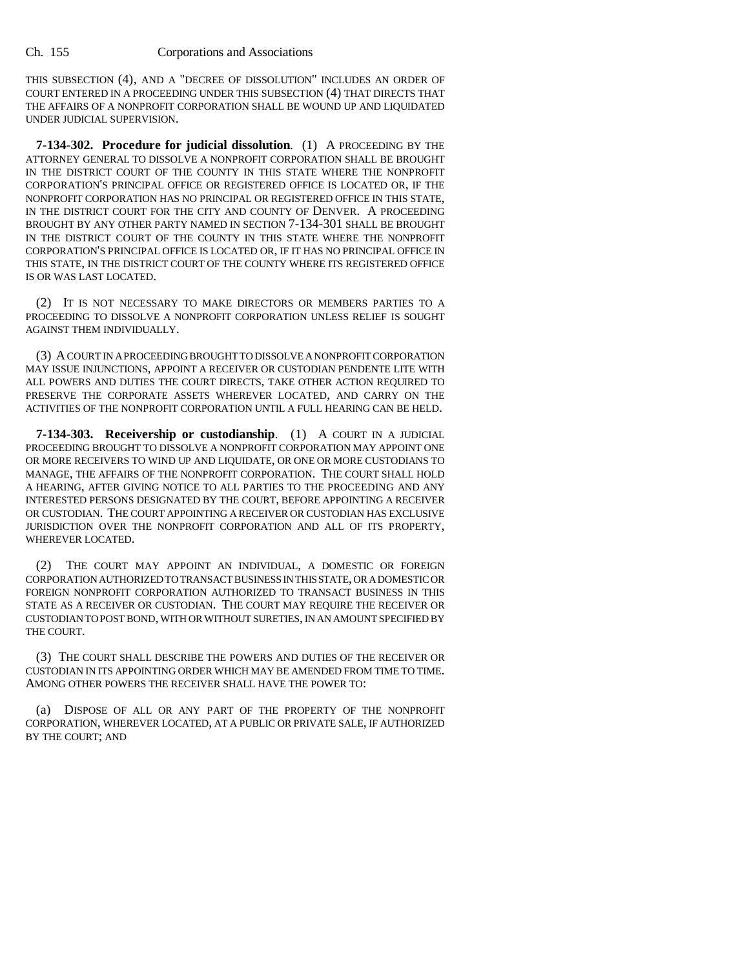THIS SUBSECTION (4), AND A "DECREE OF DISSOLUTION" INCLUDES AN ORDER OF COURT ENTERED IN A PROCEEDING UNDER THIS SUBSECTION (4) THAT DIRECTS THAT THE AFFAIRS OF A NONPROFIT CORPORATION SHALL BE WOUND UP AND LIQUIDATED UNDER JUDICIAL SUPERVISION.

**7-134-302. Procedure for judicial dissolution**. (1) A PROCEEDING BY THE ATTORNEY GENERAL TO DISSOLVE A NONPROFIT CORPORATION SHALL BE BROUGHT IN THE DISTRICT COURT OF THE COUNTY IN THIS STATE WHERE THE NONPROFIT CORPORATION'S PRINCIPAL OFFICE OR REGISTERED OFFICE IS LOCATED OR, IF THE NONPROFIT CORPORATION HAS NO PRINCIPAL OR REGISTERED OFFICE IN THIS STATE, IN THE DISTRICT COURT FOR THE CITY AND COUNTY OF DENVER. A PROCEEDING BROUGHT BY ANY OTHER PARTY NAMED IN SECTION 7-134-301 SHALL BE BROUGHT IN THE DISTRICT COURT OF THE COUNTY IN THIS STATE WHERE THE NONPROFIT CORPORATION'S PRINCIPAL OFFICE IS LOCATED OR, IF IT HAS NO PRINCIPAL OFFICE IN THIS STATE, IN THE DISTRICT COURT OF THE COUNTY WHERE ITS REGISTERED OFFICE IS OR WAS LAST LOCATED.

(2) IT IS NOT NECESSARY TO MAKE DIRECTORS OR MEMBERS PARTIES TO A PROCEEDING TO DISSOLVE A NONPROFIT CORPORATION UNLESS RELIEF IS SOUGHT AGAINST THEM INDIVIDUALLY.

(3) A COURT IN A PROCEEDING BROUGHT TO DISSOLVE A NONPROFIT CORPORATION MAY ISSUE INJUNCTIONS, APPOINT A RECEIVER OR CUSTODIAN PENDENTE LITE WITH ALL POWERS AND DUTIES THE COURT DIRECTS, TAKE OTHER ACTION REQUIRED TO PRESERVE THE CORPORATE ASSETS WHEREVER LOCATED, AND CARRY ON THE ACTIVITIES OF THE NONPROFIT CORPORATION UNTIL A FULL HEARING CAN BE HELD.

**7-134-303. Receivership or custodianship**. (1) A COURT IN A JUDICIAL PROCEEDING BROUGHT TO DISSOLVE A NONPROFIT CORPORATION MAY APPOINT ONE OR MORE RECEIVERS TO WIND UP AND LIQUIDATE, OR ONE OR MORE CUSTODIANS TO MANAGE, THE AFFAIRS OF THE NONPROFIT CORPORATION. THE COURT SHALL HOLD A HEARING, AFTER GIVING NOTICE TO ALL PARTIES TO THE PROCEEDING AND ANY INTERESTED PERSONS DESIGNATED BY THE COURT, BEFORE APPOINTING A RECEIVER OR CUSTODIAN. THE COURT APPOINTING A RECEIVER OR CUSTODIAN HAS EXCLUSIVE JURISDICTION OVER THE NONPROFIT CORPORATION AND ALL OF ITS PROPERTY, WHEREVER LOCATED.

(2) THE COURT MAY APPOINT AN INDIVIDUAL, A DOMESTIC OR FOREIGN CORPORATION AUTHORIZED TO TRANSACT BUSINESS IN THIS STATE, OR A DOMESTIC OR FOREIGN NONPROFIT CORPORATION AUTHORIZED TO TRANSACT BUSINESS IN THIS STATE AS A RECEIVER OR CUSTODIAN. THE COURT MAY REQUIRE THE RECEIVER OR CUSTODIAN TO POST BOND, WITH OR WITHOUT SURETIES, IN AN AMOUNT SPECIFIED BY THE COURT.

(3) THE COURT SHALL DESCRIBE THE POWERS AND DUTIES OF THE RECEIVER OR CUSTODIAN IN ITS APPOINTING ORDER WHICH MAY BE AMENDED FROM TIME TO TIME. AMONG OTHER POWERS THE RECEIVER SHALL HAVE THE POWER TO:

(a) DISPOSE OF ALL OR ANY PART OF THE PROPERTY OF THE NONPROFIT CORPORATION, WHEREVER LOCATED, AT A PUBLIC OR PRIVATE SALE, IF AUTHORIZED BY THE COURT; AND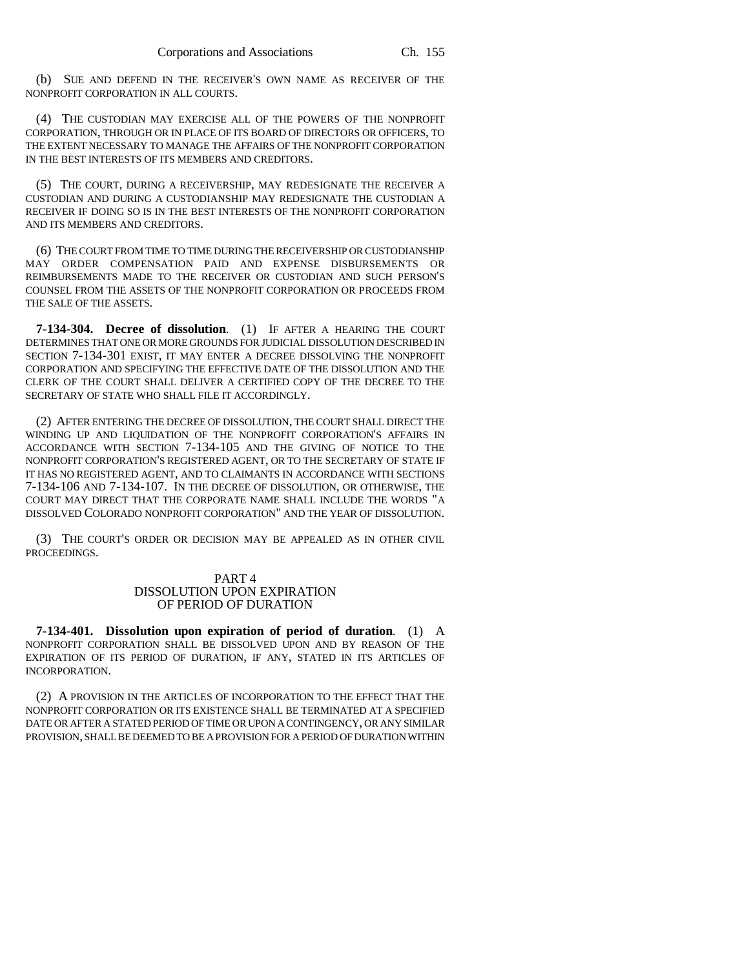(b) SUE AND DEFEND IN THE RECEIVER'S OWN NAME AS RECEIVER OF THE NONPROFIT CORPORATION IN ALL COURTS.

(4) THE CUSTODIAN MAY EXERCISE ALL OF THE POWERS OF THE NONPROFIT CORPORATION, THROUGH OR IN PLACE OF ITS BOARD OF DIRECTORS OR OFFICERS, TO THE EXTENT NECESSARY TO MANAGE THE AFFAIRS OF THE NONPROFIT CORPORATION IN THE BEST INTERESTS OF ITS MEMBERS AND CREDITORS.

(5) THE COURT, DURING A RECEIVERSHIP, MAY REDESIGNATE THE RECEIVER A CUSTODIAN AND DURING A CUSTODIANSHIP MAY REDESIGNATE THE CUSTODIAN A RECEIVER IF DOING SO IS IN THE BEST INTERESTS OF THE NONPROFIT CORPORATION AND ITS MEMBERS AND CREDITORS.

(6) THE COURT FROM TIME TO TIME DURING THE RECEIVERSHIP OR CUSTODIANSHIP MAY ORDER COMPENSATION PAID AND EXPENSE DISBURSEMENTS OR REIMBURSEMENTS MADE TO THE RECEIVER OR CUSTODIAN AND SUCH PERSON'S COUNSEL FROM THE ASSETS OF THE NONPROFIT CORPORATION OR PROCEEDS FROM THE SALE OF THE ASSETS.

**7-134-304. Decree of dissolution**. (1) IF AFTER A HEARING THE COURT DETERMINES THAT ONE OR MORE GROUNDS FOR JUDICIAL DISSOLUTION DESCRIBED IN SECTION 7-134-301 EXIST, IT MAY ENTER A DECREE DISSOLVING THE NONPROFIT CORPORATION AND SPECIFYING THE EFFECTIVE DATE OF THE DISSOLUTION AND THE CLERK OF THE COURT SHALL DELIVER A CERTIFIED COPY OF THE DECREE TO THE SECRETARY OF STATE WHO SHALL FILE IT ACCORDINGLY.

(2) AFTER ENTERING THE DECREE OF DISSOLUTION, THE COURT SHALL DIRECT THE WINDING UP AND LIQUIDATION OF THE NONPROFIT CORPORATION'S AFFAIRS IN ACCORDANCE WITH SECTION 7-134-105 AND THE GIVING OF NOTICE TO THE NONPROFIT CORPORATION'S REGISTERED AGENT, OR TO THE SECRETARY OF STATE IF IT HAS NO REGISTERED AGENT, AND TO CLAIMANTS IN ACCORDANCE WITH SECTIONS 7-134-106 AND 7-134-107. IN THE DECREE OF DISSOLUTION, OR OTHERWISE, THE COURT MAY DIRECT THAT THE CORPORATE NAME SHALL INCLUDE THE WORDS "A DISSOLVED COLORADO NONPROFIT CORPORATION" AND THE YEAR OF DISSOLUTION.

(3) THE COURT'S ORDER OR DECISION MAY BE APPEALED AS IN OTHER CIVIL PROCEEDINGS.

## PART 4 DISSOLUTION UPON EXPIRATION OF PERIOD OF DURATION

**7-134-401. Dissolution upon expiration of period of duration**. (1) A NONPROFIT CORPORATION SHALL BE DISSOLVED UPON AND BY REASON OF THE EXPIRATION OF ITS PERIOD OF DURATION, IF ANY, STATED IN ITS ARTICLES OF INCORPORATION.

(2) A PROVISION IN THE ARTICLES OF INCORPORATION TO THE EFFECT THAT THE NONPROFIT CORPORATION OR ITS EXISTENCE SHALL BE TERMINATED AT A SPECIFIED DATE OR AFTER A STATED PERIOD OF TIME OR UPON A CONTINGENCY, OR ANY SIMILAR PROVISION, SHALL BE DEEMED TO BE A PROVISION FOR A PERIOD OF DURATION WITHIN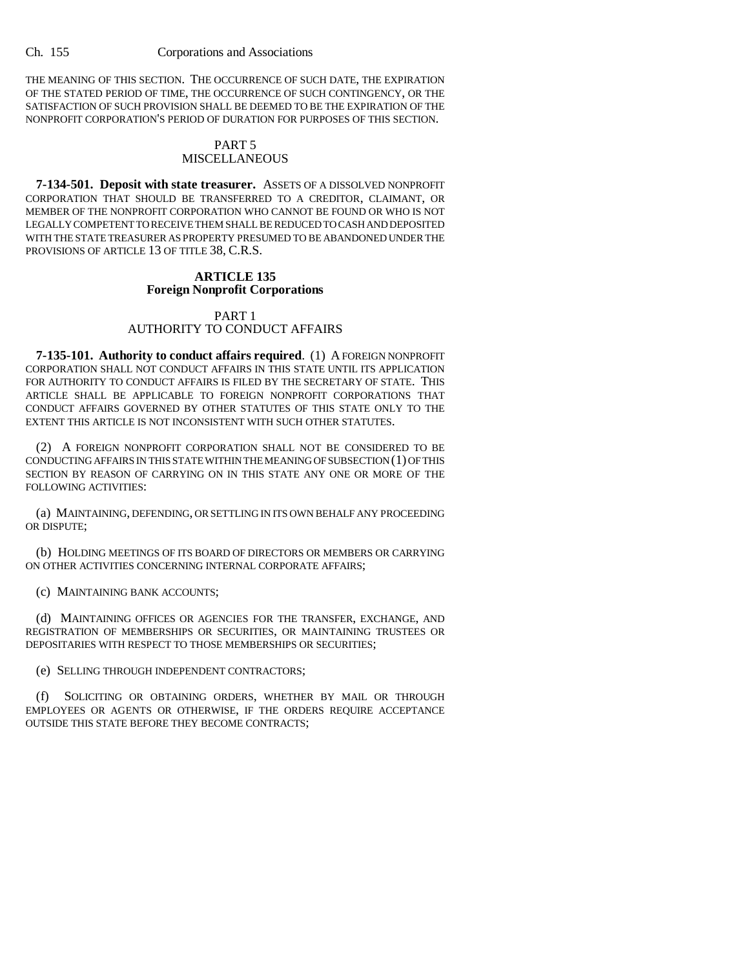THE MEANING OF THIS SECTION. THE OCCURRENCE OF SUCH DATE, THE EXPIRATION OF THE STATED PERIOD OF TIME, THE OCCURRENCE OF SUCH CONTINGENCY, OR THE SATISFACTION OF SUCH PROVISION SHALL BE DEEMED TO BE THE EXPIRATION OF THE NONPROFIT CORPORATION'S PERIOD OF DURATION FOR PURPOSES OF THIS SECTION.

### PART 5 **MISCELLANEOUS**

**7-134-501. Deposit with state treasurer.** ASSETS OF A DISSOLVED NONPROFIT CORPORATION THAT SHOULD BE TRANSFERRED TO A CREDITOR, CLAIMANT, OR MEMBER OF THE NONPROFIT CORPORATION WHO CANNOT BE FOUND OR WHO IS NOT LEGALLY COMPETENT TO RECEIVE THEM SHALL BE REDUCED TO CASH AND DEPOSITED WITH THE STATE TREASURER AS PROPERTY PRESUMED TO BE ABANDONED UNDER THE PROVISIONS OF ARTICLE 13 OF TITLE 38, C.R.S.

# **ARTICLE 135 Foreign Nonprofit Corporations**

## PART 1 AUTHORITY TO CONDUCT AFFAIRS

**7-135-101. Authority to conduct affairs required**. (1) A FOREIGN NONPROFIT CORPORATION SHALL NOT CONDUCT AFFAIRS IN THIS STATE UNTIL ITS APPLICATION FOR AUTHORITY TO CONDUCT AFFAIRS IS FILED BY THE SECRETARY OF STATE. THIS ARTICLE SHALL BE APPLICABLE TO FOREIGN NONPROFIT CORPORATIONS THAT CONDUCT AFFAIRS GOVERNED BY OTHER STATUTES OF THIS STATE ONLY TO THE EXTENT THIS ARTICLE IS NOT INCONSISTENT WITH SUCH OTHER STATUTES.

(2) A FOREIGN NONPROFIT CORPORATION SHALL NOT BE CONSIDERED TO BE CONDUCTING AFFAIRS IN THIS STATE WITHIN THE MEANING OF SUBSECTION (1) OF THIS SECTION BY REASON OF CARRYING ON IN THIS STATE ANY ONE OR MORE OF THE FOLLOWING ACTIVITIES:

(a) MAINTAINING, DEFENDING, OR SETTLING IN ITS OWN BEHALF ANY PROCEEDING OR DISPUTE;

(b) HOLDING MEETINGS OF ITS BOARD OF DIRECTORS OR MEMBERS OR CARRYING ON OTHER ACTIVITIES CONCERNING INTERNAL CORPORATE AFFAIRS;

(c) MAINTAINING BANK ACCOUNTS;

(d) MAINTAINING OFFICES OR AGENCIES FOR THE TRANSFER, EXCHANGE, AND REGISTRATION OF MEMBERSHIPS OR SECURITIES, OR MAINTAINING TRUSTEES OR DEPOSITARIES WITH RESPECT TO THOSE MEMBERSHIPS OR SECURITIES;

(e) SELLING THROUGH INDEPENDENT CONTRACTORS;

(f) SOLICITING OR OBTAINING ORDERS, WHETHER BY MAIL OR THROUGH EMPLOYEES OR AGENTS OR OTHERWISE, IF THE ORDERS REQUIRE ACCEPTANCE OUTSIDE THIS STATE BEFORE THEY BECOME CONTRACTS;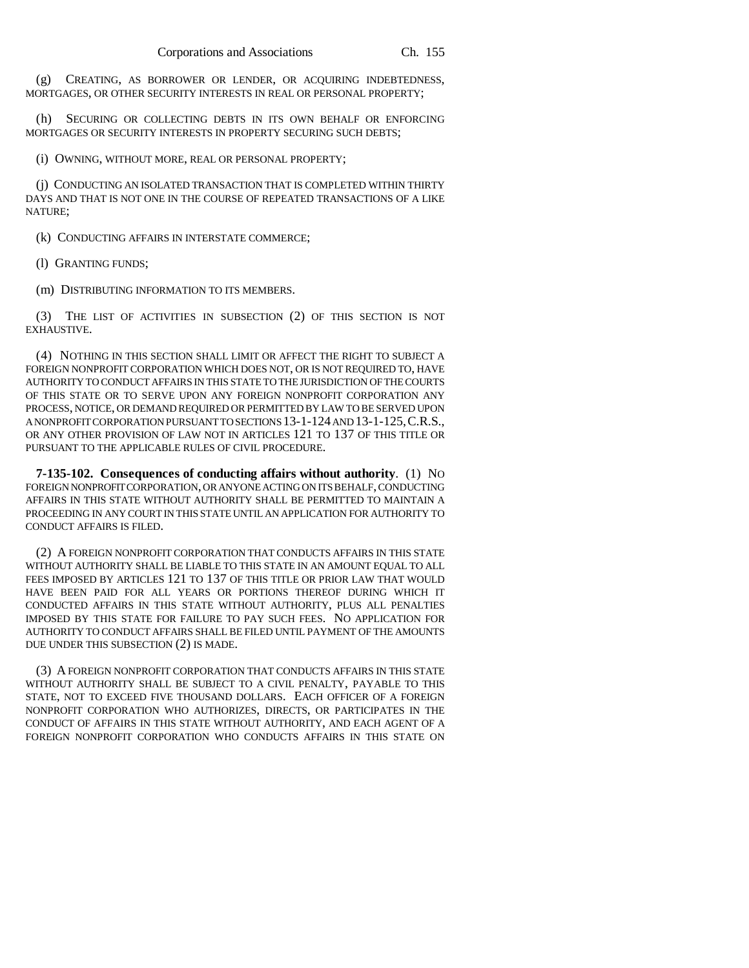(g) CREATING, AS BORROWER OR LENDER, OR ACQUIRING INDEBTEDNESS, MORTGAGES, OR OTHER SECURITY INTERESTS IN REAL OR PERSONAL PROPERTY;

(h) SECURING OR COLLECTING DEBTS IN ITS OWN BEHALF OR ENFORCING MORTGAGES OR SECURITY INTERESTS IN PROPERTY SECURING SUCH DEBTS;

(i) OWNING, WITHOUT MORE, REAL OR PERSONAL PROPERTY;

(j) CONDUCTING AN ISOLATED TRANSACTION THAT IS COMPLETED WITHIN THIRTY DAYS AND THAT IS NOT ONE IN THE COURSE OF REPEATED TRANSACTIONS OF A LIKE NATURE;

(k) CONDUCTING AFFAIRS IN INTERSTATE COMMERCE;

(l) GRANTING FUNDS;

(m) DISTRIBUTING INFORMATION TO ITS MEMBERS.

(3) THE LIST OF ACTIVITIES IN SUBSECTION (2) OF THIS SECTION IS NOT EXHAUSTIVE.

(4) NOTHING IN THIS SECTION SHALL LIMIT OR AFFECT THE RIGHT TO SUBJECT A FOREIGN NONPROFIT CORPORATION WHICH DOES NOT, OR IS NOT REQUIRED TO, HAVE AUTHORITY TO CONDUCT AFFAIRS IN THIS STATE TO THE JURISDICTION OF THE COURTS OF THIS STATE OR TO SERVE UPON ANY FOREIGN NONPROFIT CORPORATION ANY PROCESS, NOTICE, OR DEMAND REQUIRED OR PERMITTED BY LAW TO BE SERVED UPON A NONPROFIT CORPORATION PURSUANT TO SECTIONS 13-1-124 AND 13-1-125,C.R.S., OR ANY OTHER PROVISION OF LAW NOT IN ARTICLES 121 TO 137 OF THIS TITLE OR PURSUANT TO THE APPLICABLE RULES OF CIVIL PROCEDURE.

**7-135-102. Consequences of conducting affairs without authority**. (1) NO FOREIGN NONPROFIT CORPORATION, OR ANYONE ACTING ON ITS BEHALF, CONDUCTING AFFAIRS IN THIS STATE WITHOUT AUTHORITY SHALL BE PERMITTED TO MAINTAIN A PROCEEDING IN ANY COURT IN THIS STATE UNTIL AN APPLICATION FOR AUTHORITY TO CONDUCT AFFAIRS IS FILED.

(2) A FOREIGN NONPROFIT CORPORATION THAT CONDUCTS AFFAIRS IN THIS STATE WITHOUT AUTHORITY SHALL BE LIABLE TO THIS STATE IN AN AMOUNT EQUAL TO ALL FEES IMPOSED BY ARTICLES 121 TO 137 OF THIS TITLE OR PRIOR LAW THAT WOULD HAVE BEEN PAID FOR ALL YEARS OR PORTIONS THEREOF DURING WHICH IT CONDUCTED AFFAIRS IN THIS STATE WITHOUT AUTHORITY, PLUS ALL PENALTIES IMPOSED BY THIS STATE FOR FAILURE TO PAY SUCH FEES. NO APPLICATION FOR AUTHORITY TO CONDUCT AFFAIRS SHALL BE FILED UNTIL PAYMENT OF THE AMOUNTS DUE UNDER THIS SUBSECTION (2) IS MADE.

(3) A FOREIGN NONPROFIT CORPORATION THAT CONDUCTS AFFAIRS IN THIS STATE WITHOUT AUTHORITY SHALL BE SUBJECT TO A CIVIL PENALTY, PAYABLE TO THIS STATE, NOT TO EXCEED FIVE THOUSAND DOLLARS. EACH OFFICER OF A FOREIGN NONPROFIT CORPORATION WHO AUTHORIZES, DIRECTS, OR PARTICIPATES IN THE CONDUCT OF AFFAIRS IN THIS STATE WITHOUT AUTHORITY, AND EACH AGENT OF A FOREIGN NONPROFIT CORPORATION WHO CONDUCTS AFFAIRS IN THIS STATE ON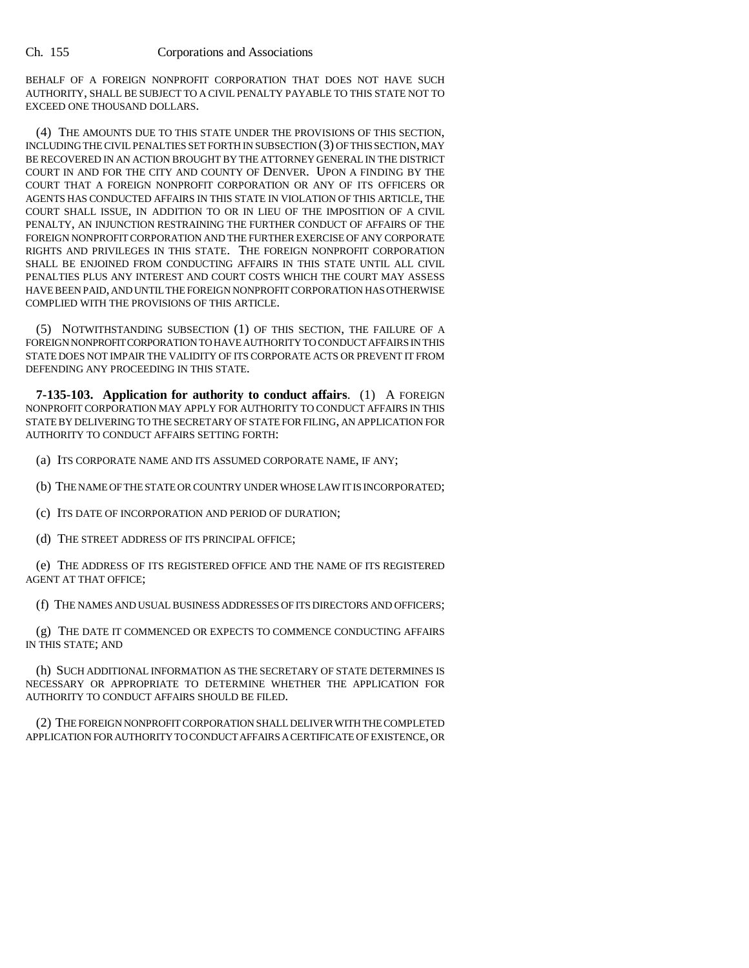BEHALF OF A FOREIGN NONPROFIT CORPORATION THAT DOES NOT HAVE SUCH AUTHORITY, SHALL BE SUBJECT TO A CIVIL PENALTY PAYABLE TO THIS STATE NOT TO EXCEED ONE THOUSAND DOLLARS.

(4) THE AMOUNTS DUE TO THIS STATE UNDER THE PROVISIONS OF THIS SECTION, INCLUDING THE CIVIL PENALTIES SET FORTH IN SUBSECTION (3) OF THIS SECTION, MAY BE RECOVERED IN AN ACTION BROUGHT BY THE ATTORNEY GENERAL IN THE DISTRICT COURT IN AND FOR THE CITY AND COUNTY OF DENVER. UPON A FINDING BY THE COURT THAT A FOREIGN NONPROFIT CORPORATION OR ANY OF ITS OFFICERS OR AGENTS HAS CONDUCTED AFFAIRS IN THIS STATE IN VIOLATION OF THIS ARTICLE, THE COURT SHALL ISSUE, IN ADDITION TO OR IN LIEU OF THE IMPOSITION OF A CIVIL PENALTY, AN INJUNCTION RESTRAINING THE FURTHER CONDUCT OF AFFAIRS OF THE FOREIGN NONPROFIT CORPORATION AND THE FURTHER EXERCISE OF ANY CORPORATE RIGHTS AND PRIVILEGES IN THIS STATE. THE FOREIGN NONPROFIT CORPORATION SHALL BE ENJOINED FROM CONDUCTING AFFAIRS IN THIS STATE UNTIL ALL CIVIL PENALTIES PLUS ANY INTEREST AND COURT COSTS WHICH THE COURT MAY ASSESS HAVE BEEN PAID, AND UNTIL THE FOREIGN NONPROFIT CORPORATION HAS OTHERWISE COMPLIED WITH THE PROVISIONS OF THIS ARTICLE.

(5) NOTWITHSTANDING SUBSECTION (1) OF THIS SECTION, THE FAILURE OF A FOREIGN NONPROFIT CORPORATION TO HAVE AUTHORITY TO CONDUCT AFFAIRS IN THIS STATE DOES NOT IMPAIR THE VALIDITY OF ITS CORPORATE ACTS OR PREVENT IT FROM DEFENDING ANY PROCEEDING IN THIS STATE.

**7-135-103. Application for authority to conduct affairs**. (1) A FOREIGN NONPROFIT CORPORATION MAY APPLY FOR AUTHORITY TO CONDUCT AFFAIRS IN THIS STATE BY DELIVERING TO THE SECRETARY OF STATE FOR FILING, AN APPLICATION FOR AUTHORITY TO CONDUCT AFFAIRS SETTING FORTH:

(a) ITS CORPORATE NAME AND ITS ASSUMED CORPORATE NAME, IF ANY;

(b) THE NAME OF THE STATE OR COUNTRY UNDER WHOSE LAW IT IS INCORPORATED;

(c) ITS DATE OF INCORPORATION AND PERIOD OF DURATION;

(d) THE STREET ADDRESS OF ITS PRINCIPAL OFFICE;

(e) THE ADDRESS OF ITS REGISTERED OFFICE AND THE NAME OF ITS REGISTERED AGENT AT THAT OFFICE;

(f) THE NAMES AND USUAL BUSINESS ADDRESSES OF ITS DIRECTORS AND OFFICERS;

(g) THE DATE IT COMMENCED OR EXPECTS TO COMMENCE CONDUCTING AFFAIRS IN THIS STATE; AND

(h) SUCH ADDITIONAL INFORMATION AS THE SECRETARY OF STATE DETERMINES IS NECESSARY OR APPROPRIATE TO DETERMINE WHETHER THE APPLICATION FOR AUTHORITY TO CONDUCT AFFAIRS SHOULD BE FILED.

(2) THE FOREIGN NONPROFIT CORPORATION SHALL DELIVER WITH THE COMPLETED APPLICATION FOR AUTHORITY TO CONDUCT AFFAIRS A CERTIFICATE OF EXISTENCE, OR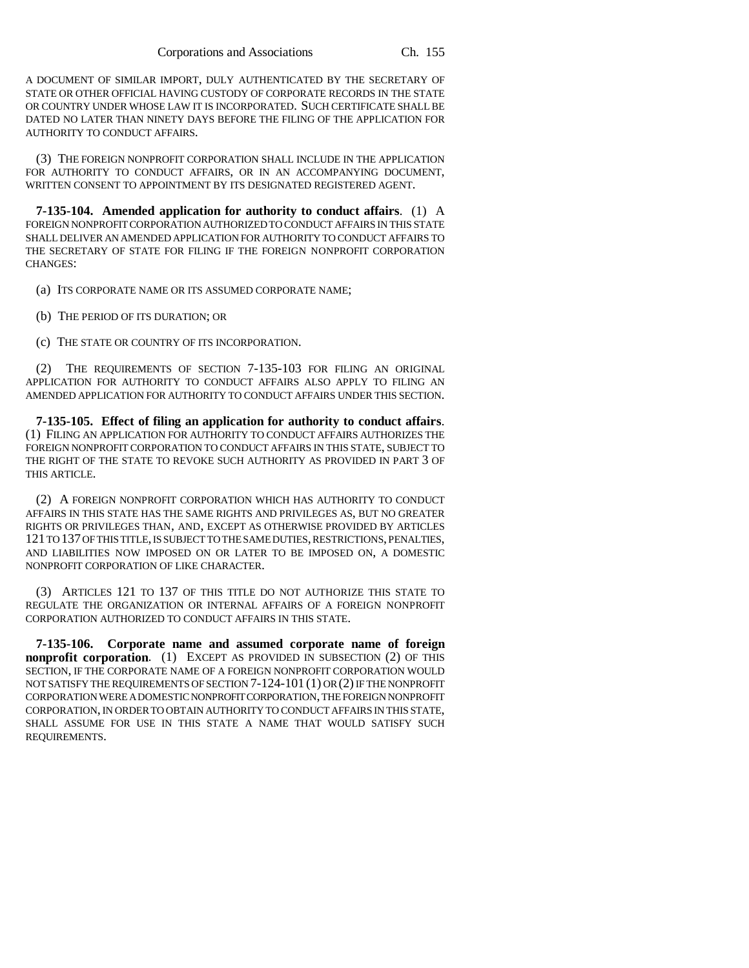A DOCUMENT OF SIMILAR IMPORT, DULY AUTHENTICATED BY THE SECRETARY OF STATE OR OTHER OFFICIAL HAVING CUSTODY OF CORPORATE RECORDS IN THE STATE OR COUNTRY UNDER WHOSE LAW IT IS INCORPORATED. SUCH CERTIFICATE SHALL BE DATED NO LATER THAN NINETY DAYS BEFORE THE FILING OF THE APPLICATION FOR AUTHORITY TO CONDUCT AFFAIRS.

(3) THE FOREIGN NONPROFIT CORPORATION SHALL INCLUDE IN THE APPLICATION FOR AUTHORITY TO CONDUCT AFFAIRS, OR IN AN ACCOMPANYING DOCUMENT, WRITTEN CONSENT TO APPOINTMENT BY ITS DESIGNATED REGISTERED AGENT.

**7-135-104. Amended application for authority to conduct affairs**. (1) A FOREIGN NONPROFIT CORPORATION AUTHORIZED TO CONDUCT AFFAIRS IN THIS STATE SHALL DELIVER AN AMENDED APPLICATION FOR AUTHORITY TO CONDUCT AFFAIRS TO THE SECRETARY OF STATE FOR FILING IF THE FOREIGN NONPROFIT CORPORATION CHANGES:

(a) ITS CORPORATE NAME OR ITS ASSUMED CORPORATE NAME;

- (b) THE PERIOD OF ITS DURATION; OR
- (c) THE STATE OR COUNTRY OF ITS INCORPORATION.

(2) THE REQUIREMENTS OF SECTION 7-135-103 FOR FILING AN ORIGINAL APPLICATION FOR AUTHORITY TO CONDUCT AFFAIRS ALSO APPLY TO FILING AN AMENDED APPLICATION FOR AUTHORITY TO CONDUCT AFFAIRS UNDER THIS SECTION.

**7-135-105. Effect of filing an application for authority to conduct affairs**. (1) FILING AN APPLICATION FOR AUTHORITY TO CONDUCT AFFAIRS AUTHORIZES THE FOREIGN NONPROFIT CORPORATION TO CONDUCT AFFAIRS IN THIS STATE, SUBJECT TO THE RIGHT OF THE STATE TO REVOKE SUCH AUTHORITY AS PROVIDED IN PART 3 OF THIS ARTICLE.

(2) A FOREIGN NONPROFIT CORPORATION WHICH HAS AUTHORITY TO CONDUCT AFFAIRS IN THIS STATE HAS THE SAME RIGHTS AND PRIVILEGES AS, BUT NO GREATER RIGHTS OR PRIVILEGES THAN, AND, EXCEPT AS OTHERWISE PROVIDED BY ARTICLES 121 TO 137 OF THIS TITLE, IS SUBJECT TO THE SAME DUTIES, RESTRICTIONS, PENALTIES, AND LIABILITIES NOW IMPOSED ON OR LATER TO BE IMPOSED ON, A DOMESTIC NONPROFIT CORPORATION OF LIKE CHARACTER.

(3) ARTICLES 121 TO 137 OF THIS TITLE DO NOT AUTHORIZE THIS STATE TO REGULATE THE ORGANIZATION OR INTERNAL AFFAIRS OF A FOREIGN NONPROFIT CORPORATION AUTHORIZED TO CONDUCT AFFAIRS IN THIS STATE.

**7-135-106. Corporate name and assumed corporate name of foreign nonprofit corporation**. (1) EXCEPT AS PROVIDED IN SUBSECTION (2) OF THIS SECTION, IF THE CORPORATE NAME OF A FOREIGN NONPROFIT CORPORATION WOULD NOT SATISFY THE REQUIREMENTS OF SECTION 7-124-101 (1) OR (2) IF THE NONPROFIT CORPORATION WERE A DOMESTIC NONPROFIT CORPORATION, THE FOREIGN NONPROFIT CORPORATION, IN ORDER TO OBTAIN AUTHORITY TO CONDUCT AFFAIRS IN THIS STATE, SHALL ASSUME FOR USE IN THIS STATE A NAME THAT WOULD SATISFY SUCH REQUIREMENTS.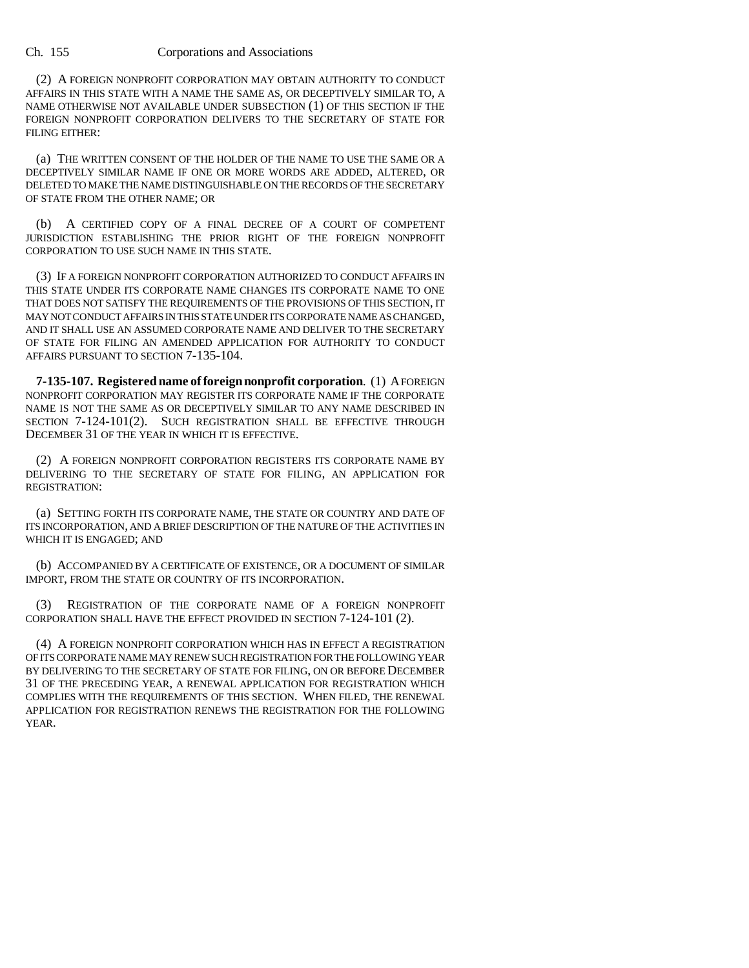(2) A FOREIGN NONPROFIT CORPORATION MAY OBTAIN AUTHORITY TO CONDUCT AFFAIRS IN THIS STATE WITH A NAME THE SAME AS, OR DECEPTIVELY SIMILAR TO, A NAME OTHERWISE NOT AVAILABLE UNDER SUBSECTION (1) OF THIS SECTION IF THE FOREIGN NONPROFIT CORPORATION DELIVERS TO THE SECRETARY OF STATE FOR FILING EITHER:

(a) THE WRITTEN CONSENT OF THE HOLDER OF THE NAME TO USE THE SAME OR A DECEPTIVELY SIMILAR NAME IF ONE OR MORE WORDS ARE ADDED, ALTERED, OR DELETED TO MAKE THE NAME DISTINGUISHABLE ON THE RECORDS OF THE SECRETARY OF STATE FROM THE OTHER NAME; OR

(b) A CERTIFIED COPY OF A FINAL DECREE OF A COURT OF COMPETENT JURISDICTION ESTABLISHING THE PRIOR RIGHT OF THE FOREIGN NONPROFIT CORPORATION TO USE SUCH NAME IN THIS STATE.

(3) IF A FOREIGN NONPROFIT CORPORATION AUTHORIZED TO CONDUCT AFFAIRS IN THIS STATE UNDER ITS CORPORATE NAME CHANGES ITS CORPORATE NAME TO ONE THAT DOES NOT SATISFY THE REQUIREMENTS OF THE PROVISIONS OF THIS SECTION, IT MAY NOT CONDUCT AFFAIRS IN THIS STATE UNDER ITS CORPORATE NAME AS CHANGED, AND IT SHALL USE AN ASSUMED CORPORATE NAME AND DELIVER TO THE SECRETARY OF STATE FOR FILING AN AMENDED APPLICATION FOR AUTHORITY TO CONDUCT AFFAIRS PURSUANT TO SECTION 7-135-104.

**7-135-107. Registered name of foreign nonprofit corporation**. (1) A FOREIGN NONPROFIT CORPORATION MAY REGISTER ITS CORPORATE NAME IF THE CORPORATE NAME IS NOT THE SAME AS OR DECEPTIVELY SIMILAR TO ANY NAME DESCRIBED IN SECTION 7-124-101(2). SUCH REGISTRATION SHALL BE EFFECTIVE THROUGH DECEMBER 31 OF THE YEAR IN WHICH IT IS EFFECTIVE.

(2) A FOREIGN NONPROFIT CORPORATION REGISTERS ITS CORPORATE NAME BY DELIVERING TO THE SECRETARY OF STATE FOR FILING, AN APPLICATION FOR REGISTRATION:

(a) SETTING FORTH ITS CORPORATE NAME, THE STATE OR COUNTRY AND DATE OF ITS INCORPORATION, AND A BRIEF DESCRIPTION OF THE NATURE OF THE ACTIVITIES IN WHICH IT IS ENGAGED; AND

(b) ACCOMPANIED BY A CERTIFICATE OF EXISTENCE, OR A DOCUMENT OF SIMILAR IMPORT, FROM THE STATE OR COUNTRY OF ITS INCORPORATION.

(3) REGISTRATION OF THE CORPORATE NAME OF A FOREIGN NONPROFIT CORPORATION SHALL HAVE THE EFFECT PROVIDED IN SECTION 7-124-101 (2).

(4) A FOREIGN NONPROFIT CORPORATION WHICH HAS IN EFFECT A REGISTRATION OF ITS CORPORATE NAME MAY RENEW SUCH REGISTRATION FOR THE FOLLOWING YEAR BY DELIVERING TO THE SECRETARY OF STATE FOR FILING, ON OR BEFORE DECEMBER 31 OF THE PRECEDING YEAR, A RENEWAL APPLICATION FOR REGISTRATION WHICH COMPLIES WITH THE REQUIREMENTS OF THIS SECTION. WHEN FILED, THE RENEWAL APPLICATION FOR REGISTRATION RENEWS THE REGISTRATION FOR THE FOLLOWING YEAR.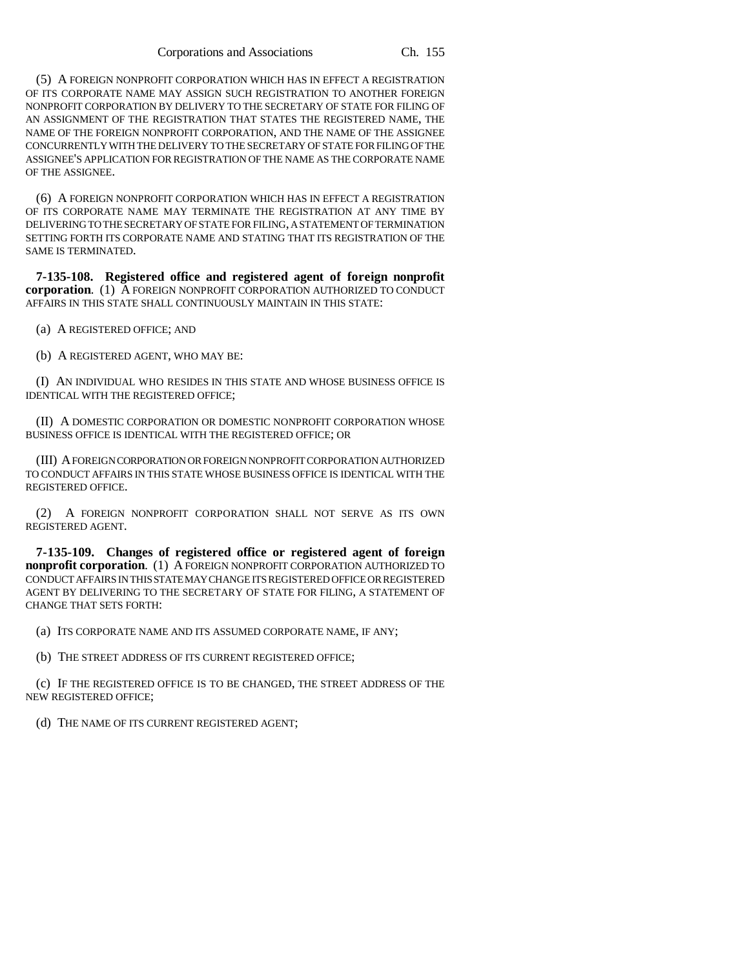(5) A FOREIGN NONPROFIT CORPORATION WHICH HAS IN EFFECT A REGISTRATION OF ITS CORPORATE NAME MAY ASSIGN SUCH REGISTRATION TO ANOTHER FOREIGN NONPROFIT CORPORATION BY DELIVERY TO THE SECRETARY OF STATE FOR FILING OF AN ASSIGNMENT OF THE REGISTRATION THAT STATES THE REGISTERED NAME, THE NAME OF THE FOREIGN NONPROFIT CORPORATION, AND THE NAME OF THE ASSIGNEE CONCURRENTLY WITH THE DELIVERY TO THE SECRETARY OF STATE FOR FILING OF THE ASSIGNEE'S APPLICATION FOR REGISTRATION OF THE NAME AS THE CORPORATE NAME OF THE ASSIGNEE.

(6) A FOREIGN NONPROFIT CORPORATION WHICH HAS IN EFFECT A REGISTRATION OF ITS CORPORATE NAME MAY TERMINATE THE REGISTRATION AT ANY TIME BY DELIVERING TO THE SECRETARY OF STATE FOR FILING, A STATEMENT OF TERMINATION SETTING FORTH ITS CORPORATE NAME AND STATING THAT ITS REGISTRATION OF THE SAME IS TERMINATED.

**7-135-108. Registered office and registered agent of foreign nonprofit corporation**. (1) A FOREIGN NONPROFIT CORPORATION AUTHORIZED TO CONDUCT AFFAIRS IN THIS STATE SHALL CONTINUOUSLY MAINTAIN IN THIS STATE:

(a) A REGISTERED OFFICE; AND

(b) A REGISTERED AGENT, WHO MAY BE:

(I) AN INDIVIDUAL WHO RESIDES IN THIS STATE AND WHOSE BUSINESS OFFICE IS IDENTICAL WITH THE REGISTERED OFFICE;

(II) A DOMESTIC CORPORATION OR DOMESTIC NONPROFIT CORPORATION WHOSE BUSINESS OFFICE IS IDENTICAL WITH THE REGISTERED OFFICE; OR

(III) A FOREIGN CORPORATION OR FOREIGN NONPROFIT CORPORATION AUTHORIZED TO CONDUCT AFFAIRS IN THIS STATE WHOSE BUSINESS OFFICE IS IDENTICAL WITH THE REGISTERED OFFICE.

(2) A FOREIGN NONPROFIT CORPORATION SHALL NOT SERVE AS ITS OWN REGISTERED AGENT.

**7-135-109. Changes of registered office or registered agent of foreign nonprofit corporation**. (1) A FOREIGN NONPROFIT CORPORATION AUTHORIZED TO CONDUCT AFFAIRS IN THIS STATE MAY CHANGE ITS REGISTERED OFFICE OR REGISTERED AGENT BY DELIVERING TO THE SECRETARY OF STATE FOR FILING, A STATEMENT OF CHANGE THAT SETS FORTH:

(a) ITS CORPORATE NAME AND ITS ASSUMED CORPORATE NAME, IF ANY;

(b) THE STREET ADDRESS OF ITS CURRENT REGISTERED OFFICE;

(c) IF THE REGISTERED OFFICE IS TO BE CHANGED, THE STREET ADDRESS OF THE NEW REGISTERED OFFICE;

(d) THE NAME OF ITS CURRENT REGISTERED AGENT;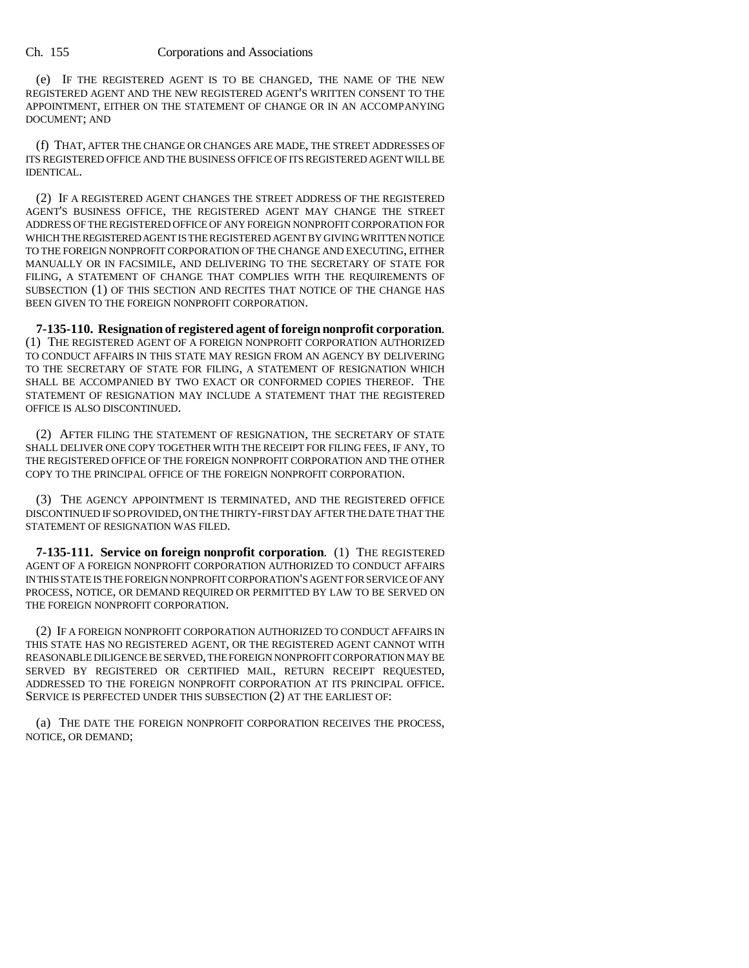(e) IF THE REGISTERED AGENT IS TO BE CHANGED, THE NAME OF THE NEW REGISTERED AGENT AND THE NEW REGISTERED AGENT'S WRITTEN CONSENT TO THE APPOINTMENT, EITHER ON THE STATEMENT OF CHANGE OR IN AN ACCOMPANYING DOCUMENT; AND

(f) THAT, AFTER THE CHANGE OR CHANGES ARE MADE, THE STREET ADDRESSES OF ITS REGISTERED OFFICE AND THE BUSINESS OFFICE OF ITS REGISTERED AGENT WILL BE IDENTICAL.

(2) IF A REGISTERED AGENT CHANGES THE STREET ADDRESS OF THE REGISTERED AGENT'S BUSINESS OFFICE, THE REGISTERED AGENT MAY CHANGE THE STREET ADDRESS OF THE REGISTERED OFFICE OF ANY FOREIGN NONPROFIT CORPORATION FOR WHICH THE REGISTERED AGENT IS THE REGISTERED AGENT BY GIVING WRITTEN NOTICE TO THE FOREIGN NONPROFIT CORPORATION OF THE CHANGE AND EXECUTING, EITHER MANUALLY OR IN FACSIMILE, AND DELIVERING TO THE SECRETARY OF STATE FOR FILING, A STATEMENT OF CHANGE THAT COMPLIES WITH THE REQUIREMENTS OF SUBSECTION (1) OF THIS SECTION AND RECITES THAT NOTICE OF THE CHANGE HAS BEEN GIVEN TO THE FOREIGN NONPROFIT CORPORATION.

**7-135-110. Resignation of registered agent of foreign nonprofit corporation**. (1) THE REGISTERED AGENT OF A FOREIGN NONPROFIT CORPORATION AUTHORIZED TO CONDUCT AFFAIRS IN THIS STATE MAY RESIGN FROM AN AGENCY BY DELIVERING TO THE SECRETARY OF STATE FOR FILING, A STATEMENT OF RESIGNATION WHICH SHALL BE ACCOMPANIED BY TWO EXACT OR CONFORMED COPIES THEREOF. THE STATEMENT OF RESIGNATION MAY INCLUDE A STATEMENT THAT THE REGISTERED OFFICE IS ALSO DISCONTINUED.

(2) AFTER FILING THE STATEMENT OF RESIGNATION, THE SECRETARY OF STATE SHALL DELIVER ONE COPY TOGETHER WITH THE RECEIPT FOR FILING FEES, IF ANY, TO THE REGISTERED OFFICE OF THE FOREIGN NONPROFIT CORPORATION AND THE OTHER COPY TO THE PRINCIPAL OFFICE OF THE FOREIGN NONPROFIT CORPORATION.

(3) THE AGENCY APPOINTMENT IS TERMINATED, AND THE REGISTERED OFFICE DISCONTINUED IF SO PROVIDED, ON THE THIRTY-FIRST DAY AFTER THE DATE THAT THE STATEMENT OF RESIGNATION WAS FILED.

**7-135-111. Service on foreign nonprofit corporation**. (1) THE REGISTERED AGENT OF A FOREIGN NONPROFIT CORPORATION AUTHORIZED TO CONDUCT AFFAIRS IN THIS STATE IS THE FOREIGN NONPROFIT CORPORATION'S AGENT FOR SERVICE OF ANY PROCESS, NOTICE, OR DEMAND REQUIRED OR PERMITTED BY LAW TO BE SERVED ON THE FOREIGN NONPROFIT CORPORATION.

(2) IF A FOREIGN NONPROFIT CORPORATION AUTHORIZED TO CONDUCT AFFAIRS IN THIS STATE HAS NO REGISTERED AGENT, OR THE REGISTERED AGENT CANNOT WITH REASONABLE DILIGENCE BE SERVED, THE FOREIGN NONPROFIT CORPORATION MAY BE SERVED BY REGISTERED OR CERTIFIED MAIL, RETURN RECEIPT REQUESTED, ADDRESSED TO THE FOREIGN NONPROFIT CORPORATION AT ITS PRINCIPAL OFFICE. SERVICE IS PERFECTED UNDER THIS SUBSECTION (2) AT THE EARLIEST OF:

(a) THE DATE THE FOREIGN NONPROFIT CORPORATION RECEIVES THE PROCESS, NOTICE, OR DEMAND;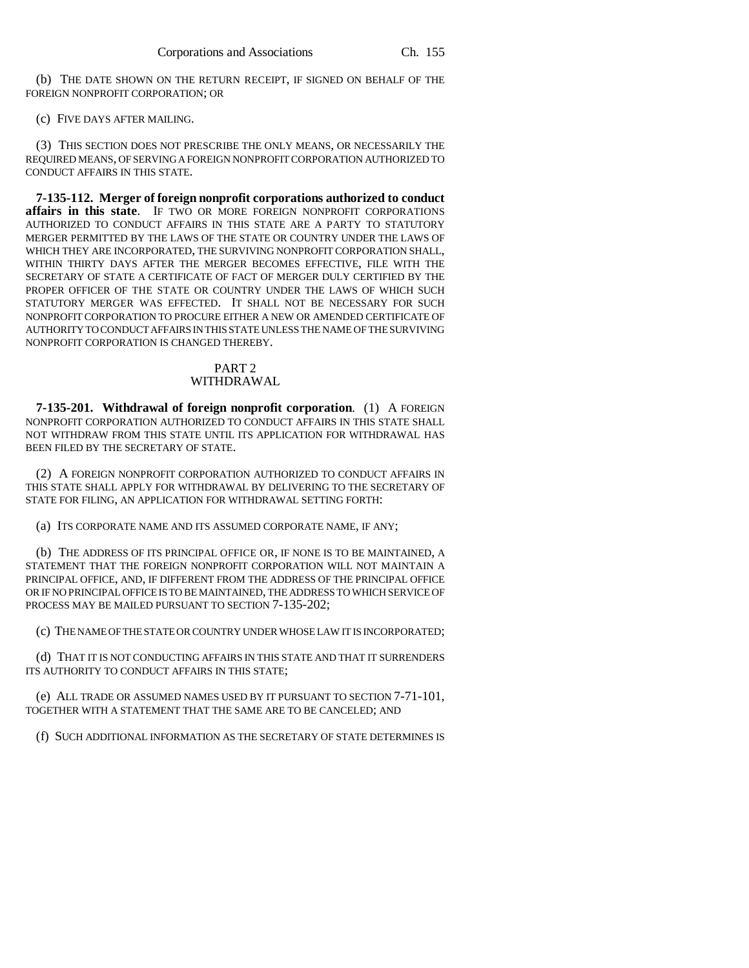(b) THE DATE SHOWN ON THE RETURN RECEIPT, IF SIGNED ON BEHALF OF THE FOREIGN NONPROFIT CORPORATION; OR

(c) FIVE DAYS AFTER MAILING.

(3) THIS SECTION DOES NOT PRESCRIBE THE ONLY MEANS, OR NECESSARILY THE REQUIRED MEANS, OF SERVING A FOREIGN NONPROFIT CORPORATION AUTHORIZED TO CONDUCT AFFAIRS IN THIS STATE.

**7-135-112. Merger of foreign nonprofit corporations authorized to conduct affairs in this state**. IF TWO OR MORE FOREIGN NONPROFIT CORPORATIONS AUTHORIZED TO CONDUCT AFFAIRS IN THIS STATE ARE A PARTY TO STATUTORY MERGER PERMITTED BY THE LAWS OF THE STATE OR COUNTRY UNDER THE LAWS OF WHICH THEY ARE INCORPORATED, THE SURVIVING NONPROFIT CORPORATION SHALL, WITHIN THIRTY DAYS AFTER THE MERGER BECOMES EFFECTIVE, FILE WITH THE SECRETARY OF STATE A CERTIFICATE OF FACT OF MERGER DULY CERTIFIED BY THE PROPER OFFICER OF THE STATE OR COUNTRY UNDER THE LAWS OF WHICH SUCH STATUTORY MERGER WAS EFFECTED. IT SHALL NOT BE NECESSARY FOR SUCH NONPROFIT CORPORATION TO PROCURE EITHER A NEW OR AMENDED CERTIFICATE OF AUTHORITY TO CONDUCT AFFAIRS IN THIS STATE UNLESS THE NAME OF THE SURVIVING NONPROFIT CORPORATION IS CHANGED THEREBY.

## PART 2 WITHDRAWAL

**7-135-201. Withdrawal of foreign nonprofit corporation**. (1) A FOREIGN NONPROFIT CORPORATION AUTHORIZED TO CONDUCT AFFAIRS IN THIS STATE SHALL NOT WITHDRAW FROM THIS STATE UNTIL ITS APPLICATION FOR WITHDRAWAL HAS BEEN FILED BY THE SECRETARY OF STATE.

(2) A FOREIGN NONPROFIT CORPORATION AUTHORIZED TO CONDUCT AFFAIRS IN THIS STATE SHALL APPLY FOR WITHDRAWAL BY DELIVERING TO THE SECRETARY OF STATE FOR FILING, AN APPLICATION FOR WITHDRAWAL SETTING FORTH:

(a) ITS CORPORATE NAME AND ITS ASSUMED CORPORATE NAME, IF ANY;

(b) THE ADDRESS OF ITS PRINCIPAL OFFICE OR, IF NONE IS TO BE MAINTAINED, A STATEMENT THAT THE FOREIGN NONPROFIT CORPORATION WILL NOT MAINTAIN A PRINCIPAL OFFICE, AND, IF DIFFERENT FROM THE ADDRESS OF THE PRINCIPAL OFFICE OR IF NO PRINCIPAL OFFICE IS TO BE MAINTAINED, THE ADDRESS TO WHICH SERVICE OF PROCESS MAY BE MAILED PURSUANT TO SECTION 7-135-202;

(c) THE NAME OF THE STATE OR COUNTRY UNDER WHOSE LAW IT IS INCORPORATED;

(d) THAT IT IS NOT CONDUCTING AFFAIRS IN THIS STATE AND THAT IT SURRENDERS ITS AUTHORITY TO CONDUCT AFFAIRS IN THIS STATE;

(e) ALL TRADE OR ASSUMED NAMES USED BY IT PURSUANT TO SECTION 7-71-101, TOGETHER WITH A STATEMENT THAT THE SAME ARE TO BE CANCELED; AND

(f) SUCH ADDITIONAL INFORMATION AS THE SECRETARY OF STATE DETERMINES IS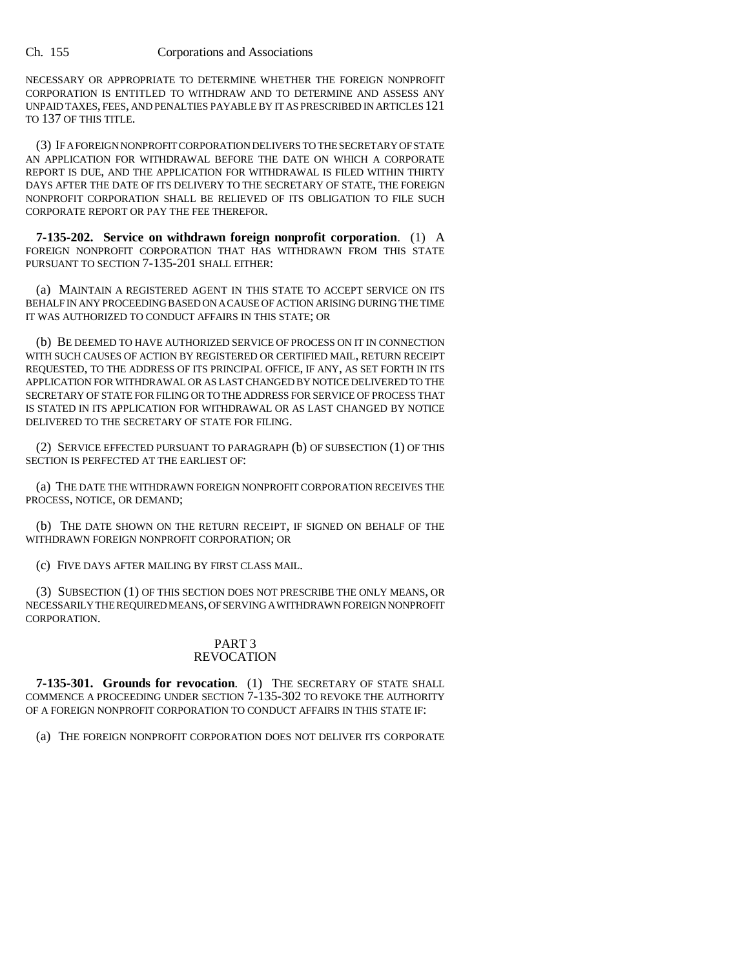NECESSARY OR APPROPRIATE TO DETERMINE WHETHER THE FOREIGN NONPROFIT CORPORATION IS ENTITLED TO WITHDRAW AND TO DETERMINE AND ASSESS ANY UNPAID TAXES, FEES, AND PENALTIES PAYABLE BY IT AS PRESCRIBED IN ARTICLES 121 TO 137 OF THIS TITLE.

(3) IF A FOREIGN NONPROFIT CORPORATION DELIVERS TO THE SECRETARY OF STATE AN APPLICATION FOR WITHDRAWAL BEFORE THE DATE ON WHICH A CORPORATE REPORT IS DUE, AND THE APPLICATION FOR WITHDRAWAL IS FILED WITHIN THIRTY DAYS AFTER THE DATE OF ITS DELIVERY TO THE SECRETARY OF STATE, THE FOREIGN NONPROFIT CORPORATION SHALL BE RELIEVED OF ITS OBLIGATION TO FILE SUCH CORPORATE REPORT OR PAY THE FEE THEREFOR.

**7-135-202. Service on withdrawn foreign nonprofit corporation**. (1) A FOREIGN NONPROFIT CORPORATION THAT HAS WITHDRAWN FROM THIS STATE PURSUANT TO SECTION 7-135-201 SHALL EITHER:

(a) MAINTAIN A REGISTERED AGENT IN THIS STATE TO ACCEPT SERVICE ON ITS BEHALF IN ANY PROCEEDING BASED ON A CAUSE OF ACTION ARISING DURING THE TIME IT WAS AUTHORIZED TO CONDUCT AFFAIRS IN THIS STATE; OR

(b) BE DEEMED TO HAVE AUTHORIZED SERVICE OF PROCESS ON IT IN CONNECTION WITH SUCH CAUSES OF ACTION BY REGISTERED OR CERTIFIED MAIL, RETURN RECEIPT REQUESTED, TO THE ADDRESS OF ITS PRINCIPAL OFFICE, IF ANY, AS SET FORTH IN ITS APPLICATION FOR WITHDRAWAL OR AS LAST CHANGED BY NOTICE DELIVERED TO THE SECRETARY OF STATE FOR FILING OR TO THE ADDRESS FOR SERVICE OF PROCESS THAT IS STATED IN ITS APPLICATION FOR WITHDRAWAL OR AS LAST CHANGED BY NOTICE DELIVERED TO THE SECRETARY OF STATE FOR FILING.

(2) SERVICE EFFECTED PURSUANT TO PARAGRAPH (b) OF SUBSECTION (1) OF THIS SECTION IS PERFECTED AT THE EARLIEST OF:

(a) THE DATE THE WITHDRAWN FOREIGN NONPROFIT CORPORATION RECEIVES THE PROCESS, NOTICE, OR DEMAND;

(b) THE DATE SHOWN ON THE RETURN RECEIPT, IF SIGNED ON BEHALF OF THE WITHDRAWN FOREIGN NONPROFIT CORPORATION; OR

(c) FIVE DAYS AFTER MAILING BY FIRST CLASS MAIL.

(3) SUBSECTION (1) OF THIS SECTION DOES NOT PRESCRIBE THE ONLY MEANS, OR NECESSARILY THE REQUIRED MEANS, OF SERVING A WITHDRAWN FOREIGN NONPROFIT CORPORATION.

# PART 3 REVOCATION

**7-135-301. Grounds for revocation**. (1) THE SECRETARY OF STATE SHALL COMMENCE A PROCEEDING UNDER SECTION  $7-135-302$  TO REVOKE THE AUTHORITY OF A FOREIGN NONPROFIT CORPORATION TO CONDUCT AFFAIRS IN THIS STATE IF:

(a) THE FOREIGN NONPROFIT CORPORATION DOES NOT DELIVER ITS CORPORATE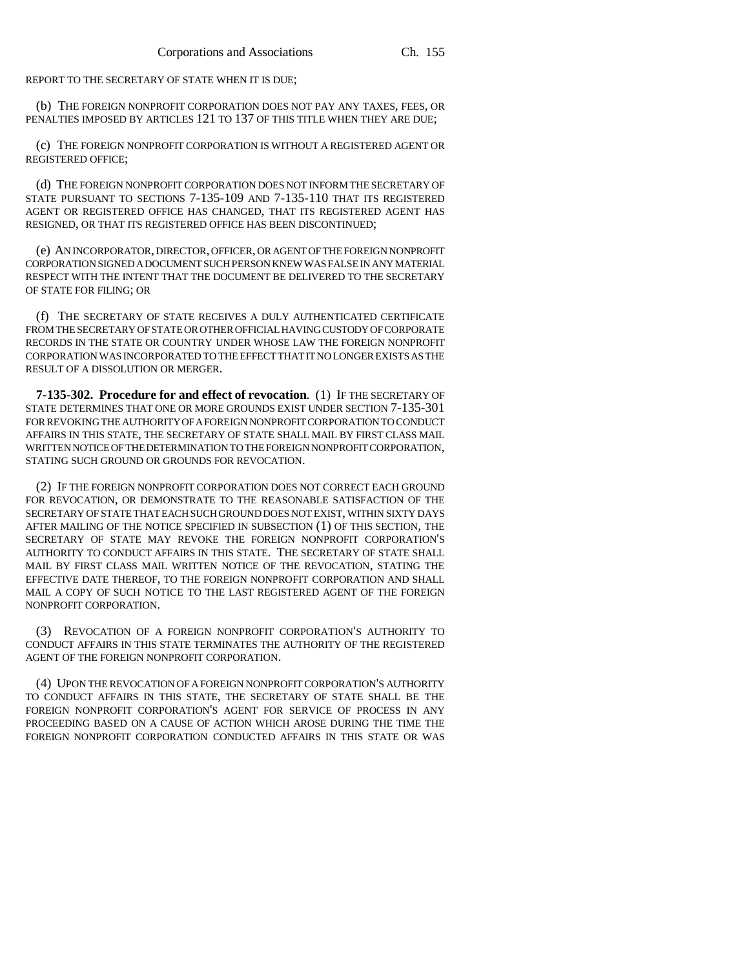REPORT TO THE SECRETARY OF STATE WHEN IT IS DUE;

(b) THE FOREIGN NONPROFIT CORPORATION DOES NOT PAY ANY TAXES, FEES, OR PENALTIES IMPOSED BY ARTICLES 121 TO 137 OF THIS TITLE WHEN THEY ARE DUE;

(c) THE FOREIGN NONPROFIT CORPORATION IS WITHOUT A REGISTERED AGENT OR REGISTERED OFFICE;

(d) THE FOREIGN NONPROFIT CORPORATION DOES NOT INFORM THE SECRETARY OF STATE PURSUANT TO SECTIONS 7-135-109 AND 7-135-110 THAT ITS REGISTERED AGENT OR REGISTERED OFFICE HAS CHANGED, THAT ITS REGISTERED AGENT HAS RESIGNED, OR THAT ITS REGISTERED OFFICE HAS BEEN DISCONTINUED;

(e) AN INCORPORATOR, DIRECTOR, OFFICER, OR AGENT OF THE FOREIGN NONPROFIT CORPORATION SIGNED A DOCUMENT SUCH PERSON KNEW WAS FALSE IN ANY MATERIAL RESPECT WITH THE INTENT THAT THE DOCUMENT BE DELIVERED TO THE SECRETARY OF STATE FOR FILING; OR

(f) THE SECRETARY OF STATE RECEIVES A DULY AUTHENTICATED CERTIFICATE FROM THE SECRETARY OF STATE OR OTHER OFFICIAL HAVING CUSTODY OF CORPORATE RECORDS IN THE STATE OR COUNTRY UNDER WHOSE LAW THE FOREIGN NONPROFIT CORPORATION WAS INCORPORATED TO THE EFFECT THAT IT NO LONGER EXISTS AS THE RESULT OF A DISSOLUTION OR MERGER.

**7-135-302. Procedure for and effect of revocation**. (1) IF THE SECRETARY OF STATE DETERMINES THAT ONE OR MORE GROUNDS EXIST UNDER SECTION 7-135-301 FOR REVOKING THE AUTHORITY OF A FOREIGN NONPROFIT CORPORATION TO CONDUCT AFFAIRS IN THIS STATE, THE SECRETARY OF STATE SHALL MAIL BY FIRST CLASS MAIL WRITTEN NOTICE OF THE DETERMINATION TO THE FOREIGN NONPROFIT CORPORATION, STATING SUCH GROUND OR GROUNDS FOR REVOCATION.

(2) IF THE FOREIGN NONPROFIT CORPORATION DOES NOT CORRECT EACH GROUND FOR REVOCATION, OR DEMONSTRATE TO THE REASONABLE SATISFACTION OF THE SECRETARY OF STATE THAT EACH SUCH GROUND DOES NOT EXIST, WITHIN SIXTY DAYS AFTER MAILING OF THE NOTICE SPECIFIED IN SUBSECTION (1) OF THIS SECTION, THE SECRETARY OF STATE MAY REVOKE THE FOREIGN NONPROFIT CORPORATION'S AUTHORITY TO CONDUCT AFFAIRS IN THIS STATE. THE SECRETARY OF STATE SHALL MAIL BY FIRST CLASS MAIL WRITTEN NOTICE OF THE REVOCATION, STATING THE EFFECTIVE DATE THEREOF, TO THE FOREIGN NONPROFIT CORPORATION AND SHALL MAIL A COPY OF SUCH NOTICE TO THE LAST REGISTERED AGENT OF THE FOREIGN NONPROFIT CORPORATION.

(3) REVOCATION OF A FOREIGN NONPROFIT CORPORATION'S AUTHORITY TO CONDUCT AFFAIRS IN THIS STATE TERMINATES THE AUTHORITY OF THE REGISTERED AGENT OF THE FOREIGN NONPROFIT CORPORATION.

(4) UPON THE REVOCATION OF A FOREIGN NONPROFIT CORPORATION'S AUTHORITY TO CONDUCT AFFAIRS IN THIS STATE, THE SECRETARY OF STATE SHALL BE THE FOREIGN NONPROFIT CORPORATION'S AGENT FOR SERVICE OF PROCESS IN ANY PROCEEDING BASED ON A CAUSE OF ACTION WHICH AROSE DURING THE TIME THE FOREIGN NONPROFIT CORPORATION CONDUCTED AFFAIRS IN THIS STATE OR WAS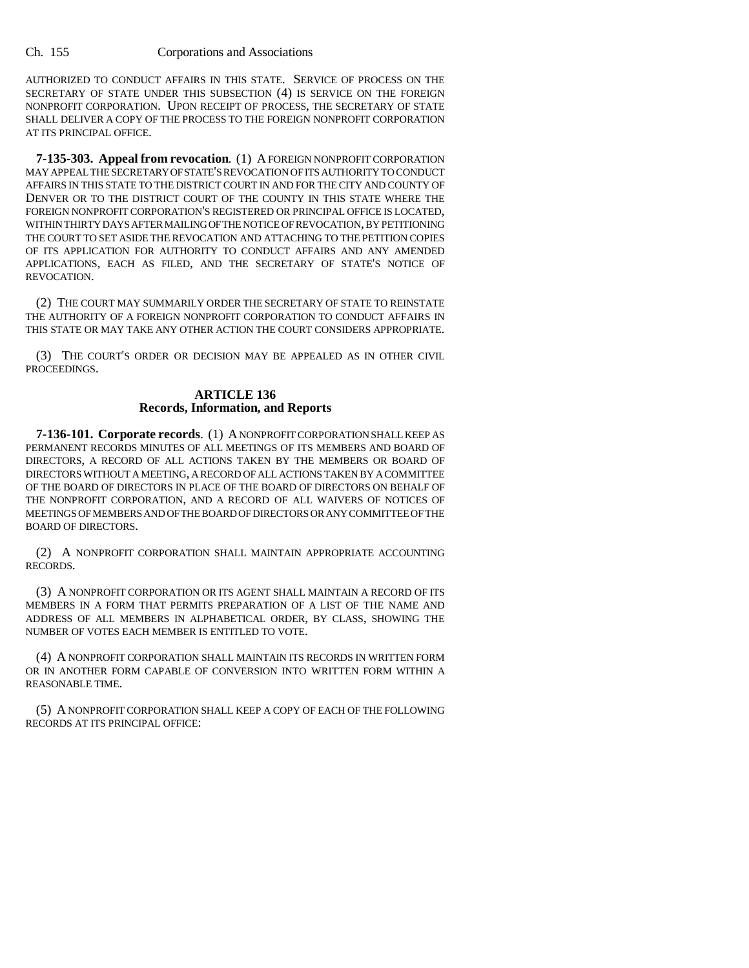AUTHORIZED TO CONDUCT AFFAIRS IN THIS STATE. SERVICE OF PROCESS ON THE SECRETARY OF STATE UNDER THIS SUBSECTION (4) IS SERVICE ON THE FOREIGN NONPROFIT CORPORATION. UPON RECEIPT OF PROCESS, THE SECRETARY OF STATE SHALL DELIVER A COPY OF THE PROCESS TO THE FOREIGN NONPROFIT CORPORATION AT ITS PRINCIPAL OFFICE.

**7-135-303. Appeal from revocation**. (1) A FOREIGN NONPROFIT CORPORATION MAY APPEAL THE SECRETARY OF STATE'S REVOCATION OF ITS AUTHORITY TO CONDUCT AFFAIRS IN THIS STATE TO THE DISTRICT COURT IN AND FOR THE CITY AND COUNTY OF DENVER OR TO THE DISTRICT COURT OF THE COUNTY IN THIS STATE WHERE THE FOREIGN NONPROFIT CORPORATION'S REGISTERED OR PRINCIPAL OFFICE IS LOCATED, WITHIN THIRTY DAYS AFTER MAILING OF THE NOTICE OF REVOCATION, BY PETITIONING THE COURT TO SET ASIDE THE REVOCATION AND ATTACHING TO THE PETITION COPIES OF ITS APPLICATION FOR AUTHORITY TO CONDUCT AFFAIRS AND ANY AMENDED APPLICATIONS, EACH AS FILED, AND THE SECRETARY OF STATE'S NOTICE OF REVOCATION.

(2) THE COURT MAY SUMMARILY ORDER THE SECRETARY OF STATE TO REINSTATE THE AUTHORITY OF A FOREIGN NONPROFIT CORPORATION TO CONDUCT AFFAIRS IN THIS STATE OR MAY TAKE ANY OTHER ACTION THE COURT CONSIDERS APPROPRIATE.

(3) THE COURT'S ORDER OR DECISION MAY BE APPEALED AS IN OTHER CIVIL PROCEEDINGS.

# **ARTICLE 136 Records, Information, and Reports**

**7-136-101. Corporate records**. (1) A NONPROFIT CORPORATION SHALL KEEP AS PERMANENT RECORDS MINUTES OF ALL MEETINGS OF ITS MEMBERS AND BOARD OF DIRECTORS, A RECORD OF ALL ACTIONS TAKEN BY THE MEMBERS OR BOARD OF DIRECTORS WITHOUT A MEETING, A RECORD OF ALL ACTIONS TAKEN BY A COMMITTEE OF THE BOARD OF DIRECTORS IN PLACE OF THE BOARD OF DIRECTORS ON BEHALF OF THE NONPROFIT CORPORATION, AND A RECORD OF ALL WAIVERS OF NOTICES OF MEETINGS OF MEMBERS AND OF THE BOARD OF DIRECTORS OR ANY COMMITTEE OF THE BOARD OF DIRECTORS.

(2) A NONPROFIT CORPORATION SHALL MAINTAIN APPROPRIATE ACCOUNTING RECORDS.

(3) A NONPROFIT CORPORATION OR ITS AGENT SHALL MAINTAIN A RECORD OF ITS MEMBERS IN A FORM THAT PERMITS PREPARATION OF A LIST OF THE NAME AND ADDRESS OF ALL MEMBERS IN ALPHABETICAL ORDER, BY CLASS, SHOWING THE NUMBER OF VOTES EACH MEMBER IS ENTITLED TO VOTE.

(4) A NONPROFIT CORPORATION SHALL MAINTAIN ITS RECORDS IN WRITTEN FORM OR IN ANOTHER FORM CAPABLE OF CONVERSION INTO WRITTEN FORM WITHIN A REASONABLE TIME.

(5) A NONPROFIT CORPORATION SHALL KEEP A COPY OF EACH OF THE FOLLOWING RECORDS AT ITS PRINCIPAL OFFICE: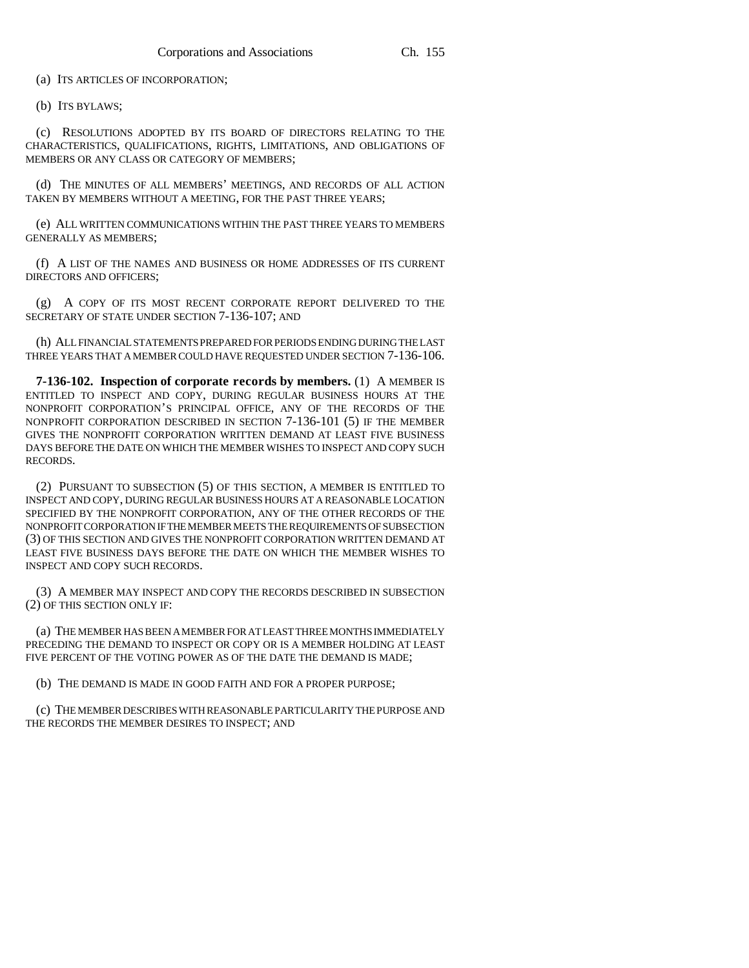(a) ITS ARTICLES OF INCORPORATION;

(b) ITS BYLAWS;

(c) RESOLUTIONS ADOPTED BY ITS BOARD OF DIRECTORS RELATING TO THE CHARACTERISTICS, QUALIFICATIONS, RIGHTS, LIMITATIONS, AND OBLIGATIONS OF MEMBERS OR ANY CLASS OR CATEGORY OF MEMBERS;

(d) THE MINUTES OF ALL MEMBERS' MEETINGS, AND RECORDS OF ALL ACTION TAKEN BY MEMBERS WITHOUT A MEETING, FOR THE PAST THREE YEARS;

(e) ALL WRITTEN COMMUNICATIONS WITHIN THE PAST THREE YEARS TO MEMBERS GENERALLY AS MEMBERS;

(f) A LIST OF THE NAMES AND BUSINESS OR HOME ADDRESSES OF ITS CURRENT DIRECTORS AND OFFICERS;

(g) A COPY OF ITS MOST RECENT CORPORATE REPORT DELIVERED TO THE SECRETARY OF STATE UNDER SECTION 7-136-107; AND

(h) ALL FINANCIAL STATEMENTS PREPARED FOR PERIODS ENDING DURING THE LAST THREE YEARS THAT A MEMBER COULD HAVE REQUESTED UNDER SECTION 7-136-106.

**7-136-102. Inspection of corporate records by members.** (1) A MEMBER IS ENTITLED TO INSPECT AND COPY, DURING REGULAR BUSINESS HOURS AT THE NONPROFIT CORPORATION'S PRINCIPAL OFFICE, ANY OF THE RECORDS OF THE NONPROFIT CORPORATION DESCRIBED IN SECTION 7-136-101 (5) IF THE MEMBER GIVES THE NONPROFIT CORPORATION WRITTEN DEMAND AT LEAST FIVE BUSINESS DAYS BEFORE THE DATE ON WHICH THE MEMBER WISHES TO INSPECT AND COPY SUCH RECORDS.

(2) PURSUANT TO SUBSECTION (5) OF THIS SECTION, A MEMBER IS ENTITLED TO INSPECT AND COPY, DURING REGULAR BUSINESS HOURS AT A REASONABLE LOCATION SPECIFIED BY THE NONPROFIT CORPORATION, ANY OF THE OTHER RECORDS OF THE NONPROFIT CORPORATION IF THE MEMBER MEETS THE REQUIREMENTS OF SUBSECTION (3) OF THIS SECTION AND GIVES THE NONPROFIT CORPORATION WRITTEN DEMAND AT LEAST FIVE BUSINESS DAYS BEFORE THE DATE ON WHICH THE MEMBER WISHES TO INSPECT AND COPY SUCH RECORDS.

(3) A MEMBER MAY INSPECT AND COPY THE RECORDS DESCRIBED IN SUBSECTION (2) OF THIS SECTION ONLY IF:

(a) THE MEMBER HAS BEEN A MEMBER FOR AT LEAST THREE MONTHS IMMEDIATELY PRECEDING THE DEMAND TO INSPECT OR COPY OR IS A MEMBER HOLDING AT LEAST FIVE PERCENT OF THE VOTING POWER AS OF THE DATE THE DEMAND IS MADE;

(b) THE DEMAND IS MADE IN GOOD FAITH AND FOR A PROPER PURPOSE;

(c) THE MEMBER DESCRIBES WITH REASONABLE PARTICULARITY THE PURPOSE AND THE RECORDS THE MEMBER DESIRES TO INSPECT; AND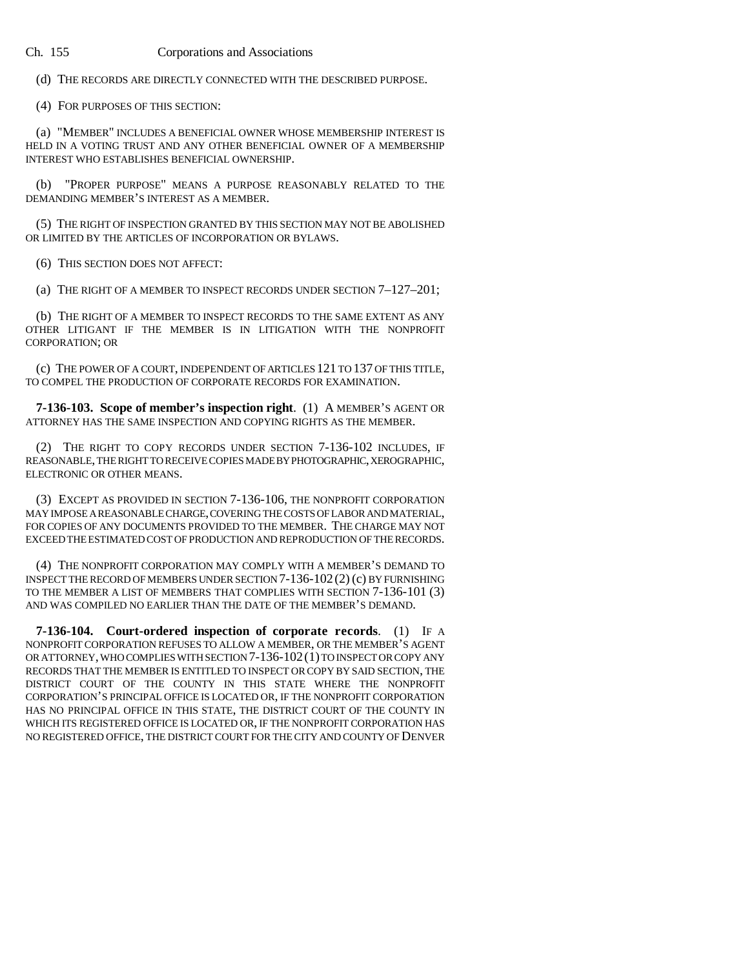(d) THE RECORDS ARE DIRECTLY CONNECTED WITH THE DESCRIBED PURPOSE.

(4) FOR PURPOSES OF THIS SECTION:

(a) "MEMBER" INCLUDES A BENEFICIAL OWNER WHOSE MEMBERSHIP INTEREST IS HELD IN A VOTING TRUST AND ANY OTHER BENEFICIAL OWNER OF A MEMBERSHIP INTEREST WHO ESTABLISHES BENEFICIAL OWNERSHIP.

(b) "PROPER PURPOSE" MEANS A PURPOSE REASONABLY RELATED TO THE DEMANDING MEMBER'S INTEREST AS A MEMBER.

(5) THE RIGHT OF INSPECTION GRANTED BY THIS SECTION MAY NOT BE ABOLISHED OR LIMITED BY THE ARTICLES OF INCORPORATION OR BYLAWS.

(6) THIS SECTION DOES NOT AFFECT:

(a) THE RIGHT OF A MEMBER TO INSPECT RECORDS UNDER SECTION 7–127–201;

(b) THE RIGHT OF A MEMBER TO INSPECT RECORDS TO THE SAME EXTENT AS ANY OTHER LITIGANT IF THE MEMBER IS IN LITIGATION WITH THE NONPROFIT CORPORATION; OR

(c) THE POWER OF A COURT, INDEPENDENT OF ARTICLES 121 TO 137 OF THIS TITLE, TO COMPEL THE PRODUCTION OF CORPORATE RECORDS FOR EXAMINATION.

**7-136-103. Scope of member's inspection right**. (1) A MEMBER'S AGENT OR ATTORNEY HAS THE SAME INSPECTION AND COPYING RIGHTS AS THE MEMBER.

(2) THE RIGHT TO COPY RECORDS UNDER SECTION 7-136-102 INCLUDES, IF REASONABLE, THE RIGHT TO RECEIVE COPIES MADE BY PHOTOGRAPHIC, XEROGRAPHIC, ELECTRONIC OR OTHER MEANS.

(3) EXCEPT AS PROVIDED IN SECTION 7-136-106, THE NONPROFIT CORPORATION MAY IMPOSE A REASONABLE CHARGE, COVERING THE COSTS OF LABOR AND MATERIAL, FOR COPIES OF ANY DOCUMENTS PROVIDED TO THE MEMBER. THE CHARGE MAY NOT EXCEED THE ESTIMATED COST OF PRODUCTION AND REPRODUCTION OF THE RECORDS.

(4) THE NONPROFIT CORPORATION MAY COMPLY WITH A MEMBER'S DEMAND TO INSPECT THE RECORD OF MEMBERS UNDER SECTION 7-136-102(2) (c) BY FURNISHING TO THE MEMBER A LIST OF MEMBERS THAT COMPLIES WITH SECTION 7-136-101 (3) AND WAS COMPILED NO EARLIER THAN THE DATE OF THE MEMBER'S DEMAND.

**7-136-104. Court-ordered inspection of corporate records**. (1) IF A NONPROFIT CORPORATION REFUSES TO ALLOW A MEMBER, OR THE MEMBER'S AGENT OR ATTORNEY, WHO COMPLIES WITH SECTION 7-136-102(1) TO INSPECT OR COPY ANY RECORDS THAT THE MEMBER IS ENTITLED TO INSPECT OR COPY BY SAID SECTION, THE DISTRICT COURT OF THE COUNTY IN THIS STATE WHERE THE NONPROFIT CORPORATION'S PRINCIPAL OFFICE IS LOCATED OR, IF THE NONPROFIT CORPORATION HAS NO PRINCIPAL OFFICE IN THIS STATE, THE DISTRICT COURT OF THE COUNTY IN WHICH ITS REGISTERED OFFICE IS LOCATED OR, IF THE NONPROFIT CORPORATION HAS NO REGISTERED OFFICE, THE DISTRICT COURT FOR THE CITY AND COUNTY OF DENVER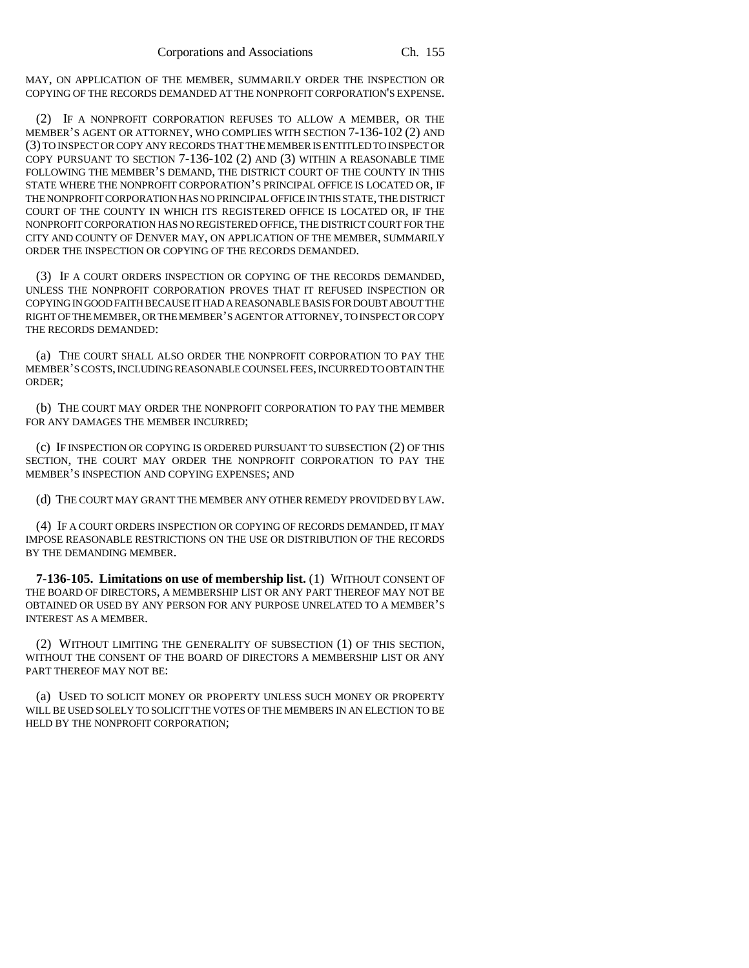MAY, ON APPLICATION OF THE MEMBER, SUMMARILY ORDER THE INSPECTION OR COPYING OF THE RECORDS DEMANDED AT THE NONPROFIT CORPORATION'S EXPENSE.

(2) IF A NONPROFIT CORPORATION REFUSES TO ALLOW A MEMBER, OR THE MEMBER'S AGENT OR ATTORNEY, WHO COMPLIES WITH SECTION 7-136-102 (2) AND (3) TO INSPECT OR COPY ANY RECORDS THAT THE MEMBER IS ENTITLED TO INSPECT OR COPY PURSUANT TO SECTION 7-136-102 (2) AND (3) WITHIN A REASONABLE TIME FOLLOWING THE MEMBER'S DEMAND, THE DISTRICT COURT OF THE COUNTY IN THIS STATE WHERE THE NONPROFIT CORPORATION'S PRINCIPAL OFFICE IS LOCATED OR, IF THE NONPROFIT CORPORATION HAS NO PRINCIPAL OFFICE IN THIS STATE, THE DISTRICT COURT OF THE COUNTY IN WHICH ITS REGISTERED OFFICE IS LOCATED OR, IF THE NONPROFIT CORPORATION HAS NO REGISTERED OFFICE, THE DISTRICT COURT FOR THE CITY AND COUNTY OF DENVER MAY, ON APPLICATION OF THE MEMBER, SUMMARILY ORDER THE INSPECTION OR COPYING OF THE RECORDS DEMANDED.

(3) IF A COURT ORDERS INSPECTION OR COPYING OF THE RECORDS DEMANDED, UNLESS THE NONPROFIT CORPORATION PROVES THAT IT REFUSED INSPECTION OR COPYING IN GOOD FAITH BECAUSE IT HAD A REASONABLE BASIS FOR DOUBT ABOUT THE RIGHT OF THE MEMBER, OR THE MEMBER'S AGENT OR ATTORNEY, TO INSPECT OR COPY THE RECORDS DEMANDED:

(a) THE COURT SHALL ALSO ORDER THE NONPROFIT CORPORATION TO PAY THE MEMBER'S COSTS, INCLUDING REASONABLE COUNSEL FEES, INCURRED TO OBTAIN THE ORDER;

(b) THE COURT MAY ORDER THE NONPROFIT CORPORATION TO PAY THE MEMBER FOR ANY DAMAGES THE MEMBER INCURRED;

(c) IF INSPECTION OR COPYING IS ORDERED PURSUANT TO SUBSECTION (2) OF THIS SECTION, THE COURT MAY ORDER THE NONPROFIT CORPORATION TO PAY THE MEMBER'S INSPECTION AND COPYING EXPENSES; AND

(d) THE COURT MAY GRANT THE MEMBER ANY OTHER REMEDY PROVIDED BY LAW.

(4) IF A COURT ORDERS INSPECTION OR COPYING OF RECORDS DEMANDED, IT MAY IMPOSE REASONABLE RESTRICTIONS ON THE USE OR DISTRIBUTION OF THE RECORDS BY THE DEMANDING MEMBER.

**7-136-105. Limitations on use of membership list.** (1) WITHOUT CONSENT OF THE BOARD OF DIRECTORS, A MEMBERSHIP LIST OR ANY PART THEREOF MAY NOT BE OBTAINED OR USED BY ANY PERSON FOR ANY PURPOSE UNRELATED TO A MEMBER'S INTEREST AS A MEMBER.

(2) WITHOUT LIMITING THE GENERALITY OF SUBSECTION (1) OF THIS SECTION, WITHOUT THE CONSENT OF THE BOARD OF DIRECTORS A MEMBERSHIP LIST OR ANY PART THEREOF MAY NOT BE:

(a) USED TO SOLICIT MONEY OR PROPERTY UNLESS SUCH MONEY OR PROPERTY WILL BE USED SOLELY TO SOLICIT THE VOTES OF THE MEMBERS IN AN ELECTION TO BE HELD BY THE NONPROFIT CORPORATION;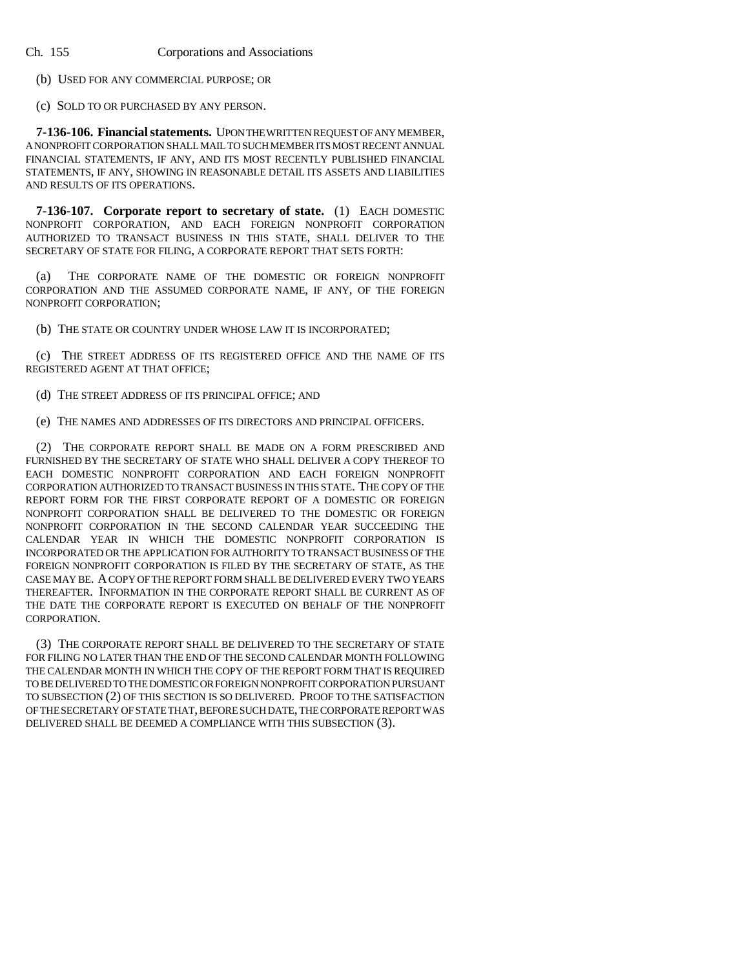(b) USED FOR ANY COMMERCIAL PURPOSE; OR

(c) SOLD TO OR PURCHASED BY ANY PERSON.

**7-136-106. Financial statements.** UPON THE WRITTEN REQUEST OF ANY MEMBER, A NONPROFIT CORPORATION SHALL MAIL TO SUCH MEMBER ITS MOST RECENT ANNUAL FINANCIAL STATEMENTS, IF ANY, AND ITS MOST RECENTLY PUBLISHED FINANCIAL STATEMENTS, IF ANY, SHOWING IN REASONABLE DETAIL ITS ASSETS AND LIABILITIES AND RESULTS OF ITS OPERATIONS.

**7-136-107. Corporate report to secretary of state.** (1) EACH DOMESTIC NONPROFIT CORPORATION, AND EACH FOREIGN NONPROFIT CORPORATION AUTHORIZED TO TRANSACT BUSINESS IN THIS STATE, SHALL DELIVER TO THE SECRETARY OF STATE FOR FILING, A CORPORATE REPORT THAT SETS FORTH:

(a) THE CORPORATE NAME OF THE DOMESTIC OR FOREIGN NONPROFIT CORPORATION AND THE ASSUMED CORPORATE NAME, IF ANY, OF THE FOREIGN NONPROFIT CORPORATION;

(b) THE STATE OR COUNTRY UNDER WHOSE LAW IT IS INCORPORATED;

(c) THE STREET ADDRESS OF ITS REGISTERED OFFICE AND THE NAME OF ITS REGISTERED AGENT AT THAT OFFICE;

(d) THE STREET ADDRESS OF ITS PRINCIPAL OFFICE; AND

(e) THE NAMES AND ADDRESSES OF ITS DIRECTORS AND PRINCIPAL OFFICERS.

(2) THE CORPORATE REPORT SHALL BE MADE ON A FORM PRESCRIBED AND FURNISHED BY THE SECRETARY OF STATE WHO SHALL DELIVER A COPY THEREOF TO EACH DOMESTIC NONPROFIT CORPORATION AND EACH FOREIGN NONPROFIT CORPORATION AUTHORIZED TO TRANSACT BUSINESS IN THIS STATE. THE COPY OF THE REPORT FORM FOR THE FIRST CORPORATE REPORT OF A DOMESTIC OR FOREIGN NONPROFIT CORPORATION SHALL BE DELIVERED TO THE DOMESTIC OR FOREIGN NONPROFIT CORPORATION IN THE SECOND CALENDAR YEAR SUCCEEDING THE CALENDAR YEAR IN WHICH THE DOMESTIC NONPROFIT CORPORATION IS INCORPORATED OR THE APPLICATION FOR AUTHORITY TO TRANSACT BUSINESS OF THE FOREIGN NONPROFIT CORPORATION IS FILED BY THE SECRETARY OF STATE, AS THE CASE MAY BE. A COPY OF THE REPORT FORM SHALL BE DELIVERED EVERY TWO YEARS THEREAFTER. INFORMATION IN THE CORPORATE REPORT SHALL BE CURRENT AS OF THE DATE THE CORPORATE REPORT IS EXECUTED ON BEHALF OF THE NONPROFIT CORPORATION.

(3) THE CORPORATE REPORT SHALL BE DELIVERED TO THE SECRETARY OF STATE FOR FILING NO LATER THAN THE END OF THE SECOND CALENDAR MONTH FOLLOWING THE CALENDAR MONTH IN WHICH THE COPY OF THE REPORT FORM THAT IS REQUIRED TO BE DELIVERED TO THE DOMESTIC OR FOREIGN NONPROFIT CORPORATION PURSUANT TO SUBSECTION (2) OF THIS SECTION IS SO DELIVERED. PROOF TO THE SATISFACTION OF THE SECRETARY OF STATE THAT, BEFORE SUCH DATE, THE CORPORATE REPORT WAS DELIVERED SHALL BE DEEMED A COMPLIANCE WITH THIS SUBSECTION (3).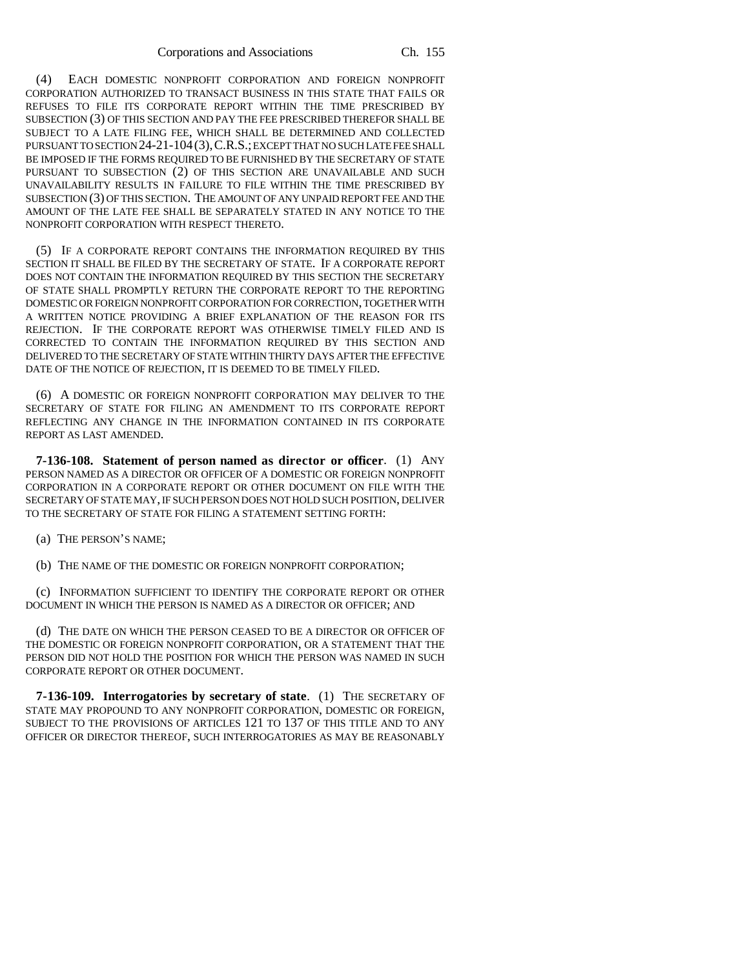(4) EACH DOMESTIC NONPROFIT CORPORATION AND FOREIGN NONPROFIT CORPORATION AUTHORIZED TO TRANSACT BUSINESS IN THIS STATE THAT FAILS OR REFUSES TO FILE ITS CORPORATE REPORT WITHIN THE TIME PRESCRIBED BY SUBSECTION (3) OF THIS SECTION AND PAY THE FEE PRESCRIBED THEREFOR SHALL BE SUBJECT TO A LATE FILING FEE, WHICH SHALL BE DETERMINED AND COLLECTED PURSUANT TO SECTION 24-21-104(3),C.R.S.; EXCEPT THAT NO SUCH LATE FEE SHALL BE IMPOSED IF THE FORMS REQUIRED TO BE FURNISHED BY THE SECRETARY OF STATE PURSUANT TO SUBSECTION (2) OF THIS SECTION ARE UNAVAILABLE AND SUCH UNAVAILABILITY RESULTS IN FAILURE TO FILE WITHIN THE TIME PRESCRIBED BY SUBSECTION (3) OF THIS SECTION. THE AMOUNT OF ANY UNPAID REPORT FEE AND THE AMOUNT OF THE LATE FEE SHALL BE SEPARATELY STATED IN ANY NOTICE TO THE NONPROFIT CORPORATION WITH RESPECT THERETO.

(5) IF A CORPORATE REPORT CONTAINS THE INFORMATION REQUIRED BY THIS SECTION IT SHALL BE FILED BY THE SECRETARY OF STATE. IF A CORPORATE REPORT DOES NOT CONTAIN THE INFORMATION REQUIRED BY THIS SECTION THE SECRETARY OF STATE SHALL PROMPTLY RETURN THE CORPORATE REPORT TO THE REPORTING DOMESTIC OR FOREIGN NONPROFIT CORPORATION FOR CORRECTION, TOGETHER WITH A WRITTEN NOTICE PROVIDING A BRIEF EXPLANATION OF THE REASON FOR ITS REJECTION. IF THE CORPORATE REPORT WAS OTHERWISE TIMELY FILED AND IS CORRECTED TO CONTAIN THE INFORMATION REQUIRED BY THIS SECTION AND DELIVERED TO THE SECRETARY OF STATE WITHIN THIRTY DAYS AFTER THE EFFECTIVE DATE OF THE NOTICE OF REJECTION, IT IS DEEMED TO BE TIMELY FILED.

(6) A DOMESTIC OR FOREIGN NONPROFIT CORPORATION MAY DELIVER TO THE SECRETARY OF STATE FOR FILING AN AMENDMENT TO ITS CORPORATE REPORT REFLECTING ANY CHANGE IN THE INFORMATION CONTAINED IN ITS CORPORATE REPORT AS LAST AMENDED.

**7-136-108. Statement of person named as director or officer**. (1) ANY PERSON NAMED AS A DIRECTOR OR OFFICER OF A DOMESTIC OR FOREIGN NONPROFIT CORPORATION IN A CORPORATE REPORT OR OTHER DOCUMENT ON FILE WITH THE SECRETARY OF STATE MAY, IF SUCH PERSON DOES NOT HOLD SUCH POSITION, DELIVER TO THE SECRETARY OF STATE FOR FILING A STATEMENT SETTING FORTH:

(a) THE PERSON'S NAME;

(b) THE NAME OF THE DOMESTIC OR FOREIGN NONPROFIT CORPORATION;

(c) INFORMATION SUFFICIENT TO IDENTIFY THE CORPORATE REPORT OR OTHER DOCUMENT IN WHICH THE PERSON IS NAMED AS A DIRECTOR OR OFFICER; AND

(d) THE DATE ON WHICH THE PERSON CEASED TO BE A DIRECTOR OR OFFICER OF THE DOMESTIC OR FOREIGN NONPROFIT CORPORATION, OR A STATEMENT THAT THE PERSON DID NOT HOLD THE POSITION FOR WHICH THE PERSON WAS NAMED IN SUCH CORPORATE REPORT OR OTHER DOCUMENT.

**7-136-109. Interrogatories by secretary of state**. (1) THE SECRETARY OF STATE MAY PROPOUND TO ANY NONPROFIT CORPORATION, DOMESTIC OR FOREIGN, SUBJECT TO THE PROVISIONS OF ARTICLES 121 TO 137 OF THIS TITLE AND TO ANY OFFICER OR DIRECTOR THEREOF, SUCH INTERROGATORIES AS MAY BE REASONABLY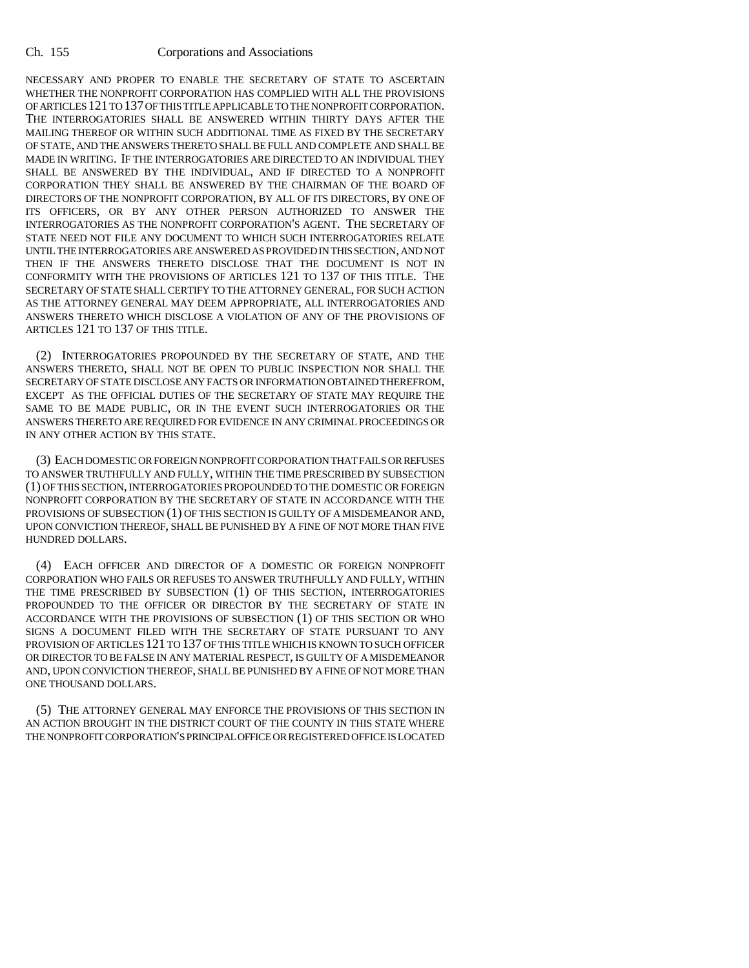NECESSARY AND PROPER TO ENABLE THE SECRETARY OF STATE TO ASCERTAIN WHETHER THE NONPROFIT CORPORATION HAS COMPLIED WITH ALL THE PROVISIONS OF ARTICLES 121 TO 137 OF THIS TITLE APPLICABLE TO THE NONPROFIT CORPORATION. THE INTERROGATORIES SHALL BE ANSWERED WITHIN THIRTY DAYS AFTER THE MAILING THEREOF OR WITHIN SUCH ADDITIONAL TIME AS FIXED BY THE SECRETARY OF STATE, AND THE ANSWERS THERETO SHALL BE FULL AND COMPLETE AND SHALL BE MADE IN WRITING. IF THE INTERROGATORIES ARE DIRECTED TO AN INDIVIDUAL THEY SHALL BE ANSWERED BY THE INDIVIDUAL, AND IF DIRECTED TO A NONPROFIT CORPORATION THEY SHALL BE ANSWERED BY THE CHAIRMAN OF THE BOARD OF DIRECTORS OF THE NONPROFIT CORPORATION, BY ALL OF ITS DIRECTORS, BY ONE OF ITS OFFICERS, OR BY ANY OTHER PERSON AUTHORIZED TO ANSWER THE INTERROGATORIES AS THE NONPROFIT CORPORATION'S AGENT. THE SECRETARY OF STATE NEED NOT FILE ANY DOCUMENT TO WHICH SUCH INTERROGATORIES RELATE UNTIL THE INTERROGATORIES ARE ANSWERED AS PROVIDED IN THIS SECTION, AND NOT THEN IF THE ANSWERS THERETO DISCLOSE THAT THE DOCUMENT IS NOT IN CONFORMITY WITH THE PROVISIONS OF ARTICLES 121 TO 137 OF THIS TITLE. THE SECRETARY OF STATE SHALL CERTIFY TO THE ATTORNEY GENERAL, FOR SUCH ACTION AS THE ATTORNEY GENERAL MAY DEEM APPROPRIATE, ALL INTERROGATORIES AND ANSWERS THERETO WHICH DISCLOSE A VIOLATION OF ANY OF THE PROVISIONS OF ARTICLES 121 TO 137 OF THIS TITLE.

(2) INTERROGATORIES PROPOUNDED BY THE SECRETARY OF STATE, AND THE ANSWERS THERETO, SHALL NOT BE OPEN TO PUBLIC INSPECTION NOR SHALL THE SECRETARY OF STATE DISCLOSE ANY FACTS OR INFORMATION OBTAINED THEREFROM, EXCEPT AS THE OFFICIAL DUTIES OF THE SECRETARY OF STATE MAY REQUIRE THE SAME TO BE MADE PUBLIC, OR IN THE EVENT SUCH INTERROGATORIES OR THE ANSWERS THERETO ARE REQUIRED FOR EVIDENCE IN ANY CRIMINAL PROCEEDINGS OR IN ANY OTHER ACTION BY THIS STATE.

(3) EACH DOMESTIC OR FOREIGN NONPROFIT CORPORATION THAT FAILS OR REFUSES TO ANSWER TRUTHFULLY AND FULLY, WITHIN THE TIME PRESCRIBED BY SUBSECTION (1) OF THIS SECTION, INTERROGATORIES PROPOUNDED TO THE DOMESTIC OR FOREIGN NONPROFIT CORPORATION BY THE SECRETARY OF STATE IN ACCORDANCE WITH THE PROVISIONS OF SUBSECTION (1) OF THIS SECTION IS GUILTY OF A MISDEMEANOR AND, UPON CONVICTION THEREOF, SHALL BE PUNISHED BY A FINE OF NOT MORE THAN FIVE HUNDRED DOLLARS.

(4) EACH OFFICER AND DIRECTOR OF A DOMESTIC OR FOREIGN NONPROFIT CORPORATION WHO FAILS OR REFUSES TO ANSWER TRUTHFULLY AND FULLY, WITHIN THE TIME PRESCRIBED BY SUBSECTION (1) OF THIS SECTION, INTERROGATORIES PROPOUNDED TO THE OFFICER OR DIRECTOR BY THE SECRETARY OF STATE IN ACCORDANCE WITH THE PROVISIONS OF SUBSECTION (1) OF THIS SECTION OR WHO SIGNS A DOCUMENT FILED WITH THE SECRETARY OF STATE PURSUANT TO ANY PROVISION OF ARTICLES 121 TO 137 OF THIS TITLE WHICH IS KNOWN TO SUCH OFFICER OR DIRECTOR TO BE FALSE IN ANY MATERIAL RESPECT, IS GUILTY OF A MISDEMEANOR AND, UPON CONVICTION THEREOF, SHALL BE PUNISHED BY A FINE OF NOT MORE THAN ONE THOUSAND DOLLARS.

(5) THE ATTORNEY GENERAL MAY ENFORCE THE PROVISIONS OF THIS SECTION IN AN ACTION BROUGHT IN THE DISTRICT COURT OF THE COUNTY IN THIS STATE WHERE THE NONPROFIT CORPORATION'S PRINCIPAL OFFICE OR REGISTERED OFFICE IS LOCATED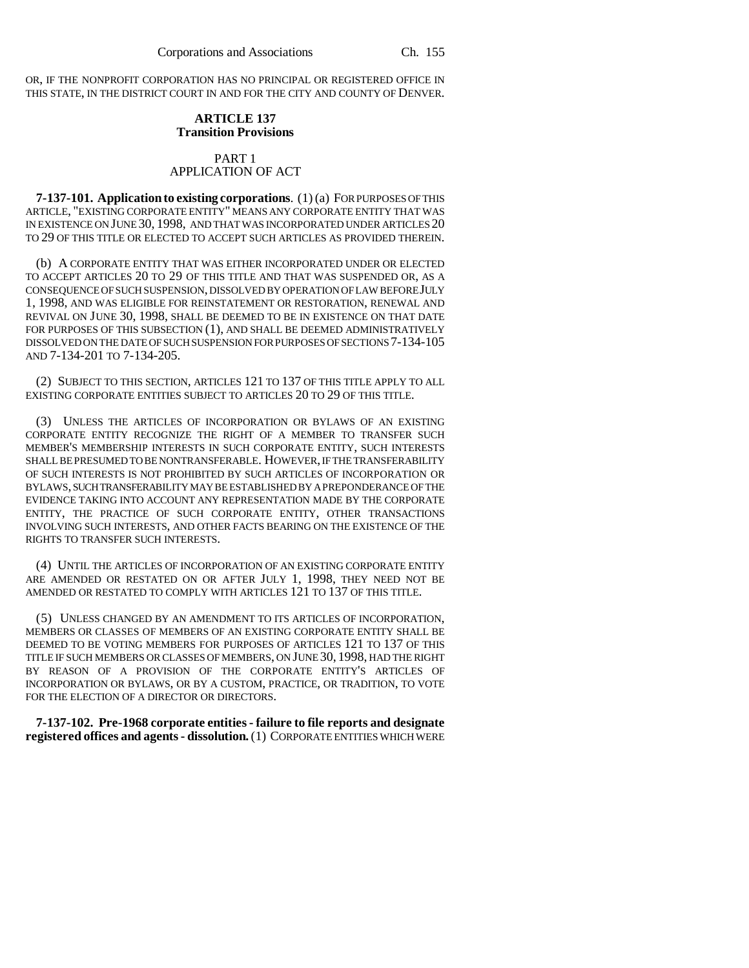OR, IF THE NONPROFIT CORPORATION HAS NO PRINCIPAL OR REGISTERED OFFICE IN THIS STATE, IN THE DISTRICT COURT IN AND FOR THE CITY AND COUNTY OF DENVER.

### **ARTICLE 137 Transition Provisions**

### PART 1 APPLICATION OF ACT

**7-137-101. Application to existing corporations**. (1) (a) FOR PURPOSES OF THIS ARTICLE, "EXISTING CORPORATE ENTITY" MEANS ANY CORPORATE ENTITY THAT WAS IN EXISTENCE ON JUNE 30, 1998, AND THAT WAS INCORPORATED UNDER ARTICLES 20 TO 29 OF THIS TITLE OR ELECTED TO ACCEPT SUCH ARTICLES AS PROVIDED THEREIN.

(b) A CORPORATE ENTITY THAT WAS EITHER INCORPORATED UNDER OR ELECTED TO ACCEPT ARTICLES 20 TO 29 OF THIS TITLE AND THAT WAS SUSPENDED OR, AS A CONSEQUENCE OF SUCH SUSPENSION, DISSOLVED BY OPERATION OF LAW BEFORE JULY 1, 1998, AND WAS ELIGIBLE FOR REINSTATEMENT OR RESTORATION, RENEWAL AND REVIVAL ON JUNE 30, 1998, SHALL BE DEEMED TO BE IN EXISTENCE ON THAT DATE FOR PURPOSES OF THIS SUBSECTION (1), AND SHALL BE DEEMED ADMINISTRATIVELY DISSOLVED ON THE DATE OF SUCH SUSPENSION FOR PURPOSES OF SECTIONS 7-134-105 AND 7-134-201 TO 7-134-205.

(2) SUBJECT TO THIS SECTION, ARTICLES 121 TO 137 OF THIS TITLE APPLY TO ALL EXISTING CORPORATE ENTITIES SUBJECT TO ARTICLES 20 TO 29 OF THIS TITLE.

(3) UNLESS THE ARTICLES OF INCORPORATION OR BYLAWS OF AN EXISTING CORPORATE ENTITY RECOGNIZE THE RIGHT OF A MEMBER TO TRANSFER SUCH MEMBER'S MEMBERSHIP INTERESTS IN SUCH CORPORATE ENTITY, SUCH INTERESTS SHALL BE PRESUMED TO BE NONTRANSFERABLE. HOWEVER, IF THE TRANSFERABILITY OF SUCH INTERESTS IS NOT PROHIBITED BY SUCH ARTICLES OF INCORPORATION OR BYLAWS, SUCH TRANSFERABILITY MAY BE ESTABLISHED BY A PREPONDERANCE OF THE EVIDENCE TAKING INTO ACCOUNT ANY REPRESENTATION MADE BY THE CORPORATE ENTITY, THE PRACTICE OF SUCH CORPORATE ENTITY, OTHER TRANSACTIONS INVOLVING SUCH INTERESTS, AND OTHER FACTS BEARING ON THE EXISTENCE OF THE RIGHTS TO TRANSFER SUCH INTERESTS.

(4) UNTIL THE ARTICLES OF INCORPORATION OF AN EXISTING CORPORATE ENTITY ARE AMENDED OR RESTATED ON OR AFTER JULY 1, 1998, THEY NEED NOT BE AMENDED OR RESTATED TO COMPLY WITH ARTICLES 121 TO 137 OF THIS TITLE.

(5) UNLESS CHANGED BY AN AMENDMENT TO ITS ARTICLES OF INCORPORATION, MEMBERS OR CLASSES OF MEMBERS OF AN EXISTING CORPORATE ENTITY SHALL BE DEEMED TO BE VOTING MEMBERS FOR PURPOSES OF ARTICLES 121 TO 137 OF THIS TITLE IF SUCH MEMBERS OR CLASSES OF MEMBERS, ON JUNE 30, 1998, HAD THE RIGHT BY REASON OF A PROVISION OF THE CORPORATE ENTITY'S ARTICLES OF INCORPORATION OR BYLAWS, OR BY A CUSTOM, PRACTICE, OR TRADITION, TO VOTE FOR THE ELECTION OF A DIRECTOR OR DIRECTORS.

**7-137-102. Pre-1968 corporate entities - failure to file reports and designate registered offices and agents - dissolution.** (1) CORPORATE ENTITIES WHICH WERE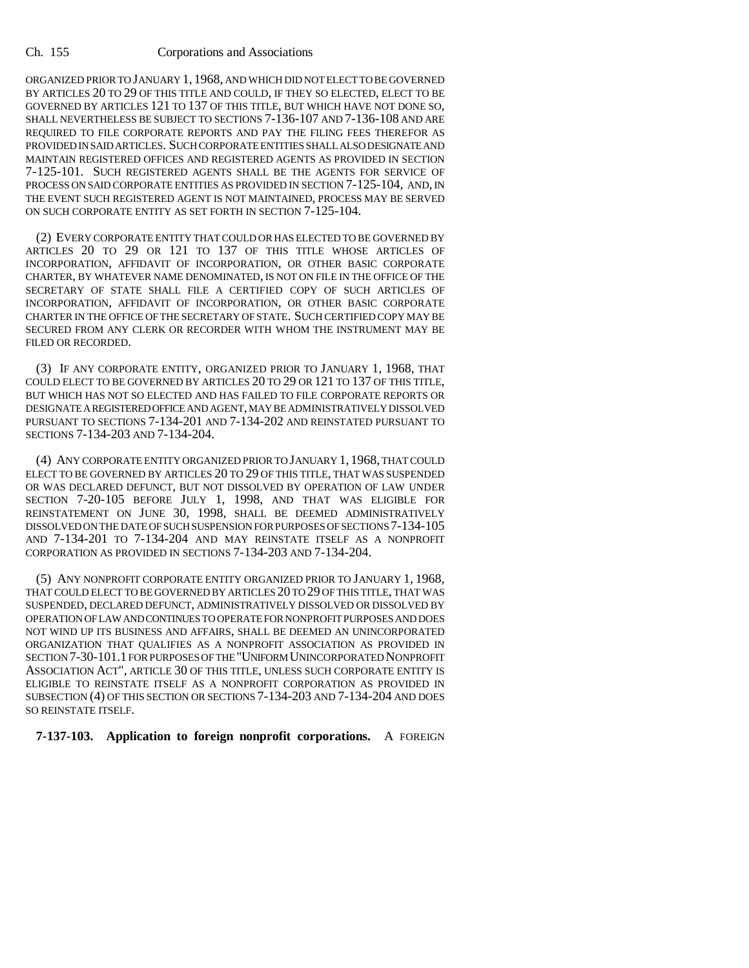ORGANIZED PRIOR TO JANUARY 1, 1968, AND WHICH DID NOT ELECT TO BE GOVERNED BY ARTICLES 20 TO 29 OF THIS TITLE AND COULD, IF THEY SO ELECTED, ELECT TO BE GOVERNED BY ARTICLES 121 TO 137 OF THIS TITLE, BUT WHICH HAVE NOT DONE SO, SHALL NEVERTHELESS BE SUBJECT TO SECTIONS 7-136-107 AND 7-136-108 AND ARE REQUIRED TO FILE CORPORATE REPORTS AND PAY THE FILING FEES THEREFOR AS PROVIDED IN SAID ARTICLES. SUCH CORPORATE ENTITIES SHALL ALSO DESIGNATE AND MAINTAIN REGISTERED OFFICES AND REGISTERED AGENTS AS PROVIDED IN SECTION 7-125-101. SUCH REGISTERED AGENTS SHALL BE THE AGENTS FOR SERVICE OF PROCESS ON SAID CORPORATE ENTITIES AS PROVIDED IN SECTION 7-125-104, AND, IN THE EVENT SUCH REGISTERED AGENT IS NOT MAINTAINED, PROCESS MAY BE SERVED ON SUCH CORPORATE ENTITY AS SET FORTH IN SECTION 7-125-104.

(2) EVERY CORPORATE ENTITY THAT COULD OR HAS ELECTED TO BE GOVERNED BY ARTICLES 20 TO 29 OR 121 TO 137 OF THIS TITLE WHOSE ARTICLES OF INCORPORATION, AFFIDAVIT OF INCORPORATION, OR OTHER BASIC CORPORATE CHARTER, BY WHATEVER NAME DENOMINATED, IS NOT ON FILE IN THE OFFICE OF THE SECRETARY OF STATE SHALL FILE A CERTIFIED COPY OF SUCH ARTICLES OF INCORPORATION, AFFIDAVIT OF INCORPORATION, OR OTHER BASIC CORPORATE CHARTER IN THE OFFICE OF THE SECRETARY OF STATE. SUCH CERTIFIED COPY MAY BE SECURED FROM ANY CLERK OR RECORDER WITH WHOM THE INSTRUMENT MAY BE FILED OR RECORDED.

(3) IF ANY CORPORATE ENTITY, ORGANIZED PRIOR TO JANUARY 1, 1968, THAT COULD ELECT TO BE GOVERNED BY ARTICLES 20 TO 29 OR 121 TO 137 OF THIS TITLE, BUT WHICH HAS NOT SO ELECTED AND HAS FAILED TO FILE CORPORATE REPORTS OR DESIGNATE A REGISTERED OFFICE AND AGENT, MAY BE ADMINISTRATIVELY DISSOLVED PURSUANT TO SECTIONS 7-134-201 AND 7-134-202 AND REINSTATED PURSUANT TO SECTIONS 7-134-203 AND 7-134-204.

(4) ANY CORPORATE ENTITY ORGANIZED PRIOR TO JANUARY 1, 1968, THAT COULD ELECT TO BE GOVERNED BY ARTICLES 20 TO 29 OF THIS TITLE, THAT WAS SUSPENDED OR WAS DECLARED DEFUNCT, BUT NOT DISSOLVED BY OPERATION OF LAW UNDER SECTION 7-20-105 BEFORE JULY 1, 1998, AND THAT WAS ELIGIBLE FOR REINSTATEMENT ON JUNE 30, 1998, SHALL BE DEEMED ADMINISTRATIVELY DISSOLVED ON THE DATE OF SUCH SUSPENSION FOR PURPOSES OF SECTIONS 7-134-105 AND 7-134-201 TO 7-134-204 AND MAY REINSTATE ITSELF AS A NONPROFIT CORPORATION AS PROVIDED IN SECTIONS 7-134-203 AND 7-134-204.

(5) ANY NONPROFIT CORPORATE ENTITY ORGANIZED PRIOR TO JANUARY 1, 1968, THAT COULD ELECT TO BE GOVERNED BY ARTICLES 20 TO 29 OF THIS TITLE, THAT WAS SUSPENDED, DECLARED DEFUNCT, ADMINISTRATIVELY DISSOLVED OR DISSOLVED BY OPERATION OF LAW AND CONTINUES TO OPERATE FOR NONPROFIT PURPOSES AND DOES NOT WIND UP ITS BUSINESS AND AFFAIRS, SHALL BE DEEMED AN UNINCORPORATED ORGANIZATION THAT QUALIFIES AS A NONPROFIT ASSOCIATION AS PROVIDED IN SECTION 7-30-101.1 FOR PURPOSES OF THE "UNIFORM UNINCORPORATED NONPROFIT ASSOCIATION ACT", ARTICLE 30 OF THIS TITLE, UNLESS SUCH CORPORATE ENTITY IS ELIGIBLE TO REINSTATE ITSELF AS A NONPROFIT CORPORATION AS PROVIDED IN SUBSECTION (4) OF THIS SECTION OR SECTIONS 7-134-203 AND 7-134-204 AND DOES SO REINSTATE ITSELF.

### **7-137-103. Application to foreign nonprofit corporations.** A FOREIGN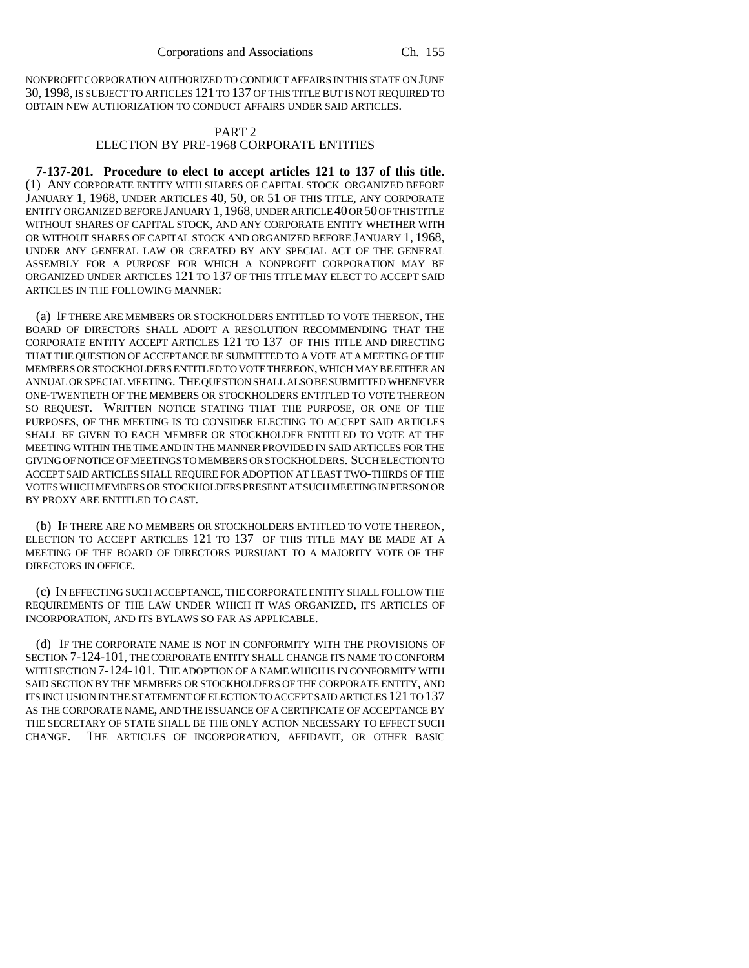NONPROFIT CORPORATION AUTHORIZED TO CONDUCT AFFAIRS IN THIS STATE ON JUNE 30, 1998, IS SUBJECT TO ARTICLES 121 TO 137 OF THIS TITLE BUT IS NOT REQUIRED TO OBTAIN NEW AUTHORIZATION TO CONDUCT AFFAIRS UNDER SAID ARTICLES.

### PART 2 ELECTION BY PRE-1968 CORPORATE ENTITIES

**7-137-201. Procedure to elect to accept articles 121 to 137 of this title.** (1) ANY CORPORATE ENTITY WITH SHARES OF CAPITAL STOCK ORGANIZED BEFORE JANUARY 1, 1968, UNDER ARTICLES 40, 50, OR 51 OF THIS TITLE, ANY CORPORATE ENTITY ORGANIZED BEFORE JANUARY 1,1968, UNDER ARTICLE 40 OR 50 OF THIS TITLE WITHOUT SHARES OF CAPITAL STOCK, AND ANY CORPORATE ENTITY WHETHER WITH OR WITHOUT SHARES OF CAPITAL STOCK AND ORGANIZED BEFORE JANUARY 1, 1968, UNDER ANY GENERAL LAW OR CREATED BY ANY SPECIAL ACT OF THE GENERAL ASSEMBLY FOR A PURPOSE FOR WHICH A NONPROFIT CORPORATION MAY BE ORGANIZED UNDER ARTICLES 121 TO 137 OF THIS TITLE MAY ELECT TO ACCEPT SAID ARTICLES IN THE FOLLOWING MANNER:

(a) IF THERE ARE MEMBERS OR STOCKHOLDERS ENTITLED TO VOTE THEREON, THE BOARD OF DIRECTORS SHALL ADOPT A RESOLUTION RECOMMENDING THAT THE CORPORATE ENTITY ACCEPT ARTICLES 121 TO 137 OF THIS TITLE AND DIRECTING THAT THE QUESTION OF ACCEPTANCE BE SUBMITTED TO A VOTE AT A MEETING OF THE MEMBERS OR STOCKHOLDERS ENTITLED TO VOTE THEREON, WHICH MAY BE EITHER AN ANNUAL OR SPECIAL MEETING. THE QUESTION SHALL ALSO BE SUBMITTED WHENEVER ONE-TWENTIETH OF THE MEMBERS OR STOCKHOLDERS ENTITLED TO VOTE THEREON SO REQUEST. WRITTEN NOTICE STATING THAT THE PURPOSE, OR ONE OF THE PURPOSES, OF THE MEETING IS TO CONSIDER ELECTING TO ACCEPT SAID ARTICLES SHALL BE GIVEN TO EACH MEMBER OR STOCKHOLDER ENTITLED TO VOTE AT THE MEETING WITHIN THE TIME AND IN THE MANNER PROVIDED IN SAID ARTICLES FOR THE GIVING OF NOTICE OF MEETINGS TO MEMBERS OR STOCKHOLDERS. SUCH ELECTION TO ACCEPT SAID ARTICLES SHALL REQUIRE FOR ADOPTION AT LEAST TWO-THIRDS OF THE VOTES WHICH MEMBERS OR STOCKHOLDERS PRESENT AT SUCH MEETING IN PERSON OR BY PROXY ARE ENTITLED TO CAST.

(b) IF THERE ARE NO MEMBERS OR STOCKHOLDERS ENTITLED TO VOTE THEREON, ELECTION TO ACCEPT ARTICLES 121 TO 137 OF THIS TITLE MAY BE MADE AT A MEETING OF THE BOARD OF DIRECTORS PURSUANT TO A MAJORITY VOTE OF THE DIRECTORS IN OFFICE.

(c) IN EFFECTING SUCH ACCEPTANCE, THE CORPORATE ENTITY SHALL FOLLOW THE REQUIREMENTS OF THE LAW UNDER WHICH IT WAS ORGANIZED, ITS ARTICLES OF INCORPORATION, AND ITS BYLAWS SO FAR AS APPLICABLE.

(d) IF THE CORPORATE NAME IS NOT IN CONFORMITY WITH THE PROVISIONS OF SECTION 7-124-101, THE CORPORATE ENTITY SHALL CHANGE ITS NAME TO CONFORM WITH SECTION 7-124-101. THE ADOPTION OF A NAME WHICH IS IN CONFORMITY WITH SAID SECTION BY THE MEMBERS OR STOCKHOLDERS OF THE CORPORATE ENTITY, AND ITS INCLUSION IN THE STATEMENT OF ELECTION TO ACCEPT SAID ARTICLES 121 TO 137 AS THE CORPORATE NAME, AND THE ISSUANCE OF A CERTIFICATE OF ACCEPTANCE BY THE SECRETARY OF STATE SHALL BE THE ONLY ACTION NECESSARY TO EFFECT SUCH CHANGE. THE ARTICLES OF INCORPORATION, AFFIDAVIT, OR OTHER BASIC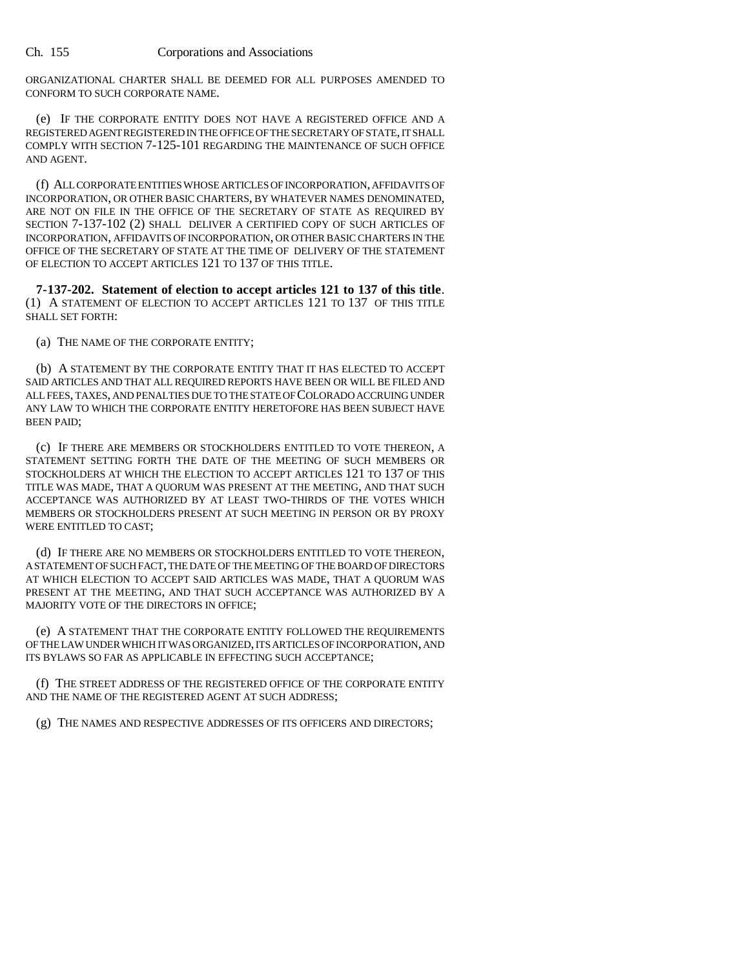ORGANIZATIONAL CHARTER SHALL BE DEEMED FOR ALL PURPOSES AMENDED TO CONFORM TO SUCH CORPORATE NAME.

(e) IF THE CORPORATE ENTITY DOES NOT HAVE A REGISTERED OFFICE AND A REGISTERED AGENT REGISTERED IN THE OFFICE OF THE SECRETARY OF STATE, IT SHALL COMPLY WITH SECTION 7-125-101 REGARDING THE MAINTENANCE OF SUCH OFFICE AND AGENT.

(f) ALL CORPORATE ENTITIES WHOSE ARTICLES OF INCORPORATION, AFFIDAVITS OF INCORPORATION, OR OTHER BASIC CHARTERS, BY WHATEVER NAMES DENOMINATED, ARE NOT ON FILE IN THE OFFICE OF THE SECRETARY OF STATE AS REQUIRED BY SECTION 7-137-102 (2) SHALL DELIVER A CERTIFIED COPY OF SUCH ARTICLES OF INCORPORATION, AFFIDAVITS OF INCORPORATION, OR OTHER BASIC CHARTERS IN THE OFFICE OF THE SECRETARY OF STATE AT THE TIME OF DELIVERY OF THE STATEMENT OF ELECTION TO ACCEPT ARTICLES 121 TO 137 OF THIS TITLE.

**7-137-202. Statement of election to accept articles 121 to 137 of this title**. (1) A STATEMENT OF ELECTION TO ACCEPT ARTICLES 121 TO 137 OF THIS TITLE SHALL SET FORTH:

(a) THE NAME OF THE CORPORATE ENTITY;

(b) A STATEMENT BY THE CORPORATE ENTITY THAT IT HAS ELECTED TO ACCEPT SAID ARTICLES AND THAT ALL REQUIRED REPORTS HAVE BEEN OR WILL BE FILED AND ALL FEES, TAXES, AND PENALTIES DUE TO THE STATE OF COLORADO ACCRUING UNDER ANY LAW TO WHICH THE CORPORATE ENTITY HERETOFORE HAS BEEN SUBJECT HAVE BEEN PAID;

(c) IF THERE ARE MEMBERS OR STOCKHOLDERS ENTITLED TO VOTE THEREON, A STATEMENT SETTING FORTH THE DATE OF THE MEETING OF SUCH MEMBERS OR STOCKHOLDERS AT WHICH THE ELECTION TO ACCEPT ARTICLES 121 TO 137 OF THIS TITLE WAS MADE, THAT A QUORUM WAS PRESENT AT THE MEETING, AND THAT SUCH ACCEPTANCE WAS AUTHORIZED BY AT LEAST TWO-THIRDS OF THE VOTES WHICH MEMBERS OR STOCKHOLDERS PRESENT AT SUCH MEETING IN PERSON OR BY PROXY WERE ENTITLED TO CAST;

(d) IF THERE ARE NO MEMBERS OR STOCKHOLDERS ENTITLED TO VOTE THEREON, A STATEMENT OF SUCH FACT, THE DATE OF THE MEETING OF THE BOARD OF DIRECTORS AT WHICH ELECTION TO ACCEPT SAID ARTICLES WAS MADE, THAT A QUORUM WAS PRESENT AT THE MEETING, AND THAT SUCH ACCEPTANCE WAS AUTHORIZED BY A MAJORITY VOTE OF THE DIRECTORS IN OFFICE;

(e) A STATEMENT THAT THE CORPORATE ENTITY FOLLOWED THE REQUIREMENTS OF THE LAW UNDER WHICH IT WAS ORGANIZED, ITS ARTICLES OF INCORPORATION, AND ITS BYLAWS SO FAR AS APPLICABLE IN EFFECTING SUCH ACCEPTANCE;

(f) THE STREET ADDRESS OF THE REGISTERED OFFICE OF THE CORPORATE ENTITY AND THE NAME OF THE REGISTERED AGENT AT SUCH ADDRESS;

(g) THE NAMES AND RESPECTIVE ADDRESSES OF ITS OFFICERS AND DIRECTORS;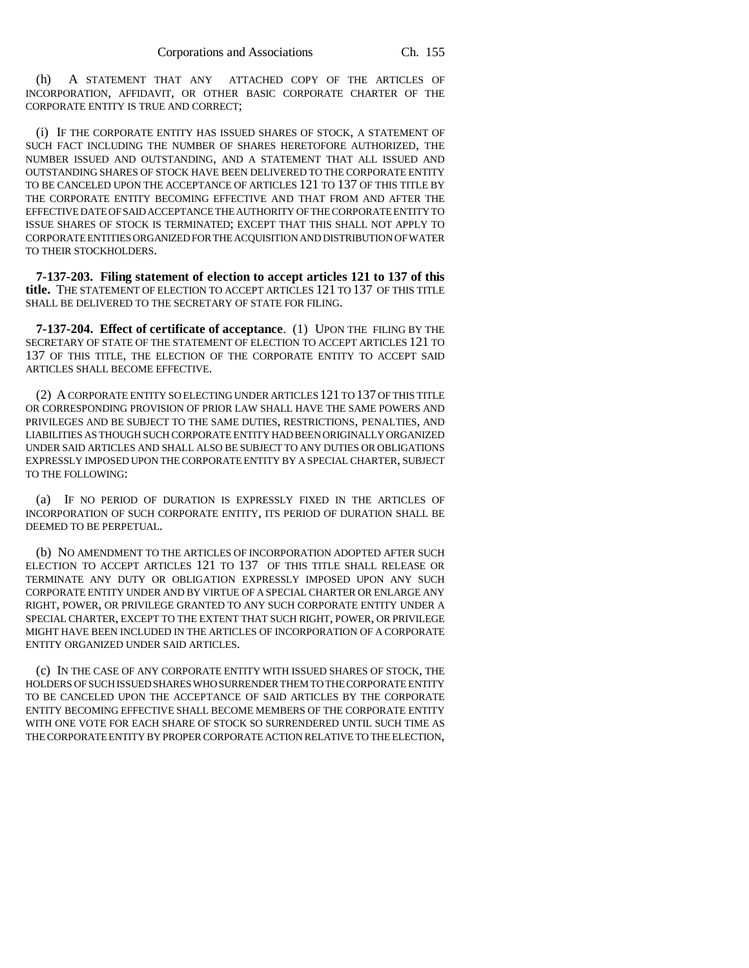(h) A STATEMENT THAT ANY ATTACHED COPY OF THE ARTICLES OF INCORPORATION, AFFIDAVIT, OR OTHER BASIC CORPORATE CHARTER OF THE CORPORATE ENTITY IS TRUE AND CORRECT;

(i) IF THE CORPORATE ENTITY HAS ISSUED SHARES OF STOCK, A STATEMENT OF SUCH FACT INCLUDING THE NUMBER OF SHARES HERETOFORE AUTHORIZED, THE NUMBER ISSUED AND OUTSTANDING, AND A STATEMENT THAT ALL ISSUED AND OUTSTANDING SHARES OF STOCK HAVE BEEN DELIVERED TO THE CORPORATE ENTITY TO BE CANCELED UPON THE ACCEPTANCE OF ARTICLES 121 TO 137 OF THIS TITLE BY THE CORPORATE ENTITY BECOMING EFFECTIVE AND THAT FROM AND AFTER THE EFFECTIVE DATE OF SAID ACCEPTANCE THE AUTHORITY OF THE CORPORATE ENTITY TO ISSUE SHARES OF STOCK IS TERMINATED; EXCEPT THAT THIS SHALL NOT APPLY TO CORPORATE ENTITIES ORGANIZED FOR THE ACQUISITION AND DISTRIBUTION OF WATER TO THEIR STOCKHOLDERS.

**7-137-203. Filing statement of election to accept articles 121 to 137 of this title.** THE STATEMENT OF ELECTION TO ACCEPT ARTICLES 121 TO 137 OF THIS TITLE SHALL BE DELIVERED TO THE SECRETARY OF STATE FOR FILING.

**7-137-204. Effect of certificate of acceptance**. (1) UPON THE FILING BY THE SECRETARY OF STATE OF THE STATEMENT OF ELECTION TO ACCEPT ARTICLES 121 TO 137 OF THIS TITLE, THE ELECTION OF THE CORPORATE ENTITY TO ACCEPT SAID ARTICLES SHALL BECOME EFFECTIVE.

(2) A CORPORATE ENTITY SO ELECTING UNDER ARTICLES 121 TO 137 OF THIS TITLE OR CORRESPONDING PROVISION OF PRIOR LAW SHALL HAVE THE SAME POWERS AND PRIVILEGES AND BE SUBJECT TO THE SAME DUTIES, RESTRICTIONS, PENALTIES, AND LIABILITIES AS THOUGH SUCH CORPORATE ENTITY HAD BEEN ORIGINALLY ORGANIZED UNDER SAID ARTICLES AND SHALL ALSO BE SUBJECT TO ANY DUTIES OR OBLIGATIONS EXPRESSLY IMPOSED UPON THE CORPORATE ENTITY BY A SPECIAL CHARTER, SUBJECT TO THE FOLLOWING:

(a) IF NO PERIOD OF DURATION IS EXPRESSLY FIXED IN THE ARTICLES OF INCORPORATION OF SUCH CORPORATE ENTITY, ITS PERIOD OF DURATION SHALL BE DEEMED TO BE PERPETUAL.

(b) NO AMENDMENT TO THE ARTICLES OF INCORPORATION ADOPTED AFTER SUCH ELECTION TO ACCEPT ARTICLES 121 TO 137 OF THIS TITLE SHALL RELEASE OR TERMINATE ANY DUTY OR OBLIGATION EXPRESSLY IMPOSED UPON ANY SUCH CORPORATE ENTITY UNDER AND BY VIRTUE OF A SPECIAL CHARTER OR ENLARGE ANY RIGHT, POWER, OR PRIVILEGE GRANTED TO ANY SUCH CORPORATE ENTITY UNDER A SPECIAL CHARTER, EXCEPT TO THE EXTENT THAT SUCH RIGHT, POWER, OR PRIVILEGE MIGHT HAVE BEEN INCLUDED IN THE ARTICLES OF INCORPORATION OF A CORPORATE ENTITY ORGANIZED UNDER SAID ARTICLES.

(c) IN THE CASE OF ANY CORPORATE ENTITY WITH ISSUED SHARES OF STOCK, THE HOLDERS OF SUCH ISSUED SHARES WHO SURRENDER THEM TO THE CORPORATE ENTITY TO BE CANCELED UPON THE ACCEPTANCE OF SAID ARTICLES BY THE CORPORATE ENTITY BECOMING EFFECTIVE SHALL BECOME MEMBERS OF THE CORPORATE ENTITY WITH ONE VOTE FOR EACH SHARE OF STOCK SO SURRENDERED UNTIL SUCH TIME AS THE CORPORATE ENTITY BY PROPER CORPORATE ACTION RELATIVE TO THE ELECTION,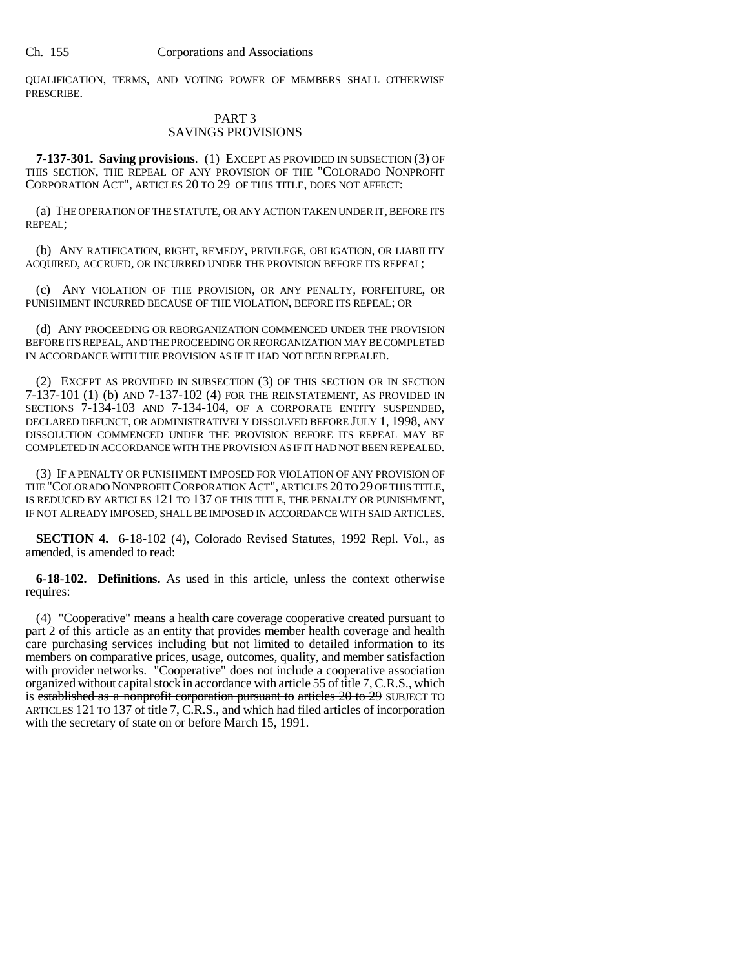QUALIFICATION, TERMS, AND VOTING POWER OF MEMBERS SHALL OTHERWISE PRESCRIBE.

## PART 3 SAVINGS PROVISIONS

**7-137-301. Saving provisions**. (1) EXCEPT AS PROVIDED IN SUBSECTION (3) OF THIS SECTION, THE REPEAL OF ANY PROVISION OF THE "COLORADO NONPROFIT CORPORATION ACT", ARTICLES 20 TO 29 OF THIS TITLE, DOES NOT AFFECT:

(a) THE OPERATION OF THE STATUTE, OR ANY ACTION TAKEN UNDER IT, BEFORE ITS REPEAL;

(b) ANY RATIFICATION, RIGHT, REMEDY, PRIVILEGE, OBLIGATION, OR LIABILITY ACQUIRED, ACCRUED, OR INCURRED UNDER THE PROVISION BEFORE ITS REPEAL;

(c) ANY VIOLATION OF THE PROVISION, OR ANY PENALTY, FORFEITURE, OR PUNISHMENT INCURRED BECAUSE OF THE VIOLATION, BEFORE ITS REPEAL; OR

(d) ANY PROCEEDING OR REORGANIZATION COMMENCED UNDER THE PROVISION BEFORE ITS REPEAL, AND THE PROCEEDING OR REORGANIZATION MAY BE COMPLETED IN ACCORDANCE WITH THE PROVISION AS IF IT HAD NOT BEEN REPEALED.

(2) EXCEPT AS PROVIDED IN SUBSECTION (3) OF THIS SECTION OR IN SECTION 7-137-101 (1) (b) AND 7-137-102 (4) FOR THE REINSTATEMENT, AS PROVIDED IN SECTIONS 7-134-103 AND 7-134-104, OF A CORPORATE ENTITY SUSPENDED, DECLARED DEFUNCT, OR ADMINISTRATIVELY DISSOLVED BEFORE JULY 1, 1998, ANY DISSOLUTION COMMENCED UNDER THE PROVISION BEFORE ITS REPEAL MAY BE COMPLETED IN ACCORDANCE WITH THE PROVISION AS IF IT HAD NOT BEEN REPEALED.

(3) IF A PENALTY OR PUNISHMENT IMPOSED FOR VIOLATION OF ANY PROVISION OF THE "COLORADO NONPROFIT CORPORATION ACT", ARTICLES 20 TO 29 OF THIS TITLE, IS REDUCED BY ARTICLES 121 TO 137 OF THIS TITLE, THE PENALTY OR PUNISHMENT, IF NOT ALREADY IMPOSED, SHALL BE IMPOSED IN ACCORDANCE WITH SAID ARTICLES.

**SECTION 4.** 6-18-102 (4), Colorado Revised Statutes, 1992 Repl. Vol., as amended, is amended to read:

**6-18-102. Definitions.** As used in this article, unless the context otherwise requires:

(4) "Cooperative" means a health care coverage cooperative created pursuant to part 2 of this article as an entity that provides member health coverage and health care purchasing services including but not limited to detailed information to its members on comparative prices, usage, outcomes, quality, and member satisfaction with provider networks. "Cooperative" does not include a cooperative association organized without capital stock in accordance with article 55 of title 7, C.R.S., which is established as a nonprofit corporation pursuant to articles 20 to 29 SUBJECT TO ARTICLES 121 TO 137 of title 7, C.R.S., and which had filed articles of incorporation with the secretary of state on or before March 15, 1991.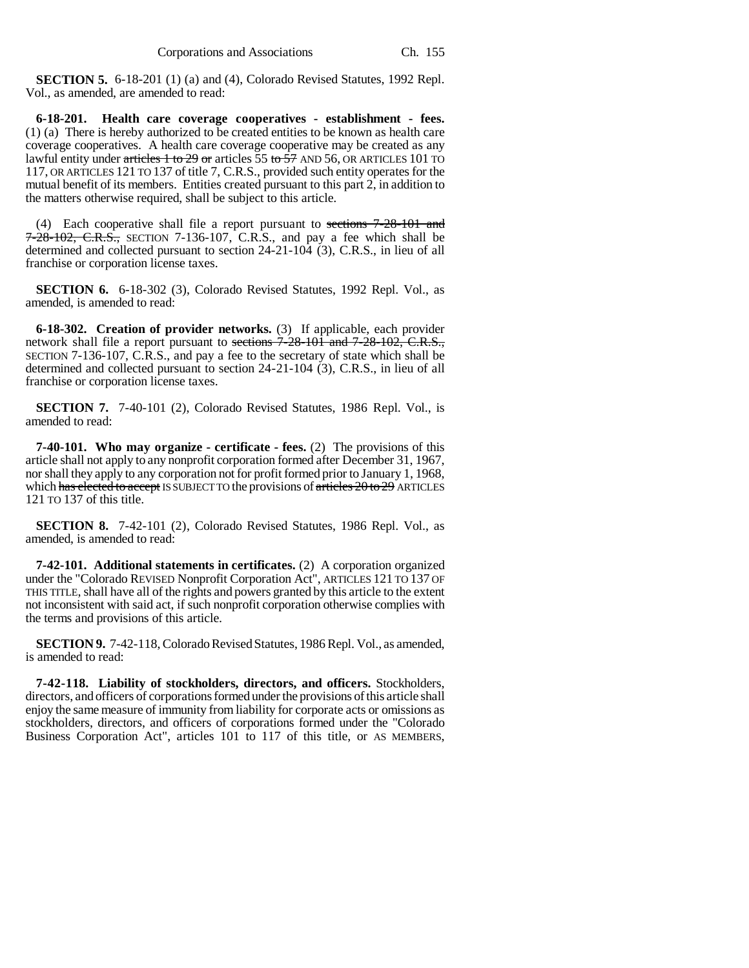**SECTION 5.** 6-18-201 (1) (a) and (4), Colorado Revised Statutes, 1992 Repl. Vol., as amended, are amended to read:

**6-18-201. Health care coverage cooperatives - establishment - fees.** (1) (a) There is hereby authorized to be created entities to be known as health care coverage cooperatives. A health care coverage cooperative may be created as any lawful entity under articles 1 to 29 or articles 55 to 57 AND 56, OR ARTICLES 101 TO 117, OR ARTICLES 121 TO 137 of title 7, C.R.S., provided such entity operates for the mutual benefit of its members. Entities created pursuant to this part 2, in addition to the matters otherwise required, shall be subject to this article.

(4) Each cooperative shall file a report pursuant to sections 7-28-101 and  $7-28-102$ , C.R.S., SECTION 7-136-107, C.R.S., and pay a fee which shall be determined and collected pursuant to section 24-21-104 (3), C.R.S., in lieu of all franchise or corporation license taxes.

**SECTION 6.** 6-18-302 (3), Colorado Revised Statutes, 1992 Repl. Vol., as amended, is amended to read:

**6-18-302. Creation of provider networks.** (3) If applicable, each provider network shall file a report pursuant to sections 7-28-101 and 7-28-102, C.R.S., SECTION 7-136-107, C.R.S., and pay a fee to the secretary of state which shall be determined and collected pursuant to section 24-21-104 (3), C.R.S., in lieu of all franchise or corporation license taxes.

**SECTION 7.** 7-40-101 (2), Colorado Revised Statutes, 1986 Repl. Vol., is amended to read:

**7-40-101. Who may organize - certificate - fees.** (2) The provisions of this article shall not apply to any nonprofit corporation formed after December 31, 1967, nor shall they apply to any corporation not for profit formed prior to January 1, 1968, which has elected to accept IS SUBJECT TO the provisions of articles 20 to 29 ARTICLES 121 TO 137 of this title.

**SECTION 8.** 7-42-101 (2), Colorado Revised Statutes, 1986 Repl. Vol., as amended, is amended to read:

**7-42-101. Additional statements in certificates.** (2) A corporation organized under the "Colorado REVISED Nonprofit Corporation Act", ARTICLES 121 TO 137 OF THIS TITLE, shall have all of the rights and powers granted by this article to the extent not inconsistent with said act, if such nonprofit corporation otherwise complies with the terms and provisions of this article.

**SECTION 9.** 7-42-118, Colorado Revised Statutes, 1986 Repl. Vol., as amended, is amended to read:

**7-42-118. Liability of stockholders, directors, and officers.** Stockholders, directors, and officers of corporations formed under the provisions of this article shall enjoy the same measure of immunity from liability for corporate acts or omissions as stockholders, directors, and officers of corporations formed under the "Colorado Business Corporation Act", articles 101 to 117 of this title, or AS MEMBERS,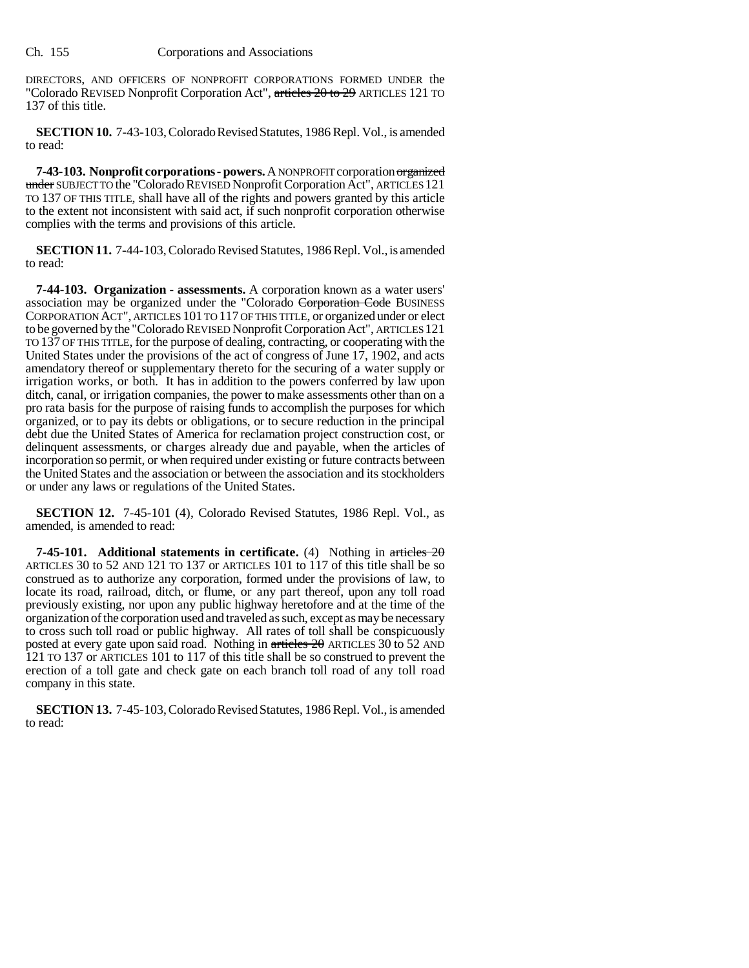## Ch. 155 Corporations and Associations

DIRECTORS, AND OFFICERS OF NONPROFIT CORPORATIONS FORMED UNDER the "Colorado REVISED Nonprofit Corporation Act", articles 20 to 29 ARTICLES 121 TO 137 of this title.

**SECTION 10.** 7-43-103, Colorado Revised Statutes, 1986 Repl. Vol., is amended to read:

**7-43-103. Nonprofit corporations - powers.** A NONPROFIT corporation organized under SUBJECT TO the "Colorado REVISED Nonprofit Corporation Act", ARTICLES 121 TO 137 OF THIS TITLE, shall have all of the rights and powers granted by this article to the extent not inconsistent with said act, if such nonprofit corporation otherwise complies with the terms and provisions of this article.

**SECTION 11.** 7-44-103, Colorado Revised Statutes, 1986 Repl. Vol., is amended to read:

**7-44-103. Organization - assessments.** A corporation known as a water users' association may be organized under the "Colorado Corporation Code BUSINESS CORPORATION ACT", ARTICLES 101 TO 117 OF THIS TITLE, or organized under or elect to be governed by the "Colorado REVISED Nonprofit Corporation Act", ARTICLES 121 TO 137 OF THIS TITLE, for the purpose of dealing, contracting, or cooperating with the United States under the provisions of the act of congress of June  $17$ , 1902, and acts amendatory thereof or supplementary thereto for the securing of a water supply or irrigation works, or both. It has in addition to the powers conferred by law upon ditch, canal, or irrigation companies, the power to make assessments other than on a pro rata basis for the purpose of raising funds to accomplish the purposes for which organized, or to pay its debts or obligations, or to secure reduction in the principal debt due the United States of America for reclamation project construction cost, or delinquent assessments, or charges already due and payable, when the articles of incorporation so permit, or when required under existing or future contracts between the United States and the association or between the association and its stockholders or under any laws or regulations of the United States.

**SECTION 12.** 7-45-101 (4), Colorado Revised Statutes, 1986 Repl. Vol., as amended, is amended to read:

**7-45-101.** Additional statements in certificate. (4) Nothing in articles 20 ARTICLES 30 to 52 AND 121 TO 137 or ARTICLES 101 to 117 of this title shall be so construed as to authorize any corporation, formed under the provisions of law, to locate its road, railroad, ditch, or flume, or any part thereof, upon any toll road previously existing, nor upon any public highway heretofore and at the time of the organization of the corporation used and traveled as such, except as may be necessary to cross such toll road or public highway. All rates of toll shall be conspicuously posted at every gate upon said road. Nothing in articles 20 ARTICLES 30 to 52 AND 121 TO 137 or ARTICLES 101 to 117 of this title shall be so construed to prevent the erection of a toll gate and check gate on each branch toll road of any toll road company in this state.

**SECTION 13.** 7-45-103, Colorado Revised Statutes, 1986 Repl. Vol., is amended to read: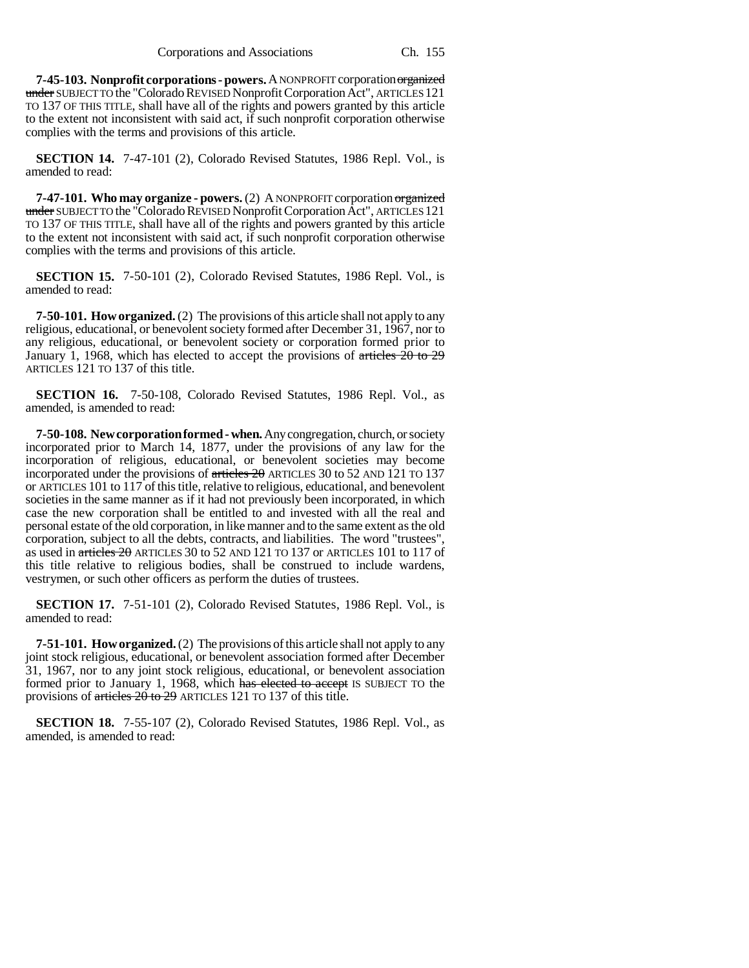**7-45-103. Nonprofit corporations - powers.** A NONPROFIT corporation organized under SUBJECT TO the "Colorado REVISED Nonprofit Corporation Act", ARTICLES 121 TO 137 OF THIS TITLE, shall have all of the rights and powers granted by this article to the extent not inconsistent with said act, if such nonprofit corporation otherwise complies with the terms and provisions of this article.

**SECTION 14.** 7-47-101 (2), Colorado Revised Statutes, 1986 Repl. Vol., is amended to read:

**7-47-101. Who may organize - powers.** (2) A NONPROFIT corporation organized under SUBJECT TO the "Colorado REVISED Nonprofit Corporation Act", ARTICLES 121 TO 137 OF THIS TITLE, shall have all of the rights and powers granted by this article to the extent not inconsistent with said act, if such nonprofit corporation otherwise complies with the terms and provisions of this article.

**SECTION 15.** 7-50-101 (2), Colorado Revised Statutes, 1986 Repl. Vol., is amended to read:

**7-50-101. How organized.** (2) The provisions of this article shall not apply to any religious, educational, or benevolent society formed after December 31, 1967, nor to any religious, educational, or benevolent society or corporation formed prior to January 1, 1968, which has elected to accept the provisions of articles  $\frac{20}{10}$  to  $\frac{29}{10}$ ARTICLES 121 TO 137 of this title.

**SECTION 16.** 7-50-108, Colorado Revised Statutes, 1986 Repl. Vol., as amended, is amended to read:

**7-50-108. New corporation formed - when.** Any congregation, church, or society incorporated prior to March 14, 1877, under the provisions of any law for the incorporation of religious, educational, or benevolent societies may become incorporated under the provisions of  $\frac{\text{articles}}{20}$  ARTICLES 30 to 52 AND 121 TO 137 or ARTICLES 101 to 117 of this title, relative to religious, educational, and benevolent societies in the same manner as if it had not previously been incorporated, in which case the new corporation shall be entitled to and invested with all the real and personal estate of the old corporation, in like manner and to the same extent as the old corporation, subject to all the debts, contracts, and liabilities. The word "trustees", as used in articles 20 ARTICLES 30 to 52 AND 121 TO 137 or ARTICLES 101 to 117 of this title relative to religious bodies, shall be construed to include wardens, vestrymen, or such other officers as perform the duties of trustees.

**SECTION 17.** 7-51-101 (2), Colorado Revised Statutes, 1986 Repl. Vol., is amended to read:

**7-51-101. How organized.** (2) The provisions of this article shall not apply to any joint stock religious, educational, or benevolent association formed after December 31, 1967, nor to any joint stock religious, educational, or benevolent association formed prior to January 1, 1968, which has elected to accept IS SUBJECT TO the provisions of articles 20 to 29 ARTICLES 121 TO 137 of this title.

**SECTION 18.** 7-55-107 (2), Colorado Revised Statutes, 1986 Repl. Vol., as amended, is amended to read: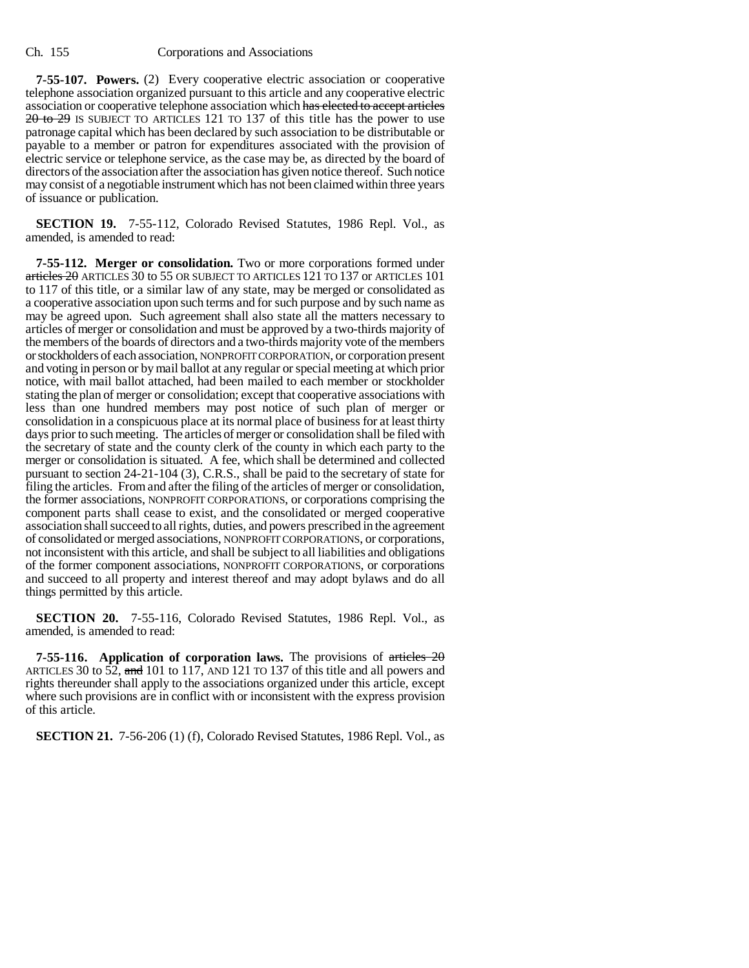## Ch. 155 Corporations and Associations

**7-55-107. Powers.** (2) Every cooperative electric association or cooperative telephone association organized pursuant to this article and any cooperative electric association or cooperative telephone association which has elected to accept articles 20 to 29 IS SUBJECT TO ARTICLES 121 TO 137 of this title has the power to use patronage capital which has been declared by such association to be distributable or payable to a member or patron for expenditures associated with the provision of electric service or telephone service, as the case may be, as directed by the board of directors of the association after the association has given notice thereof. Such notice may consist of a negotiable instrument which has not been claimed within three years of issuance or publication.

**SECTION 19.** 7-55-112, Colorado Revised Statutes, 1986 Repl. Vol., as amended, is amended to read:

**7-55-112. Merger or consolidation.** Two or more corporations formed under  $articles 20$  ARTICLES 30 to 55 OR SUBJECT TO ARTICLES 121 TO 137 or ARTICLES 101 to 117 of this title, or a similar law of any state, may be merged or consolidated as a cooperative association upon such terms and for such purpose and by such name as may be agreed upon. Such agreement shall also state all the matters necessary to articles of merger or consolidation and must be approved by a two-thirds majority of the members of the boards of directors and a two-thirds majority vote of the members or stockholders of each association, NONPROFIT CORPORATION, or corporation present and voting in person or by mail ballot at any regular or special meeting at which prior notice, with mail ballot attached, had been mailed to each member or stockholder stating the plan of merger or consolidation; except that cooperative associations with less than one hundred members may post notice of such plan of merger or consolidation in a conspicuous place at its normal place of business for at least thirty days prior to such meeting. The articles of merger or consolidation shall be filed with the secretary of state and the county clerk of the county in which each party to the merger or consolidation is situated. A fee, which shall be determined and collected pursuant to section 24-21-104 (3), C.R.S., shall be paid to the secretary of state for filing the articles. From and after the filing of the articles of merger or consolidation, the former associations, NONPROFIT CORPORATIONS, or corporations comprising the component parts shall cease to exist, and the consolidated or merged cooperative association shall succeed to all rights, duties, and powers prescribed in the agreement of consolidated or merged associations, NONPROFIT CORPORATIONS, or corporations, not inconsistent with this article, and shall be subject to all liabilities and obligations of the former component associations, NONPROFIT CORPORATIONS, or corporations and succeed to all property and interest thereof and may adopt bylaws and do all things permitted by this article.

**SECTION 20.** 7-55-116, Colorado Revised Statutes, 1986 Repl. Vol., as amended, is amended to read:

**7-55-116.** Application of corporation laws. The provisions of articles 20 ARTICLES 30 to 52, and 101 to 117, AND 121 TO 137 of this title and all powers and rights thereunder shall apply to the associations organized under this article, except where such provisions are in conflict with or inconsistent with the express provision of this article.

**SECTION 21.** 7-56-206 (1) (f), Colorado Revised Statutes, 1986 Repl. Vol., as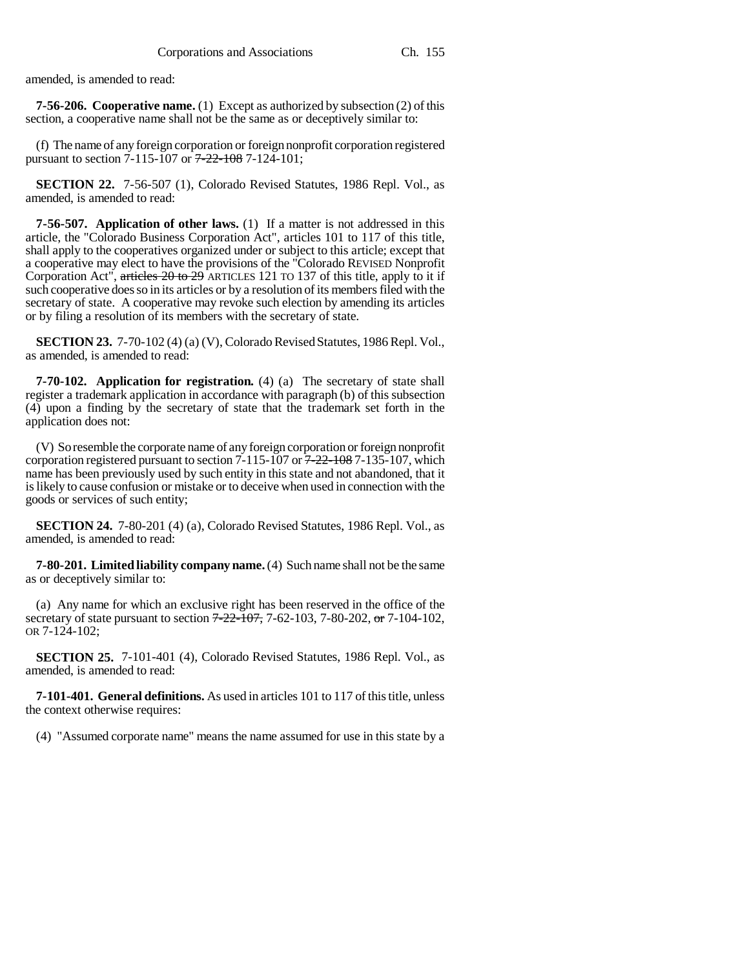amended, is amended to read:

**7-56-206. Cooperative name.** (1) Except as authorized by subsection (2) of this section, a cooperative name shall not be the same as or deceptively similar to:

(f) The name of any foreign corporation or foreign nonprofit corporation registered pursuant to section 7-115-107 or <del>7-22-108</del> 7-124-101;

**SECTION 22.** 7-56-507 (1), Colorado Revised Statutes, 1986 Repl. Vol., as amended, is amended to read:

**7-56-507. Application of other laws.** (1) If a matter is not addressed in this article, the "Colorado Business Corporation Act", articles 101 to 117 of this title, shall apply to the cooperatives organized under or subject to this article; except that a cooperative may elect to have the provisions of the "Colorado REVISED Nonprofit Corporation Act", articles 20 to 29 ARTICLES 121 TO 137 of this title, apply to it if such cooperative does so in its articles or by a resolution of its members filed with the secretary of state. A cooperative may revoke such election by amending its articles or by filing a resolution of its members with the secretary of state.

**SECTION 23.** 7-70-102 (4) (a) (V), Colorado Revised Statutes, 1986 Repl. Vol., as amended, is amended to read:

**7-70-102. Application for registration.** (4) (a) The secretary of state shall register a trademark application in accordance with paragraph (b) of this subsection (4) upon a finding by the secretary of state that the trademark set forth in the application does not:

(V) So resemble the corporate name of any foreign corporation or foreign nonprofit corporation registered pursuant to section  $7-115-107$  or  $7-22-108$  7-135-107, which name has been previously used by such entity in this state and not abandoned, that it is likely to cause confusion or mistake or to deceive when used in connection with the goods or services of such entity;

**SECTION 24.** 7-80-201 (4) (a), Colorado Revised Statutes, 1986 Repl. Vol., as amended, is amended to read:

**7-80-201. Limited liability company name.** (4) Such name shall not be the same as or deceptively similar to:

(a) Any name for which an exclusive right has been reserved in the office of the secretary of state pursuant to section 7-22-107, 7-62-103, 7-80-202, or 7-104-102, OR 7-124-102;

**SECTION 25.** 7-101-401 (4), Colorado Revised Statutes, 1986 Repl. Vol., as amended, is amended to read:

**7-101-401. General definitions.** As used in articles 101 to 117 of this title, unless the context otherwise requires:

(4) "Assumed corporate name" means the name assumed for use in this state by a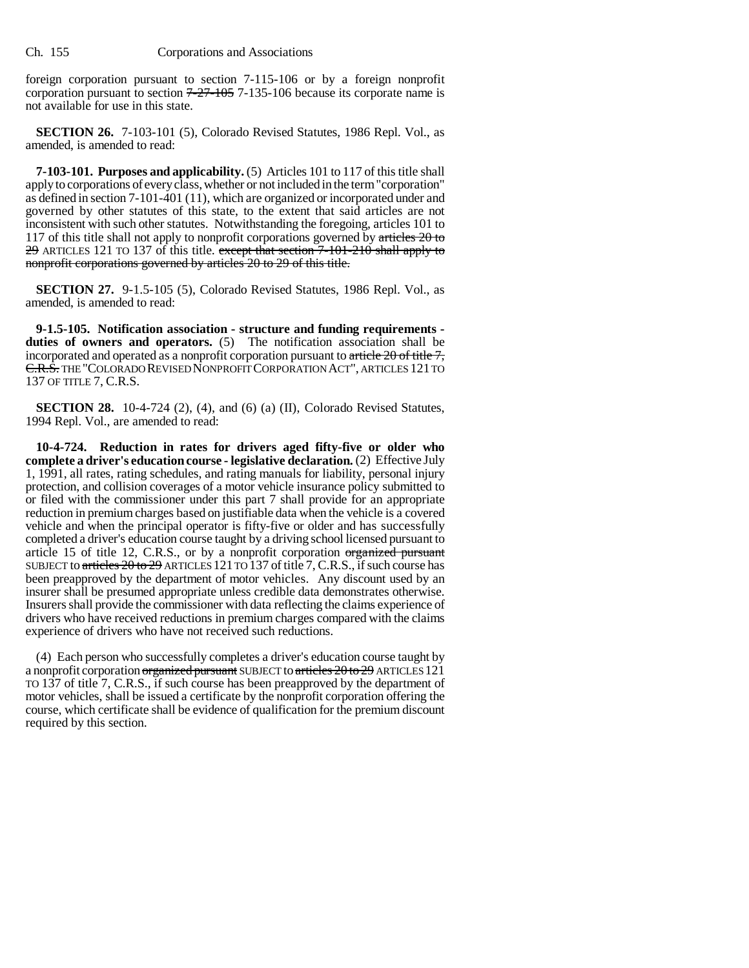foreign corporation pursuant to section 7-115-106 or by a foreign nonprofit corporation pursuant to section 7-27-105 7-135-106 because its corporate name is not available for use in this state.

**SECTION 26.** 7-103-101 (5), Colorado Revised Statutes, 1986 Repl. Vol., as amended, is amended to read:

**7-103-101. Purposes and applicability.** (5) Articles 101 to 117 of this title shall apply to corporations of every class, whether or not included in the term "corporation" as defined in section 7-101-401 (11), which are organized or incorporated under and governed by other statutes of this state, to the extent that said articles are not inconsistent with such other statutes. Notwithstanding the foregoing, articles 101 to 117 of this title shall not apply to nonprofit corporations governed by articles 20 to 29 ARTICLES 121 TO 137 of this title. except that section 7-101-210 shall apply to nonprofit corporations governed by articles 20 to 29 of this title.

**SECTION 27.** 9-1.5-105 (5), Colorado Revised Statutes, 1986 Repl. Vol., as amended, is amended to read:

**9-1.5-105. Notification association - structure and funding requirements**  duties of owners and operators. (5) The notification association shall be incorporated and operated as a nonprofit corporation pursuant to article 20 of title 7, C.R.S. THE "COLORADO REVISED NONPROFIT CORPORATION ACT", ARTICLES 121 TO 137 OF TITLE 7, C.R.S.

**SECTION 28.** 10-4-724 (2), (4), and (6) (a) (II), Colorado Revised Statutes, 1994 Repl. Vol., are amended to read:

**10-4-724. Reduction in rates for drivers aged fifty-five or older who complete a driver's education course - legislative declaration.** (2) Effective July 1, 1991, all rates, rating schedules, and rating manuals for liability, personal injury protection, and collision coverages of a motor vehicle insurance policy submitted to or filed with the commissioner under this part 7 shall provide for an appropriate reduction in premium charges based on justifiable data when the vehicle is a covered vehicle and when the principal operator is fifty-five or older and has successfully completed a driver's education course taught by a driving school licensed pursuant to article 15 of title 12, C.R.S., or by a nonprofit corporation organized pursuant SUBJECT to articles 20 to 29 ARTICLES 121 TO 137 of title 7, C.R.S., if such course has been preapproved by the department of motor vehicles. Any discount used by an insurer shall be presumed appropriate unless credible data demonstrates otherwise. Insurers shall provide the commissioner with data reflecting the claims experience of drivers who have received reductions in premium charges compared with the claims experience of drivers who have not received such reductions.

(4) Each person who successfully completes a driver's education course taught by a nonprofit corporation organized pursuant SUBJECT to articles 20 to 29 ARTICLES 121 TO 137 of title 7, C.R.S., if such course has been preapproved by the department of motor vehicles, shall be issued a certificate by the nonprofit corporation offering the course, which certificate shall be evidence of qualification for the premium discount required by this section.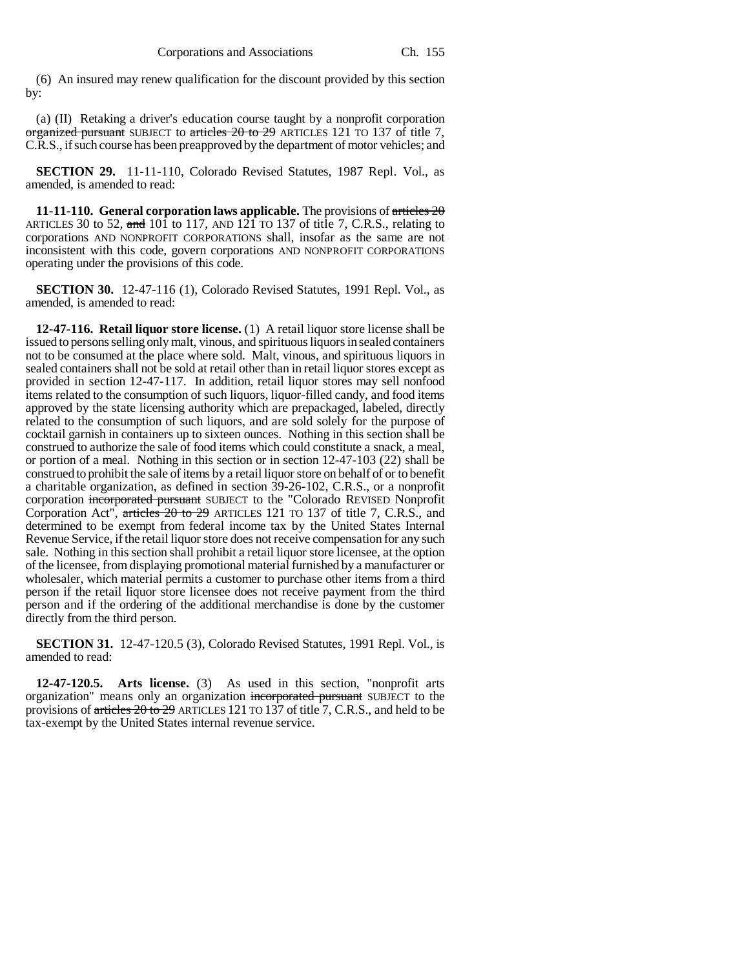(6) An insured may renew qualification for the discount provided by this section by:

(a) (II) Retaking a driver's education course taught by a nonprofit corporation organized pursuant SUBJECT to articles 20 to 29 ARTICLES 121 TO 137 of title 7, C.R.S., if such course has been preapproved by the department of motor vehicles; and

**SECTION 29.** 11-11-110, Colorado Revised Statutes, 1987 Repl. Vol., as amended, is amended to read:

**11-11-110. General corporation laws applicable.** The provisions of articles 20 ARTICLES 30 to 52, and 101 to 117, AND 121 TO 137 of title 7, C.R.S., relating to corporations AND NONPROFIT CORPORATIONS shall, insofar as the same are not inconsistent with this code, govern corporations AND NONPROFIT CORPORATIONS operating under the provisions of this code.

**SECTION 30.** 12-47-116 (1), Colorado Revised Statutes, 1991 Repl. Vol., as amended, is amended to read:

**12-47-116. Retail liquor store license.** (1) A retail liquor store license shall be issued to persons selling only malt, vinous, and spirituous liquors in sealed containers not to be consumed at the place where sold. Malt, vinous, and spirituous liquors in sealed containers shall not be sold at retail other than in retail liquor stores except as provided in section 12-47-117. In addition, retail liquor stores may sell nonfood items related to the consumption of such liquors, liquor-filled candy, and food items approved by the state licensing authority which are prepackaged, labeled, directly related to the consumption of such liquors, and are sold solely for the purpose of cocktail garnish in containers up to sixteen ounces. Nothing in this section shall be construed to authorize the sale of food items which could constitute a snack, a meal, or portion of a meal. Nothing in this section or in section 12-47-103 (22) shall be construed to prohibit the sale of items by a retail liquor store on behalf of or to benefit a charitable organization, as defined in section 39-26-102, C.R.S., or a nonprofit corporation incorporated pursuant SUBJECT to the "Colorado REVISED Nonprofit Corporation Act", articles 20 to 29 ARTICLES 121 TO 137 of title 7, C.R.S., and determined to be exempt from federal income tax by the United States Internal Revenue Service, if the retail liquor store does not receive compensation for any such sale. Nothing in this section shall prohibit a retail liquor store licensee, at the option of the licensee, from displaying promotional material furnished by a manufacturer or wholesaler, which material permits a customer to purchase other items from a third person if the retail liquor store licensee does not receive payment from the third person and if the ordering of the additional merchandise is done by the customer directly from the third person.

**SECTION 31.** 12-47-120.5 (3), Colorado Revised Statutes, 1991 Repl. Vol., is amended to read:

**12-47-120.5. Arts license.** (3) As used in this section, "nonprofit arts organization" means only an organization incorporated pursuant SUBJECT to the provisions of articles 20 to 29 ARTICLES 121 TO 137 of title 7, C.R.S., and held to be tax-exempt by the United States internal revenue service.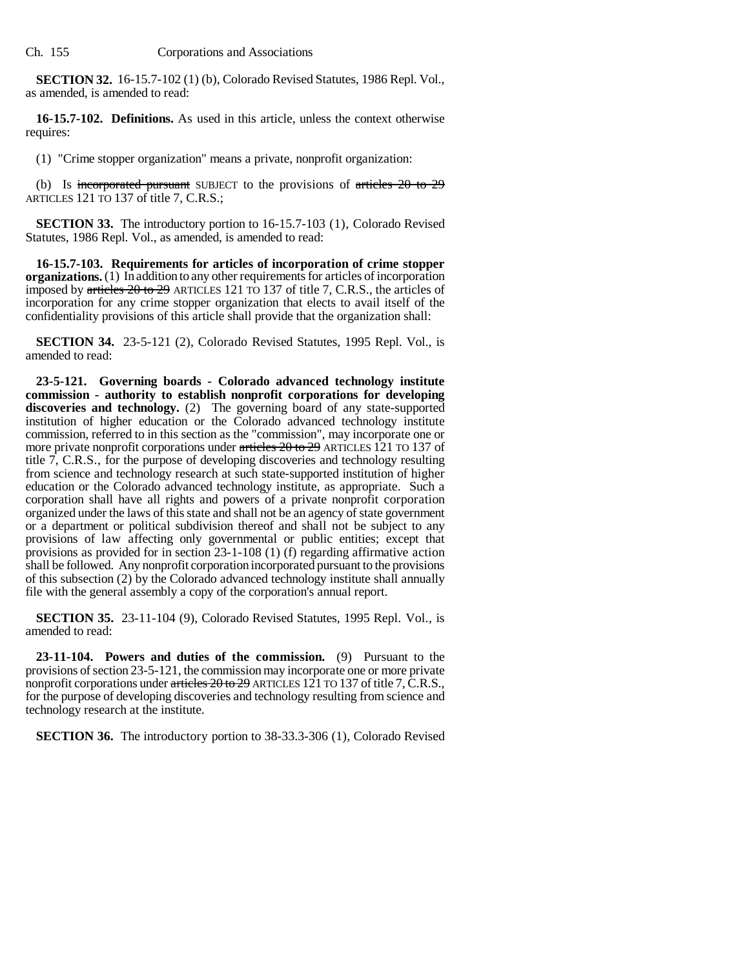**SECTION 32.** 16-15.7-102 (1) (b), Colorado Revised Statutes, 1986 Repl. Vol., as amended, is amended to read:

**16-15.7-102. Definitions.** As used in this article, unless the context otherwise requires:

(1) "Crime stopper organization" means a private, nonprofit organization:

(b) Is incorporated pursuant SUBJECT to the provisions of articles  $20$  to  $29$ ARTICLES 121 TO 137 of title 7, C.R.S.;

**SECTION 33.** The introductory portion to 16-15.7-103 (1), Colorado Revised Statutes, 1986 Repl. Vol., as amended, is amended to read:

**16-15.7-103. Requirements for articles of incorporation of crime stopper organizations.** (1) In addition to any other requirements for articles of incorporation imposed by articles 20 to 29 ARTICLES 121 TO 137 of title 7, C.R.S., the articles of incorporation for any crime stopper organization that elects to avail itself of the confidentiality provisions of this article shall provide that the organization shall:

**SECTION 34.** 23-5-121 (2), Colorado Revised Statutes, 1995 Repl. Vol., is amended to read:

**23-5-121. Governing boards - Colorado advanced technology institute commission - authority to establish nonprofit corporations for developing discoveries and technology.** (2) The governing board of any state-supported institution of higher education or the Colorado advanced technology institute commission, referred to in this section as the "commission", may incorporate one or more private nonprofit corporations under articles 20 to 29 ARTICLES 121 TO 137 of title 7, C.R.S., for the purpose of developing discoveries and technology resulting from science and technology research at such state-supported institution of higher education or the Colorado advanced technology institute, as appropriate. Such a corporation shall have all rights and powers of a private nonprofit corporation organized under the laws of this state and shall not be an agency of state government or a department or political subdivision thereof and shall not be subject to any provisions of law affecting only governmental or public entities; except that provisions as provided for in section 23-1-108 (1) (f) regarding affirmative action shall be followed. Any nonprofit corporation incorporated pursuant to the provisions of this subsection (2) by the Colorado advanced technology institute shall annually file with the general assembly a copy of the corporation's annual report.

**SECTION 35.** 23-11-104 (9), Colorado Revised Statutes, 1995 Repl. Vol., is amended to read:

**23-11-104. Powers and duties of the commission.** (9) Pursuant to the provisions of section 23-5-121, the commission may incorporate one or more private nonprofit corporations under articles 20 to 29 ARTICLES 121 TO 137 of title 7, C.R.S., for the purpose of developing discoveries and technology resulting from science and technology research at the institute.

**SECTION 36.** The introductory portion to 38-33.3-306 (1), Colorado Revised